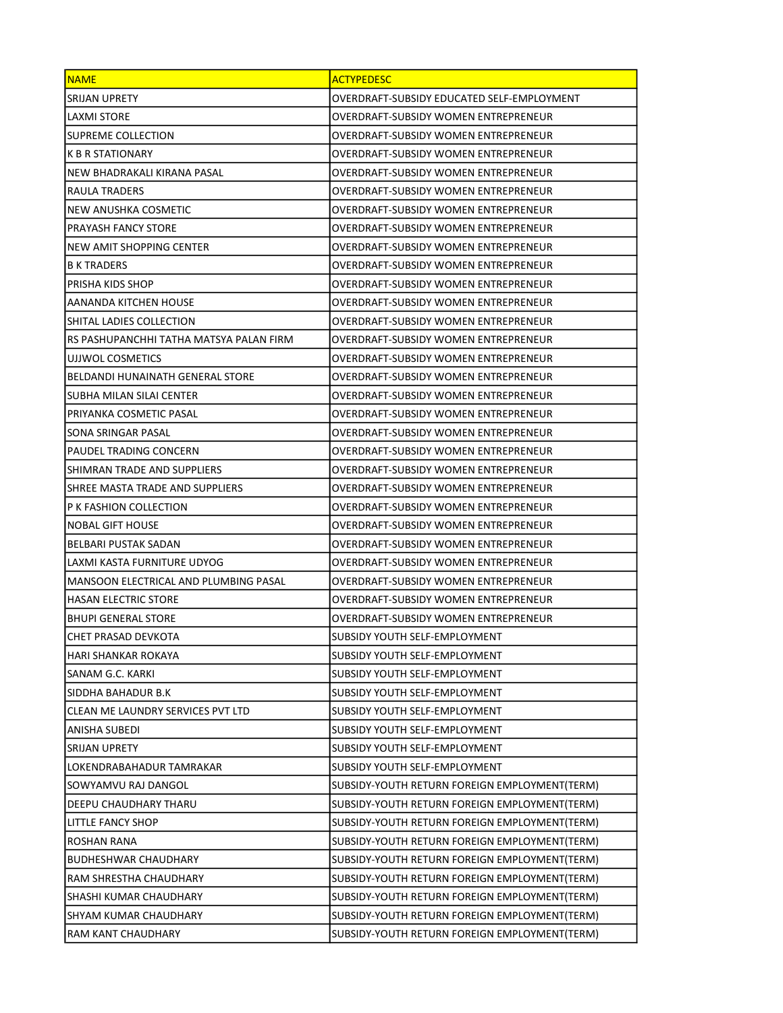| <b>NAME</b>                             | <b>ACTYPEDESC</b>                             |
|-----------------------------------------|-----------------------------------------------|
| SRIJAN UPRETY                           | OVERDRAFT-SUBSIDY EDUCATED SELF-EMPLOYMENT    |
| <b>LAXMI STORE</b>                      | OVERDRAFT-SUBSIDY WOMEN ENTREPRENEUR          |
| <b>SUPREME COLLECTION</b>               | OVERDRAFT-SUBSIDY WOMEN ENTREPRENEUR          |
| <b>K B R STATIONARY</b>                 | OVERDRAFT-SUBSIDY WOMEN ENTREPRENEUR          |
| NEW BHADRAKALI KIRANA PASAL             | OVERDRAFT-SUBSIDY WOMEN ENTREPRENEUR          |
| RAULA TRADERS                           | OVERDRAFT-SUBSIDY WOMEN ENTREPRENEUR          |
| NEW ANUSHKA COSMETIC                    | OVERDRAFT-SUBSIDY WOMEN ENTREPRENEUR          |
| <b>PRAYASH FANCY STORE</b>              | OVERDRAFT-SUBSIDY WOMEN ENTREPRENEUR          |
| NEW AMIT SHOPPING CENTER                | OVERDRAFT-SUBSIDY WOMEN ENTREPRENEUR          |
| B K TRADERS                             | OVERDRAFT-SUBSIDY WOMEN ENTREPRENEUR          |
| PRISHA KIDS SHOP                        | OVERDRAFT-SUBSIDY WOMEN ENTREPRENEUR          |
| AANANDA KITCHEN HOUSE                   | OVERDRAFT-SUBSIDY WOMEN ENTREPRENEUR          |
| SHITAL LADIES COLLECTION                | OVERDRAFT-SUBSIDY WOMEN ENTREPRENEUR          |
| RS PASHUPANCHHI TATHA MATSYA PALAN FIRM | OVERDRAFT-SUBSIDY WOMEN ENTREPRENEUR          |
| UJJWOL COSMETICS                        | OVERDRAFT-SUBSIDY WOMEN ENTREPRENEUR          |
| BELDANDI HUNAINATH GENERAL STORE        | OVERDRAFT-SUBSIDY WOMEN ENTREPRENEUR          |
| SUBHA MILAN SILAI CENTER                | OVERDRAFT-SUBSIDY WOMEN ENTREPRENEUR          |
| PRIYANKA COSMETIC PASAL                 | OVERDRAFT-SUBSIDY WOMEN ENTREPRENEUR          |
| SONA SRINGAR PASAL                      | OVERDRAFT-SUBSIDY WOMEN ENTREPRENEUR          |
| PAUDEL TRADING CONCERN                  | OVERDRAFT-SUBSIDY WOMEN ENTREPRENEUR          |
| SHIMRAN TRADE AND SUPPLIERS             | OVERDRAFT-SUBSIDY WOMEN ENTREPRENEUR          |
| SHREE MASTA TRADE AND SUPPLIERS         | OVERDRAFT-SUBSIDY WOMEN ENTREPRENEUR          |
| P K FASHION COLLECTION                  | OVERDRAFT-SUBSIDY WOMEN ENTREPRENEUR          |
| <b>NOBAL GIFT HOUSE</b>                 | OVERDRAFT-SUBSIDY WOMEN ENTREPRENEUR          |
| BELBARI PUSTAK SADAN                    | OVERDRAFT-SUBSIDY WOMEN ENTREPRENEUR          |
| LAXMI KASTA FURNITURE UDYOG             | OVERDRAFT-SUBSIDY WOMEN ENTREPRENEUR          |
| MANSOON ELECTRICAL AND PLUMBING PASAL   | OVERDRAFT-SUBSIDY WOMEN ENTREPRENEUR          |
| <b>HASAN ELECTRIC STORE</b>             | OVERDRAFT-SUBSIDY WOMEN ENTREPRENEUR          |
| <b>BHUPI GENERAL STORE</b>              | OVERDRAFT-SUBSIDY WOMEN ENTREPRENEUR          |
| CHET PRASAD DEVKOTA                     | SUBSIDY YOUTH SELF-EMPLOYMENT                 |
| HARI SHANKAR ROKAYA                     | SUBSIDY YOUTH SELF-EMPLOYMENT                 |
| SANAM G.C. KARKI                        | SUBSIDY YOUTH SELF-EMPLOYMENT                 |
| SIDDHA BAHADUR B.K                      | SUBSIDY YOUTH SELF-EMPLOYMENT                 |
| CLEAN ME LAUNDRY SERVICES PVT LTD       | SUBSIDY YOUTH SELF-EMPLOYMENT                 |
| ANISHA SUBEDI                           | SUBSIDY YOUTH SELF-EMPLOYMENT                 |
| SRIJAN UPRETY                           | SUBSIDY YOUTH SELF-EMPLOYMENT                 |
| LOKENDRABAHADUR TAMRAKAR                | SUBSIDY YOUTH SELF-EMPLOYMENT                 |
| SOWYAMVU RAJ DANGOL                     | SUBSIDY-YOUTH RETURN FOREIGN EMPLOYMENT(TERM) |
| DEEPU CHAUDHARY THARU                   | SUBSIDY-YOUTH RETURN FOREIGN EMPLOYMENT(TERM) |
| LITTLE FANCY SHOP                       | SUBSIDY-YOUTH RETURN FOREIGN EMPLOYMENT(TERM) |
| ROSHAN RANA                             | SUBSIDY-YOUTH RETURN FOREIGN EMPLOYMENT(TERM) |
| <b>BUDHESHWAR CHAUDHARY</b>             | SUBSIDY-YOUTH RETURN FOREIGN EMPLOYMENT(TERM) |
| RAM SHRESTHA CHAUDHARY                  | SUBSIDY-YOUTH RETURN FOREIGN EMPLOYMENT(TERM) |
| SHASHI KUMAR CHAUDHARY                  | SUBSIDY-YOUTH RETURN FOREIGN EMPLOYMENT(TERM) |
| SHYAM KUMAR CHAUDHARY                   | SUBSIDY-YOUTH RETURN FOREIGN EMPLOYMENT(TERM) |
| RAM KANT CHAUDHARY                      | SUBSIDY-YOUTH RETURN FOREIGN EMPLOYMENT(TERM) |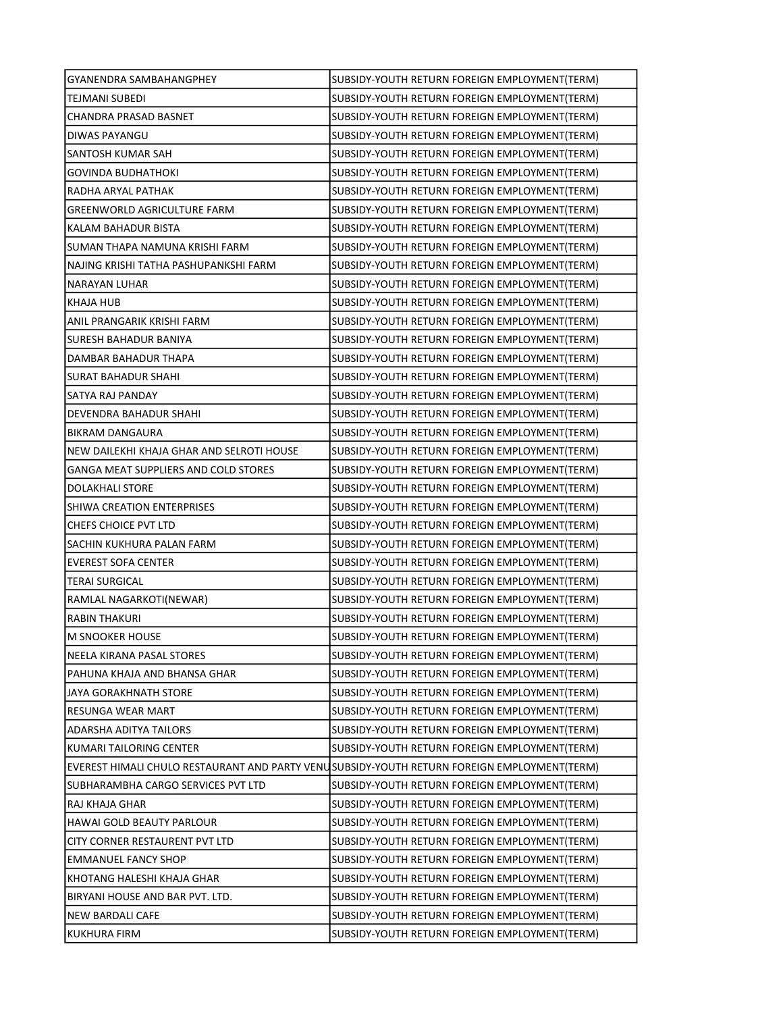| GYANENDRA SAMBAHANGPHEY                   | SUBSIDY-YOUTH RETURN FOREIGN EMPLOYMENT(TERM)                                               |
|-------------------------------------------|---------------------------------------------------------------------------------------------|
| TEJMANI SUBEDI                            | SUBSIDY-YOUTH RETURN FOREIGN EMPLOYMENT(TERM)                                               |
| CHANDRA PRASAD BASNET                     | SUBSIDY-YOUTH RETURN FOREIGN EMPLOYMENT(TERM)                                               |
| DIWAS PAYANGU                             | SUBSIDY-YOUTH RETURN FOREIGN EMPLOYMENT(TERM)                                               |
| SANTOSH KUMAR SAH                         | SUBSIDY-YOUTH RETURN FOREIGN EMPLOYMENT(TERM)                                               |
| GOVINDA BUDHATHOKI                        | SUBSIDY-YOUTH RETURN FOREIGN EMPLOYMENT(TERM)                                               |
| RADHA ARYAL PATHAK                        | SUBSIDY-YOUTH RETURN FOREIGN EMPLOYMENT(TERM)                                               |
| GREENWORLD AGRICULTURE FARM               | SUBSIDY-YOUTH RETURN FOREIGN EMPLOYMENT(TERM)                                               |
| KALAM BAHADUR BISTA                       | SUBSIDY-YOUTH RETURN FOREIGN EMPLOYMENT(TERM)                                               |
| SUMAN THAPA NAMUNA KRISHI FARM            | SUBSIDY-YOUTH RETURN FOREIGN EMPLOYMENT(TERM)                                               |
| NAJING KRISHI TATHA PASHUPANKSHI FARM     | SUBSIDY-YOUTH RETURN FOREIGN EMPLOYMENT(TERM)                                               |
| NARAYAN LUHAR                             | SUBSIDY-YOUTH RETURN FOREIGN EMPLOYMENT(TERM)                                               |
| KHAJA HUB                                 | SUBSIDY-YOUTH RETURN FOREIGN EMPLOYMENT(TERM)                                               |
| ANIL PRANGARIK KRISHI FARM                | SUBSIDY-YOUTH RETURN FOREIGN EMPLOYMENT(TERM)                                               |
| <b>SURESH BAHADUR BANIYA</b>              | SUBSIDY-YOUTH RETURN FOREIGN EMPLOYMENT(TERM)                                               |
| DAMBAR BAHADUR THAPA                      | SUBSIDY-YOUTH RETURN FOREIGN EMPLOYMENT(TERM)                                               |
| SURAT BAHADUR SHAHI                       | SUBSIDY-YOUTH RETURN FOREIGN EMPLOYMENT(TERM)                                               |
| SATYA RAJ PANDAY                          | SUBSIDY-YOUTH RETURN FOREIGN EMPLOYMENT(TERM)                                               |
| DEVENDRA BAHADUR SHAHI                    | SUBSIDY-YOUTH RETURN FOREIGN EMPLOYMENT(TERM)                                               |
| <b>BIKRAM DANGAURA</b>                    | SUBSIDY-YOUTH RETURN FOREIGN EMPLOYMENT(TERM)                                               |
| NEW DAILEKHI KHAJA GHAR AND SELROTI HOUSE | SUBSIDY-YOUTH RETURN FOREIGN EMPLOYMENT(TERM)                                               |
| GANGA MEAT SUPPLIERS AND COLD STORES      | SUBSIDY-YOUTH RETURN FOREIGN EMPLOYMENT(TERM)                                               |
| DOLAKHALI STORE                           | SUBSIDY-YOUTH RETURN FOREIGN EMPLOYMENT(TERM)                                               |
| SHIWA CREATION ENTERPRISES                | SUBSIDY-YOUTH RETURN FOREIGN EMPLOYMENT(TERM)                                               |
| CHEFS CHOICE PVT LTD                      | SUBSIDY-YOUTH RETURN FOREIGN EMPLOYMENT(TERM)                                               |
| SACHIN KUKHURA PALAN FARM                 | SUBSIDY-YOUTH RETURN FOREIGN EMPLOYMENT(TERM)                                               |
| <b>EVEREST SOFA CENTER</b>                | SUBSIDY-YOUTH RETURN FOREIGN EMPLOYMENT(TERM)                                               |
| <b>TERAI SURGICAL</b>                     | SUBSIDY-YOUTH RETURN FOREIGN EMPLOYMENT(TERM)                                               |
| RAMLAL NAGARKOTI(NEWAR)                   | SUBSIDY-YOUTH RETURN FOREIGN EMPLOYMENT(TERM)                                               |
| <b>RABIN THAKURI</b>                      | SUBSIDY-YOUTH RETURN FOREIGN EMPLOYMENT(TERM)                                               |
| M SNOOKER HOUSE                           | SUBSIDY-YOUTH RETURN FOREIGN EMPLOYMENT(TERM)                                               |
| NEELA KIRANA PASAL STORES                 | SUBSIDY-YOUTH RETURN FOREIGN EMPLOYMENT(TERM)                                               |
| PAHUNA KHAJA AND BHANSA GHAR              | SUBSIDY-YOUTH RETURN FOREIGN EMPLOYMENT(TERM)                                               |
| JAYA GORAKHNATH STORE                     | SUBSIDY-YOUTH RETURN FOREIGN EMPLOYMENT(TERM)                                               |
| RESUNGA WEAR MART                         | SUBSIDY-YOUTH RETURN FOREIGN EMPLOYMENT(TERM)                                               |
| ADARSHA ADITYA TAILORS                    | SUBSIDY-YOUTH RETURN FOREIGN EMPLOYMENT(TERM)                                               |
| KUMARI TAILORING CENTER                   | SUBSIDY-YOUTH RETURN FOREIGN EMPLOYMENT(TERM)                                               |
|                                           | EVEREST HIMALI CHULO RESTAURANT AND PARTY VENUSUBSIDY-YOUTH RETURN FOREIGN EMPLOYMENT(TERM) |
| SUBHARAMBHA CARGO SERVICES PVT LTD        | SUBSIDY-YOUTH RETURN FOREIGN EMPLOYMENT(TERM)                                               |
| RAJ KHAJA GHAR                            | SUBSIDY-YOUTH RETURN FOREIGN EMPLOYMENT(TERM)                                               |
| HAWAI GOLD BEAUTY PARLOUR                 | SUBSIDY-YOUTH RETURN FOREIGN EMPLOYMENT(TERM)                                               |
| CITY CORNER RESTAURENT PVT LTD            | SUBSIDY-YOUTH RETURN FOREIGN EMPLOYMENT(TERM)                                               |
| <b>EMMANUEL FANCY SHOP</b>                | SUBSIDY-YOUTH RETURN FOREIGN EMPLOYMENT(TERM)                                               |
| KHOTANG HALESHI KHAJA GHAR                | SUBSIDY-YOUTH RETURN FOREIGN EMPLOYMENT(TERM)                                               |
| BIRYANI HOUSE AND BAR PVT. LTD.           | SUBSIDY-YOUTH RETURN FOREIGN EMPLOYMENT(TERM)                                               |
| NEW BARDALI CAFE                          | SUBSIDY-YOUTH RETURN FOREIGN EMPLOYMENT(TERM)                                               |
| <b>KUKHURA FIRM</b>                       | SUBSIDY-YOUTH RETURN FOREIGN EMPLOYMENT(TERM)                                               |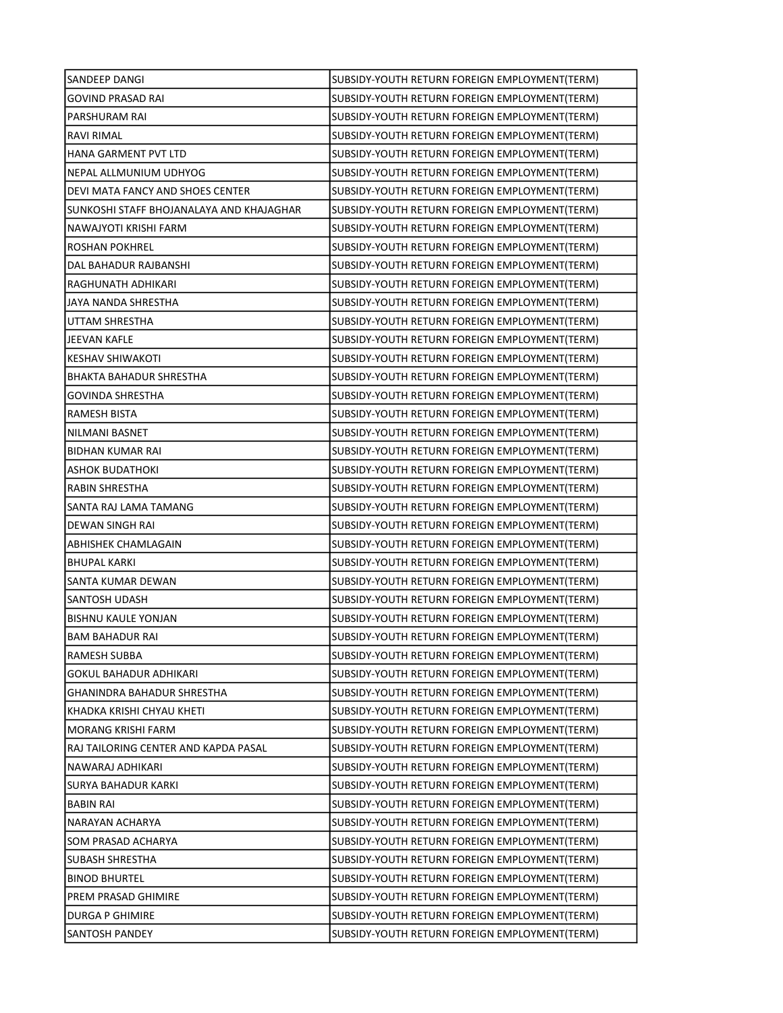| SANDEEP DANGI                            | SUBSIDY-YOUTH RETURN FOREIGN EMPLOYMENT(TERM) |
|------------------------------------------|-----------------------------------------------|
| <b>GOVIND PRASAD RAI</b>                 | SUBSIDY-YOUTH RETURN FOREIGN EMPLOYMENT(TERM) |
| PARSHURAM RAI                            | SUBSIDY-YOUTH RETURN FOREIGN EMPLOYMENT(TERM) |
| <b>RAVI RIMAL</b>                        | SUBSIDY-YOUTH RETURN FOREIGN EMPLOYMENT(TERM) |
| HANA GARMENT PVT LTD                     | SUBSIDY-YOUTH RETURN FOREIGN EMPLOYMENT(TERM) |
| NEPAL ALLMUNIUM UDHYOG                   | SUBSIDY-YOUTH RETURN FOREIGN EMPLOYMENT(TERM) |
| DEVI MATA FANCY AND SHOES CENTER         | SUBSIDY-YOUTH RETURN FOREIGN EMPLOYMENT(TERM) |
| SUNKOSHI STAFF BHOJANALAYA AND KHAJAGHAR | SUBSIDY-YOUTH RETURN FOREIGN EMPLOYMENT(TERM) |
| NAWAJYOTI KRISHI FARM                    | SUBSIDY-YOUTH RETURN FOREIGN EMPLOYMENT(TERM) |
| <b>ROSHAN POKHREL</b>                    | SUBSIDY-YOUTH RETURN FOREIGN EMPLOYMENT(TERM) |
| DAL BAHADUR RAJBANSHI                    | SUBSIDY-YOUTH RETURN FOREIGN EMPLOYMENT(TERM) |
| RAGHUNATH ADHIKARI                       | SUBSIDY-YOUTH RETURN FOREIGN EMPLOYMENT(TERM) |
| JAYA NANDA SHRESTHA                      | SUBSIDY-YOUTH RETURN FOREIGN EMPLOYMENT(TERM) |
| UTTAM SHRESTHA                           | SUBSIDY-YOUTH RETURN FOREIGN EMPLOYMENT(TERM) |
| JEEVAN KAFLE                             | SUBSIDY-YOUTH RETURN FOREIGN EMPLOYMENT(TERM) |
| <b>KESHAV SHIWAKOTI</b>                  | SUBSIDY-YOUTH RETURN FOREIGN EMPLOYMENT(TERM) |
| <b>BHAKTA BAHADUR SHRESTHA</b>           | SUBSIDY-YOUTH RETURN FOREIGN EMPLOYMENT(TERM) |
| <b>GOVINDA SHRESTHA</b>                  | SUBSIDY-YOUTH RETURN FOREIGN EMPLOYMENT(TERM) |
| RAMESH BISTA                             | SUBSIDY-YOUTH RETURN FOREIGN EMPLOYMENT(TERM) |
| <b>NILMANI BASNET</b>                    | SUBSIDY-YOUTH RETURN FOREIGN EMPLOYMENT(TERM) |
| <b>BIDHAN KUMAR RAI</b>                  | SUBSIDY-YOUTH RETURN FOREIGN EMPLOYMENT(TERM) |
| ASHOK BUDATHOKI                          | SUBSIDY-YOUTH RETURN FOREIGN EMPLOYMENT(TERM) |
| RABIN SHRESTHA                           | SUBSIDY-YOUTH RETURN FOREIGN EMPLOYMENT(TERM) |
| SANTA RAJ LAMA TAMANG                    | SUBSIDY-YOUTH RETURN FOREIGN EMPLOYMENT(TERM) |
| DEWAN SINGH RAI                          | SUBSIDY-YOUTH RETURN FOREIGN EMPLOYMENT(TERM) |
| ABHISHEK CHAMLAGAIN                      | SUBSIDY-YOUTH RETURN FOREIGN EMPLOYMENT(TERM) |
| <b>BHUPAL KARKI</b>                      | SUBSIDY-YOUTH RETURN FOREIGN EMPLOYMENT(TERM) |
| SANTA KUMAR DEWAN                        | SUBSIDY-YOUTH RETURN FOREIGN EMPLOYMENT(TERM) |
| SANTOSH UDASH                            | SUBSIDY-YOUTH RETURN FOREIGN EMPLOYMENT(TERM) |
| <b>BISHNU KAULE YONJAN</b>               | SUBSIDY-YOUTH RETURN FOREIGN EMPLOYMENT(TERM) |
| <b>BAM BAHADUR RAI</b>                   | SUBSIDY-YOUTH RETURN FOREIGN EMPLOYMENT(TERM) |
| RAMESH SUBBA                             | SUBSIDY-YOUTH RETURN FOREIGN EMPLOYMENT(TERM) |
| GOKUL BAHADUR ADHIKARI                   | SUBSIDY-YOUTH RETURN FOREIGN EMPLOYMENT(TERM) |
| GHANINDRA BAHADUR SHRESTHA               | SUBSIDY-YOUTH RETURN FOREIGN EMPLOYMENT(TERM) |
| KHADKA KRISHI CHYAU KHETI                | SUBSIDY-YOUTH RETURN FOREIGN EMPLOYMENT(TERM) |
| MORANG KRISHI FARM                       | SUBSIDY-YOUTH RETURN FOREIGN EMPLOYMENT(TERM) |
| RAJ TAILORING CENTER AND KAPDA PASAL     | SUBSIDY-YOUTH RETURN FOREIGN EMPLOYMENT(TERM) |
| NAWARAJ ADHIKARI                         | SUBSIDY-YOUTH RETURN FOREIGN EMPLOYMENT(TERM) |
| SURYA BAHADUR KARKI                      | SUBSIDY-YOUTH RETURN FOREIGN EMPLOYMENT(TERM) |
| BABIN RAI                                | SUBSIDY-YOUTH RETURN FOREIGN EMPLOYMENT(TERM) |
| NARAYAN ACHARYA                          | SUBSIDY-YOUTH RETURN FOREIGN EMPLOYMENT(TERM) |
| SOM PRASAD ACHARYA                       | SUBSIDY-YOUTH RETURN FOREIGN EMPLOYMENT(TERM) |
| SUBASH SHRESTHA                          | SUBSIDY-YOUTH RETURN FOREIGN EMPLOYMENT(TERM) |
| <b>BINOD BHURTEL</b>                     | SUBSIDY-YOUTH RETURN FOREIGN EMPLOYMENT(TERM) |
| PREM PRASAD GHIMIRE                      | SUBSIDY-YOUTH RETURN FOREIGN EMPLOYMENT(TERM) |
| DURGA P GHIMIRE                          | SUBSIDY-YOUTH RETURN FOREIGN EMPLOYMENT(TERM) |
| SANTOSH PANDEY                           | SUBSIDY-YOUTH RETURN FOREIGN EMPLOYMENT(TERM) |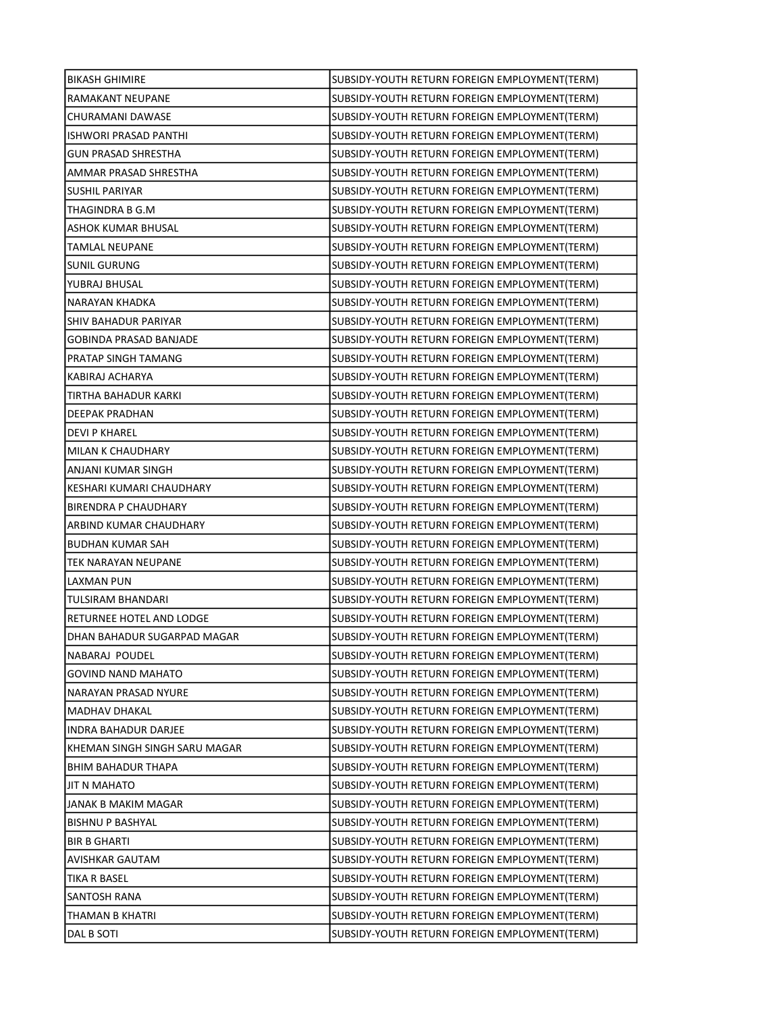| <b>BIKASH GHIMIRE</b>         | SUBSIDY-YOUTH RETURN FOREIGN EMPLOYMENT(TERM) |
|-------------------------------|-----------------------------------------------|
| RAMAKANT NEUPANE              | SUBSIDY-YOUTH RETURN FOREIGN EMPLOYMENT(TERM) |
| CHURAMANI DAWASE              | SUBSIDY-YOUTH RETURN FOREIGN EMPLOYMENT(TERM) |
| <b>ISHWORI PRASAD PANTHI</b>  | SUBSIDY-YOUTH RETURN FOREIGN EMPLOYMENT(TERM) |
| <b>GUN PRASAD SHRESTHA</b>    | SUBSIDY-YOUTH RETURN FOREIGN EMPLOYMENT(TERM) |
| AMMAR PRASAD SHRESTHA         | SUBSIDY-YOUTH RETURN FOREIGN EMPLOYMENT(TERM) |
| <b>SUSHIL PARIYAR</b>         | SUBSIDY-YOUTH RETURN FOREIGN EMPLOYMENT(TERM) |
| THAGINDRA B G.M               | SUBSIDY-YOUTH RETURN FOREIGN EMPLOYMENT(TERM) |
| <b>ASHOK KUMAR BHUSAL</b>     | SUBSIDY-YOUTH RETURN FOREIGN EMPLOYMENT(TERM) |
| TAMLAL NEUPANE                | SUBSIDY-YOUTH RETURN FOREIGN EMPLOYMENT(TERM) |
| <b>SUNIL GURUNG</b>           | SUBSIDY-YOUTH RETURN FOREIGN EMPLOYMENT(TERM) |
| YUBRAJ BHUSAL                 | SUBSIDY-YOUTH RETURN FOREIGN EMPLOYMENT(TERM) |
| NARAYAN KHADKA                | SUBSIDY-YOUTH RETURN FOREIGN EMPLOYMENT(TERM) |
| SHIV BAHADUR PARIYAR          | SUBSIDY-YOUTH RETURN FOREIGN EMPLOYMENT(TERM) |
| <b>GOBINDA PRASAD BANJADE</b> | SUBSIDY-YOUTH RETURN FOREIGN EMPLOYMENT(TERM) |
| PRATAP SINGH TAMANG           | SUBSIDY-YOUTH RETURN FOREIGN EMPLOYMENT(TERM) |
| KABIRAJ ACHARYA               | SUBSIDY-YOUTH RETURN FOREIGN EMPLOYMENT(TERM) |
| TIRTHA BAHADUR KARKI          | SUBSIDY-YOUTH RETURN FOREIGN EMPLOYMENT(TERM) |
| DEEPAK PRADHAN                | SUBSIDY-YOUTH RETURN FOREIGN EMPLOYMENT(TERM) |
| <b>DEVI P KHAREL</b>          | SUBSIDY-YOUTH RETURN FOREIGN EMPLOYMENT(TERM) |
| MILAN K CHAUDHARY             | SUBSIDY-YOUTH RETURN FOREIGN EMPLOYMENT(TERM) |
| ANJANI KUMAR SINGH            | SUBSIDY-YOUTH RETURN FOREIGN EMPLOYMENT(TERM) |
| KESHARI KUMARI CHAUDHARY      | SUBSIDY-YOUTH RETURN FOREIGN EMPLOYMENT(TERM) |
| <b>BIRENDRA P CHAUDHARY</b>   | SUBSIDY-YOUTH RETURN FOREIGN EMPLOYMENT(TERM) |
| ARBIND KUMAR CHAUDHARY        | SUBSIDY-YOUTH RETURN FOREIGN EMPLOYMENT(TERM) |
| <b>BUDHAN KUMAR SAH</b>       | SUBSIDY-YOUTH RETURN FOREIGN EMPLOYMENT(TERM) |
| TEK NARAYAN NEUPANE           | SUBSIDY-YOUTH RETURN FOREIGN EMPLOYMENT(TERM) |
| <b>LAXMAN PUN</b>             | SUBSIDY-YOUTH RETURN FOREIGN EMPLOYMENT(TERM) |
| TULSIRAM BHANDARI             | SUBSIDY-YOUTH RETURN FOREIGN EMPLOYMENT(TERM) |
| RETURNEE HOTEL AND LODGE      | SUBSIDY-YOUTH RETURN FOREIGN EMPLOYMENT(TERM) |
| DHAN BAHADUR SUGARPAD MAGAR   | SUBSIDY-YOUTH RETURN FOREIGN EMPLOYMENT(TERM) |
| NABARAJ POUDEL                | SUBSIDY-YOUTH RETURN FOREIGN EMPLOYMENT(TERM) |
| GOVIND NAND MAHATO            | SUBSIDY-YOUTH RETURN FOREIGN EMPLOYMENT(TERM) |
| NARAYAN PRASAD NYURE          | SUBSIDY-YOUTH RETURN FOREIGN EMPLOYMENT(TERM) |
| MADHAV DHAKAL                 | SUBSIDY-YOUTH RETURN FOREIGN EMPLOYMENT(TERM) |
| INDRA BAHADUR DARJEE          | SUBSIDY-YOUTH RETURN FOREIGN EMPLOYMENT(TERM) |
| KHEMAN SINGH SINGH SARU MAGAR | SUBSIDY-YOUTH RETURN FOREIGN EMPLOYMENT(TERM) |
| BHIM BAHADUR THAPA            | SUBSIDY-YOUTH RETURN FOREIGN EMPLOYMENT(TERM) |
| JIT N MAHATO                  | SUBSIDY-YOUTH RETURN FOREIGN EMPLOYMENT(TERM) |
| JANAK B MAKIM MAGAR           | SUBSIDY-YOUTH RETURN FOREIGN EMPLOYMENT(TERM) |
| <b>BISHNU P BASHYAL</b>       | SUBSIDY-YOUTH RETURN FOREIGN EMPLOYMENT(TERM) |
| <b>BIR B GHARTI</b>           | SUBSIDY-YOUTH RETURN FOREIGN EMPLOYMENT(TERM) |
| AVISHKAR GAUTAM               | SUBSIDY-YOUTH RETURN FOREIGN EMPLOYMENT(TERM) |
| TIKA R BASEL                  | SUBSIDY-YOUTH RETURN FOREIGN EMPLOYMENT(TERM) |
| SANTOSH RANA                  | SUBSIDY-YOUTH RETURN FOREIGN EMPLOYMENT(TERM) |
| THAMAN B KHATRI               | SUBSIDY-YOUTH RETURN FOREIGN EMPLOYMENT(TERM) |
| DAL B SOTI                    | SUBSIDY-YOUTH RETURN FOREIGN EMPLOYMENT(TERM) |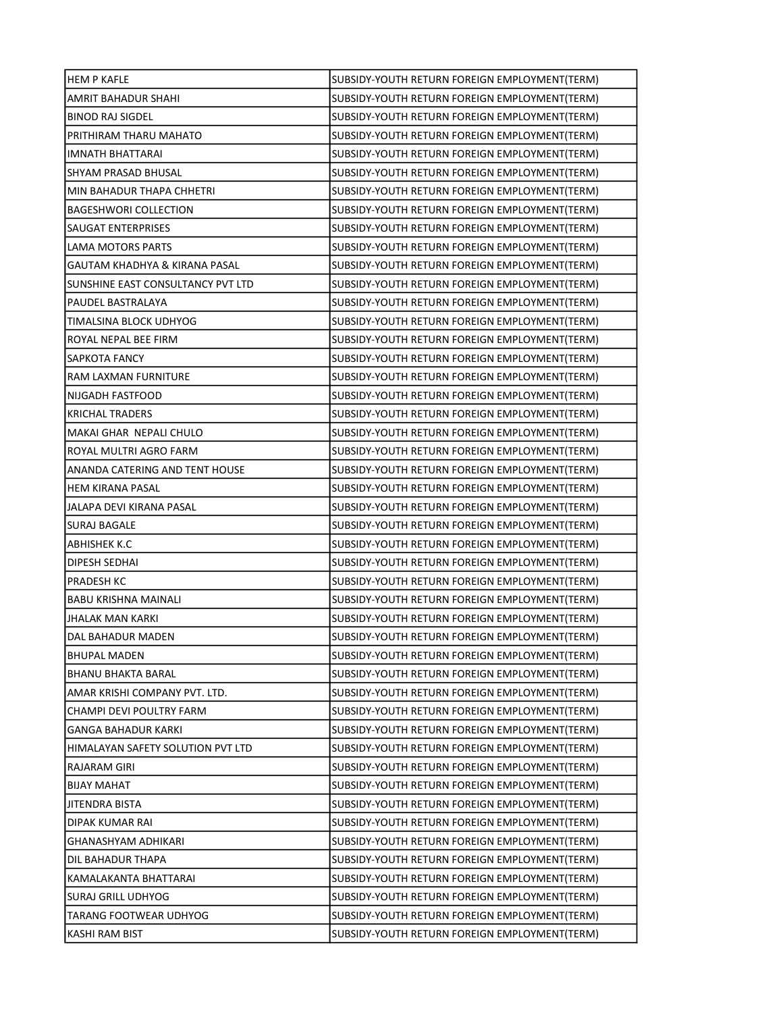| <b>HEM P KAFLE</b>                | SUBSIDY-YOUTH RETURN FOREIGN EMPLOYMENT(TERM) |
|-----------------------------------|-----------------------------------------------|
| AMRIT BAHADUR SHAHI               | SUBSIDY-YOUTH RETURN FOREIGN EMPLOYMENT(TERM) |
| <b>BINOD RAJ SIGDEL</b>           | SUBSIDY-YOUTH RETURN FOREIGN EMPLOYMENT(TERM) |
| PRITHIRAM THARU MAHATO            | SUBSIDY-YOUTH RETURN FOREIGN EMPLOYMENT(TERM) |
| IMNATH BHATTARAI                  | SUBSIDY-YOUTH RETURN FOREIGN EMPLOYMENT(TERM) |
| SHYAM PRASAD BHUSAL               | SUBSIDY-YOUTH RETURN FOREIGN EMPLOYMENT(TERM) |
| MIN BAHADUR THAPA CHHETRI         | SUBSIDY-YOUTH RETURN FOREIGN EMPLOYMENT(TERM) |
| <b>BAGESHWORI COLLECTION</b>      | SUBSIDY-YOUTH RETURN FOREIGN EMPLOYMENT(TERM) |
| SAUGAT ENTERPRISES                | SUBSIDY-YOUTH RETURN FOREIGN EMPLOYMENT(TERM) |
| <b>LAMA MOTORS PARTS</b>          | SUBSIDY-YOUTH RETURN FOREIGN EMPLOYMENT(TERM) |
| GAUTAM KHADHYA & KIRANA PASAL     | SUBSIDY-YOUTH RETURN FOREIGN EMPLOYMENT(TERM) |
| SUNSHINE EAST CONSULTANCY PVT LTD | SUBSIDY-YOUTH RETURN FOREIGN EMPLOYMENT(TERM) |
| PAUDEL BASTRALAYA                 | SUBSIDY-YOUTH RETURN FOREIGN EMPLOYMENT(TERM) |
| TIMALSINA BLOCK UDHYOG            | SUBSIDY-YOUTH RETURN FOREIGN EMPLOYMENT(TERM) |
| ROYAL NEPAL BEE FIRM              | SUBSIDY-YOUTH RETURN FOREIGN EMPLOYMENT(TERM) |
| SAPKOTA FANCY                     | SUBSIDY-YOUTH RETURN FOREIGN EMPLOYMENT(TERM) |
| RAM LAXMAN FURNITURE              | SUBSIDY-YOUTH RETURN FOREIGN EMPLOYMENT(TERM) |
| NIJGADH FASTFOOD                  | SUBSIDY-YOUTH RETURN FOREIGN EMPLOYMENT(TERM) |
| <b>KRICHAL TRADERS</b>            | SUBSIDY-YOUTH RETURN FOREIGN EMPLOYMENT(TERM) |
| MAKAI GHAR NEPALI CHULO           | SUBSIDY-YOUTH RETURN FOREIGN EMPLOYMENT(TERM) |
| ROYAL MULTRI AGRO FARM            | SUBSIDY-YOUTH RETURN FOREIGN EMPLOYMENT(TERM) |
| ANANDA CATERING AND TENT HOUSE    | SUBSIDY-YOUTH RETURN FOREIGN EMPLOYMENT(TERM) |
| <b>HEM KIRANA PASAL</b>           | SUBSIDY-YOUTH RETURN FOREIGN EMPLOYMENT(TERM) |
| JALAPA DEVI KIRANA PASAL          | SUBSIDY-YOUTH RETURN FOREIGN EMPLOYMENT(TERM) |
| <b>SURAJ BAGALE</b>               | SUBSIDY-YOUTH RETURN FOREIGN EMPLOYMENT(TERM) |
| ABHISHEK K.C                      | SUBSIDY-YOUTH RETURN FOREIGN EMPLOYMENT(TERM) |
| DIPESH SEDHAI                     | SUBSIDY-YOUTH RETURN FOREIGN EMPLOYMENT(TERM) |
| PRADESH KC                        | SUBSIDY-YOUTH RETURN FOREIGN EMPLOYMENT(TERM) |
| <b>BABU KRISHNA MAINALI</b>       | SUBSIDY-YOUTH RETURN FOREIGN EMPLOYMENT(TERM) |
| JHALAK MAN KARKI                  | SUBSIDY-YOUTH RETURN FOREIGN EMPLOYMENT(TERM) |
| DAL BAHADUR MADEN                 | SUBSIDY-YOUTH RETURN FOREIGN EMPLOYMENT(TERM) |
| BHUPAL MADEN                      | SUBSIDY-YOUTH RETURN FOREIGN EMPLOYMENT(TERM) |
| BHANU BHAKTA BARAL                | SUBSIDY-YOUTH RETURN FOREIGN EMPLOYMENT(TERM) |
| AMAR KRISHI COMPANY PVT. LTD.     | SUBSIDY-YOUTH RETURN FOREIGN EMPLOYMENT(TERM) |
| CHAMPI DEVI POULTRY FARM          | SUBSIDY-YOUTH RETURN FOREIGN EMPLOYMENT(TERM) |
| GANGA BAHADUR KARKI               | SUBSIDY-YOUTH RETURN FOREIGN EMPLOYMENT(TERM) |
| HIMALAYAN SAFETY SOLUTION PVT LTD | SUBSIDY-YOUTH RETURN FOREIGN EMPLOYMENT(TERM) |
| RAJARAM GIRI                      | SUBSIDY-YOUTH RETURN FOREIGN EMPLOYMENT(TERM) |
| BIJAY MAHAT                       | SUBSIDY-YOUTH RETURN FOREIGN EMPLOYMENT(TERM) |
| JITENDRA BISTA                    | SUBSIDY-YOUTH RETURN FOREIGN EMPLOYMENT(TERM) |
| DIPAK KUMAR RAI                   | SUBSIDY-YOUTH RETURN FOREIGN EMPLOYMENT(TERM) |
| GHANASHYAM ADHIKARI               | SUBSIDY-YOUTH RETURN FOREIGN EMPLOYMENT(TERM) |
| DIL BAHADUR THAPA                 | SUBSIDY-YOUTH RETURN FOREIGN EMPLOYMENT(TERM) |
| KAMALAKANTA BHATTARAI             | SUBSIDY-YOUTH RETURN FOREIGN EMPLOYMENT(TERM) |
| SURAJ GRILL UDHYOG                | SUBSIDY-YOUTH RETURN FOREIGN EMPLOYMENT(TERM) |
| TARANG FOOTWEAR UDHYOG            | SUBSIDY-YOUTH RETURN FOREIGN EMPLOYMENT(TERM) |
| KASHI RAM BIST                    | SUBSIDY-YOUTH RETURN FOREIGN EMPLOYMENT(TERM) |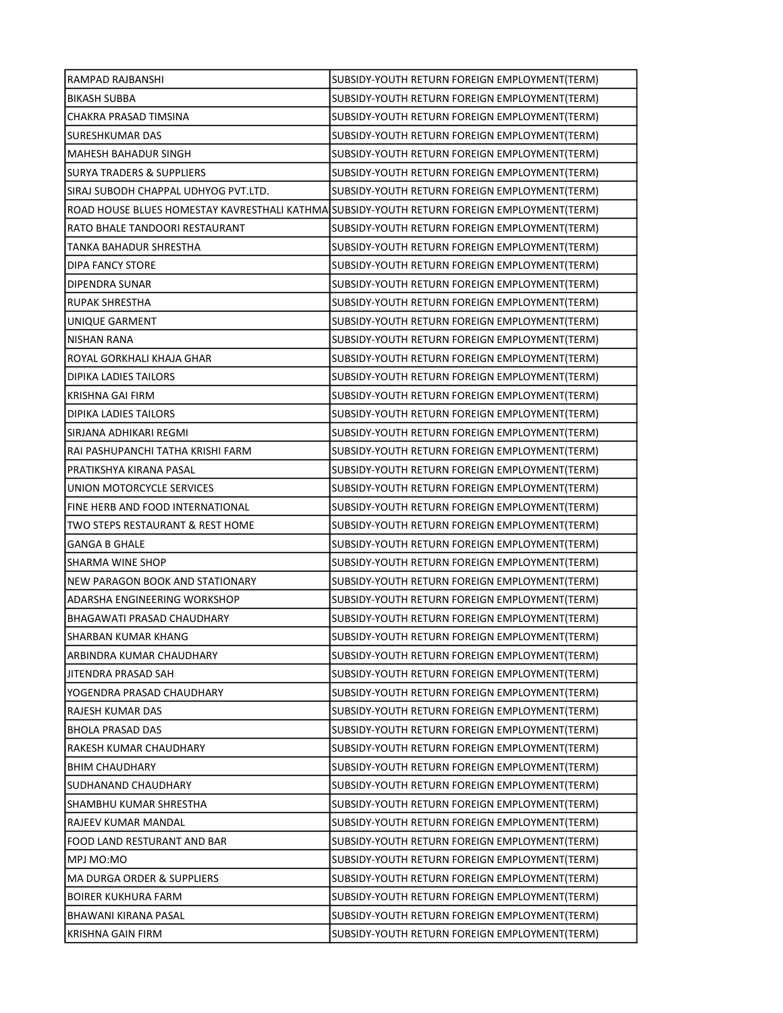| RAMPAD RAJBANSHI                     | SUBSIDY-YOUTH RETURN FOREIGN EMPLOYMENT(TERM)                                               |
|--------------------------------------|---------------------------------------------------------------------------------------------|
| <b>BIKASH SUBBA</b>                  | SUBSIDY-YOUTH RETURN FOREIGN EMPLOYMENT(TERM)                                               |
| CHAKRA PRASAD TIMSINA                | SUBSIDY-YOUTH RETURN FOREIGN EMPLOYMENT(TERM)                                               |
| SURESHKUMAR DAS                      | SUBSIDY-YOUTH RETURN FOREIGN EMPLOYMENT(TERM)                                               |
| MAHESH BAHADUR SINGH                 | SUBSIDY-YOUTH RETURN FOREIGN EMPLOYMENT(TERM)                                               |
| <b>SURYA TRADERS &amp; SUPPLIERS</b> | SUBSIDY-YOUTH RETURN FOREIGN EMPLOYMENT(TERM)                                               |
| SIRAJ SUBODH CHAPPAL UDHYOG PVT.LTD. | SUBSIDY-YOUTH RETURN FOREIGN EMPLOYMENT(TERM)                                               |
|                                      | ROAD HOUSE BLUES HOMESTAY KAVRESTHALI KATHMA SUBSIDY-YOUTH RETURN FOREIGN EMPLOYMENT (TERM) |
| RATO BHALE TANDOORI RESTAURANT       | SUBSIDY-YOUTH RETURN FOREIGN EMPLOYMENT(TERM)                                               |
| TANKA BAHADUR SHRESTHA               | SUBSIDY-YOUTH RETURN FOREIGN EMPLOYMENT(TERM)                                               |
| DIPA FANCY STORE                     | SUBSIDY-YOUTH RETURN FOREIGN EMPLOYMENT(TERM)                                               |
| DIPENDRA SUNAR                       | SUBSIDY-YOUTH RETURN FOREIGN EMPLOYMENT(TERM)                                               |
| RUPAK SHRESTHA                       | SUBSIDY-YOUTH RETURN FOREIGN EMPLOYMENT(TERM)                                               |
| UNIQUE GARMENT                       | SUBSIDY-YOUTH RETURN FOREIGN EMPLOYMENT(TERM)                                               |
| <b>NISHAN RANA</b>                   | SUBSIDY-YOUTH RETURN FOREIGN EMPLOYMENT(TERM)                                               |
| ROYAL GORKHALI KHAJA GHAR            | SUBSIDY-YOUTH RETURN FOREIGN EMPLOYMENT(TERM)                                               |
| <b>DIPIKA LADIES TAILORS</b>         | SUBSIDY-YOUTH RETURN FOREIGN EMPLOYMENT(TERM)                                               |
| KRISHNA GAI FIRM                     | SUBSIDY-YOUTH RETURN FOREIGN EMPLOYMENT(TERM)                                               |
| DIPIKA LADIES TAILORS                | SUBSIDY-YOUTH RETURN FOREIGN EMPLOYMENT(TERM)                                               |
| SIRJANA ADHIKARI REGMI               | SUBSIDY-YOUTH RETURN FOREIGN EMPLOYMENT(TERM)                                               |
| RAI PASHUPANCHI TATHA KRISHI FARM    | SUBSIDY-YOUTH RETURN FOREIGN EMPLOYMENT(TERM)                                               |
| PRATIKSHYA KIRANA PASAL              | SUBSIDY-YOUTH RETURN FOREIGN EMPLOYMENT(TERM)                                               |
| UNION MOTORCYCLE SERVICES            | SUBSIDY-YOUTH RETURN FOREIGN EMPLOYMENT(TERM)                                               |
| FINE HERB AND FOOD INTERNATIONAL     | SUBSIDY-YOUTH RETURN FOREIGN EMPLOYMENT(TERM)                                               |
| TWO STEPS RESTAURANT & REST HOME     | SUBSIDY-YOUTH RETURN FOREIGN EMPLOYMENT(TERM)                                               |
| <b>GANGA B GHALE</b>                 | SUBSIDY-YOUTH RETURN FOREIGN EMPLOYMENT(TERM)                                               |
| SHARMA WINE SHOP                     | SUBSIDY-YOUTH RETURN FOREIGN EMPLOYMENT(TERM)                                               |
| NEW PARAGON BOOK AND STATIONARY      | SUBSIDY-YOUTH RETURN FOREIGN EMPLOYMENT(TERM)                                               |
| ADARSHA ENGINEERING WORKSHOP         | SUBSIDY-YOUTH RETURN FOREIGN EMPLOYMENT(TERM)                                               |
| BHAGAWATI PRASAD CHAUDHARY           | SUBSIDY-YOUTH RETURN FOREIGN EMPLOYMENT(TERM)                                               |
| <b>SHARBAN KUMAR KHANG</b>           | SUBSIDY-YOUTH RETURN FOREIGN EMPLOYMENT(TERM)                                               |
| ARBINDRA KUMAR CHAUDHARY             | SUBSIDY-YOUTH RETURN FOREIGN EMPLOYMENT(TERM)                                               |
| JITENDRA PRASAD SAH                  | SUBSIDY-YOUTH RETURN FOREIGN EMPLOYMENT(TERM)                                               |
| YOGENDRA PRASAD CHAUDHARY            | SUBSIDY-YOUTH RETURN FOREIGN EMPLOYMENT(TERM)                                               |
| RAJESH KUMAR DAS                     | SUBSIDY-YOUTH RETURN FOREIGN EMPLOYMENT(TERM)                                               |
| <b>BHOLA PRASAD DAS</b>              | SUBSIDY-YOUTH RETURN FOREIGN EMPLOYMENT(TERM)                                               |
| RAKESH KUMAR CHAUDHARY               | SUBSIDY-YOUTH RETURN FOREIGN EMPLOYMENT(TERM)                                               |
| <b>BHIM CHAUDHARY</b>                | SUBSIDY-YOUTH RETURN FOREIGN EMPLOYMENT(TERM)                                               |
| SUDHANAND CHAUDHARY                  | SUBSIDY-YOUTH RETURN FOREIGN EMPLOYMENT(TERM)                                               |
| SHAMBHU KUMAR SHRESTHA               | SUBSIDY-YOUTH RETURN FOREIGN EMPLOYMENT(TERM)                                               |
| RAJEEV KUMAR MANDAL                  | SUBSIDY-YOUTH RETURN FOREIGN EMPLOYMENT(TERM)                                               |
| FOOD LAND RESTURANT AND BAR          | SUBSIDY-YOUTH RETURN FOREIGN EMPLOYMENT(TERM)                                               |
| MPJ MO:MO                            | SUBSIDY-YOUTH RETURN FOREIGN EMPLOYMENT(TERM)                                               |
| MA DURGA ORDER & SUPPLIERS           | SUBSIDY-YOUTH RETURN FOREIGN EMPLOYMENT(TERM)                                               |
| <b>BOIRER KUKHURA FARM</b>           | SUBSIDY-YOUTH RETURN FOREIGN EMPLOYMENT(TERM)                                               |
| BHAWANI KIRANA PASAL                 | SUBSIDY-YOUTH RETURN FOREIGN EMPLOYMENT(TERM)                                               |
| KRISHNA GAIN FIRM                    | SUBSIDY-YOUTH RETURN FOREIGN EMPLOYMENT(TERM)                                               |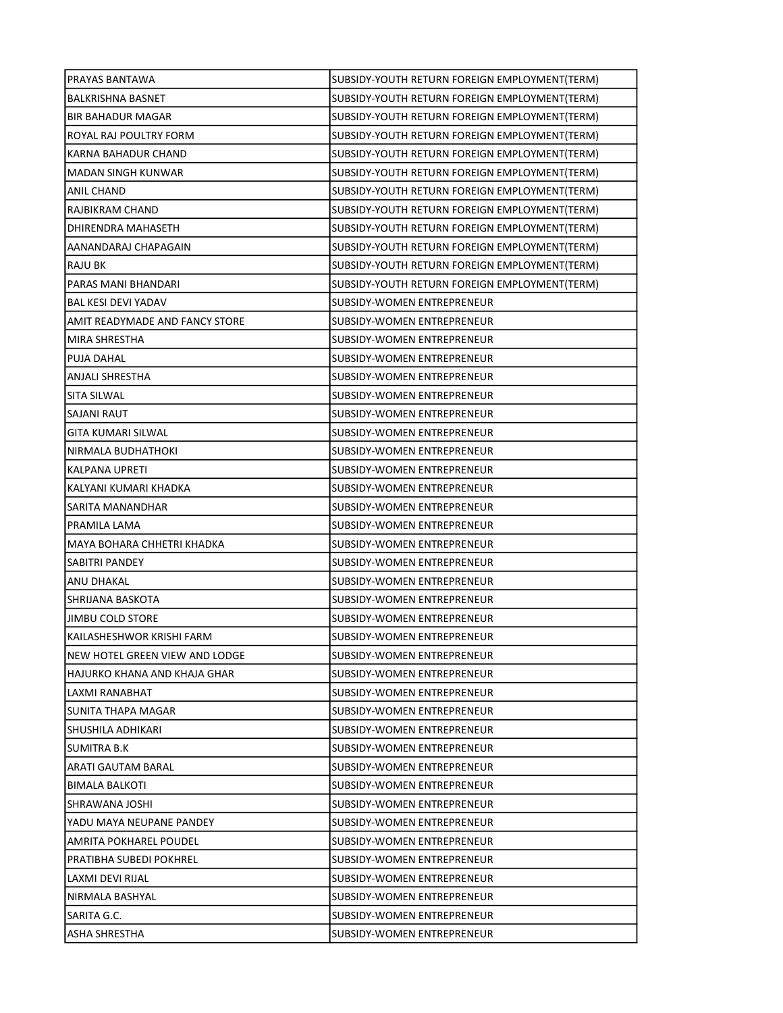| PRAYAS BANTAWA                 | SUBSIDY-YOUTH RETURN FOREIGN EMPLOYMENT(TERM) |
|--------------------------------|-----------------------------------------------|
| <b>BALKRISHNA BASNET</b>       | SUBSIDY-YOUTH RETURN FOREIGN EMPLOYMENT(TERM) |
| <b>BIR BAHADUR MAGAR</b>       | SUBSIDY-YOUTH RETURN FOREIGN EMPLOYMENT(TERM) |
| ROYAL RAJ POULTRY FORM         | SUBSIDY-YOUTH RETURN FOREIGN EMPLOYMENT(TERM) |
| <b>KARNA BAHADUR CHAND</b>     | SUBSIDY-YOUTH RETURN FOREIGN EMPLOYMENT(TERM) |
| MADAN SINGH KUNWAR             | SUBSIDY-YOUTH RETURN FOREIGN EMPLOYMENT(TERM) |
| ANIL CHAND                     | SUBSIDY-YOUTH RETURN FOREIGN EMPLOYMENT(TERM) |
| RAJBIKRAM CHAND                | SUBSIDY-YOUTH RETURN FOREIGN EMPLOYMENT(TERM) |
| DHIRENDRA MAHASETH             | SUBSIDY-YOUTH RETURN FOREIGN EMPLOYMENT(TERM) |
| AANANDARAJ CHAPAGAIN           | SUBSIDY-YOUTH RETURN FOREIGN EMPLOYMENT(TERM) |
| <b>RAJU BK</b>                 | SUBSIDY-YOUTH RETURN FOREIGN EMPLOYMENT(TERM) |
| PARAS MANI BHANDARI            | SUBSIDY-YOUTH RETURN FOREIGN EMPLOYMENT(TERM) |
| <b>BAL KESI DEVI YADAV</b>     | SUBSIDY-WOMEN ENTREPRENEUR                    |
| AMIT READYMADE AND FANCY STORE | SUBSIDY-WOMEN ENTREPRENEUR                    |
| MIRA SHRESTHA                  | SUBSIDY-WOMEN ENTREPRENEUR                    |
| <b>PUJA DAHAL</b>              | SUBSIDY-WOMEN ENTREPRENEUR                    |
| ANJALI SHRESTHA                | SUBSIDY-WOMEN ENTREPRENEUR                    |
| SITA SILWAL                    | SUBSIDY-WOMEN ENTREPRENEUR                    |
| SAJANI RAUT                    | SUBSIDY-WOMEN ENTREPRENEUR                    |
| GITA KUMARI SILWAL             | SUBSIDY-WOMEN ENTREPRENEUR                    |
| NIRMALA BUDHATHOKI             | SUBSIDY-WOMEN ENTREPRENEUR                    |
| KALPANA UPRETI                 | SUBSIDY-WOMEN ENTREPRENEUR                    |
| KALYANI KUMARI KHADKA          | SUBSIDY-WOMEN ENTREPRENEUR                    |
| SARITA MANANDHAR               | SUBSIDY-WOMEN ENTREPRENEUR                    |
| PRAMILA LAMA                   | SUBSIDY-WOMEN ENTREPRENEUR                    |
| MAYA BOHARA CHHETRI KHADKA     | SUBSIDY-WOMEN ENTREPRENEUR                    |
| SABITRI PANDEY                 | SUBSIDY-WOMEN ENTREPRENEUR                    |
| <b>ANU DHAKAL</b>              | SUBSIDY-WOMEN ENTREPRENEUR                    |
| SHRIJANA BASKOTA               | <b>SUBSIDY-WOMEN ENTREPRENEUR</b>             |
| <b>JIMBU COLD STORE</b>        | SUBSIDY-WOMEN ENTREPRENEUR                    |
| KAILASHESHWOR KRISHI FARM      | SUBSIDY-WOMEN ENTREPRENEUR                    |
| NEW HOTEL GREEN VIEW AND LODGE | SUBSIDY-WOMEN ENTREPRENEUR                    |
| HAJURKO KHANA AND KHAJA GHAR   | SUBSIDY-WOMEN ENTREPRENEUR                    |
| LAXMI RANABHAT                 | SUBSIDY-WOMEN ENTREPRENEUR                    |
| SUNITA THAPA MAGAR             | SUBSIDY-WOMEN ENTREPRENEUR                    |
| SHUSHILA ADHIKARI              | SUBSIDY-WOMEN ENTREPRENEUR                    |
| SUMITRA B.K                    | SUBSIDY-WOMEN ENTREPRENEUR                    |
| ARATI GAUTAM BARAL             | SUBSIDY-WOMEN ENTREPRENEUR                    |
| <b>BIMALA BALKOTI</b>          | SUBSIDY-WOMEN ENTREPRENEUR                    |
| SHRAWANA JOSHI                 | SUBSIDY-WOMEN ENTREPRENEUR                    |
| YADU MAYA NEUPANE PANDEY       | SUBSIDY-WOMEN ENTREPRENEUR                    |
| AMRITA POKHAREL POUDEL         | SUBSIDY-WOMEN ENTREPRENEUR                    |
| PRATIBHA SUBEDI POKHREL        | SUBSIDY-WOMEN ENTREPRENEUR                    |
| LAXMI DEVI RIJAL               | SUBSIDY-WOMEN ENTREPRENEUR                    |
| NIRMALA BASHYAL                | SUBSIDY-WOMEN ENTREPRENEUR                    |
| SARITA G.C.                    | SUBSIDY-WOMEN ENTREPRENEUR                    |
| <b>ASHA SHRESTHA</b>           | SUBSIDY-WOMEN ENTREPRENEUR                    |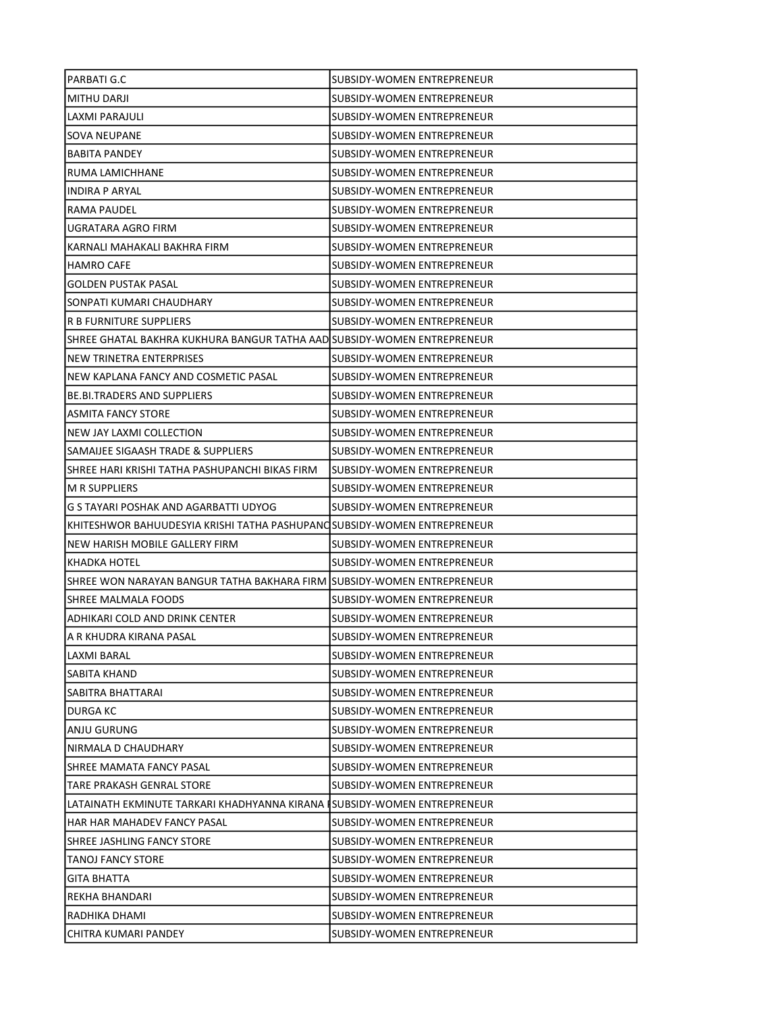| PARBATI G.C                                                              | SUBSIDY-WOMEN ENTREPRENEUR        |
|--------------------------------------------------------------------------|-----------------------------------|
| MITHU DARJI                                                              | SUBSIDY-WOMEN ENTREPRENEUR        |
| LAXMI PARAJULI                                                           | SUBSIDY-WOMEN ENTREPRENEUR        |
| SOVA NEUPANE                                                             | SUBSIDY-WOMEN ENTREPRENEUR        |
| <b>BABITA PANDEY</b>                                                     | SUBSIDY-WOMEN ENTREPRENEUR        |
| RUMA LAMICHHANE                                                          | SUBSIDY-WOMEN ENTREPRENEUR        |
| <b>INDIRA P ARYAL</b>                                                    | SUBSIDY-WOMEN ENTREPRENEUR        |
| RAMA PAUDEL                                                              | SUBSIDY-WOMEN ENTREPRENEUR        |
| UGRATARA AGRO FIRM                                                       | SUBSIDY-WOMEN ENTREPRENEUR        |
| KARNALI MAHAKALI BAKHRA FIRM                                             | SUBSIDY-WOMEN ENTREPRENEUR        |
| <b>HAMRO CAFE</b>                                                        | SUBSIDY-WOMEN ENTREPRENEUR        |
| <b>GOLDEN PUSTAK PASAL</b>                                               | SUBSIDY-WOMEN ENTREPRENEUR        |
| SONPATI KUMARI CHAUDHARY                                                 | SUBSIDY-WOMEN ENTREPRENEUR        |
| <b>R B FURNITURE SUPPLIERS</b>                                           | SUBSIDY-WOMEN ENTREPRENEUR        |
| SHREE GHATAL BAKHRA KUKHURA BANGUR TATHA AAD SUBSIDY-WOMEN ENTREPRENEUR  |                                   |
| NEW TRINETRA ENTERPRISES                                                 | SUBSIDY-WOMEN ENTREPRENEUR        |
| NEW KAPLANA FANCY AND COSMETIC PASAL                                     | SUBSIDY-WOMEN ENTREPRENEUR        |
| <b>BE.BI.TRADERS AND SUPPLIERS</b>                                       | SUBSIDY-WOMEN ENTREPRENEUR        |
| ASMITA FANCY STORE                                                       | SUBSIDY-WOMEN ENTREPRENEUR        |
| NEW JAY LAXMI COLLECTION                                                 | SUBSIDY-WOMEN ENTREPRENEUR        |
| SAMAIJEE SIGAASH TRADE & SUPPLIERS                                       | SUBSIDY-WOMEN ENTREPRENEUR        |
| SHREE HARI KRISHI TATHA PASHUPANCHI BIKAS FIRM                           | SUBSIDY-WOMEN ENTREPRENEUR        |
| <b>M R SUPPLIERS</b>                                                     | SUBSIDY-WOMEN ENTREPRENEUR        |
| G S TAYARI POSHAK AND AGARBATTI UDYOG                                    | SUBSIDY-WOMEN ENTREPRENEUR        |
| KHITESHWOR BAHUUDESYIA KRISHI TATHA PASHUPANQSUBSIDY-WOMEN ENTREPRENEUR  |                                   |
| NEW HARISH MOBILE GALLERY FIRM                                           | SUBSIDY-WOMEN ENTREPRENEUR        |
| KHADKA HOTEL                                                             | SUBSIDY-WOMEN ENTREPRENEUR        |
| SHREE WON NARAYAN BANGUR TATHA BAKHARA FIRM SUBSIDY-WOMEN ENTREPRENEUR   |                                   |
| SHREE MALMALA FOODS                                                      | SUBSIDY-WOMEN ENTREPRENEUR        |
| ADHIKARI COLD AND DRINK CENTER                                           | <b>SUBSIDY-WOMEN ENTREPRENEUR</b> |
| IA R KHUDRA KIRANA PASAL                                                 | SUBSIDY-WOMEN ENTREPRENEUR        |
| LAXMI BARAL                                                              | SUBSIDY-WOMEN ENTREPRENEUR        |
| SABITA KHAND                                                             | SUBSIDY-WOMEN ENTREPRENEUR        |
| SABITRA BHATTARAI                                                        | SUBSIDY-WOMEN ENTREPRENEUR        |
| DURGA KC                                                                 | SUBSIDY-WOMEN ENTREPRENEUR        |
| ANJU GURUNG                                                              | SUBSIDY-WOMEN ENTREPRENEUR        |
| NIRMALA D CHAUDHARY                                                      | SUBSIDY-WOMEN ENTREPRENEUR        |
| SHREE MAMATA FANCY PASAL                                                 | SUBSIDY-WOMEN ENTREPRENEUR        |
| TARE PRAKASH GENRAL STORE                                                | ISUBSIDY-WOMEN ENTREPRENEUR       |
| LATAINATH EKMINUTE TARKARI KHADHYANNA KIRANA ISUBSIDY-WOMEN ENTREPRENEUR |                                   |
| HAR HAR MAHADEV FANCY PASAL                                              | SUBSIDY-WOMEN ENTREPRENEUR        |
| SHREE JASHLING FANCY STORE                                               | SUBSIDY-WOMEN ENTREPRENEUR        |
| TANOJ FANCY STORE                                                        | SUBSIDY-WOMEN ENTREPRENEUR        |
| <b>GITA BHATTA</b>                                                       | SUBSIDY-WOMEN ENTREPRENEUR        |
| REKHA BHANDARI                                                           | SUBSIDY-WOMEN ENTREPRENEUR        |
| RADHIKA DHAMI                                                            | SUBSIDY-WOMEN ENTREPRENEUR        |
| CHITRA KUMARI PANDEY                                                     | SUBSIDY-WOMEN ENTREPRENEUR        |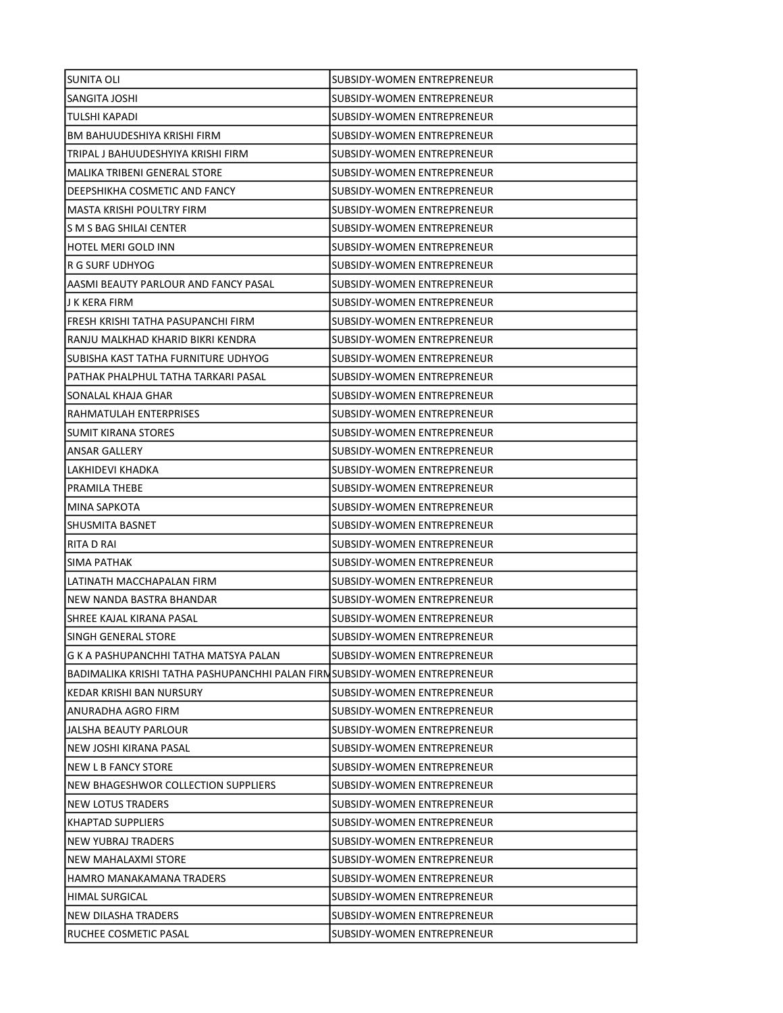| <b>SUNITA OLI</b>                                                         | SUBSIDY-WOMEN ENTREPRENEUR        |
|---------------------------------------------------------------------------|-----------------------------------|
| SANGITA JOSHI                                                             | SUBSIDY-WOMEN ENTREPRENEUR        |
| TULSHI KAPADI                                                             | SUBSIDY-WOMEN ENTREPRENEUR        |
| BM BAHUUDESHIYA KRISHI FIRM                                               | SUBSIDY-WOMEN ENTREPRENEUR        |
| TRIPAL J BAHUUDESHYIYA KRISHI FIRM                                        | SUBSIDY-WOMEN ENTREPRENEUR        |
| MALIKA TRIBENI GENERAL STORE                                              | SUBSIDY-WOMEN ENTREPRENEUR        |
| DEEPSHIKHA COSMETIC AND FANCY                                             | SUBSIDY-WOMEN ENTREPRENEUR        |
| MASTA KRISHI POULTRY FIRM                                                 | <b>SUBSIDY-WOMEN ENTREPRENEUR</b> |
| S M S BAG SHILAI CENTER                                                   | SUBSIDY-WOMEN ENTREPRENEUR        |
| <b>HOTEL MERI GOLD INN</b>                                                | <b>SUBSIDY-WOMEN ENTREPRENEUR</b> |
| R G SURF UDHYOG                                                           | SUBSIDY-WOMEN ENTREPRENEUR        |
| AASMI BEAUTY PARLOUR AND FANCY PASAL                                      | SUBSIDY-WOMEN ENTREPRENEUR        |
| J K KERA FIRM                                                             | SUBSIDY-WOMEN ENTREPRENEUR        |
| FRESH KRISHI TATHA PASUPANCHI FIRM                                        | SUBSIDY-WOMEN ENTREPRENEUR        |
| RANJU MALKHAD KHARID BIKRI KENDRA                                         | SUBSIDY-WOMEN ENTREPRENEUR        |
| SUBISHA KAST TATHA FURNITURE UDHYOG                                       | SUBSIDY-WOMEN ENTREPRENEUR        |
| PATHAK PHALPHUL TATHA TARKARI PASAL                                       | SUBSIDY-WOMEN ENTREPRENEUR        |
| SONALAL KHAJA GHAR                                                        | <b>SUBSIDY-WOMEN ENTREPRENEUR</b> |
| RAHMATULAH ENTERPRISES                                                    | SUBSIDY-WOMEN ENTREPRENEUR        |
| <b>SUMIT KIRANA STORES</b>                                                | SUBSIDY-WOMEN ENTREPRENEUR        |
| ANSAR GALLERY                                                             | SUBSIDY-WOMEN ENTREPRENEUR        |
| LAKHIDEVI KHADKA                                                          | SUBSIDY-WOMEN ENTREPRENEUR        |
| PRAMILA THEBE                                                             | SUBSIDY-WOMEN ENTREPRENEUR        |
| MINA SAPKOTA                                                              | SUBSIDY-WOMEN ENTREPRENEUR        |
| SHUSMITA BASNET                                                           | SUBSIDY-WOMEN ENTREPRENEUR        |
| RITA D RAI                                                                | SUBSIDY-WOMEN ENTREPRENEUR        |
| SIMA PATHAK                                                               | SUBSIDY-WOMEN ENTREPRENEUR        |
| LATINATH MACCHAPALAN FIRM                                                 | SUBSIDY-WOMEN ENTREPRENEUR        |
| NEW NANDA BASTRA BHANDAR                                                  | SUBSIDY-WOMEN ENTREPRENEUR        |
| SHREE KAJAL KIRANA PASAL                                                  | <b>SUBSIDY-WOMEN ENTREPRENEUR</b> |
| ISINGH GENERAL STORE                                                      | SUBSIDY-WOMEN ENTREPRENEUR        |
| G K A PASHUPANCHHI TATHA MATSYA PALAN                                     | SUBSIDY-WOMEN ENTREPRENEUR        |
| BADIMALIKA KRISHI TATHA PASHUPANCHHI PALAN FIRNSUBSIDY-WOMEN ENTREPRENEUR |                                   |
| KEDAR KRISHI BAN NURSURY                                                  | SUBSIDY-WOMEN ENTREPRENEUR        |
| ANURADHA AGRO FIRM                                                        | SUBSIDY-WOMEN ENTREPRENEUR        |
| JALSHA BEAUTY PARLOUR                                                     | SUBSIDY-WOMEN ENTREPRENEUR        |
| NEW JOSHI KIRANA PASAL                                                    | SUBSIDY-WOMEN ENTREPRENEUR        |
| <b>NEW L B FANCY STORE</b>                                                | SUBSIDY-WOMEN ENTREPRENEUR        |
| NEW BHAGESHWOR COLLECTION SUPPLIERS                                       | SUBSIDY-WOMEN ENTREPRENEUR        |
| NEW LOTUS TRADERS                                                         | SUBSIDY-WOMEN ENTREPRENEUR        |
| <b>KHAPTAD SUPPLIERS</b>                                                  | SUBSIDY-WOMEN ENTREPRENEUR        |
| NEW YUBRAJ TRADERS                                                        | SUBSIDY-WOMEN ENTREPRENEUR        |
| NEW MAHALAXMI STORE                                                       | SUBSIDY-WOMEN ENTREPRENEUR        |
| HAMRO MANAKAMANA TRADERS                                                  | SUBSIDY-WOMEN ENTREPRENEUR        |
| HIMAL SURGICAL                                                            | SUBSIDY-WOMEN ENTREPRENEUR        |
| NEW DILASHA TRADERS                                                       | SUBSIDY-WOMEN ENTREPRENEUR        |
| RUCHEE COSMETIC PASAL                                                     | SUBSIDY-WOMEN ENTREPRENEUR        |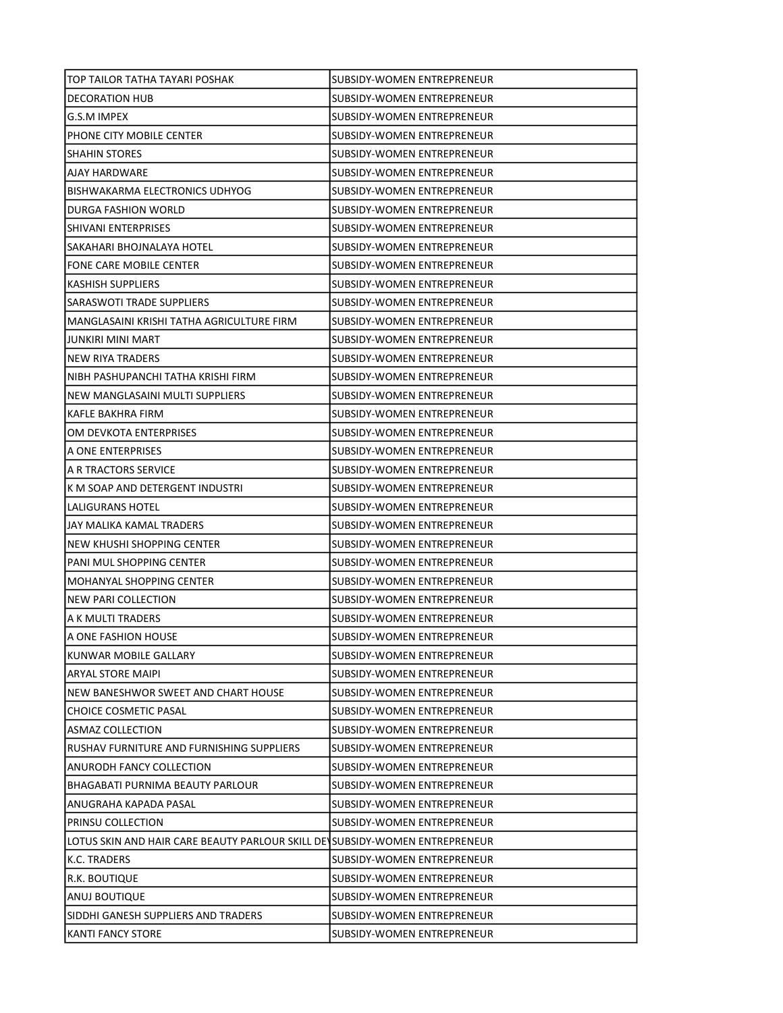| TOP TAILOR TATHA TAYARI POSHAK                                              | SUBSIDY-WOMEN ENTREPRENEUR        |
|-----------------------------------------------------------------------------|-----------------------------------|
| <b>DECORATION HUB</b>                                                       | SUBSIDY-WOMEN ENTREPRENEUR        |
| G.S.M IMPEX                                                                 | SUBSIDY-WOMEN ENTREPRENEUR        |
| PHONE CITY MOBILE CENTER                                                    | <b>SUBSIDY-WOMEN ENTREPRENEUR</b> |
| <b>SHAHIN STORES</b>                                                        | SUBSIDY-WOMEN ENTREPRENEUR        |
| AJAY HARDWARE                                                               | SUBSIDY-WOMEN ENTREPRENEUR        |
| BISHWAKARMA ELECTRONICS UDHYOG                                              | SUBSIDY-WOMEN ENTREPRENEUR        |
| DURGA FASHION WORLD                                                         | SUBSIDY-WOMEN ENTREPRENEUR        |
| SHIVANI ENTERPRISES                                                         | SUBSIDY-WOMEN ENTREPRENEUR        |
| SAKAHARI BHOJNALAYA HOTEL                                                   | SUBSIDY-WOMEN ENTREPRENEUR        |
| FONE CARE MOBILE CENTER                                                     | SUBSIDY-WOMEN ENTREPRENEUR        |
| KASHISH SUPPLIERS                                                           | SUBSIDY-WOMEN ENTREPRENEUR        |
| SARASWOTI TRADE SUPPLIERS                                                   | SUBSIDY-WOMEN ENTREPRENEUR        |
| MANGLASAINI KRISHI TATHA AGRICULTURE FIRM                                   | SUBSIDY-WOMEN ENTREPRENEUR        |
| JUNKIRI MINI MART                                                           | SUBSIDY-WOMEN ENTREPRENEUR        |
| NEW RIYA TRADERS                                                            | <b>SUBSIDY-WOMEN ENTREPRENEUR</b> |
| NIBH PASHUPANCHI TATHA KRISHI FIRM                                          | <b>SUBSIDY-WOMEN ENTREPRENEUR</b> |
| NEW MANGLASAINI MULTI SUPPLIERS                                             | <b>SUBSIDY-WOMEN ENTREPRENEUR</b> |
| KAFLE BAKHRA FIRM                                                           | SUBSIDY-WOMEN ENTREPRENEUR        |
| OM DEVKOTA ENTERPRISES                                                      | SUBSIDY-WOMEN ENTREPRENEUR        |
| A ONE ENTERPRISES                                                           | SUBSIDY-WOMEN ENTREPRENEUR        |
| A R TRACTORS SERVICE                                                        | SUBSIDY-WOMEN ENTREPRENEUR        |
| K M SOAP AND DETERGENT INDUSTRI                                             | SUBSIDY-WOMEN ENTREPRENEUR        |
| LALIGURANS HOTEL                                                            | SUBSIDY-WOMEN ENTREPRENEUR        |
| JAY MALIKA KAMAL TRADERS                                                    | SUBSIDY-WOMEN ENTREPRENEUR        |
| NEW KHUSHI SHOPPING CENTER                                                  | SUBSIDY-WOMEN ENTREPRENEUR        |
| PANI MUL SHOPPING CENTER                                                    | SUBSIDY-WOMEN ENTREPRENEUR        |
| <b>MOHANYAL SHOPPING CENTER</b>                                             | SUBSIDY-WOMEN ENTREPRENEUR        |
| <b>NEW PARI COLLECTION</b>                                                  | SUBSIDY-WOMEN ENTREPRENEUR        |
| JA K MULTI TRADERS                                                          | SUBSIDY-WOMEN ENTREPRENEUR        |
| IA ONE FASHION HOUSE                                                        | <b>SUBSIDY-WOMEN ENTREPRENEUR</b> |
| KUNWAR MOBILE GALLARY                                                       | SUBSIDY-WOMEN ENTREPRENEUR        |
| ARYAL STORE MAIPI                                                           | SUBSIDY-WOMEN ENTREPRENEUR        |
| NEW BANESHWOR SWEET AND CHART HOUSE                                         | SUBSIDY-WOMEN ENTREPRENEUR        |
| <b>CHOICE COSMETIC PASAL</b>                                                | <b>SUBSIDY-WOMEN ENTREPRENEUR</b> |
| <b>ASMAZ COLLECTION</b>                                                     | SUBSIDY-WOMEN ENTREPRENEUR        |
| RUSHAV FURNITURE AND FURNISHING SUPPLIERS                                   | SUBSIDY-WOMEN ENTREPRENEUR        |
| ANURODH FANCY COLLECTION                                                    | SUBSIDY-WOMEN ENTREPRENEUR        |
| <b>BHAGABATI PURNIMA BEAUTY PARLOUR</b>                                     | <b>SUBSIDY-WOMEN ENTREPRENEUR</b> |
| ANUGRAHA KAPADA PASAL                                                       | SUBSIDY-WOMEN ENTREPRENEUR        |
| PRINSU COLLECTION                                                           | SUBSIDY-WOMEN ENTREPRENEUR        |
| LOTUS SKIN AND HAIR CARE BEAUTY PARLOUR SKILL DEVSUBSIDY-WOMEN ENTREPRENEUR |                                   |
| K.C. TRADERS                                                                | SUBSIDY-WOMEN ENTREPRENEUR        |
| R.K. BOUTIQUE                                                               | SUBSIDY-WOMEN ENTREPRENEUR        |
| ANUJ BOUTIQUE                                                               | SUBSIDY-WOMEN ENTREPRENEUR        |
| SIDDHI GANESH SUPPLIERS AND TRADERS                                         | SUBSIDY-WOMEN ENTREPRENEUR        |
| <b>KANTI FANCY STORE</b>                                                    | SUBSIDY-WOMEN ENTREPRENEUR        |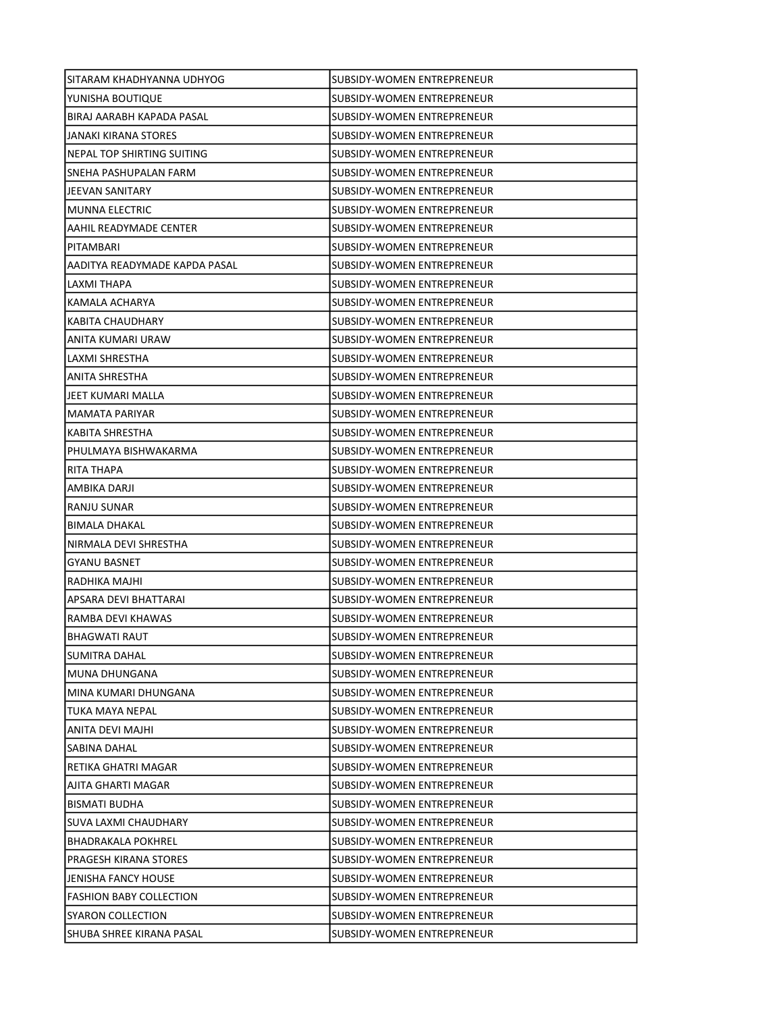| SITARAM KHADHYANNA UDHYOG      | SUBSIDY-WOMEN ENTREPRENEUR        |
|--------------------------------|-----------------------------------|
| YUNISHA BOUTIQUE               | SUBSIDY-WOMEN ENTREPRENEUR        |
| BIRAJ AARABH KAPADA PASAL      | SUBSIDY-WOMEN ENTREPRENEUR        |
| JANAKI KIRANA STORES           | SUBSIDY-WOMEN ENTREPRENEUR        |
| NEPAL TOP SHIRTING SUITING     | SUBSIDY-WOMEN ENTREPRENEUR        |
| SNEHA PASHUPALAN FARM          | SUBSIDY-WOMEN ENTREPRENEUR        |
| JEEVAN SANITARY                | SUBSIDY-WOMEN ENTREPRENEUR        |
| <b>MUNNA ELECTRIC</b>          | SUBSIDY-WOMEN ENTREPRENEUR        |
| AAHIL READYMADE CENTER         | SUBSIDY-WOMEN ENTREPRENEUR        |
| PITAMBARI                      | SUBSIDY-WOMEN ENTREPRENEUR        |
| AADITYA READYMADE KAPDA PASAL  | SUBSIDY-WOMEN ENTREPRENEUR        |
| LAXMI THAPA                    | SUBSIDY-WOMEN ENTREPRENEUR        |
| KAMALA ACHARYA                 | SUBSIDY-WOMEN ENTREPRENEUR        |
| KABITA CHAUDHARY               | SUBSIDY-WOMEN ENTREPRENEUR        |
| ANITA KUMARI URAW              | SUBSIDY-WOMEN ENTREPRENEUR        |
| LAXMI SHRESTHA                 | SUBSIDY-WOMEN ENTREPRENEUR        |
| ANITA SHRESTHA                 | SUBSIDY-WOMEN ENTREPRENEUR        |
| JEET KUMARI MALLA              | SUBSIDY-WOMEN ENTREPRENEUR        |
| <b>MAMATA PARIYAR</b>          | SUBSIDY-WOMEN ENTREPRENEUR        |
| KABITA SHRESTHA                | SUBSIDY-WOMEN ENTREPRENEUR        |
| PHULMAYA BISHWAKARMA           | SUBSIDY-WOMEN ENTREPRENEUR        |
| RITA THAPA                     | SUBSIDY-WOMEN ENTREPRENEUR        |
| AMBIKA DARJI                   | SUBSIDY-WOMEN ENTREPRENEUR        |
| RANJU SUNAR                    | SUBSIDY-WOMEN ENTREPRENEUR        |
| <b>BIMALA DHAKAL</b>           | SUBSIDY-WOMEN ENTREPRENEUR        |
| NIRMALA DEVI SHRESTHA          | SUBSIDY-WOMEN ENTREPRENEUR        |
| <b>GYANU BASNET</b>            | SUBSIDY-WOMEN ENTREPRENEUR        |
| RADHIKA MAJHI                  | SUBSIDY-WOMEN ENTREPRENEUR        |
| APSARA DEVI BHATTARAI          | SUBSIDY-WOMEN ENTREPRENEUR        |
| RAMBA DEVI KHAWAS              | SUBSIDY-WOMEN ENTREPRENEUR        |
| <b>BHAGWATI RAUT</b>           | SUBSIDY-WOMEN ENTREPRENEUR        |
| SUMITRA DAHAL                  | SUBSIDY-WOMEN ENTREPRENEUR        |
| MUNA DHUNGANA                  | <b>SUBSIDY-WOMEN ENTREPRENEUR</b> |
| MINA KUMARI DHUNGANA           | SUBSIDY-WOMEN ENTREPRENEUR        |
| TUKA MAYA NEPAL                | SUBSIDY-WOMEN ENTREPRENEUR        |
| ANITA DEVI MAJHI               | SUBSIDY-WOMEN ENTREPRENEUR        |
| SABINA DAHAL                   | SUBSIDY-WOMEN ENTREPRENEUR        |
| RETIKA GHATRI MAGAR            | SUBSIDY-WOMEN ENTREPRENEUR        |
| AJITA GHARTI MAGAR             | SUBSIDY-WOMEN ENTREPRENEUR        |
| <b>BISMATI BUDHA</b>           | SUBSIDY-WOMEN ENTREPRENEUR        |
| SUVA LAXMI CHAUDHARY           | SUBSIDY-WOMEN ENTREPRENEUR        |
| <b>BHADRAKALA POKHREL</b>      | SUBSIDY-WOMEN ENTREPRENEUR        |
| PRAGESH KIRANA STORES          | SUBSIDY-WOMEN ENTREPRENEUR        |
| <b>JENISHA FANCY HOUSE</b>     | SUBSIDY-WOMEN ENTREPRENEUR        |
| <b>FASHION BABY COLLECTION</b> | SUBSIDY-WOMEN ENTREPRENEUR        |
| SYARON COLLECTION              | SUBSIDY-WOMEN ENTREPRENEUR        |
| SHUBA SHREE KIRANA PASAL       | SUBSIDY-WOMEN ENTREPRENEUR        |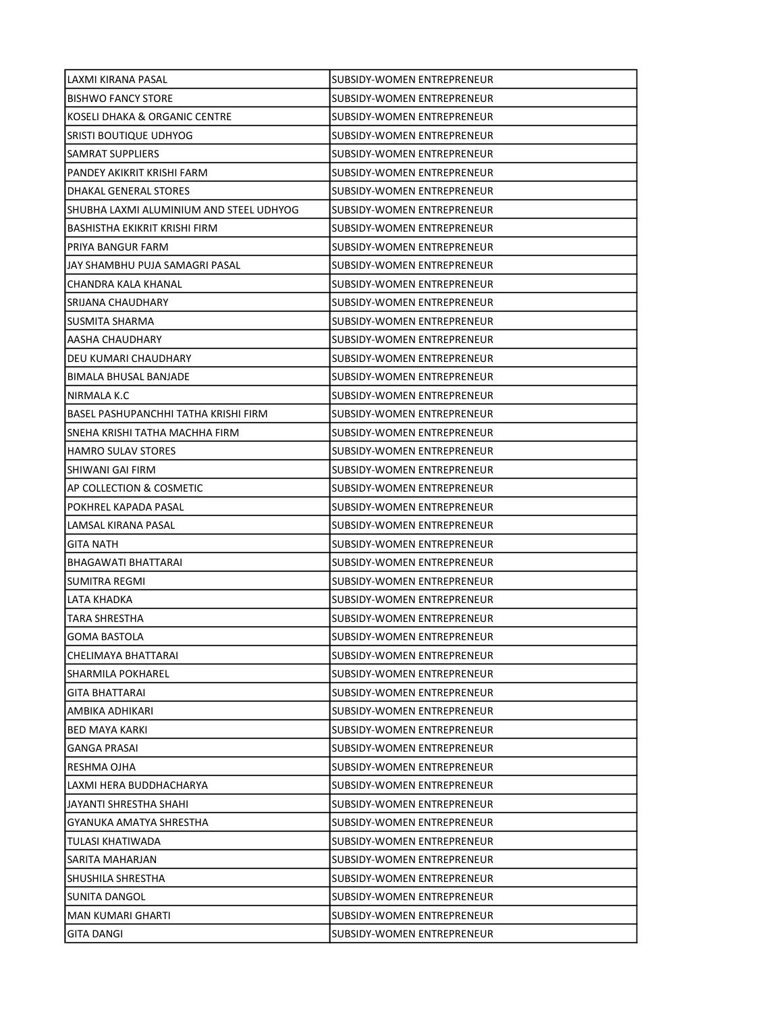| LAXMI KIRANA PASAL                      | SUBSIDY-WOMEN ENTREPRENEUR        |
|-----------------------------------------|-----------------------------------|
| <b>BISHWO FANCY STORE</b>               | SUBSIDY-WOMEN ENTREPRENEUR        |
| KOSELI DHAKA & ORGANIC CENTRE           | SUBSIDY-WOMEN ENTREPRENEUR        |
| SRISTI BOUTIQUE UDHYOG                  | SUBSIDY-WOMEN ENTREPRENEUR        |
| SAMRAT SUPPLIERS                        | SUBSIDY-WOMEN ENTREPRENEUR        |
| PANDEY AKIKRIT KRISHI FARM              | SUBSIDY-WOMEN ENTREPRENEUR        |
| DHAKAL GENERAL STORES                   | SUBSIDY-WOMEN ENTREPRENEUR        |
| SHUBHA LAXMI ALUMINIUM AND STEEL UDHYOG | SUBSIDY-WOMEN ENTREPRENEUR        |
| BASHISTHA EKIKRIT KRISHI FIRM           | SUBSIDY-WOMEN ENTREPRENEUR        |
| PRIYA BANGUR FARM                       | SUBSIDY-WOMEN ENTREPRENEUR        |
| JAY SHAMBHU PUJA SAMAGRI PASAL          | SUBSIDY-WOMEN ENTREPRENEUR        |
| CHANDRA KALA KHANAL                     | SUBSIDY-WOMEN ENTREPRENEUR        |
| SRIJANA CHAUDHARY                       | SUBSIDY-WOMEN ENTREPRENEUR        |
| SUSMITA SHARMA                          | SUBSIDY-WOMEN ENTREPRENEUR        |
| AASHA CHAUDHARY                         | SUBSIDY-WOMEN ENTREPRENEUR        |
| DEU KUMARI CHAUDHARY                    | SUBSIDY-WOMEN ENTREPRENEUR        |
| <b>BIMALA BHUSAL BANJADE</b>            | SUBSIDY-WOMEN ENTREPRENEUR        |
| NIRMALA K.C                             | SUBSIDY-WOMEN ENTREPRENEUR        |
| BASEL PASHUPANCHHI TATHA KRISHI FIRM    | SUBSIDY-WOMEN ENTREPRENEUR        |
| SNEHA KRISHI TATHA MACHHA FIRM          | SUBSIDY-WOMEN ENTREPRENEUR        |
| <b>HAMRO SULAV STORES</b>               | SUBSIDY-WOMEN ENTREPRENEUR        |
| SHIWANI GAI FIRM                        | SUBSIDY-WOMEN ENTREPRENEUR        |
| AP COLLECTION & COSMETIC                | SUBSIDY-WOMEN ENTREPRENEUR        |
| POKHREL KAPADA PASAL                    | SUBSIDY-WOMEN ENTREPRENEUR        |
| LAMSAL KIRANA PASAL                     | ISUBSIDY-WOMEN ENTREPRENEUR       |
| <b>GITA NATH</b>                        | SUBSIDY-WOMEN ENTREPRENEUR        |
| BHAGAWATI BHATTARAI                     | SUBSIDY-WOMEN ENTREPRENEUR        |
| SUMITRA REGMI                           | SUBSIDY-WOMEN ENTREPRENEUR        |
| <b>LATA KHADKA</b>                      | <b>SUBSIDY-WOMEN ENTREPRENEUR</b> |
| TARA SHRESTHA                           | SUBSIDY-WOMEN ENTREPRENEUR        |
| <b>GOMA BASTOLA</b>                     | SUBSIDY-WOMEN ENTREPRENEUR        |
| CHELIMAYA BHATTARAI                     | SUBSIDY-WOMEN ENTREPRENEUR        |
| SHARMILA POKHAREL                       | <b>SUBSIDY-WOMEN ENTREPRENEUR</b> |
| GITA BHATTARAI                          | SUBSIDY-WOMEN ENTREPRENEUR        |
| AMBIKA ADHIKARI                         | SUBSIDY-WOMEN ENTREPRENEUR        |
| <b>BED MAYA KARKI</b>                   | SUBSIDY-WOMEN ENTREPRENEUR        |
| <b>GANGA PRASAI</b>                     | SUBSIDY-WOMEN ENTREPRENEUR        |
| RESHMA OJHA                             | SUBSIDY-WOMEN ENTREPRENEUR        |
| LAXMI HERA BUDDHACHARYA                 | SUBSIDY-WOMEN ENTREPRENEUR        |
| JAYANTI SHRESTHA SHAHI                  | SUBSIDY-WOMEN ENTREPRENEUR        |
| GYANUKA AMATYA SHRESTHA                 | SUBSIDY-WOMEN ENTREPRENEUR        |
| TULASI KHATIWADA                        | SUBSIDY-WOMEN ENTREPRENEUR        |
| SARITA MAHARJAN                         | SUBSIDY-WOMEN ENTREPRENEUR        |
| SHUSHILA SHRESTHA                       | SUBSIDY-WOMEN ENTREPRENEUR        |
| SUNITA DANGOL                           | SUBSIDY-WOMEN ENTREPRENEUR        |
| MAN KUMARI GHARTI                       | SUBSIDY-WOMEN ENTREPRENEUR        |
| GITA DANGI                              | SUBSIDY-WOMEN ENTREPRENEUR        |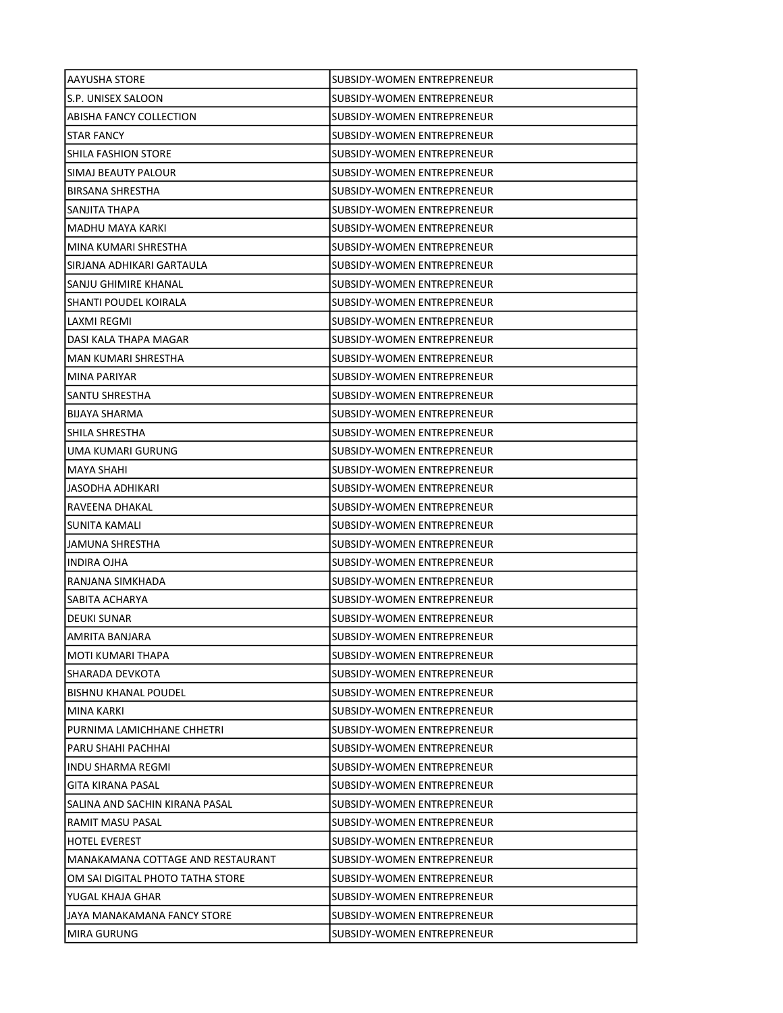| AAYUSHA STORE                     | SUBSIDY-WOMEN ENTREPRENEUR        |
|-----------------------------------|-----------------------------------|
| S.P. UNISEX SALOON                | SUBSIDY-WOMEN ENTREPRENEUR        |
| ABISHA FANCY COLLECTION           | SUBSIDY-WOMEN ENTREPRENEUR        |
| STAR FANCY                        | SUBSIDY-WOMEN ENTREPRENEUR        |
| SHILA FASHION STORE               | <b>SUBSIDY-WOMEN ENTREPRENEUR</b> |
| SIMAJ BEAUTY PALOUR               | SUBSIDY-WOMEN ENTREPRENEUR        |
| <b>BIRSANA SHRESTHA</b>           | SUBSIDY-WOMEN ENTREPRENEUR        |
| SANJITA THAPA                     | SUBSIDY-WOMEN ENTREPRENEUR        |
| MADHU MAYA KARKI                  | SUBSIDY-WOMEN ENTREPRENEUR        |
| MINA KUMARI SHRESTHA              | SUBSIDY-WOMEN ENTREPRENEUR        |
| SIRJANA ADHIKARI GARTAULA         | SUBSIDY-WOMEN ENTREPRENEUR        |
| SANJU GHIMIRE KHANAL              | SUBSIDY-WOMEN ENTREPRENEUR        |
| SHANTI POUDEL KOIRALA             | SUBSIDY-WOMEN ENTREPRENEUR        |
| LAXMI REGMI                       | SUBSIDY-WOMEN ENTREPRENEUR        |
| DASI KALA THAPA MAGAR             | SUBSIDY-WOMEN ENTREPRENEUR        |
| <b>MAN KUMARI SHRESTHA</b>        | <b>SUBSIDY-WOMEN ENTREPRENEUR</b> |
| MINA PARIYAR                      | SUBSIDY-WOMEN ENTREPRENEUR        |
| SANTU SHRESTHA                    | SUBSIDY-WOMEN ENTREPRENEUR        |
| BIJAYA SHARMA                     | SUBSIDY-WOMEN ENTREPRENEUR        |
| SHILA SHRESTHA                    | SUBSIDY-WOMEN ENTREPRENEUR        |
| UMA KUMARI GURUNG                 | SUBSIDY-WOMEN ENTREPRENEUR        |
| <b>MAYA SHAHI</b>                 | SUBSIDY-WOMEN ENTREPRENEUR        |
| JASODHA ADHIKARI                  | SUBSIDY-WOMEN ENTREPRENEUR        |
| RAVEENA DHAKAL                    | SUBSIDY-WOMEN ENTREPRENEUR        |
| SUNITA KAMALI                     | SUBSIDY-WOMEN ENTREPRENEUR        |
| JAMUNA SHRESTHA                   | SUBSIDY-WOMEN ENTREPRENEUR        |
| <b>INDIRA OJHA</b>                | SUBSIDY-WOMEN ENTREPRENEUR        |
| RANJANA SIMKHADA                  | SUBSIDY-WOMEN ENTREPRENEUR        |
| SABITA ACHARYA                    | SUBSIDY-WOMEN ENTREPRENEUR        |
| <b>DEUKI SUNAR</b>                | SUBSIDY-WOMEN ENTREPRENEUR        |
| AMRITA BANJARA                    | SUBSIDY-WOMEN ENTREPRENEUR        |
| MOTI KUMARI THAPA                 | SUBSIDY-WOMEN ENTREPRENEUR        |
| SHARADA DEVKOTA                   | SUBSIDY-WOMEN ENTREPRENEUR        |
| <b>BISHNU KHANAL POUDEL</b>       | SUBSIDY-WOMEN ENTREPRENEUR        |
| MINA KARKI                        | SUBSIDY-WOMEN ENTREPRENEUR        |
| PURNIMA LAMICHHANE CHHETRI        | SUBSIDY-WOMEN ENTREPRENEUR        |
| PARU SHAHI PACHHAI                | SUBSIDY-WOMEN ENTREPRENEUR        |
| INDU SHARMA REGMI                 | SUBSIDY-WOMEN ENTREPRENEUR        |
| <b>GITA KIRANA PASAL</b>          | SUBSIDY-WOMEN ENTREPRENEUR        |
| SALINA AND SACHIN KIRANA PASAL    | SUBSIDY-WOMEN ENTREPRENEUR        |
| RAMIT MASU PASAL                  | SUBSIDY-WOMEN ENTREPRENEUR        |
| <b>HOTEL EVEREST</b>              | SUBSIDY-WOMEN ENTREPRENEUR        |
| MANAKAMANA COTTAGE AND RESTAURANT | SUBSIDY-WOMEN ENTREPRENEUR        |
| OM SAI DIGITAL PHOTO TATHA STORE  | SUBSIDY-WOMEN ENTREPRENEUR        |
| YUGAL KHAJA GHAR                  | SUBSIDY-WOMEN ENTREPRENEUR        |
| JAYA MANAKAMANA FANCY STORE       | SUBSIDY-WOMEN ENTREPRENEUR        |
| MIRA GURUNG                       | SUBSIDY-WOMEN ENTREPRENEUR        |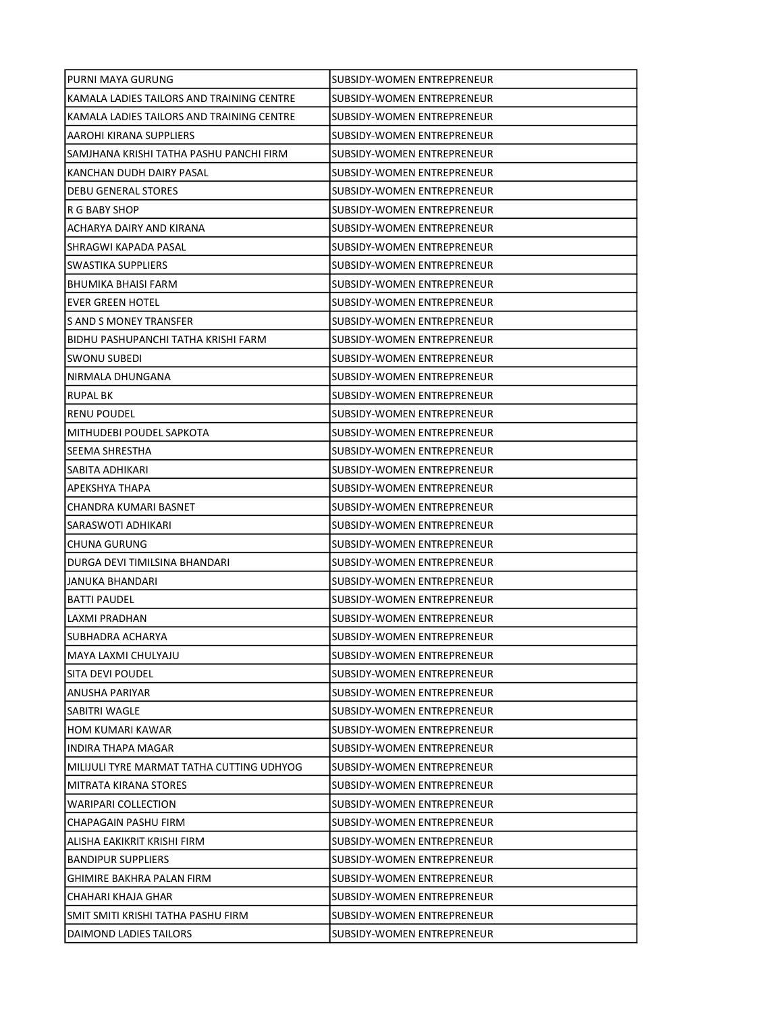| PURNI MAYA GURUNG                         | SUBSIDY-WOMEN ENTREPRENEUR        |
|-------------------------------------------|-----------------------------------|
| KAMALA LADIES TAILORS AND TRAINING CENTRE | SUBSIDY-WOMEN ENTREPRENEUR        |
| KAMALA LADIES TAILORS AND TRAINING CENTRE | SUBSIDY-WOMEN ENTREPRENEUR        |
| <b>AAROHI KIRANA SUPPLIERS</b>            | SUBSIDY-WOMEN ENTREPRENEUR        |
| SAMJHANA KRISHI TATHA PASHU PANCHI FIRM   | SUBSIDY-WOMEN ENTREPRENEUR        |
| KANCHAN DUDH DAIRY PASAL                  | SUBSIDY-WOMEN ENTREPRENEUR        |
| <b>DEBU GENERAL STORES</b>                | SUBSIDY-WOMEN ENTREPRENEUR        |
| R G BABY SHOP                             | SUBSIDY-WOMEN ENTREPRENEUR        |
| ACHARYA DAIRY AND KIRANA                  | SUBSIDY-WOMEN ENTREPRENEUR        |
| SHRAGWI KAPADA PASAL                      | SUBSIDY-WOMEN ENTREPRENEUR        |
| <b>SWASTIKA SUPPLIERS</b>                 | SUBSIDY-WOMEN ENTREPRENEUR        |
| <b>BHUMIKA BHAISI FARM</b>                | SUBSIDY-WOMEN ENTREPRENEUR        |
| <b>EVER GREEN HOTEL</b>                   | SUBSIDY-WOMEN ENTREPRENEUR        |
| S AND S MONEY TRANSFER                    | SUBSIDY-WOMEN ENTREPRENEUR        |
| BIDHU PASHUPANCHI TATHA KRISHI FARM       | SUBSIDY-WOMEN ENTREPRENEUR        |
| <b>SWONU SUBEDI</b>                       | SUBSIDY-WOMEN ENTREPRENEUR        |
| NIRMALA DHUNGANA                          | SUBSIDY-WOMEN ENTREPRENEUR        |
| <b>RUPAL BK</b>                           | SUBSIDY-WOMEN ENTREPRENEUR        |
| <b>RENU POUDEL</b>                        | SUBSIDY-WOMEN ENTREPRENEUR        |
| MITHUDEBI POUDEL SAPKOTA                  | SUBSIDY-WOMEN ENTREPRENEUR        |
| SEEMA SHRESTHA                            | SUBSIDY-WOMEN ENTREPRENEUR        |
| SABITA ADHIKARI                           | SUBSIDY-WOMEN ENTREPRENEUR        |
| APEKSHYA THAPA                            | SUBSIDY-WOMEN ENTREPRENEUR        |
| CHANDRA KUMARI BASNET                     | SUBSIDY-WOMEN ENTREPRENEUR        |
| SARASWOTI ADHIKARI                        | SUBSIDY-WOMEN ENTREPRENEUR        |
| ICHUNA GURUNG                             | SUBSIDY-WOMEN ENTREPRENEUR        |
| DURGA DEVI TIMILSINA BHANDARI             | SUBSIDY-WOMEN ENTREPRENEUR        |
| JANUKA BHANDARI                           | SUBSIDY-WOMEN ENTREPRENEUR        |
| <b>BATTI PAUDEL</b>                       | SUBSIDY-WOMEN ENTREPRENEUR        |
| LAXMI PRADHAN                             | SUBSIDY-WOMEN ENTREPRENEUR        |
| SUBHADRA ACHARYA                          | SUBSIDY-WOMEN ENTREPRENEUR        |
| MAYA LAXMI CHULYAJU                       | SUBSIDY-WOMEN ENTREPRENEUR        |
| SITA DEVI POUDEL                          | SUBSIDY-WOMEN ENTREPRENEUR        |
| ANUSHA PARIYAR                            | SUBSIDY-WOMEN ENTREPRENEUR        |
| SABITRI WAGLE                             | SUBSIDY-WOMEN ENTREPRENEUR        |
| HOM KUMARI KAWAR                          | <b>SUBSIDY-WOMEN ENTREPRENEUR</b> |
| <b>INDIRA THAPA MAGAR</b>                 | SUBSIDY-WOMEN ENTREPRENEUR        |
| MILIJULI TYRE MARMAT TATHA CUTTING UDHYOG | SUBSIDY-WOMEN ENTREPRENEUR        |
| MITRATA KIRANA STORES                     | SUBSIDY-WOMEN ENTREPRENEUR        |
| <b>WARIPARI COLLECTION</b>                | SUBSIDY-WOMEN ENTREPRENEUR        |
| CHAPAGAIN PASHU FIRM                      | SUBSIDY-WOMEN ENTREPRENEUR        |
| ALISHA EAKIKRIT KRISHI FIRM               | SUBSIDY-WOMEN ENTREPRENEUR        |
| <b>BANDIPUR SUPPLIERS</b>                 | SUBSIDY-WOMEN ENTREPRENEUR        |
| GHIMIRE BAKHRA PALAN FIRM                 | SUBSIDY-WOMEN ENTREPRENEUR        |
| CHAHARI KHAJA GHAR                        | SUBSIDY-WOMEN ENTREPRENEUR        |
| SMIT SMITI KRISHI TATHA PASHU FIRM        | SUBSIDY-WOMEN ENTREPRENEUR        |
| DAIMOND LADIES TAILORS                    | SUBSIDY-WOMEN ENTREPRENEUR        |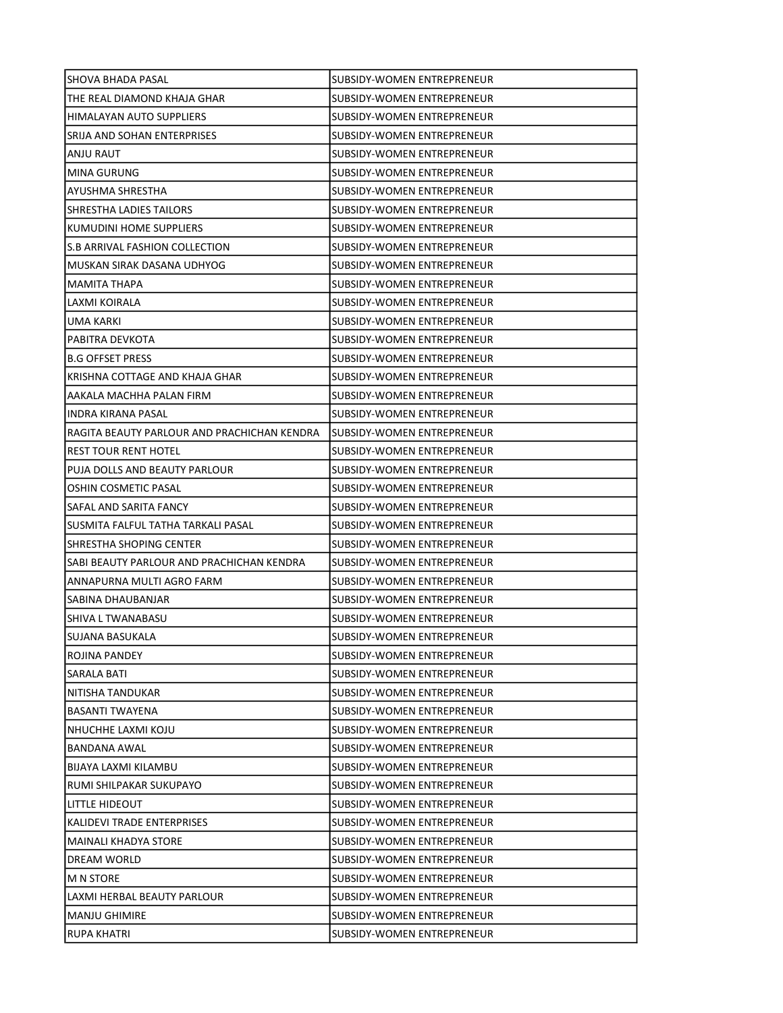| SHOVA BHADA PASAL                           | SUBSIDY-WOMEN ENTREPRENEUR        |
|---------------------------------------------|-----------------------------------|
| THE REAL DIAMOND KHAJA GHAR                 | SUBSIDY-WOMEN ENTREPRENEUR        |
| HIMALAYAN AUTO SUPPLIERS                    | <b>SUBSIDY-WOMEN ENTREPRENEUR</b> |
| SRIJA AND SOHAN ENTERPRISES                 | SUBSIDY-WOMEN ENTREPRENEUR        |
| ANJU RAUT                                   | SUBSIDY-WOMEN ENTREPRENEUR        |
| MINA GURUNG                                 | SUBSIDY-WOMEN ENTREPRENEUR        |
| AYUSHMA SHRESTHA                            | SUBSIDY-WOMEN ENTREPRENEUR        |
| <b>SHRESTHA LADIES TAILORS</b>              | SUBSIDY-WOMEN ENTREPRENEUR        |
| KUMUDINI HOME SUPPLIERS                     | SUBSIDY-WOMEN ENTREPRENEUR        |
| S.B ARRIVAL FASHION COLLECTION              | <b>SUBSIDY-WOMEN ENTREPRENEUR</b> |
| MUSKAN SIRAK DASANA UDHYOG                  | SUBSIDY-WOMEN ENTREPRENEUR        |
| MAMITA THAPA                                | SUBSIDY-WOMEN ENTREPRENEUR        |
| LAXMI KOIRALA                               | SUBSIDY-WOMEN ENTREPRENEUR        |
| UMA KARKI                                   | SUBSIDY-WOMEN ENTREPRENEUR        |
| PABITRA DEVKOTA                             | SUBSIDY-WOMEN ENTREPRENEUR        |
| <b>B.G OFFSET PRESS</b>                     | SUBSIDY-WOMEN ENTREPRENEUR        |
| KRISHNA COTTAGE AND KHAJA GHAR              | SUBSIDY-WOMEN ENTREPRENEUR        |
| AAKALA MACHHA PALAN FIRM                    | SUBSIDY-WOMEN ENTREPRENEUR        |
| INDRA KIRANA PASAL                          | <b>SUBSIDY-WOMEN ENTREPRENEUR</b> |
| RAGITA BEAUTY PARLOUR AND PRACHICHAN KENDRA | SUBSIDY-WOMEN ENTREPRENEUR        |
| <b>REST TOUR RENT HOTEL</b>                 | SUBSIDY-WOMEN ENTREPRENEUR        |
| PUJA DOLLS AND BEAUTY PARLOUR               | SUBSIDY-WOMEN ENTREPRENEUR        |
| OSHIN COSMETIC PASAL                        | SUBSIDY-WOMEN ENTREPRENEUR        |
| SAFAL AND SARITA FANCY                      | SUBSIDY-WOMEN ENTREPRENEUR        |
| SUSMITA FALFUL TATHA TARKALI PASAL          | SUBSIDY-WOMEN ENTREPRENEUR        |
| SHRESTHA SHOPING CENTER                     | SUBSIDY-WOMEN ENTREPRENEUR        |
| SABI BEAUTY PARLOUR AND PRACHICHAN KENDRA   | SUBSIDY-WOMEN ENTREPRENEUR        |
| ANNAPURNA MULTI AGRO FARM                   | SUBSIDY-WOMEN ENTREPRENEUR        |
| SABINA DHAUBANJAR                           | SUBSIDY-WOMEN ENTREPRENEUR        |
| SHIVA L TWANABASU                           | SUBSIDY-WOMEN ENTREPRENEUR        |
| <b>SUJANA BASUKALA</b>                      | SUBSIDY-WOMEN ENTREPRENEUR        |
| ROJINA PANDEY                               | SUBSIDY-WOMEN ENTREPRENEUR        |
| SARALA BATI                                 | SUBSIDY-WOMEN ENTREPRENEUR        |
| NITISHA TANDUKAR                            | SUBSIDY-WOMEN ENTREPRENEUR        |
| <b>BASANTI TWAYENA</b>                      | <b>SUBSIDY-WOMEN ENTREPRENEUR</b> |
| NHUCHHE LAXMI KOJU                          | SUBSIDY-WOMEN ENTREPRENEUR        |
| BANDANA AWAL                                | SUBSIDY-WOMEN ENTREPRENEUR        |
| <b>BIJAYA LAXMI KILAMBU</b>                 | SUBSIDY-WOMEN ENTREPRENEUR        |
| RUMI SHILPAKAR SUKUPAYO                     | SUBSIDY-WOMEN ENTREPRENEUR        |
| LITTLE HIDEOUT                              | <b>SUBSIDY-WOMEN ENTREPRENEUR</b> |
| KALIDEVI TRADE ENTERPRISES                  | SUBSIDY-WOMEN ENTREPRENEUR        |
| MAINALI KHADYA STORE                        | SUBSIDY-WOMEN ENTREPRENEUR        |
| DREAM WORLD                                 | SUBSIDY-WOMEN ENTREPRENEUR        |
| <b>M N STORE</b>                            | SUBSIDY-WOMEN ENTREPRENEUR        |
| LAXMI HERBAL BEAUTY PARLOUR                 | SUBSIDY-WOMEN ENTREPRENEUR        |
| <b>MANJU GHIMIRE</b>                        | SUBSIDY-WOMEN ENTREPRENEUR        |
| <b>RUPA KHATRI</b>                          | SUBSIDY-WOMEN ENTREPRENEUR        |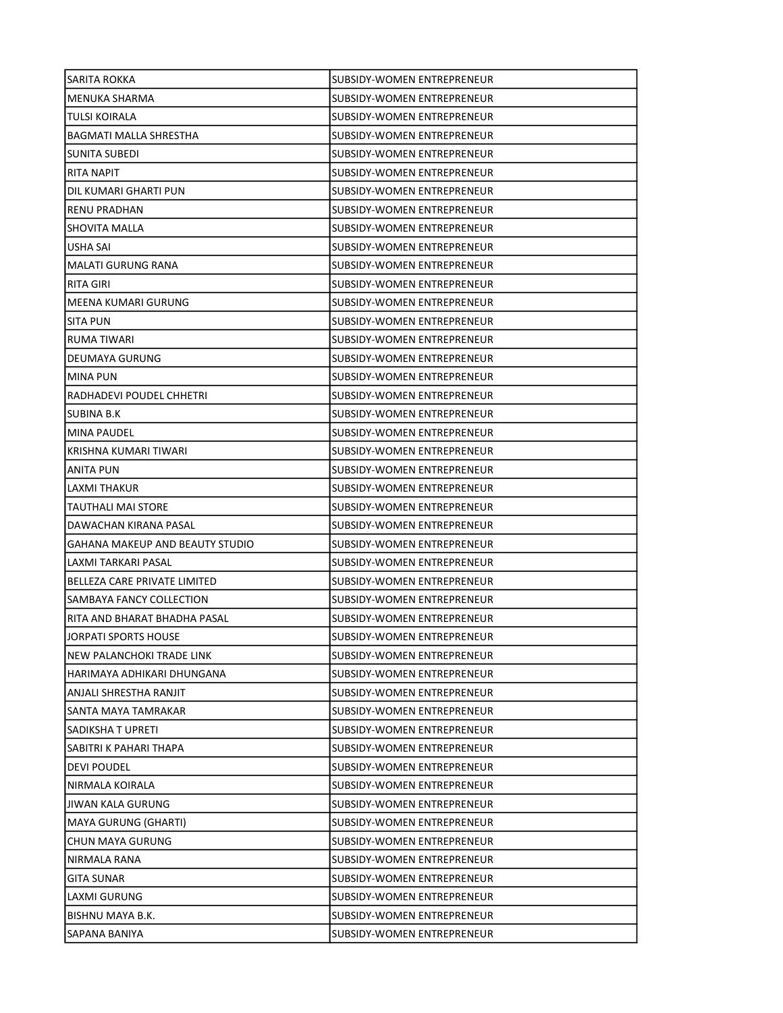| <b>SARITA ROKKA</b>             | SUBSIDY-WOMEN ENTREPRENEUR        |
|---------------------------------|-----------------------------------|
| MENUKA SHARMA                   | SUBSIDY-WOMEN ENTREPRENEUR        |
| TULSI KOIRALA                   | SUBSIDY-WOMEN ENTREPRENEUR        |
| <b>BAGMATI MALLA SHRESTHA</b>   | <b>SUBSIDY-WOMEN ENTREPRENEUR</b> |
| <b>SUNITA SUBEDI</b>            | <b>SUBSIDY-WOMEN ENTREPRENEUR</b> |
| RITA NAPIT                      | SUBSIDY-WOMEN ENTREPRENEUR        |
| DIL KUMARI GHARTI PUN           | SUBSIDY-WOMEN ENTREPRENEUR        |
| <b>RENU PRADHAN</b>             | SUBSIDY-WOMEN ENTREPRENEUR        |
| SHOVITA MALLA                   | SUBSIDY-WOMEN ENTREPRENEUR        |
| USHA SAI                        | SUBSIDY-WOMEN ENTREPRENEUR        |
| <b>MALATI GURUNG RANA</b>       | <b>SUBSIDY-WOMEN ENTREPRENEUR</b> |
| RITA GIRI                       | SUBSIDY-WOMEN ENTREPRENEUR        |
| MEENA KUMARI GURUNG             | SUBSIDY-WOMEN ENTREPRENEUR        |
| ISITA PUN                       | SUBSIDY-WOMEN ENTREPRENEUR        |
| RUMA TIWARI                     | SUBSIDY-WOMEN ENTREPRENEUR        |
| DEUMAYA GURUNG                  | SUBSIDY-WOMEN ENTREPRENEUR        |
| <b>MINA PUN</b>                 | SUBSIDY-WOMEN ENTREPRENEUR        |
| RADHADEVI POUDEL CHHETRI        | SUBSIDY-WOMEN ENTREPRENEUR        |
| SUBINA B.K                      | SUBSIDY-WOMEN ENTREPRENEUR        |
| MINA PAUDEL                     | SUBSIDY-WOMEN ENTREPRENEUR        |
| KRISHNA KUMARI TIWARI           | SUBSIDY-WOMEN ENTREPRENEUR        |
| ANITA PUN                       | SUBSIDY-WOMEN ENTREPRENEUR        |
| LAXMI THAKUR                    | SUBSIDY-WOMEN ENTREPRENEUR        |
| TAUTHALI MAI STORE              | SUBSIDY-WOMEN ENTREPRENEUR        |
| DAWACHAN KIRANA PASAL           | SUBSIDY-WOMEN ENTREPRENEUR        |
| GAHANA MAKEUP AND BEAUTY STUDIO | SUBSIDY-WOMEN ENTREPRENEUR        |
| LAXMI TARKARI PASAL             | SUBSIDY-WOMEN ENTREPRENEUR        |
| BELLEZA CARE PRIVATE LIMITED    | SUBSIDY-WOMEN ENTREPRENEUR        |
| SAMBAYA FANCY COLLECTION        | SUBSIDY-WOMEN ENTREPRENEUR        |
| RITA AND BHARAT BHADHA PASAL    | SUBSIDY-WOMEN ENTREPRENEUR        |
| JORPATI SPORTS HOUSE            | ISUBSIDY-WOMEN ENTREPRENEUR       |
| NEW PALANCHOKI TRADE LINK       | SUBSIDY-WOMEN ENTREPRENEUR        |
| HARIMAYA ADHIKARI DHUNGANA      | SUBSIDY-WOMEN ENTREPRENEUR        |
| ANJALI SHRESTHA RANJIT          | SUBSIDY-WOMEN ENTREPRENEUR        |
| SANTA MAYA TAMRAKAR             | SUBSIDY-WOMEN ENTREPRENEUR        |
| SADIKSHA T UPRETI               | <b>SUBSIDY-WOMEN ENTREPRENEUR</b> |
| SABITRI K PAHARI THAPA          | <b>SUBSIDY-WOMEN ENTREPRENEUR</b> |
| <b>DEVI POUDEL</b>              | SUBSIDY-WOMEN ENTREPRENEUR        |
| NIRMALA KOIRALA                 | SUBSIDY-WOMEN ENTREPRENEUR        |
| JIWAN KALA GURUNG               | SUBSIDY-WOMEN ENTREPRENEUR        |
| MAYA GURUNG (GHARTI)            | SUBSIDY-WOMEN ENTREPRENEUR        |
| <b>CHUN MAYA GURUNG</b>         | <b>SUBSIDY-WOMEN ENTREPRENEUR</b> |
| NIRMALA RANA                    | SUBSIDY-WOMEN ENTREPRENEUR        |
| <b>GITA SUNAR</b>               | SUBSIDY-WOMEN ENTREPRENEUR        |
| LAXMI GURUNG                    | SUBSIDY-WOMEN ENTREPRENEUR        |
| BISHNU MAYA B.K.                | SUBSIDY-WOMEN ENTREPRENEUR        |
| SAPANA BANIYA                   | SUBSIDY-WOMEN ENTREPRENEUR        |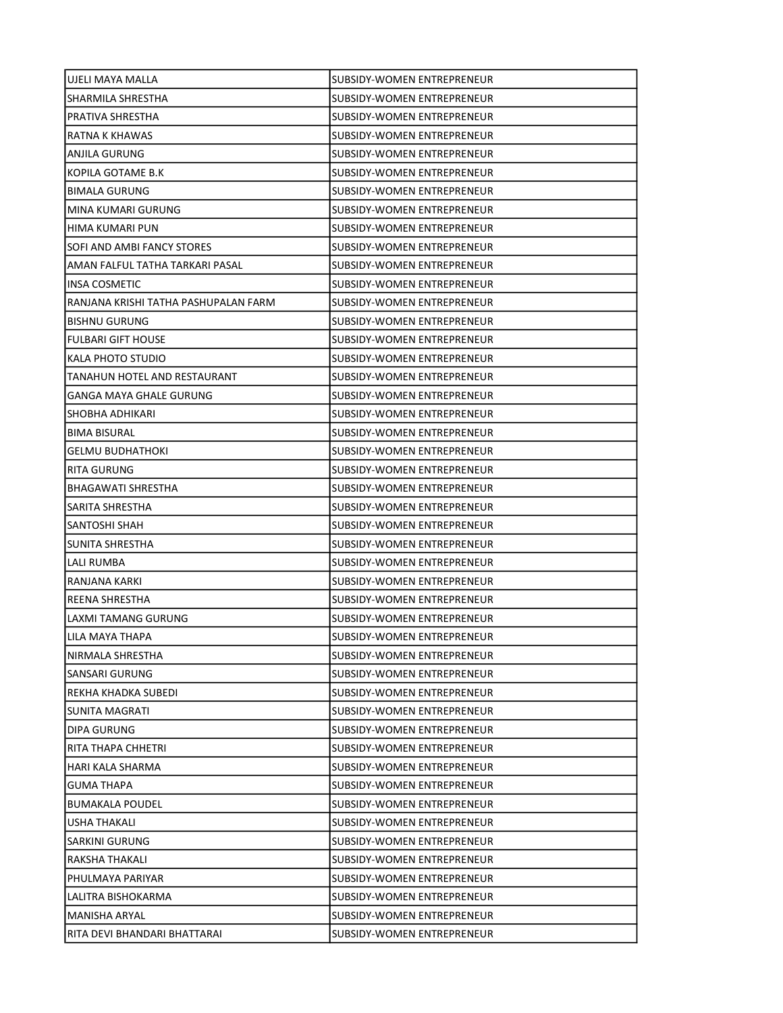| UJELI MAYA MALLA                     | SUBSIDY-WOMEN ENTREPRENEUR        |
|--------------------------------------|-----------------------------------|
| SHARMILA SHRESTHA                    | SUBSIDY-WOMEN ENTREPRENEUR        |
| PRATIVA SHRESTHA                     | SUBSIDY-WOMEN ENTREPRENEUR        |
| RATNA K KHAWAS                       | SUBSIDY-WOMEN ENTREPRENEUR        |
| ANJILA GURUNG                        | SUBSIDY-WOMEN ENTREPRENEUR        |
| KOPILA GOTAME B.K                    | SUBSIDY-WOMEN ENTREPRENEUR        |
| <b>BIMALA GURUNG</b>                 | SUBSIDY-WOMEN ENTREPRENEUR        |
| MINA KUMARI GURUNG                   | SUBSIDY-WOMEN ENTREPRENEUR        |
| HIMA KUMARI PUN                      | <b>SUBSIDY-WOMEN ENTREPRENEUR</b> |
| SOFI AND AMBI FANCY STORES           | SUBSIDY-WOMEN ENTREPRENEUR        |
| AMAN FALFUL TATHA TARKARI PASAL      | SUBSIDY-WOMEN ENTREPRENEUR        |
| INSA COSMETIC                        | SUBSIDY-WOMEN ENTREPRENEUR        |
| RANJANA KRISHI TATHA PASHUPALAN FARM | SUBSIDY-WOMEN ENTREPRENEUR        |
| <b>BISHNU GURUNG</b>                 | SUBSIDY-WOMEN ENTREPRENEUR        |
| <b>FULBARI GIFT HOUSE</b>            | SUBSIDY-WOMEN ENTREPRENEUR        |
| KALA PHOTO STUDIO                    | SUBSIDY-WOMEN ENTREPRENEUR        |
| TANAHUN HOTEL AND RESTAURANT         | SUBSIDY-WOMEN ENTREPRENEUR        |
| GANGA MAYA GHALE GURUNG              | SUBSIDY-WOMEN ENTREPRENEUR        |
| SHOBHA ADHIKARI                      | <b>SUBSIDY-WOMEN ENTREPRENEUR</b> |
| <b>BIMA BISURAL</b>                  | SUBSIDY-WOMEN ENTREPRENEUR        |
| <b>GELMU BUDHATHOKI</b>              | SUBSIDY-WOMEN ENTREPRENEUR        |
| RITA GURUNG                          | SUBSIDY-WOMEN ENTREPRENEUR        |
| <b>BHAGAWATI SHRESTHA</b>            | SUBSIDY-WOMEN ENTREPRENEUR        |
| SARITA SHRESTHA                      | SUBSIDY-WOMEN ENTREPRENEUR        |
| SANTOSHI SHAH                        | SUBSIDY-WOMEN ENTREPRENEUR        |
| SUNITA SHRESTHA                      | SUBSIDY-WOMEN ENTREPRENEUR        |
| LALI RUMBA                           | SUBSIDY-WOMEN ENTREPRENEUR        |
| RANJANA KARKI                        | SUBSIDY-WOMEN ENTREPRENEUR        |
| REENA SHRESTHA                       | SUBSIDY-WOMEN ENTREPRENEUR        |
| LAXMI TAMANG GURUNG                  | SUBSIDY-WOMEN ENTREPRENEUR        |
| LILA MAYA THAPA                      | SUBSIDY-WOMEN ENTREPRENEUR        |
| NIRMALA SHRESTHA                     | SUBSIDY-WOMEN ENTREPRENEUR        |
| SANSARI GURUNG                       | SUBSIDY-WOMEN ENTREPRENEUR        |
| REKHA KHADKA SUBEDI                  | SUBSIDY-WOMEN ENTREPRENEUR        |
| SUNITA MAGRATI                       | SUBSIDY-WOMEN ENTREPRENEUR        |
| DIPA GURUNG                          | SUBSIDY-WOMEN ENTREPRENEUR        |
| RITA THAPA CHHETRI                   | SUBSIDY-WOMEN ENTREPRENEUR        |
| HARI KALA SHARMA                     | SUBSIDY-WOMEN ENTREPRENEUR        |
| <b>GUMA THAPA</b>                    | SUBSIDY-WOMEN ENTREPRENEUR        |
| <b>BUMAKALA POUDEL</b>               | SUBSIDY-WOMEN ENTREPRENEUR        |
| USHA THAKALI                         | SUBSIDY-WOMEN ENTREPRENEUR        |
| SARKINI GURUNG                       | SUBSIDY-WOMEN ENTREPRENEUR        |
| RAKSHA THAKALI                       | SUBSIDY-WOMEN ENTREPRENEUR        |
| PHULMAYA PARIYAR                     | SUBSIDY-WOMEN ENTREPRENEUR        |
| LALITRA BISHOKARMA                   | SUBSIDY-WOMEN ENTREPRENEUR        |
| MANISHA ARYAL                        | SUBSIDY-WOMEN ENTREPRENEUR        |
| RITA DEVI BHANDARI BHATTARAI         | SUBSIDY-WOMEN ENTREPRENEUR        |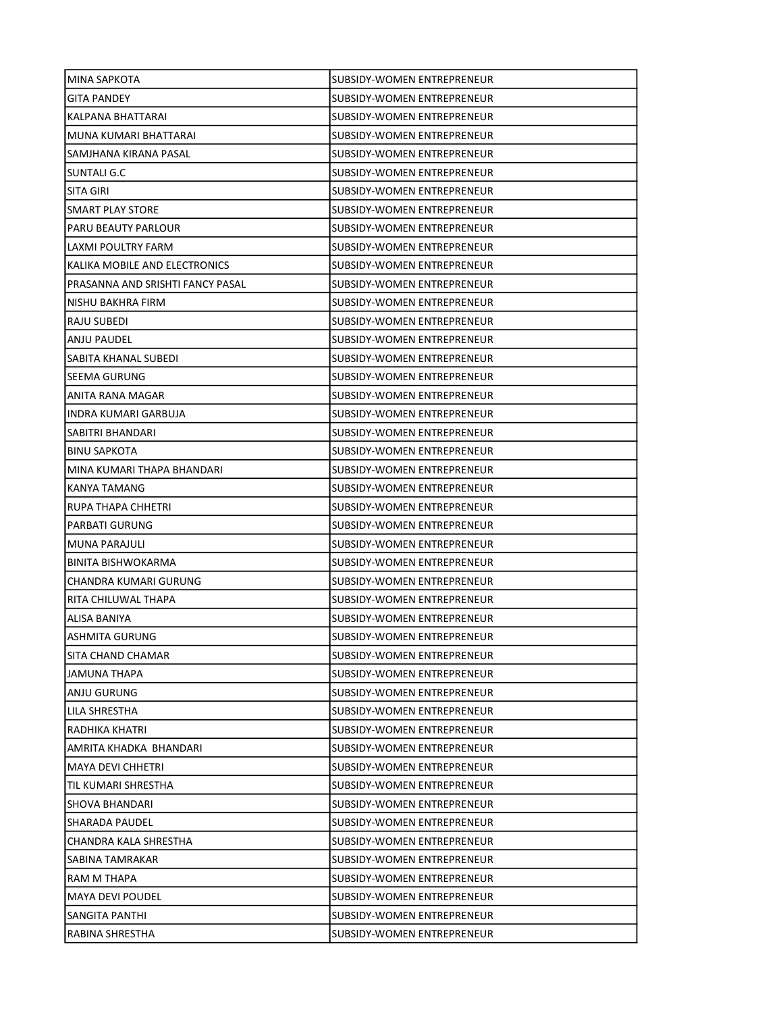| <b>MINA SAPKOTA</b>              | SUBSIDY-WOMEN ENTREPRENEUR        |
|----------------------------------|-----------------------------------|
| <b>GITA PANDEY</b>               | SUBSIDY-WOMEN ENTREPRENEUR        |
| KALPANA BHATTARAI                | SUBSIDY-WOMEN ENTREPRENEUR        |
| MUNA KUMARI BHATTARAI            | <b>SUBSIDY-WOMEN ENTREPRENEUR</b> |
| SAMJHANA KIRANA PASAL            | <b>SUBSIDY-WOMEN ENTREPRENEUR</b> |
| SUNTALI G.C                      | SUBSIDY-WOMEN ENTREPRENEUR        |
| SITA GIRI                        | SUBSIDY-WOMEN ENTREPRENEUR        |
| SMART PLAY STORE                 | SUBSIDY-WOMEN ENTREPRENEUR        |
| PARU BEAUTY PARLOUR              | <b>SUBSIDY-WOMEN ENTREPRENEUR</b> |
| LAXMI POULTRY FARM               | SUBSIDY-WOMEN ENTREPRENEUR        |
| KALIKA MOBILE AND ELECTRONICS    | SUBSIDY-WOMEN ENTREPRENEUR        |
| PRASANNA AND SRISHTI FANCY PASAL | SUBSIDY-WOMEN ENTREPRENEUR        |
| NISHU BAKHRA FIRM                | SUBSIDY-WOMEN ENTREPRENEUR        |
| RAJU SUBEDI                      | SUBSIDY-WOMEN ENTREPRENEUR        |
| ANJU PAUDEL                      | SUBSIDY-WOMEN ENTREPRENEUR        |
| SABITA KHANAL SUBEDI             | SUBSIDY-WOMEN ENTREPRENEUR        |
| SEEMA GURUNG                     | SUBSIDY-WOMEN ENTREPRENEUR        |
| ANITA RANA MAGAR                 | SUBSIDY-WOMEN ENTREPRENEUR        |
| INDRA KUMARI GARBUJA             | SUBSIDY-WOMEN ENTREPRENEUR        |
| SABITRI BHANDARI                 | SUBSIDY-WOMEN ENTREPRENEUR        |
| <b>BINU SAPKOTA</b>              | SUBSIDY-WOMEN ENTREPRENEUR        |
| MINA KUMARI THAPA BHANDARI       | SUBSIDY-WOMEN ENTREPRENEUR        |
| KANYA TAMANG                     | SUBSIDY-WOMEN ENTREPRENEUR        |
| RUPA THAPA CHHETRI               | SUBSIDY-WOMEN ENTREPRENEUR        |
| PARBATI GURUNG                   | SUBSIDY-WOMEN ENTREPRENEUR        |
| MUNA PARAJULI                    | SUBSIDY-WOMEN ENTREPRENEUR        |
| BINITA BISHWOKARMA               | SUBSIDY-WOMEN ENTREPRENEUR        |
| CHANDRA KUMARI GURUNG            | SUBSIDY-WOMEN ENTREPRENEUR        |
| RITA CHILUWAL THAPA              | SUBSIDY-WOMEN ENTREPRENEUR        |
| ALISA BANIYA                     | SUBSIDY-WOMEN ENTREPRENEUR        |
| ASHMITA GURUNG                   | SUBSIDY-WOMEN ENTREPRENEUR        |
| SITA CHAND CHAMAR                | SUBSIDY-WOMEN ENTREPRENEUR        |
| JAMUNA THAPA                     | SUBSIDY-WOMEN ENTREPRENEUR        |
| ANJU GURUNG                      | SUBSIDY-WOMEN ENTREPRENEUR        |
| LILA SHRESTHA                    | SUBSIDY-WOMEN ENTREPRENEUR        |
| RADHIKA KHATRI                   | SUBSIDY-WOMEN ENTREPRENEUR        |
| AMRITA KHADKA BHANDARI           | SUBSIDY-WOMEN ENTREPRENEUR        |
| <b>MAYA DEVI CHHETRI</b>         | SUBSIDY-WOMEN ENTREPRENEUR        |
| TIL KUMARI SHRESTHA              | SUBSIDY-WOMEN ENTREPRENEUR        |
| SHOVA BHANDARI                   | SUBSIDY-WOMEN ENTREPRENEUR        |
| SHARADA PAUDEL                   | SUBSIDY-WOMEN ENTREPRENEUR        |
| CHANDRA KALA SHRESTHA            | SUBSIDY-WOMEN ENTREPRENEUR        |
| SABINA TAMRAKAR                  | SUBSIDY-WOMEN ENTREPRENEUR        |
| RAM M THAPA                      | SUBSIDY-WOMEN ENTREPRENEUR        |
| <b>MAYA DEVI POUDEL</b>          | SUBSIDY-WOMEN ENTREPRENEUR        |
| SANGITA PANTHI                   | SUBSIDY-WOMEN ENTREPRENEUR        |
| RABINA SHRESTHA                  | SUBSIDY-WOMEN ENTREPRENEUR        |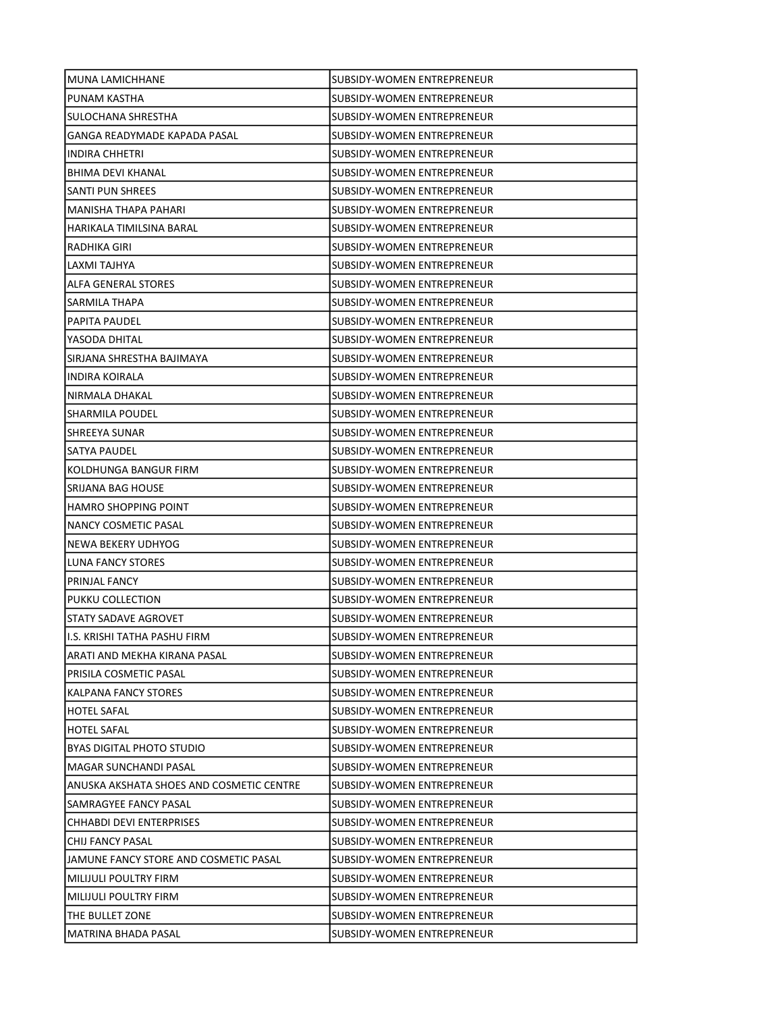| MUNA LAMICHHANE                          | SUBSIDY-WOMEN ENTREPRENEUR |
|------------------------------------------|----------------------------|
| PUNAM KASTHA                             | SUBSIDY-WOMEN ENTREPRENEUR |
| SULOCHANA SHRESTHA                       | SUBSIDY-WOMEN ENTREPRENEUR |
| GANGA READYMADE KAPADA PASAL             | SUBSIDY-WOMEN ENTREPRENEUR |
| <b>INDIRA CHHETRI</b>                    | SUBSIDY-WOMEN ENTREPRENEUR |
| BHIMA DEVI KHANAL                        | SUBSIDY-WOMEN ENTREPRENEUR |
| <b>SANTI PUN SHREES</b>                  | SUBSIDY-WOMEN ENTREPRENEUR |
| <b>MANISHA THAPA PAHARI</b>              | SUBSIDY-WOMEN ENTREPRENEUR |
| HARIKALA TIMILSINA BARAL                 | SUBSIDY-WOMEN ENTREPRENEUR |
| RADHIKA GIRI                             | SUBSIDY-WOMEN ENTREPRENEUR |
| LAXMI TAJHYA                             | SUBSIDY-WOMEN ENTREPRENEUR |
| ALFA GENERAL STORES                      | SUBSIDY-WOMEN ENTREPRENEUR |
| SARMILA THAPA                            | SUBSIDY-WOMEN ENTREPRENEUR |
| <b>PAPITA PAUDEL</b>                     | SUBSIDY-WOMEN ENTREPRENEUR |
| YASODA DHITAL                            | SUBSIDY-WOMEN ENTREPRENEUR |
| SIRJANA SHRESTHA BAJIMAYA                | SUBSIDY-WOMEN ENTREPRENEUR |
| INDIRA KOIRALA                           | SUBSIDY-WOMEN ENTREPRENEUR |
| NIRMALA DHAKAL                           | SUBSIDY-WOMEN ENTREPRENEUR |
| <b>SHARMILA POUDEL</b>                   | SUBSIDY-WOMEN ENTREPRENEUR |
| SHREEYA SUNAR                            | SUBSIDY-WOMEN ENTREPRENEUR |
| SATYA PAUDEL                             | SUBSIDY-WOMEN ENTREPRENEUR |
| KOLDHUNGA BANGUR FIRM                    | SUBSIDY-WOMEN ENTREPRENEUR |
| SRIJANA BAG HOUSE                        | SUBSIDY-WOMEN ENTREPRENEUR |
| <b>HAMRO SHOPPING POINT</b>              | SUBSIDY-WOMEN ENTREPRENEUR |
| NANCY COSMETIC PASAL                     | SUBSIDY-WOMEN ENTREPRENEUR |
| NEWA BEKERY UDHYOG                       | SUBSIDY-WOMEN ENTREPRENEUR |
| LUNA FANCY STORES                        | SUBSIDY-WOMEN ENTREPRENEUR |
| <b>PRINJAL FANCY</b>                     | SUBSIDY-WOMEN ENTREPRENEUR |
| PUKKU COLLECTION                         | SUBSIDY-WOMEN ENTREPRENEUR |
| STATY SADAVE AGROVET                     | SUBSIDY-WOMEN ENTREPRENEUR |
| II.S. KRISHI TATHA PASHU FIRM            | SUBSIDY-WOMEN ENTREPRENEUR |
| ARATI AND MEKHA KIRANA PASAL             | SUBSIDY-WOMEN ENTREPRENEUR |
| PRISILA COSMETIC PASAL                   | SUBSIDY-WOMEN ENTREPRENEUR |
| KALPANA FANCY STORES                     | SUBSIDY-WOMEN ENTREPRENEUR |
| <b>HOTEL SAFAL</b>                       | SUBSIDY-WOMEN ENTREPRENEUR |
| <b>HOTEL SAFAL</b>                       | SUBSIDY-WOMEN ENTREPRENEUR |
| BYAS DIGITAL PHOTO STUDIO                | SUBSIDY-WOMEN ENTREPRENEUR |
| <b>MAGAR SUNCHANDI PASAL</b>             | SUBSIDY-WOMEN ENTREPRENEUR |
| ANUSKA AKSHATA SHOES AND COSMETIC CENTRE | SUBSIDY-WOMEN ENTREPRENEUR |
| SAMRAGYEE FANCY PASAL                    | SUBSIDY-WOMEN ENTREPRENEUR |
| CHHABDI DEVI ENTERPRISES                 | SUBSIDY-WOMEN ENTREPRENEUR |
| CHIJ FANCY PASAL                         | SUBSIDY-WOMEN ENTREPRENEUR |
| JAMUNE FANCY STORE AND COSMETIC PASAL    | SUBSIDY-WOMEN ENTREPRENEUR |
| <b>MILIJULI POULTRY FIRM</b>             | SUBSIDY-WOMEN ENTREPRENEUR |
| MILIJULI POULTRY FIRM                    | SUBSIDY-WOMEN ENTREPRENEUR |
| THE BULLET ZONE                          | SUBSIDY-WOMEN ENTREPRENEUR |
| MATRINA BHADA PASAL                      | SUBSIDY-WOMEN ENTREPRENEUR |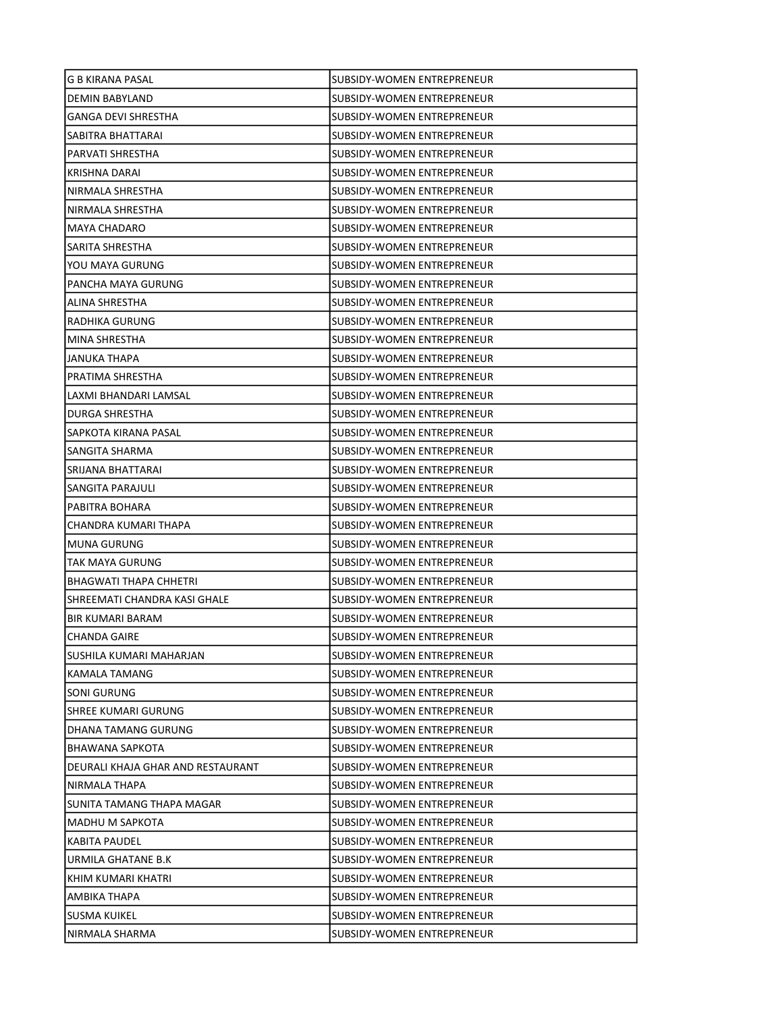| G B KIRANA PASAL                  | SUBSIDY-WOMEN ENTREPRENEUR        |
|-----------------------------------|-----------------------------------|
| DEMIN BABYLAND                    | SUBSIDY-WOMEN ENTREPRENEUR        |
| <b>GANGA DEVI SHRESTHA</b>        | SUBSIDY-WOMEN ENTREPRENEUR        |
| SABITRA BHATTARAI                 | SUBSIDY-WOMEN ENTREPRENEUR        |
| PARVATI SHRESTHA                  | SUBSIDY-WOMEN ENTREPRENEUR        |
| KRISHNA DARAI                     | SUBSIDY-WOMEN ENTREPRENEUR        |
| NIRMALA SHRESTHA                  | SUBSIDY-WOMEN ENTREPRENEUR        |
| NIRMALA SHRESTHA                  | SUBSIDY-WOMEN ENTREPRENEUR        |
| <b>MAYA CHADARO</b>               | SUBSIDY-WOMEN ENTREPRENEUR        |
| SARITA SHRESTHA                   | <b>SUBSIDY-WOMEN ENTREPRENEUR</b> |
| YOU MAYA GURUNG                   | SUBSIDY-WOMEN ENTREPRENEUR        |
| PANCHA MAYA GURUNG                | SUBSIDY-WOMEN ENTREPRENEUR        |
| ALINA SHRESTHA                    | SUBSIDY-WOMEN ENTREPRENEUR        |
| RADHIKA GURUNG                    | SUBSIDY-WOMEN ENTREPRENEUR        |
| MINA SHRESTHA                     | SUBSIDY-WOMEN ENTREPRENEUR        |
| JANUKA THAPA                      | SUBSIDY-WOMEN ENTREPRENEUR        |
| PRATIMA SHRESTHA                  | <b>SUBSIDY-WOMEN ENTREPRENEUR</b> |
| LAXMI BHANDARI LAMSAL             | <b>SUBSIDY-WOMEN ENTREPRENEUR</b> |
| DURGA SHRESTHA                    | SUBSIDY-WOMEN ENTREPRENEUR        |
| SAPKOTA KIRANA PASAL              | SUBSIDY-WOMEN ENTREPRENEUR        |
| SANGITA SHARMA                    | SUBSIDY-WOMEN ENTREPRENEUR        |
| SRIJANA BHATTARAI                 | SUBSIDY-WOMEN ENTREPRENEUR        |
| SANGITA PARAJULI                  | SUBSIDY-WOMEN ENTREPRENEUR        |
| PABITRA BOHARA                    | SUBSIDY-WOMEN ENTREPRENEUR        |
| CHANDRA KUMARI THAPA              | SUBSIDY-WOMEN ENTREPRENEUR        |
| <b>MUNA GURUNG</b>                | SUBSIDY-WOMEN ENTREPRENEUR        |
| TAK MAYA GURUNG                   | SUBSIDY-WOMEN ENTREPRENEUR        |
| <b>BHAGWATI THAPA CHHETRI</b>     | SUBSIDY-WOMEN ENTREPRENEUR        |
| SHREEMATI CHANDRA KASI GHALE      | SUBSIDY-WOMEN ENTREPRENEUR        |
| BIR KUMARI BARAM                  | SUBSIDY-WOMEN ENTREPRENEUR        |
| <b>CHANDA GAIRE</b>               | SUBSIDY-WOMEN ENTREPRENEUR        |
| SUSHILA KUMARI MAHARJAN           | SUBSIDY-WOMEN ENTREPRENEUR        |
| KAMALA TAMANG                     | SUBSIDY-WOMEN ENTREPRENEUR        |
| SONI GURUNG                       | SUBSIDY-WOMEN ENTREPRENEUR        |
| SHREE KUMARI GURUNG               | SUBSIDY-WOMEN ENTREPRENEUR        |
| DHANA TAMANG GURUNG               | SUBSIDY-WOMEN ENTREPRENEUR        |
| BHAWANA SAPKOTA                   | SUBSIDY-WOMEN ENTREPRENEUR        |
| DEURALI KHAJA GHAR AND RESTAURANT | SUBSIDY-WOMEN ENTREPRENEUR        |
| NIRMALA THAPA                     | SUBSIDY-WOMEN ENTREPRENEUR        |
| SUNITA TAMANG THAPA MAGAR         | SUBSIDY-WOMEN ENTREPRENEUR        |
| MADHU M SAPKOTA                   | SUBSIDY-WOMEN ENTREPRENEUR        |
| KABITA PAUDEL                     | SUBSIDY-WOMEN ENTREPRENEUR        |
| URMILA GHATANE B.K                | SUBSIDY-WOMEN ENTREPRENEUR        |
| KHIM KUMARI KHATRI                | SUBSIDY-WOMEN ENTREPRENEUR        |
| AMBIKA THAPA                      | SUBSIDY-WOMEN ENTREPRENEUR        |
| <b>SUSMA KUIKEL</b>               | SUBSIDY-WOMEN ENTREPRENEUR        |
| NIRMALA SHARMA                    | SUBSIDY-WOMEN ENTREPRENEUR        |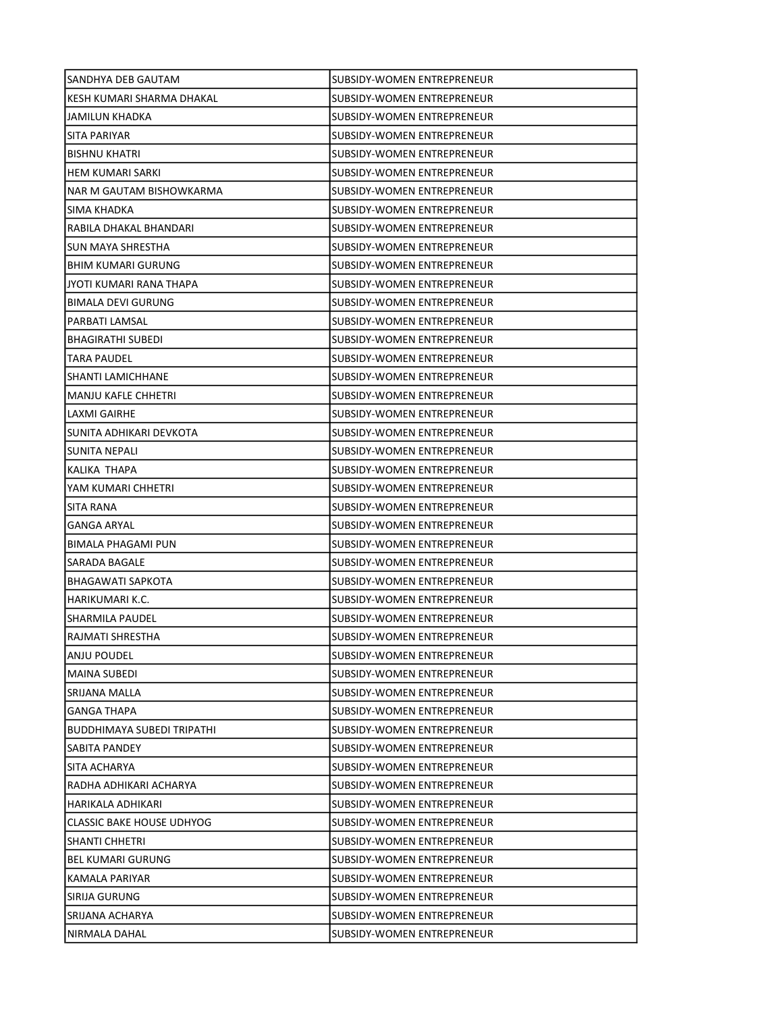| SANDHYA DEB GAUTAM                | SUBSIDY-WOMEN ENTREPRENEUR        |
|-----------------------------------|-----------------------------------|
| KESH KUMARI SHARMA DHAKAL         | SUBSIDY-WOMEN ENTREPRENEUR        |
| <b>JAMILUN KHADKA</b>             | SUBSIDY-WOMEN ENTREPRENEUR        |
| <b>SITA PARIYAR</b>               | SUBSIDY-WOMEN ENTREPRENEUR        |
| <b>BISHNU KHATRI</b>              | <b>SUBSIDY-WOMEN ENTREPRENEUR</b> |
| HEM KUMARI SARKI                  | SUBSIDY-WOMEN ENTREPRENEUR        |
| NAR M GAUTAM BISHOWKARMA          | SUBSIDY-WOMEN ENTREPRENEUR        |
| SIMA KHADKA                       | SUBSIDY-WOMEN ENTREPRENEUR        |
| RABILA DHAKAL BHANDARI            | <b>SUBSIDY-WOMEN ENTREPRENEUR</b> |
| SUN MAYA SHRESTHA                 | SUBSIDY-WOMEN ENTREPRENEUR        |
| <b>BHIM KUMARI GURUNG</b>         | SUBSIDY-WOMEN ENTREPRENEUR        |
| JYOTI KUMARI RANA THAPA           | SUBSIDY-WOMEN ENTREPRENEUR        |
| <b>BIMALA DEVI GURUNG</b>         | SUBSIDY-WOMEN ENTREPRENEUR        |
| PARBATI LAMSAL                    | <b>SUBSIDY-WOMEN ENTREPRENEUR</b> |
| BHAGIRATHI SUBEDI                 | SUBSIDY-WOMEN ENTREPRENEUR        |
| TARA PAUDEL                       | SUBSIDY-WOMEN ENTREPRENEUR        |
| SHANTI LAMICHHANE                 | SUBSIDY-WOMEN ENTREPRENEUR        |
| <b>MANJU KAFLE CHHETRI</b>        | SUBSIDY-WOMEN ENTREPRENEUR        |
| LAXMI GAIRHE                      | SUBSIDY-WOMEN ENTREPRENEUR        |
| SUNITA ADHIKARI DEVKOTA           | SUBSIDY-WOMEN ENTREPRENEUR        |
| SUNITA NEPALI                     | SUBSIDY-WOMEN ENTREPRENEUR        |
| KALIKA THAPA                      | SUBSIDY-WOMEN ENTREPRENEUR        |
| YAM KUMARI CHHETRI                | SUBSIDY-WOMEN ENTREPRENEUR        |
| SITA RANA                         | SUBSIDY-WOMEN ENTREPRENEUR        |
| <b>GANGA ARYAL</b>                | ISUBSIDY-WOMEN ENTREPRENEUR       |
| <b>BIMALA PHAGAMI PUN</b>         | SUBSIDY-WOMEN ENTREPRENEUR        |
| SARADA BAGALE                     | SUBSIDY-WOMEN ENTREPRENEUR        |
| <b>BHAGAWATI SAPKOTA</b>          | SUBSIDY-WOMEN ENTREPRENEUR        |
| HARIKUMARI K.C.                   | <b>SUBSIDY-WOMEN ENTREPRENEUR</b> |
| <b>SHARMILA PAUDEL</b>            | SUBSIDY-WOMEN ENTREPRENEUR        |
| RAJMATI SHRESTHA                  | SUBSIDY-WOMEN ENTREPRENEUR        |
| ANJU POUDEL                       | SUBSIDY-WOMEN ENTREPRENEUR        |
| MAINA SUBEDI                      | SUBSIDY-WOMEN ENTREPRENEUR        |
| SRIJANA MALLA                     | SUBSIDY-WOMEN ENTREPRENEUR        |
| <b>GANGA THAPA</b>                | <b>SUBSIDY-WOMEN ENTREPRENEUR</b> |
| <b>BUDDHIMAYA SUBEDI TRIPATHI</b> | SUBSIDY-WOMEN ENTREPRENEUR        |
| SABITA PANDEY                     | SUBSIDY-WOMEN ENTREPRENEUR        |
| SITA ACHARYA                      | SUBSIDY-WOMEN ENTREPRENEUR        |
| RADHA ADHIKARI ACHARYA            | SUBSIDY-WOMEN ENTREPRENEUR        |
| HARIKALA ADHIKARI                 | SUBSIDY-WOMEN ENTREPRENEUR        |
| <b>CLASSIC BAKE HOUSE UDHYOG</b>  | SUBSIDY-WOMEN ENTREPRENEUR        |
| <b>SHANTI CHHETRI</b>             | SUBSIDY-WOMEN ENTREPRENEUR        |
| <b>BEL KUMARI GURUNG</b>          | SUBSIDY-WOMEN ENTREPRENEUR        |
| KAMALA PARIYAR                    | SUBSIDY-WOMEN ENTREPRENEUR        |
| SIRIJA GURUNG                     | SUBSIDY-WOMEN ENTREPRENEUR        |
| SRIJANA ACHARYA                   | SUBSIDY-WOMEN ENTREPRENEUR        |
| NIRMALA DAHAL                     | SUBSIDY-WOMEN ENTREPRENEUR        |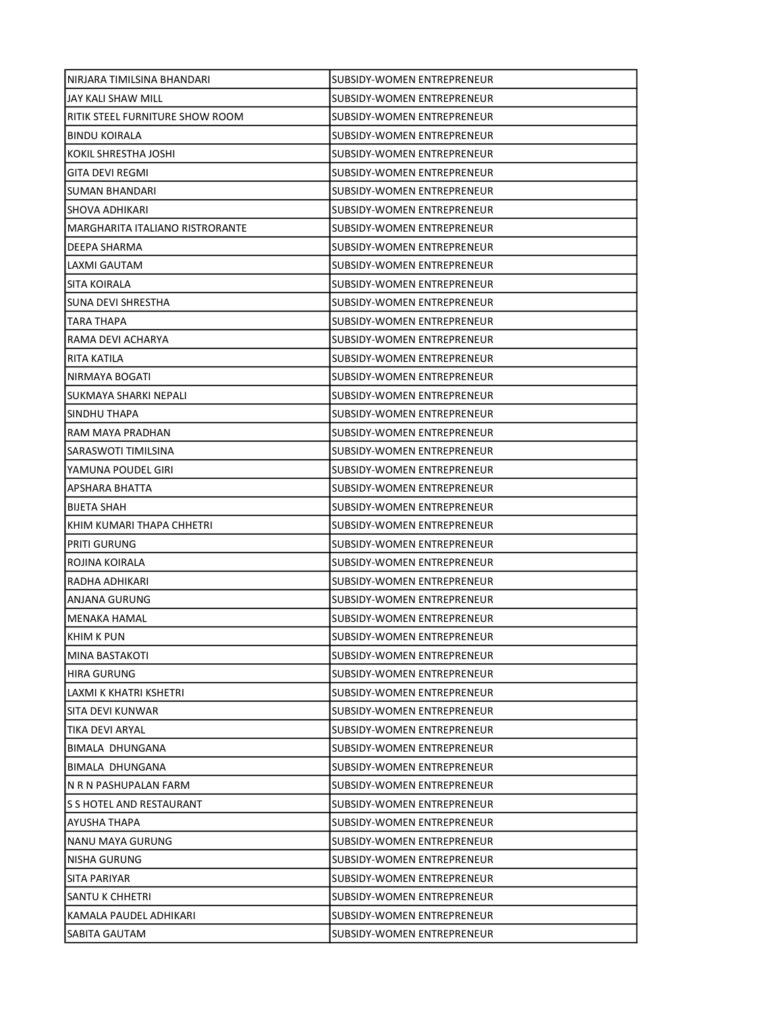| NIRJARA TIMILSINA BHANDARI      | SUBSIDY-WOMEN ENTREPRENEUR        |
|---------------------------------|-----------------------------------|
| JAY KALI SHAW MILL              | SUBSIDY-WOMEN ENTREPRENEUR        |
| RITIK STEEL FURNITURE SHOW ROOM | SUBSIDY-WOMEN ENTREPRENEUR        |
| <b>BINDU KOIRALA</b>            | SUBSIDY-WOMEN ENTREPRENEUR        |
| KOKIL SHRESTHA JOSHI            | SUBSIDY-WOMEN ENTREPRENEUR        |
| GITA DEVI REGMI                 | SUBSIDY-WOMEN ENTREPRENEUR        |
| SUMAN BHANDARI                  | SUBSIDY-WOMEN ENTREPRENEUR        |
| <b>SHOVA ADHIKARI</b>           | SUBSIDY-WOMEN ENTREPRENEUR        |
| MARGHARITA ITALIANO RISTRORANTE | SUBSIDY-WOMEN ENTREPRENEUR        |
| DEEPA SHARMA                    | SUBSIDY-WOMEN ENTREPRENEUR        |
| LAXMI GAUTAM                    | SUBSIDY-WOMEN ENTREPRENEUR        |
| <b>SITA KOIRALA</b>             | SUBSIDY-WOMEN ENTREPRENEUR        |
| SUNA DEVI SHRESTHA              | SUBSIDY-WOMEN ENTREPRENEUR        |
| TARA THAPA                      | SUBSIDY-WOMEN ENTREPRENEUR        |
| RAMA DEVI ACHARYA               | SUBSIDY-WOMEN ENTREPRENEUR        |
| RITA KATILA                     | SUBSIDY-WOMEN ENTREPRENEUR        |
| NIRMAYA BOGATI                  | SUBSIDY-WOMEN ENTREPRENEUR        |
| SUKMAYA SHARKI NEPALI           | SUBSIDY-WOMEN ENTREPRENEUR        |
| SINDHU THAPA                    | SUBSIDY-WOMEN ENTREPRENEUR        |
| RAM MAYA PRADHAN                | SUBSIDY-WOMEN ENTREPRENEUR        |
| SARASWOTI TIMILSINA             | SUBSIDY-WOMEN ENTREPRENEUR        |
| YAMUNA POUDEL GIRI              | SUBSIDY-WOMEN ENTREPRENEUR        |
| APSHARA BHATTA                  | SUBSIDY-WOMEN ENTREPRENEUR        |
| <b>BIJETA SHAH</b>              | SUBSIDY-WOMEN ENTREPRENEUR        |
| KHIM KUMARI THAPA CHHETRI       | SUBSIDY-WOMEN ENTREPRENEUR        |
| <b>PRITI GURUNG</b>             | SUBSIDY-WOMEN ENTREPRENEUR        |
| ROJINA KOIRALA                  | SUBSIDY-WOMEN ENTREPRENEUR        |
| RADHA ADHIKARI                  | SUBSIDY-WOMEN ENTREPRENEUR        |
| ANJANA GURUNG                   | SUBSIDY-WOMEN ENTREPRENEUR        |
| <b>MENAKA HAMAL</b>             | SUBSIDY-WOMEN ENTREPRENEUR        |
| <b>KHIM K PUN</b>               | SUBSIDY-WOMEN ENTREPRENEUR        |
| <b>MINA BASTAKOTI</b>           | SUBSIDY-WOMEN ENTREPRENEUR        |
| <b>HIRA GURUNG</b>              | SUBSIDY-WOMEN ENTREPRENEUR        |
| LAXMI K KHATRI KSHETRI          | SUBSIDY-WOMEN ENTREPRENEUR        |
| SITA DEVI KUNWAR                | SUBSIDY-WOMEN ENTREPRENEUR        |
| TIKA DEVI ARYAL                 | <b>SUBSIDY-WOMEN ENTREPRENEUR</b> |
| BIMALA DHUNGANA                 | SUBSIDY-WOMEN ENTREPRENEUR        |
| BIMALA DHUNGANA                 | SUBSIDY-WOMEN ENTREPRENEUR        |
| N R N PASHUPALAN FARM           | SUBSIDY-WOMEN ENTREPRENEUR        |
| S S HOTEL AND RESTAURANT        | SUBSIDY-WOMEN ENTREPRENEUR        |
| AYUSHA THAPA                    | SUBSIDY-WOMEN ENTREPRENEUR        |
| NANU MAYA GURUNG                | SUBSIDY-WOMEN ENTREPRENEUR        |
| <b>NISHA GURUNG</b>             | SUBSIDY-WOMEN ENTREPRENEUR        |
| SITA PARIYAR                    | SUBSIDY-WOMEN ENTREPRENEUR        |
| SANTU K CHHETRI                 | SUBSIDY-WOMEN ENTREPRENEUR        |
| KAMALA PAUDEL ADHIKARI          | SUBSIDY-WOMEN ENTREPRENEUR        |
| SABITA GAUTAM                   | SUBSIDY-WOMEN ENTREPRENEUR        |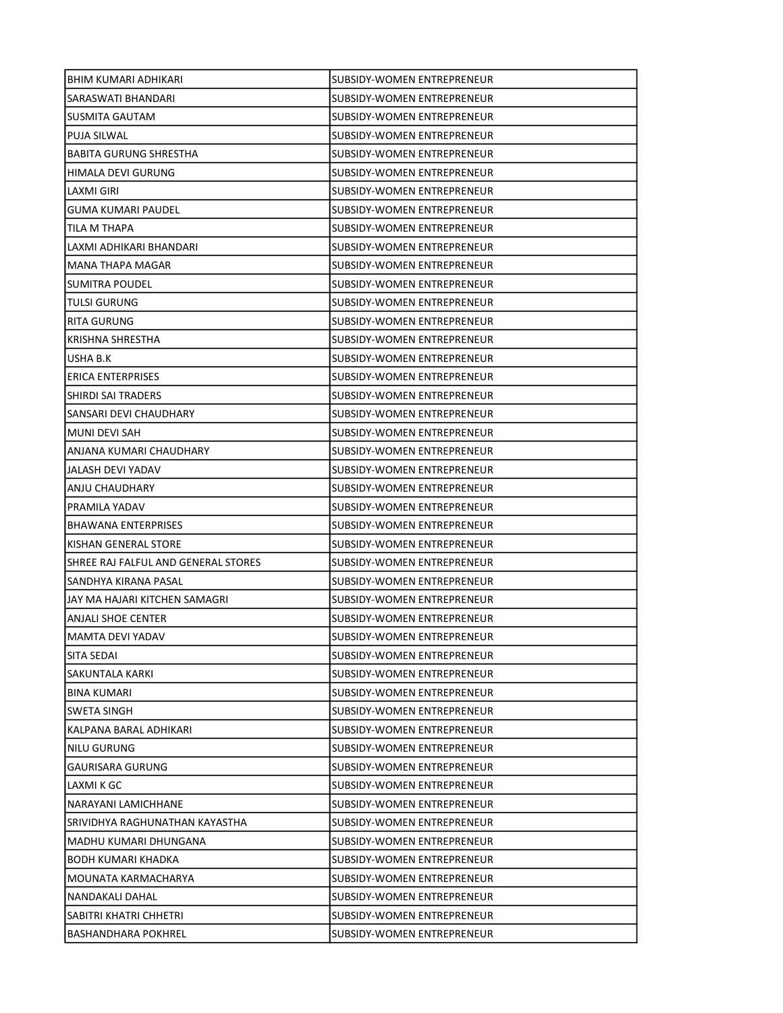| BHIM KUMARI ADHIKARI                | SUBSIDY-WOMEN ENTREPRENEUR        |
|-------------------------------------|-----------------------------------|
| SARASWATI BHANDARI                  | SUBSIDY-WOMEN ENTREPRENEUR        |
| SUSMITA GAUTAM                      | SUBSIDY-WOMEN ENTREPRENEUR        |
| <b>PUJA SILWAL</b>                  | SUBSIDY-WOMEN ENTREPRENEUR        |
| <b>BABITA GURUNG SHRESTHA</b>       | SUBSIDY-WOMEN ENTREPRENEUR        |
| HIMALA DEVI GURUNG                  | SUBSIDY-WOMEN ENTREPRENEUR        |
| LAXMI GIRI                          | SUBSIDY-WOMEN ENTREPRENEUR        |
| GUMA KUMARI PAUDEL                  | SUBSIDY-WOMEN ENTREPRENEUR        |
| TILA M THAPA                        | SUBSIDY-WOMEN ENTREPRENEUR        |
| LAXMI ADHIKARI BHANDARI             | SUBSIDY-WOMEN ENTREPRENEUR        |
| MANA THAPA MAGAR                    | SUBSIDY-WOMEN ENTREPRENEUR        |
| SUMITRA POUDEL                      | SUBSIDY-WOMEN ENTREPRENEUR        |
| <b>TULSI GURUNG</b>                 | SUBSIDY-WOMEN ENTREPRENEUR        |
| RITA GURUNG                         | SUBSIDY-WOMEN ENTREPRENEUR        |
| KRISHNA SHRESTHA                    | SUBSIDY-WOMEN ENTREPRENEUR        |
| USHA B.K                            | SUBSIDY-WOMEN ENTREPRENEUR        |
| <b>ERICA ENTERPRISES</b>            | SUBSIDY-WOMEN ENTREPRENEUR        |
| SHIRDI SAI TRADERS                  | SUBSIDY-WOMEN ENTREPRENEUR        |
| SANSARI DEVI CHAUDHARY              | SUBSIDY-WOMEN ENTREPRENEUR        |
| MUNI DEVI SAH                       | SUBSIDY-WOMEN ENTREPRENEUR        |
| ANJANA KUMARI CHAUDHARY             | SUBSIDY-WOMEN ENTREPRENEUR        |
| JALASH DEVI YADAV                   | SUBSIDY-WOMEN ENTREPRENEUR        |
| ANJU CHAUDHARY                      | SUBSIDY-WOMEN ENTREPRENEUR        |
| PRAMILA YADAV                       | SUBSIDY-WOMEN ENTREPRENEUR        |
| <b>BHAWANA ENTERPRISES</b>          | SUBSIDY-WOMEN ENTREPRENEUR        |
| KISHAN GENERAL STORE                | SUBSIDY-WOMEN ENTREPRENEUR        |
| SHREE RAJ FALFUL AND GENERAL STORES | SUBSIDY-WOMEN ENTREPRENEUR        |
| SANDHYA KIRANA PASAL                | SUBSIDY-WOMEN ENTREPRENEUR        |
| JAY MA HAJARI KITCHEN SAMAGRI       | SUBSIDY-WOMEN ENTREPRENEUR        |
| ANJALI SHOE CENTER                  | SUBSIDY-WOMEN ENTREPRENEUR        |
| MAMTA DEVI YADAV                    | SUBSIDY-WOMEN ENTREPRENEUR        |
| SITA SEDAI                          | SUBSIDY-WOMEN ENTREPRENEUR        |
| SAKUNTALA KARKI                     | <b>SUBSIDY-WOMEN ENTREPRENEUR</b> |
| <b>BINA KUMARI</b>                  | SUBSIDY-WOMEN ENTREPRENEUR        |
| SWETA SINGH                         | SUBSIDY-WOMEN ENTREPRENEUR        |
| KALPANA BARAL ADHIKARI              | SUBSIDY-WOMEN ENTREPRENEUR        |
| NILU GURUNG                         | SUBSIDY-WOMEN ENTREPRENEUR        |
| <b>GAURISARA GURUNG</b>             | SUBSIDY-WOMEN ENTREPRENEUR        |
| LAXMI K GC                          | SUBSIDY-WOMEN ENTREPRENEUR        |
| NARAYANI LAMICHHANE                 | <b>SUBSIDY-WOMEN ENTREPRENEUR</b> |
| SRIVIDHYA RAGHUNATHAN KAYASTHA      | SUBSIDY-WOMEN ENTREPRENEUR        |
| MADHU KUMARI DHUNGANA               | SUBSIDY-WOMEN ENTREPRENEUR        |
| <b>BODH KUMARI KHADKA</b>           | SUBSIDY-WOMEN ENTREPRENEUR        |
| MOUNATA KARMACHARYA                 | SUBSIDY-WOMEN ENTREPRENEUR        |
| NANDAKALI DAHAL                     | SUBSIDY-WOMEN ENTREPRENEUR        |
| SABITRI KHATRI CHHETRI              | SUBSIDY-WOMEN ENTREPRENEUR        |
| <b>BASHANDHARA POKHREL</b>          | SUBSIDY-WOMEN ENTREPRENEUR        |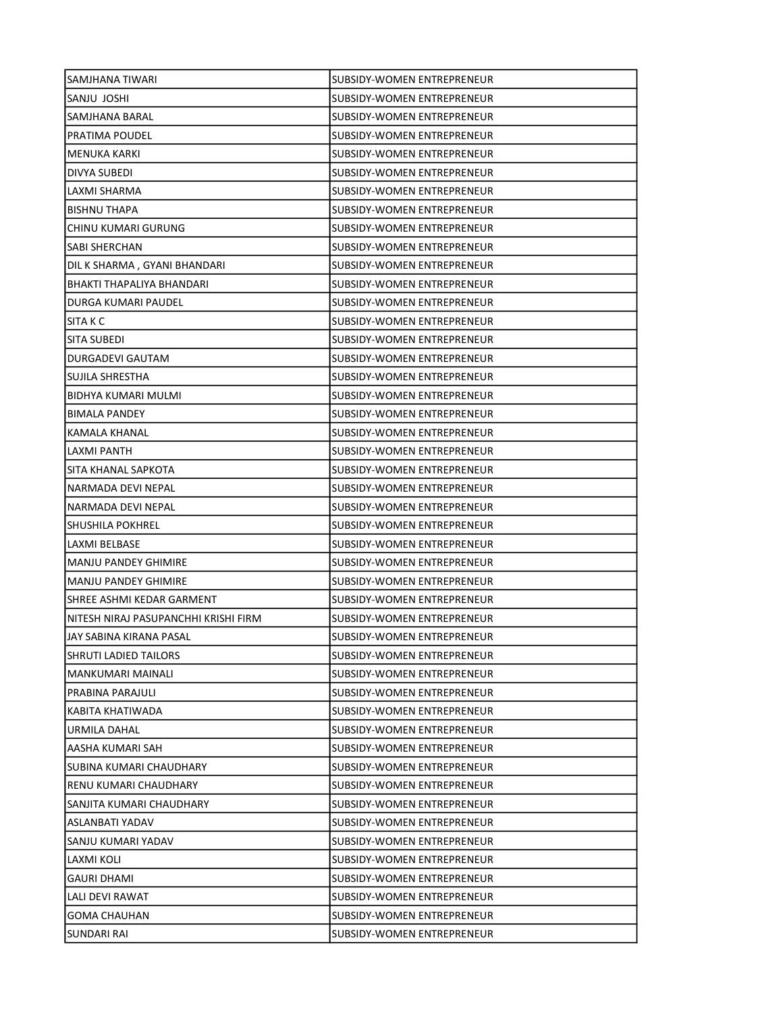| SAMJHANA TIWARI                      | SUBSIDY-WOMEN ENTREPRENEUR        |
|--------------------------------------|-----------------------------------|
| SANJU JOSHI                          | SUBSIDY-WOMEN ENTREPRENEUR        |
| SAMJHANA BARAL                       | SUBSIDY-WOMEN ENTREPRENEUR        |
| <b>PRATIMA POUDEL</b>                | <b>SUBSIDY-WOMEN ENTREPRENEUR</b> |
| <b>MENUKA KARKI</b>                  | SUBSIDY-WOMEN ENTREPRENEUR        |
| DIVYA SUBEDI                         | SUBSIDY-WOMEN ENTREPRENEUR        |
| LAXMI SHARMA                         | SUBSIDY-WOMEN ENTREPRENEUR        |
| <b>BISHNU THAPA</b>                  | SUBSIDY-WOMEN ENTREPRENEUR        |
| CHINU KUMARI GURUNG                  | SUBSIDY-WOMEN ENTREPRENEUR        |
| SABI SHERCHAN                        | SUBSIDY-WOMEN ENTREPRENEUR        |
| DIL K SHARMA, GYANI BHANDARI         | <b>SUBSIDY-WOMEN ENTREPRENEUR</b> |
| BHAKTI THAPALIYA BHANDARI            | SUBSIDY-WOMEN ENTREPRENEUR        |
| DURGA KUMARI PAUDEL                  | SUBSIDY-WOMEN ENTREPRENEUR        |
| ISITA K C                            | SUBSIDY-WOMEN ENTREPRENEUR        |
| SITA SUBEDI                          | SUBSIDY-WOMEN ENTREPRENEUR        |
| DURGADEVI GAUTAM                     | SUBSIDY-WOMEN ENTREPRENEUR        |
| SUJILA SHRESTHA                      | SUBSIDY-WOMEN ENTREPRENEUR        |
| BIDHYA KUMARI MULMI                  | SUBSIDY-WOMEN ENTREPRENEUR        |
| <b>BIMALA PANDEY</b>                 | SUBSIDY-WOMEN ENTREPRENEUR        |
| <b>KAMALA KHANAL</b>                 | SUBSIDY-WOMEN ENTREPRENEUR        |
| LAXMI PANTH                          | SUBSIDY-WOMEN ENTREPRENEUR        |
| SITA KHANAL SAPKOTA                  | SUBSIDY-WOMEN ENTREPRENEUR        |
| NARMADA DEVI NEPAL                   | SUBSIDY-WOMEN ENTREPRENEUR        |
| NARMADA DEVI NEPAL                   | SUBSIDY-WOMEN ENTREPRENEUR        |
| SHUSHILA POKHREL                     | SUBSIDY-WOMEN ENTREPRENEUR        |
| LAXMI BELBASE                        | SUBSIDY-WOMEN ENTREPRENEUR        |
| <b>MANJU PANDEY GHIMIRE</b>          | SUBSIDY-WOMEN ENTREPRENEUR        |
| <b>MANJU PANDEY GHIMIRE</b>          | SUBSIDY-WOMEN ENTREPRENEUR        |
| SHREE ASHMI KEDAR GARMENT            | SUBSIDY-WOMEN ENTREPRENEUR        |
| NITESH NIRAJ PASUPANCHHI KRISHI FIRM | SUBSIDY-WOMEN ENTREPRENEUR        |
| JAY SABINA KIRANA PASAL              | SUBSIDY-WOMEN ENTREPRENEUR        |
| SHRUTI LADIED TAILORS                | SUBSIDY-WOMEN ENTREPRENEUR        |
| <b>MANKUMARI MAINALI</b>             | SUBSIDY-WOMEN ENTREPRENEUR        |
| PRABINA PARAJULI                     | SUBSIDY-WOMEN ENTREPRENEUR        |
| KABITA KHATIWADA                     | SUBSIDY-WOMEN ENTREPRENEUR        |
| URMILA DAHAL                         | SUBSIDY-WOMEN ENTREPRENEUR        |
| AASHA KUMARI SAH                     | SUBSIDY-WOMEN ENTREPRENEUR        |
| SUBINA KUMARI CHAUDHARY              | SUBSIDY-WOMEN ENTREPRENEUR        |
| RENU KUMARI CHAUDHARY                | SUBSIDY-WOMEN ENTREPRENEUR        |
| SANJITA KUMARI CHAUDHARY             | SUBSIDY-WOMEN ENTREPRENEUR        |
| ASLANBATI YADAV                      | SUBSIDY-WOMEN ENTREPRENEUR        |
| SANJU KUMARI YADAV                   | SUBSIDY-WOMEN ENTREPRENEUR        |
| LAXMI KOLI                           | SUBSIDY-WOMEN ENTREPRENEUR        |
| <b>GAURI DHAMI</b>                   | SUBSIDY-WOMEN ENTREPRENEUR        |
| LALI DEVI RAWAT                      | SUBSIDY-WOMEN ENTREPRENEUR        |
| <b>GOMA CHAUHAN</b>                  | SUBSIDY-WOMEN ENTREPRENEUR        |
| SUNDARI RAI                          | SUBSIDY-WOMEN ENTREPRENEUR        |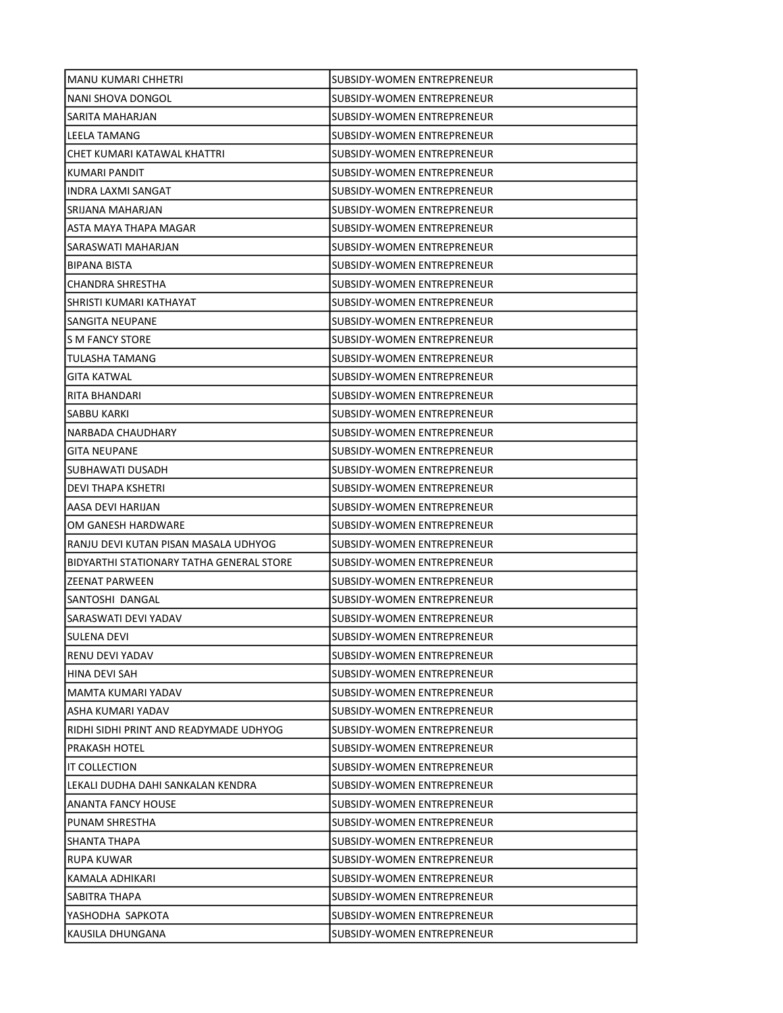| MANU KUMARI CHHETRI                      | SUBSIDY-WOMEN ENTREPRENEUR        |
|------------------------------------------|-----------------------------------|
| NANI SHOVA DONGOL                        | SUBSIDY-WOMEN ENTREPRENEUR        |
| SARITA MAHARJAN                          | SUBSIDY-WOMEN ENTREPRENEUR        |
| LEELA TAMANG                             | SUBSIDY-WOMEN ENTREPRENEUR        |
| CHET KUMARI KATAWAL KHATTRI              | SUBSIDY-WOMEN ENTREPRENEUR        |
| KUMARI PANDIT                            | SUBSIDY-WOMEN ENTREPRENEUR        |
| INDRA LAXMI SANGAT                       | SUBSIDY-WOMEN ENTREPRENEUR        |
| SRIJANA MAHARJAN                         | SUBSIDY-WOMEN ENTREPRENEUR        |
| ASTA MAYA THAPA MAGAR                    | SUBSIDY-WOMEN ENTREPRENEUR        |
| SARASWATI MAHARJAN                       | SUBSIDY-WOMEN ENTREPRENEUR        |
| <b>BIPANA BISTA</b>                      | SUBSIDY-WOMEN ENTREPRENEUR        |
| CHANDRA SHRESTHA                         | SUBSIDY-WOMEN ENTREPRENEUR        |
| SHRISTI KUMARI KATHAYAT                  | SUBSIDY-WOMEN ENTREPRENEUR        |
| SANGITA NEUPANE                          | SUBSIDY-WOMEN ENTREPRENEUR        |
| S M FANCY STORE                          | SUBSIDY-WOMEN ENTREPRENEUR        |
| TULASHA TAMANG                           | SUBSIDY-WOMEN ENTREPRENEUR        |
| <b>GITA KATWAL</b>                       | SUBSIDY-WOMEN ENTREPRENEUR        |
| RITA BHANDARI                            | SUBSIDY-WOMEN ENTREPRENEUR        |
| SABBU KARKI                              | SUBSIDY-WOMEN ENTREPRENEUR        |
| NARBADA CHAUDHARY                        | SUBSIDY-WOMEN ENTREPRENEUR        |
| <b>GITA NEUPANE</b>                      | SUBSIDY-WOMEN ENTREPRENEUR        |
| SUBHAWATI DUSADH                         | SUBSIDY-WOMEN ENTREPRENEUR        |
| DEVI THAPA KSHETRI                       | SUBSIDY-WOMEN ENTREPRENEUR        |
| AASA DEVI HARIJAN                        | SUBSIDY-WOMEN ENTREPRENEUR        |
| OM GANESH HARDWARE                       | SUBSIDY-WOMEN ENTREPRENEUR        |
| RANJU DEVI KUTAN PISAN MASALA UDHYOG     | SUBSIDY-WOMEN ENTREPRENEUR        |
| BIDYARTHI STATIONARY TATHA GENERAL STORE | SUBSIDY-WOMEN ENTREPRENEUR        |
| ZEENAT PARWEEN                           | SUBSIDY-WOMEN ENTREPRENEUR        |
| SANTOSHI DANGAL                          | SUBSIDY-WOMEN ENTREPRENEUR        |
| SARASWATI DEVI YADAV                     | SUBSIDY-WOMEN ENTREPRENEUR        |
| SULENA DEVI                              | SUBSIDY-WOMEN ENTREPRENEUR        |
| RENU DEVI YADAV                          | SUBSIDY-WOMEN ENTREPRENEUR        |
| HINA DEVI SAH                            | SUBSIDY-WOMEN ENTREPRENEUR        |
| MAMTA KUMARI YADAV                       | SUBSIDY-WOMEN ENTREPRENEUR        |
| ASHA KUMARI YADAV                        | SUBSIDY-WOMEN ENTREPRENEUR        |
| RIDHI SIDHI PRINT AND READYMADE UDHYOG   | SUBSIDY-WOMEN ENTREPRENEUR        |
| PRAKASH HOTEL                            | SUBSIDY-WOMEN ENTREPRENEUR        |
| IT COLLECTION                            | SUBSIDY-WOMEN ENTREPRENEUR        |
| LEKALI DUDHA DAHI SANKALAN KENDRA        | SUBSIDY-WOMEN ENTREPRENEUR        |
| ANANTA FANCY HOUSE                       | <b>SUBSIDY-WOMEN ENTREPRENEUR</b> |
| PUNAM SHRESTHA                           | SUBSIDY-WOMEN ENTREPRENEUR        |
| SHANTA THAPA                             | SUBSIDY-WOMEN ENTREPRENEUR        |
| RUPA KUWAR                               | SUBSIDY-WOMEN ENTREPRENEUR        |
| KAMALA ADHIKARI                          | SUBSIDY-WOMEN ENTREPRENEUR        |
| SABITRA THAPA                            | SUBSIDY-WOMEN ENTREPRENEUR        |
| YASHODHA SAPKOTA                         | SUBSIDY-WOMEN ENTREPRENEUR        |
| KAUSILA DHUNGANA                         | SUBSIDY-WOMEN ENTREPRENEUR        |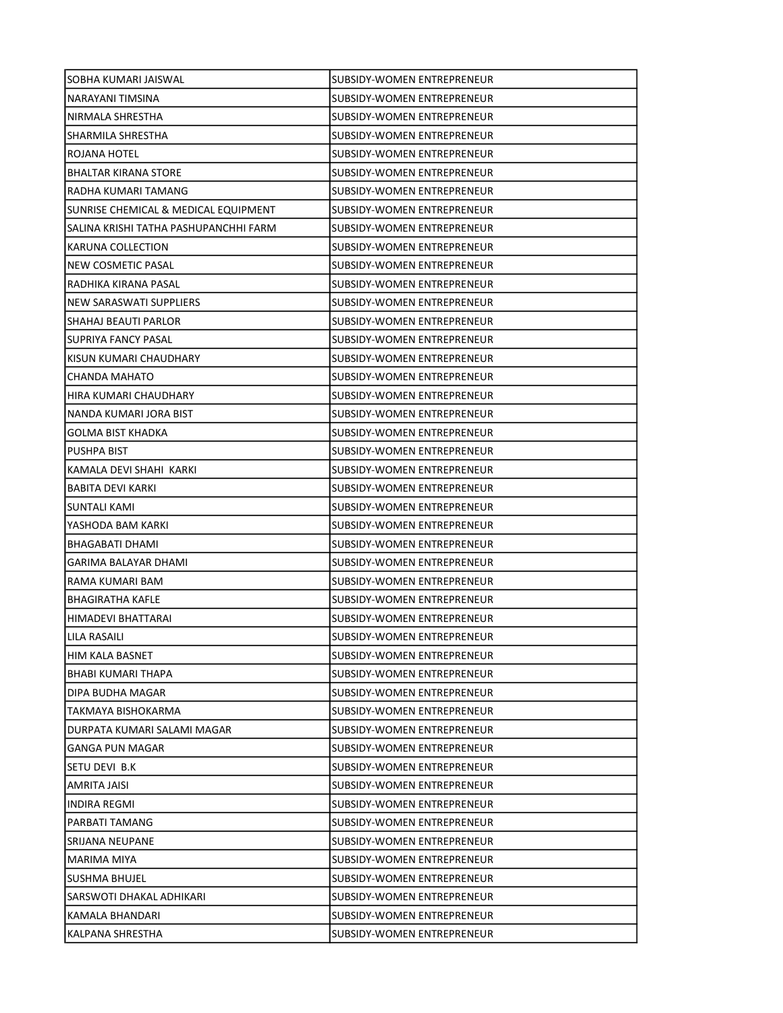| SOBHA KUMARI JAISWAL                  | SUBSIDY-WOMEN ENTREPRENEUR        |
|---------------------------------------|-----------------------------------|
| NARAYANI TIMSINA                      | SUBSIDY-WOMEN ENTREPRENEUR        |
| NIRMALA SHRESTHA                      | SUBSIDY-WOMEN ENTREPRENEUR        |
| SHARMILA SHRESTHA                     | SUBSIDY-WOMEN ENTREPRENEUR        |
| ROJANA HOTEL                          | SUBSIDY-WOMEN ENTREPRENEUR        |
| BHALTAR KIRANA STORE                  | SUBSIDY-WOMEN ENTREPRENEUR        |
| RADHA KUMARI TAMANG                   | SUBSIDY-WOMEN ENTREPRENEUR        |
| SUNRISE CHEMICAL & MEDICAL EQUIPMENT  | SUBSIDY-WOMEN ENTREPRENEUR        |
| SALINA KRISHI TATHA PASHUPANCHHI FARM | SUBSIDY-WOMEN ENTREPRENEUR        |
| KARUNA COLLECTION                     | SUBSIDY-WOMEN ENTREPRENEUR        |
| NEW COSMETIC PASAL                    | SUBSIDY-WOMEN ENTREPRENEUR        |
| RADHIKA KIRANA PASAL                  | SUBSIDY-WOMEN ENTREPRENEUR        |
| NEW SARASWATI SUPPLIERS               | SUBSIDY-WOMEN ENTREPRENEUR        |
| ISHAHAJ BEAUTI PARLOR                 | SUBSIDY-WOMEN ENTREPRENEUR        |
| SUPRIYA FANCY PASAL                   | SUBSIDY-WOMEN ENTREPRENEUR        |
| KISUN KUMARI CHAUDHARY                | SUBSIDY-WOMEN ENTREPRENEUR        |
| CHANDA MAHATO                         | SUBSIDY-WOMEN ENTREPRENEUR        |
| HIRA KUMARI CHAUDHARY                 | SUBSIDY-WOMEN ENTREPRENEUR        |
| NANDA KUMARI JORA BIST                | SUBSIDY-WOMEN ENTREPRENEUR        |
| GOLMA BIST KHADKA                     | SUBSIDY-WOMEN ENTREPRENEUR        |
| PUSHPA BIST                           | SUBSIDY-WOMEN ENTREPRENEUR        |
| KAMALA DEVI SHAHI KARKI               | SUBSIDY-WOMEN ENTREPRENEUR        |
| BABITA DEVI KARKI                     | SUBSIDY-WOMEN ENTREPRENEUR        |
| SUNTALI KAMI                          | SUBSIDY-WOMEN ENTREPRENEUR        |
| YASHODA BAM KARKI                     | ISUBSIDY-WOMEN ENTREPRENEUR       |
| <b>BHAGABATI DHAMI</b>                | SUBSIDY-WOMEN ENTREPRENEUR        |
| GARIMA BALAYAR DHAMI                  | SUBSIDY-WOMEN ENTREPRENEUR        |
| RAMA KUMARI BAM                       | SUBSIDY-WOMEN ENTREPRENEUR        |
| <b>BHAGIRATHA KAFLE</b>               | <b>SUBSIDY-WOMEN ENTREPRENEUR</b> |
| HIMADEVI BHATTARAI                    | SUBSIDY-WOMEN ENTREPRENEUR        |
| LILA RASAILI                          | SUBSIDY-WOMEN ENTREPRENEUR        |
| HIM KALA BASNET                       | SUBSIDY-WOMEN ENTREPRENEUR        |
| BHABI KUMARI THAPA                    | SUBSIDY-WOMEN ENTREPRENEUR        |
| DIPA BUDHA MAGAR                      | SUBSIDY-WOMEN ENTREPRENEUR        |
| TAKMAYA BISHOKARMA                    | SUBSIDY-WOMEN ENTREPRENEUR        |
| DURPATA KUMARI SALAMI MAGAR           | <b>SUBSIDY-WOMEN ENTREPRENEUR</b> |
| GANGA PUN MAGAR                       | SUBSIDY-WOMEN ENTREPRENEUR        |
| SETU DEVI B.K                         | SUBSIDY-WOMEN ENTREPRENEUR        |
| AMRITA JAISI                          | SUBSIDY-WOMEN ENTREPRENEUR        |
| INDIRA REGMI                          | SUBSIDY-WOMEN ENTREPRENEUR        |
| PARBATI TAMANG                        | SUBSIDY-WOMEN ENTREPRENEUR        |
| SRIJANA NEUPANE                       | SUBSIDY-WOMEN ENTREPRENEUR        |
| MARIMA MIYA                           | SUBSIDY-WOMEN ENTREPRENEUR        |
| <b>SUSHMA BHUJEL</b>                  | SUBSIDY-WOMEN ENTREPRENEUR        |
| SARSWOTI DHAKAL ADHIKARI              | SUBSIDY-WOMEN ENTREPRENEUR        |
| KAMALA BHANDARI                       | SUBSIDY-WOMEN ENTREPRENEUR        |
| KALPANA SHRESTHA                      | SUBSIDY-WOMEN ENTREPRENEUR        |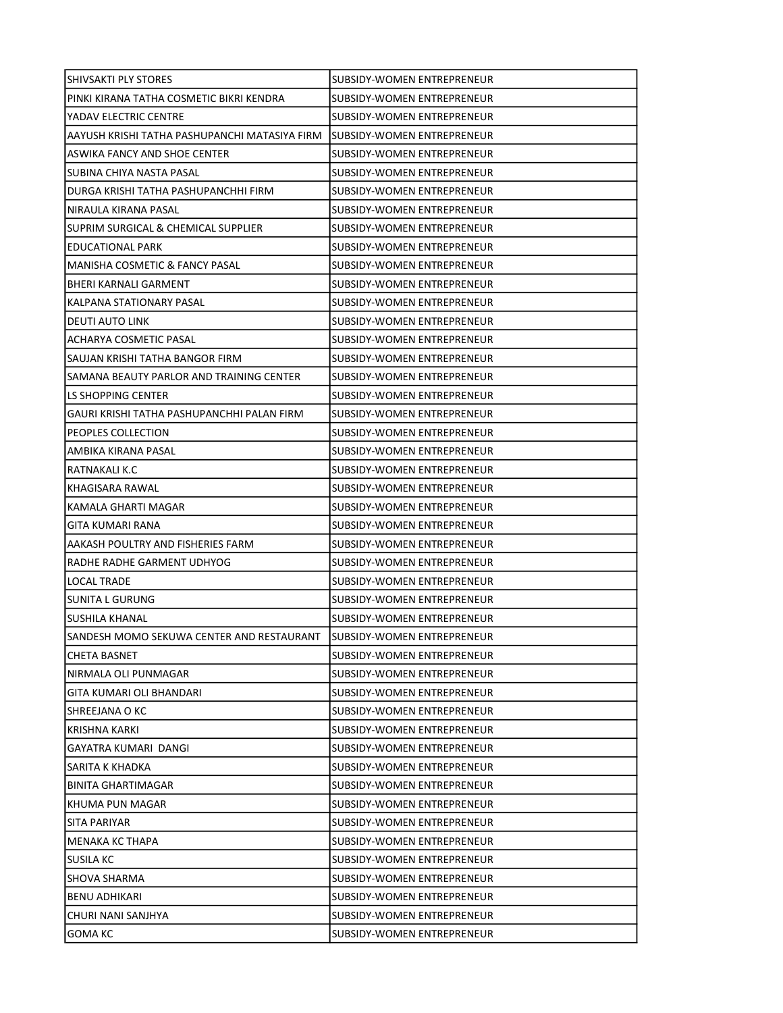| <b>SHIVSAKTI PLY STORES</b>                   | SUBSIDY-WOMEN ENTREPRENEUR        |
|-----------------------------------------------|-----------------------------------|
| PINKI KIRANA TATHA COSMETIC BIKRI KENDRA      | SUBSIDY-WOMEN ENTREPRENEUR        |
| YADAV ELECTRIC CENTRE                         | SUBSIDY-WOMEN ENTREPRENEUR        |
| AAYUSH KRISHI TATHA PASHUPANCHI MATASIYA FIRM | ISUBSIDY-WOMEN ENTREPRENEUR       |
| ASWIKA FANCY AND SHOE CENTER                  | <b>SUBSIDY-WOMEN ENTREPRENEUR</b> |
| SUBINA CHIYA NASTA PASAL                      | SUBSIDY-WOMEN ENTREPRENEUR        |
| DURGA KRISHI TATHA PASHUPANCHHI FIRM          | SUBSIDY-WOMEN ENTREPRENEUR        |
| NIRAULA KIRANA PASAL                          | SUBSIDY-WOMEN ENTREPRENEUR        |
| SUPRIM SURGICAL & CHEMICAL SUPPLIER           | SUBSIDY-WOMEN ENTREPRENEUR        |
| EDUCATIONAL PARK                              | SUBSIDY-WOMEN ENTREPRENEUR        |
| MANISHA COSMETIC & FANCY PASAL                | <b>SUBSIDY-WOMEN ENTREPRENEUR</b> |
| BHERI KARNALI GARMENT                         | SUBSIDY-WOMEN ENTREPRENEUR        |
| KALPANA STATIONARY PASAL                      | SUBSIDY-WOMEN ENTREPRENEUR        |
| <b>DEUTI AUTO LINK</b>                        | SUBSIDY-WOMEN ENTREPRENEUR        |
| ACHARYA COSMETIC PASAL                        | SUBSIDY-WOMEN ENTREPRENEUR        |
| SAUJAN KRISHI TATHA BANGOR FIRM               | SUBSIDY-WOMEN ENTREPRENEUR        |
| SAMANA BEAUTY PARLOR AND TRAINING CENTER      | SUBSIDY-WOMEN ENTREPRENEUR        |
| LS SHOPPING CENTER                            | SUBSIDY-WOMEN ENTREPRENEUR        |
| GAURI KRISHI TATHA PASHUPANCHHI PALAN FIRM    | SUBSIDY-WOMEN ENTREPRENEUR        |
| PEOPLES COLLECTION                            | SUBSIDY-WOMEN ENTREPRENEUR        |
| AMBIKA KIRANA PASAL                           | SUBSIDY-WOMEN ENTREPRENEUR        |
| RATNAKALI K.C                                 | SUBSIDY-WOMEN ENTREPRENEUR        |
| KHAGISARA RAWAL                               | SUBSIDY-WOMEN ENTREPRENEUR        |
| KAMALA GHARTI MAGAR                           | SUBSIDY-WOMEN ENTREPRENEUR        |
| GITA KUMARI RANA                              | SUBSIDY-WOMEN ENTREPRENEUR        |
| AAKASH POULTRY AND FISHERIES FARM             | SUBSIDY-WOMEN ENTREPRENEUR        |
| RADHE RADHE GARMENT UDHYOG                    | SUBSIDY-WOMEN ENTREPRENEUR        |
| LOCAL TRADE                                   | SUBSIDY-WOMEN ENTREPRENEUR        |
| SUNITA L GURUNG                               | SUBSIDY-WOMEN ENTREPRENEUR        |
| <b>SUSHILA KHANAL</b>                         | <b>SUBSIDY-WOMEN ENTREPRENEUR</b> |
| SANDESH MOMO SEKUWA CENTER AND RESTAURANT     | ISUBSIDY-WOMEN ENTREPRENEUR       |
| <b>CHETA BASNET</b>                           | SUBSIDY-WOMEN ENTREPRENEUR        |
| NIRMALA OLI PUNMAGAR                          | SUBSIDY-WOMEN ENTREPRENEUR        |
| GITA KUMARI OLI BHANDARI                      | SUBSIDY-WOMEN ENTREPRENEUR        |
| SHREEJANA O KC                                | SUBSIDY-WOMEN ENTREPRENEUR        |
| KRISHNA KARKI                                 | SUBSIDY-WOMEN ENTREPRENEUR        |
| GAYATRA KUMARI DANGI                          | SUBSIDY-WOMEN ENTREPRENEUR        |
| SARITA K KHADKA                               | SUBSIDY-WOMEN ENTREPRENEUR        |
| BINITA GHARTIMAGAR                            | <b>SUBSIDY-WOMEN ENTREPRENEUR</b> |
| KHUMA PUN MAGAR                               | SUBSIDY-WOMEN ENTREPRENEUR        |
| SITA PARIYAR                                  | SUBSIDY-WOMEN ENTREPRENEUR        |
| MENAKA KC THAPA                               | SUBSIDY-WOMEN ENTREPRENEUR        |
| <b>SUSILA KC</b>                              | SUBSIDY-WOMEN ENTREPRENEUR        |
| <b>SHOVA SHARMA</b>                           | SUBSIDY-WOMEN ENTREPRENEUR        |
| <b>BENU ADHIKARI</b>                          | SUBSIDY-WOMEN ENTREPRENEUR        |
| CHURI NANI SANJHYA                            | SUBSIDY-WOMEN ENTREPRENEUR        |
| GOMA KC                                       | SUBSIDY-WOMEN ENTREPRENEUR        |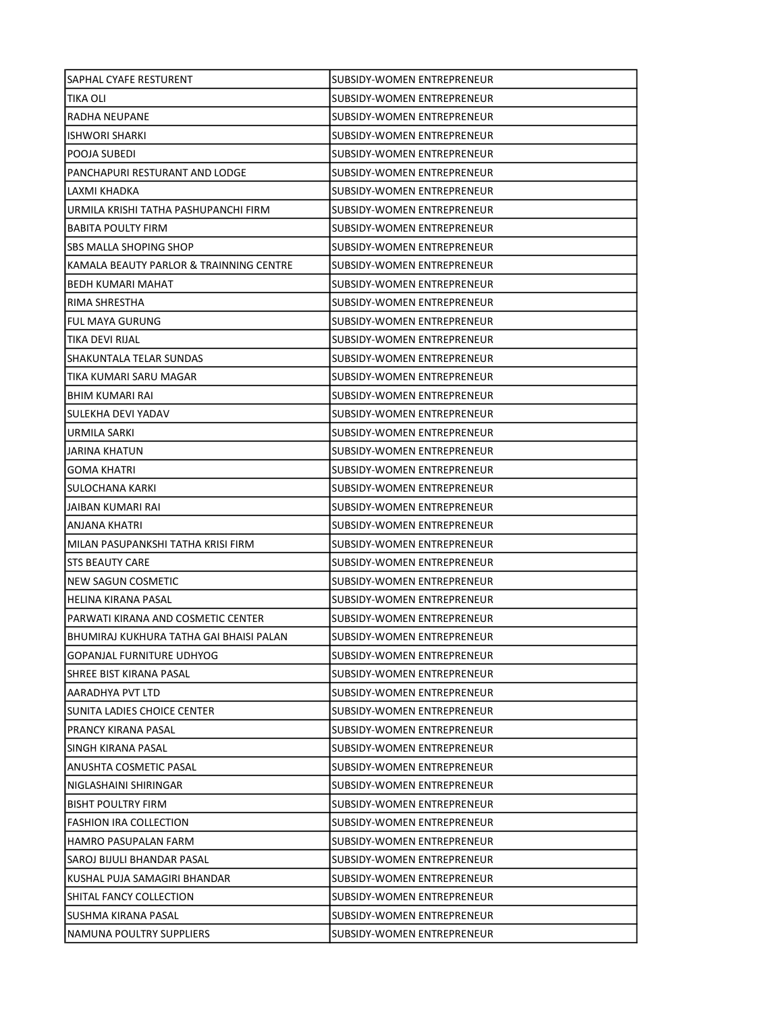| SAPHAL CYAFE RESTURENT                  | SUBSIDY-WOMEN ENTREPRENEUR        |
|-----------------------------------------|-----------------------------------|
| TIKA OLI                                | SUBSIDY-WOMEN ENTREPRENEUR        |
| <b>RADHA NEUPANE</b>                    | <b>SUBSIDY-WOMEN ENTREPRENEUR</b> |
| <b>ISHWORI SHARKI</b>                   | SUBSIDY-WOMEN ENTREPRENEUR        |
| POOJA SUBEDI                            | SUBSIDY-WOMEN ENTREPRENEUR        |
| PANCHAPURI RESTURANT AND LODGE          | SUBSIDY-WOMEN ENTREPRENEUR        |
| LAXMI KHADKA                            | SUBSIDY-WOMEN ENTREPRENEUR        |
| URMILA KRISHI TATHA PASHUPANCHI FIRM    | SUBSIDY-WOMEN ENTREPRENEUR        |
| <b>BABITA POULTY FIRM</b>               | SUBSIDY-WOMEN ENTREPRENEUR        |
| SBS MALLA SHOPING SHOP                  | SUBSIDY-WOMEN ENTREPRENEUR        |
| KAMALA BEAUTY PARLOR & TRAINNING CENTRE | SUBSIDY-WOMEN ENTREPRENEUR        |
| BEDH KUMARI MAHAT                       | SUBSIDY-WOMEN ENTREPRENEUR        |
| RIMA SHRESTHA                           | SUBSIDY-WOMEN ENTREPRENEUR        |
| <b>FUL MAYA GURUNG</b>                  | SUBSIDY-WOMEN ENTREPRENEUR        |
| TIKA DEVI RIJAL                         | SUBSIDY-WOMEN ENTREPRENEUR        |
| SHAKUNTALA TELAR SUNDAS                 | <b>SUBSIDY-WOMEN ENTREPRENEUR</b> |
| TIKA KUMARI SARU MAGAR                  | SUBSIDY-WOMEN ENTREPRENEUR        |
| BHIM KUMARI RAI                         | SUBSIDY-WOMEN ENTREPRENEUR        |
| SULEKHA DEVI YADAV                      | SUBSIDY-WOMEN ENTREPRENEUR        |
| URMILA SARKI                            | SUBSIDY-WOMEN ENTREPRENEUR        |
| JARINA KHATUN                           | SUBSIDY-WOMEN ENTREPRENEUR        |
| <b>GOMA KHATRI</b>                      | SUBSIDY-WOMEN ENTREPRENEUR        |
| <b>SULOCHANA KARKI</b>                  | SUBSIDY-WOMEN ENTREPRENEUR        |
| JAIBAN KUMARI RAI                       | SUBSIDY-WOMEN ENTREPRENEUR        |
| ANJANA KHATRI                           | SUBSIDY-WOMEN ENTREPRENEUR        |
| MILAN PASUPANKSHI TATHA KRISI FIRM      | SUBSIDY-WOMEN ENTREPRENEUR        |
| <b>STS BEAUTY CARE</b>                  | SUBSIDY-WOMEN ENTREPRENEUR        |
| <b>NEW SAGUN COSMETIC</b>               | SUBSIDY-WOMEN ENTREPRENEUR        |
| HELINA KIRANA PASAL                     | SUBSIDY-WOMEN ENTREPRENEUR        |
| PARWATI KIRANA AND COSMETIC CENTER      | SUBSIDY-WOMEN ENTREPRENEUR        |
| BHUMIRAJ KUKHURA TATHA GAI BHAISI PALAN | SUBSIDY-WOMEN ENTREPRENEUR        |
| <b>GOPANJAL FURNITURE UDHYOG</b>        | SUBSIDY-WOMEN ENTREPRENEUR        |
| SHREE BIST KIRANA PASAL                 | SUBSIDY-WOMEN ENTREPRENEUR        |
| AARADHYA PVT LTD                        | <b>SUBSIDY-WOMEN ENTREPRENEUR</b> |
| SUNITA LADIES CHOICE CENTER             | <b>SUBSIDY-WOMEN ENTREPRENEUR</b> |
| PRANCY KIRANA PASAL                     | SUBSIDY-WOMEN ENTREPRENEUR        |
| SINGH KIRANA PASAL                      | SUBSIDY-WOMEN ENTREPRENEUR        |
| ANUSHTA COSMETIC PASAL                  | SUBSIDY-WOMEN ENTREPRENEUR        |
| NIGLASHAINI SHIRINGAR                   | SUBSIDY-WOMEN ENTREPRENEUR        |
| <b>BISHT POULTRY FIRM</b>               | <b>SUBSIDY-WOMEN ENTREPRENEUR</b> |
| <b>FASHION IRA COLLECTION</b>           | SUBSIDY-WOMEN ENTREPRENEUR        |
| HAMRO PASUPALAN FARM                    | SUBSIDY-WOMEN ENTREPRENEUR        |
| SAROJ BIJULI BHANDAR PASAL              | SUBSIDY-WOMEN ENTREPRENEUR        |
| KUSHAL PUJA SAMAGIRI BHANDAR            | SUBSIDY-WOMEN ENTREPRENEUR        |
| SHITAL FANCY COLLECTION                 | SUBSIDY-WOMEN ENTREPRENEUR        |
| SUSHMA KIRANA PASAL                     | SUBSIDY-WOMEN ENTREPRENEUR        |
| NAMUNA POULTRY SUPPLIERS                | SUBSIDY-WOMEN ENTREPRENEUR        |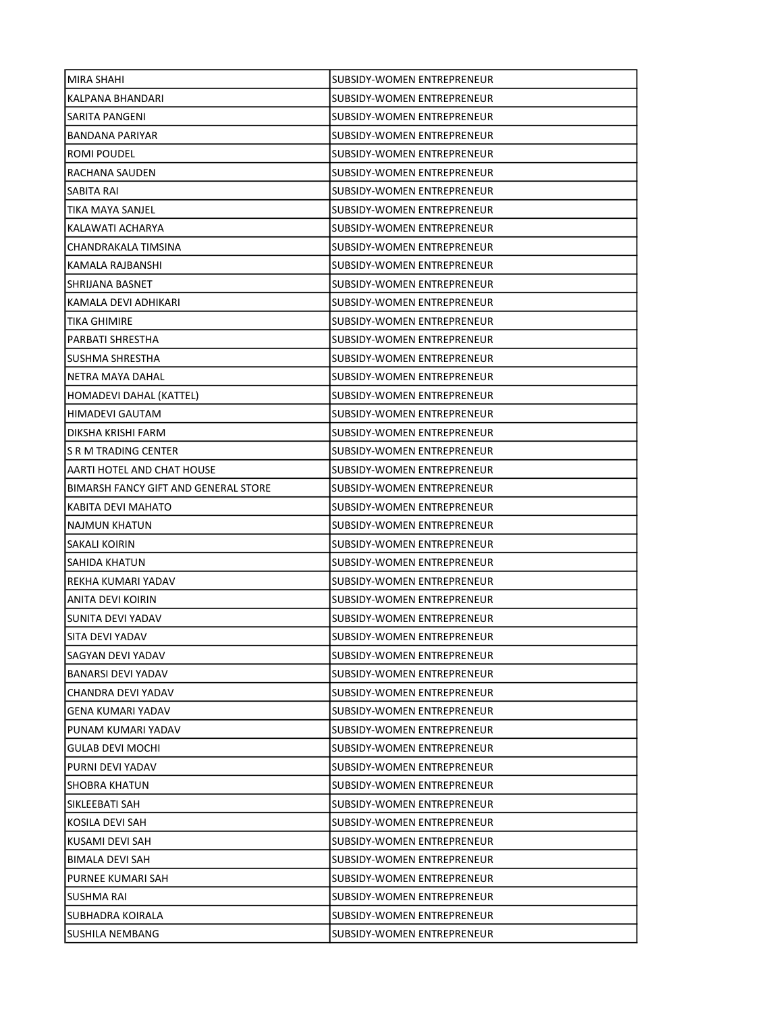| <b>MIRA SHAHI</b>                    | SUBSIDY-WOMEN ENTREPRENEUR        |
|--------------------------------------|-----------------------------------|
| KALPANA BHANDARI                     | SUBSIDY-WOMEN ENTREPRENEUR        |
| SARITA PANGENI                       | SUBSIDY-WOMEN ENTREPRENEUR        |
| <b>BANDANA PARIYAR</b>               | SUBSIDY-WOMEN ENTREPRENEUR        |
| ROMI POUDEL                          | SUBSIDY-WOMEN ENTREPRENEUR        |
| RACHANA SAUDEN                       | SUBSIDY-WOMEN ENTREPRENEUR        |
| SABITA RAI                           | SUBSIDY-WOMEN ENTREPRENEUR        |
| TIKA MAYA SANJEL                     | SUBSIDY-WOMEN ENTREPRENEUR        |
| KALAWATI ACHARYA                     | SUBSIDY-WOMEN ENTREPRENEUR        |
| CHANDRAKALA TIMSINA                  | SUBSIDY-WOMEN ENTREPRENEUR        |
| KAMALA RAJBANSHI                     | SUBSIDY-WOMEN ENTREPRENEUR        |
| SHRIJANA BASNET                      | SUBSIDY-WOMEN ENTREPRENEUR        |
| KAMALA DEVI ADHIKARI                 | SUBSIDY-WOMEN ENTREPRENEUR        |
| TIKA GHIMIRE                         | SUBSIDY-WOMEN ENTREPRENEUR        |
| PARBATI SHRESTHA                     | SUBSIDY-WOMEN ENTREPRENEUR        |
| SUSHMA SHRESTHA                      | SUBSIDY-WOMEN ENTREPRENEUR        |
| NETRA MAYA DAHAL                     | SUBSIDY-WOMEN ENTREPRENEUR        |
| HOMADEVI DAHAL (KATTEL)              | <b>SUBSIDY-WOMEN ENTREPRENEUR</b> |
| HIMADEVI GAUTAM                      | SUBSIDY-WOMEN ENTREPRENEUR        |
| DIKSHA KRISHI FARM                   | SUBSIDY-WOMEN ENTREPRENEUR        |
| IS R M TRADING CENTER                | SUBSIDY-WOMEN ENTREPRENEUR        |
| AARTI HOTEL AND CHAT HOUSE           | SUBSIDY-WOMEN ENTREPRENEUR        |
| BIMARSH FANCY GIFT AND GENERAL STORE | SUBSIDY-WOMEN ENTREPRENEUR        |
| KABITA DEVI MAHATO                   | SUBSIDY-WOMEN ENTREPRENEUR        |
| NAJMUN KHATUN                        | SUBSIDY-WOMEN ENTREPRENEUR        |
| SAKALI KOIRIN                        | SUBSIDY-WOMEN ENTREPRENEUR        |
| SAHIDA KHATUN                        | SUBSIDY-WOMEN ENTREPRENEUR        |
| REKHA KUMARI YADAV                   | SUBSIDY-WOMEN ENTREPRENEUR        |
| ANITA DEVI KOIRIN                    | SUBSIDY-WOMEN ENTREPRENEUR        |
| SUNITA DEVI YADAV                    | SUBSIDY-WOMEN ENTREPRENEUR        |
| ISITA DEVI YADAV                     | SUBSIDY-WOMEN ENTREPRENEUR        |
| SAGYAN DEVI YADAV                    | SUBSIDY-WOMEN ENTREPRENEUR        |
| BANARSI DEVI YADAV                   | SUBSIDY-WOMEN ENTREPRENEUR        |
| CHANDRA DEVI YADAV                   | <b>SUBSIDY-WOMEN ENTREPRENEUR</b> |
| <b>GENA KUMARI YADAV</b>             | SUBSIDY-WOMEN ENTREPRENEUR        |
| PUNAM KUMARI YADAV                   | SUBSIDY-WOMEN ENTREPRENEUR        |
| <b>GULAB DEVI MOCHI</b>              | SUBSIDY-WOMEN ENTREPRENEUR        |
| PURNI DEVI YADAV                     | SUBSIDY-WOMEN ENTREPRENEUR        |
| <b>SHOBRA KHATUN</b>                 | SUBSIDY-WOMEN ENTREPRENEUR        |
| SIKLEEBATI SAH                       | SUBSIDY-WOMEN ENTREPRENEUR        |
| KOSILA DEVI SAH                      | SUBSIDY-WOMEN ENTREPRENEUR        |
| KUSAMI DEVI SAH                      | SUBSIDY-WOMEN ENTREPRENEUR        |
| BIMALA DEVI SAH                      | SUBSIDY-WOMEN ENTREPRENEUR        |
| PURNEE KUMARI SAH                    | SUBSIDY-WOMEN ENTREPRENEUR        |
| SUSHMA RAI                           | SUBSIDY-WOMEN ENTREPRENEUR        |
| SUBHADRA KOIRALA                     | SUBSIDY-WOMEN ENTREPRENEUR        |
| SUSHILA NEMBANG                      | SUBSIDY-WOMEN ENTREPRENEUR        |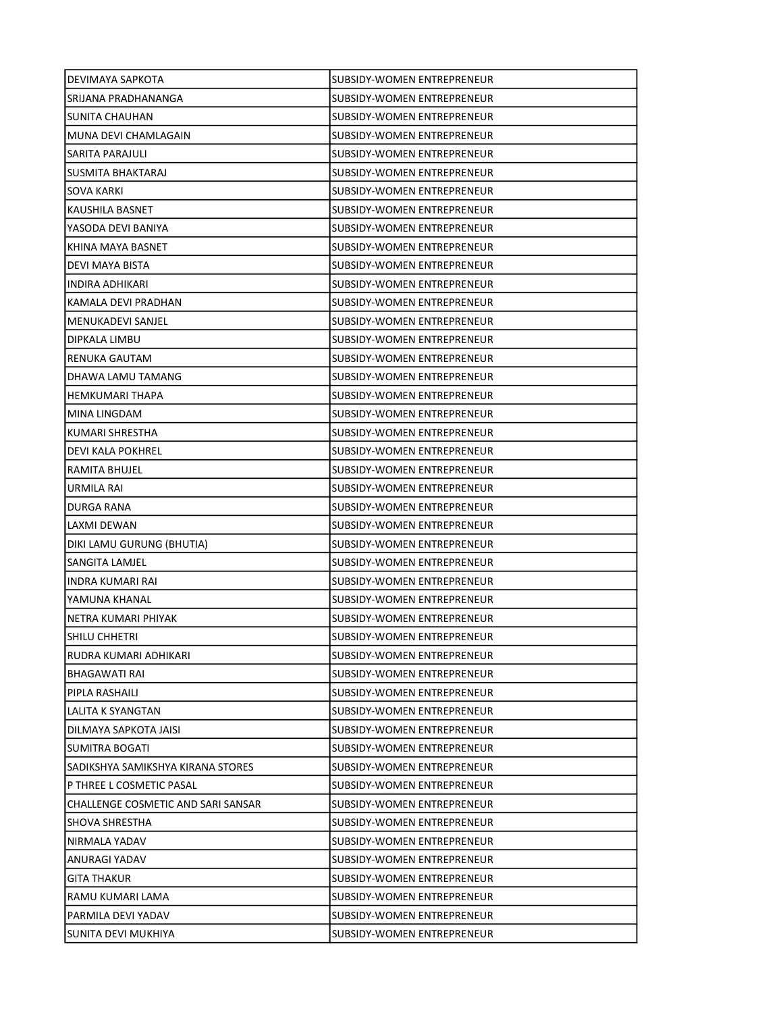| DEVIMAYA SAPKOTA                   | SUBSIDY-WOMEN ENTREPRENEUR        |
|------------------------------------|-----------------------------------|
| ISRIJANA PRADHANANGA               | SUBSIDY-WOMEN ENTREPRENEUR        |
| SUNITA CHAUHAN                     | SUBSIDY-WOMEN ENTREPRENEUR        |
| MUNA DEVI CHAMLAGAIN               | <b>SUBSIDY-WOMEN ENTREPRENEUR</b> |
| SARITA PARAJULI                    | SUBSIDY-WOMEN ENTREPRENEUR        |
| SUSMITA BHAKTARAJ                  | SUBSIDY-WOMEN ENTREPRENEUR        |
| SOVA KARKI                         | SUBSIDY-WOMEN ENTREPRENEUR        |
| KAUSHILA BASNET                    | SUBSIDY-WOMEN ENTREPRENEUR        |
| YASODA DEVI BANIYA                 | SUBSIDY-WOMEN ENTREPRENEUR        |
| KHINA MAYA BASNET                  | SUBSIDY-WOMEN ENTREPRENEUR        |
| DEVI MAYA BISTA                    | SUBSIDY-WOMEN ENTREPRENEUR        |
| INDIRA ADHIKARI                    | SUBSIDY-WOMEN ENTREPRENEUR        |
| KAMALA DEVI PRADHAN                | SUBSIDY-WOMEN ENTREPRENEUR        |
| MENUKADEVI SANJEL                  | SUBSIDY-WOMEN ENTREPRENEUR        |
| DIPKALA LIMBU                      | SUBSIDY-WOMEN ENTREPRENEUR        |
| <b>RENUKA GAUTAM</b>               | SUBSIDY-WOMEN ENTREPRENEUR        |
| DHAWA LAMU TAMANG                  | SUBSIDY-WOMEN ENTREPRENEUR        |
| <b>HEMKUMARI THAPA</b>             | <b>SUBSIDY-WOMEN ENTREPRENEUR</b> |
| MINA LINGDAM                       | SUBSIDY-WOMEN ENTREPRENEUR        |
| KUMARI SHRESTHA                    | SUBSIDY-WOMEN ENTREPRENEUR        |
| DEVI KALA POKHREL                  | SUBSIDY-WOMEN ENTREPRENEUR        |
| RAMITA BHUJEL                      | SUBSIDY-WOMEN ENTREPRENEUR        |
| URMILA RAI                         | SUBSIDY-WOMEN ENTREPRENEUR        |
| DURGA RANA                         | SUBSIDY-WOMEN ENTREPRENEUR        |
| LAXMI DEWAN                        | SUBSIDY-WOMEN ENTREPRENEUR        |
| DIKI LAMU GURUNG (BHUTIA)          | SUBSIDY-WOMEN ENTREPRENEUR        |
| SANGITA LAMJEL                     | SUBSIDY-WOMEN ENTREPRENEUR        |
| INDRA KUMARI RAI                   | <b>SUBSIDY-WOMEN ENTREPRENEUR</b> |
| YAMUNA KHANAL                      | SUBSIDY-WOMEN ENTREPRENEUR        |
| NETRA KUMARI PHIYAK                | SUBSIDY-WOMEN ENTREPRENEUR        |
| SHILU CHHETRI                      | <b>SUBSIDY-WOMEN ENTREPRENEUR</b> |
| RUDRA KUMARI ADHIKARI              | SUBSIDY-WOMEN ENTREPRENEUR        |
| BHAGAWATI RAI                      | SUBSIDY-WOMEN ENTREPRENEUR        |
| PIPLA RASHAILI                     | SUBSIDY-WOMEN ENTREPRENEUR        |
| LALITA K SYANGTAN                  | <b>SUBSIDY-WOMEN ENTREPRENEUR</b> |
| DILMAYA SAPKOTA JAISI              | SUBSIDY-WOMEN ENTREPRENEUR        |
| SUMITRA BOGATI                     | SUBSIDY-WOMEN ENTREPRENEUR        |
| SADIKSHYA SAMIKSHYA KIRANA STORES  | SUBSIDY-WOMEN ENTREPRENEUR        |
| P THREE L COSMETIC PASAL           | SUBSIDY-WOMEN ENTREPRENEUR        |
| CHALLENGE COSMETIC AND SARI SANSAR | <b>SUBSIDY-WOMEN ENTREPRENEUR</b> |
| SHOVA SHRESTHA                     | SUBSIDY-WOMEN ENTREPRENEUR        |
| NIRMALA YADAV                      | SUBSIDY-WOMEN ENTREPRENEUR        |
| ANURAGI YADAV                      | SUBSIDY-WOMEN ENTREPRENEUR        |
| <b>GITA THAKUR</b>                 | SUBSIDY-WOMEN ENTREPRENEUR        |
| RAMU KUMARI LAMA                   | SUBSIDY-WOMEN ENTREPRENEUR        |
| PARMILA DEVI YADAV                 | SUBSIDY-WOMEN ENTREPRENEUR        |
| SUNITA DEVI MUKHIYA                | SUBSIDY-WOMEN ENTREPRENEUR        |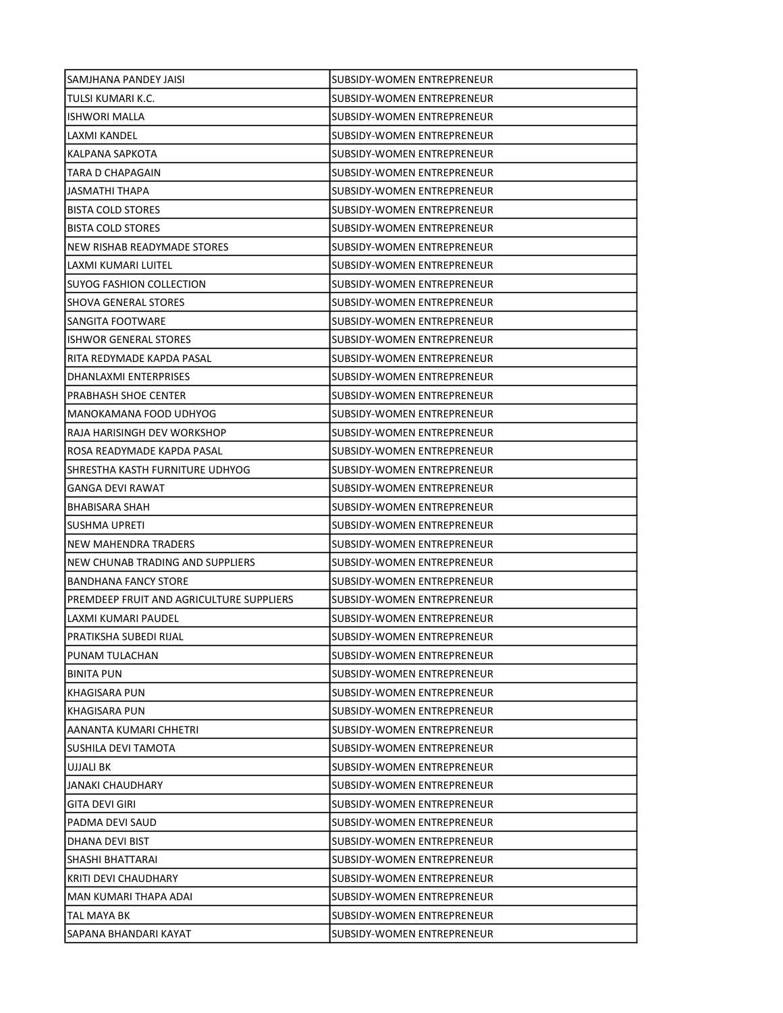| SAMJHANA PANDEY JAISI                    | SUBSIDY-WOMEN ENTREPRENEUR        |
|------------------------------------------|-----------------------------------|
| TULSI KUMARI K.C.                        | SUBSIDY-WOMEN ENTREPRENEUR        |
| <b>ISHWORI MALLA</b>                     | SUBSIDY-WOMEN ENTREPRENEUR        |
| LAXMI KANDEL                             | SUBSIDY-WOMEN ENTREPRENEUR        |
| KALPANA SAPKOTA                          | SUBSIDY-WOMEN ENTREPRENEUR        |
| TARA D CHAPAGAIN                         | SUBSIDY-WOMEN ENTREPRENEUR        |
| JASMATHI THAPA                           | SUBSIDY-WOMEN ENTREPRENEUR        |
| <b>BISTA COLD STORES</b>                 | SUBSIDY-WOMEN ENTREPRENEUR        |
| <b>BISTA COLD STORES</b>                 | SUBSIDY-WOMEN ENTREPRENEUR        |
| NEW RISHAB READYMADE STORES              | <b>SUBSIDY-WOMEN ENTREPRENEUR</b> |
| LAXMI KUMARI LUITEL                      | SUBSIDY-WOMEN ENTREPRENEUR        |
| SUYOG FASHION COLLECTION                 | SUBSIDY-WOMEN ENTREPRENEUR        |
| <b>SHOVA GENERAL STORES</b>              | SUBSIDY-WOMEN ENTREPRENEUR        |
| SANGITA FOOTWARE                         | SUBSIDY-WOMEN ENTREPRENEUR        |
| <b>ISHWOR GENERAL STORES</b>             | <b>SUBSIDY-WOMEN ENTREPRENEUR</b> |
| RITA REDYMADE KAPDA PASAL                | SUBSIDY-WOMEN ENTREPRENEUR        |
| DHANLAXMI ENTERPRISES                    | SUBSIDY-WOMEN ENTREPRENEUR        |
| PRABHASH SHOE CENTER                     | SUBSIDY-WOMEN ENTREPRENEUR        |
| MANOKAMANA FOOD UDHYOG                   | SUBSIDY-WOMEN ENTREPRENEUR        |
| RAJA HARISINGH DEV WORKSHOP              | SUBSIDY-WOMEN ENTREPRENEUR        |
| ROSA READYMADE KAPDA PASAL               | SUBSIDY-WOMEN ENTREPRENEUR        |
| SHRESTHA KASTH FURNITURE UDHYOG          | SUBSIDY-WOMEN ENTREPRENEUR        |
| <b>GANGA DEVI RAWAT</b>                  | SUBSIDY-WOMEN ENTREPRENEUR        |
| BHABISARA SHAH                           | SUBSIDY-WOMEN ENTREPRENEUR        |
| SUSHMA UPRETI                            | SUBSIDY-WOMEN ENTREPRENEUR        |
| NEW MAHENDRA TRADERS                     | SUBSIDY-WOMEN ENTREPRENEUR        |
| NEW CHUNAB TRADING AND SUPPLIERS         | SUBSIDY-WOMEN ENTREPRENEUR        |
| <b>BANDHANA FANCY STORE</b>              | ISUBSIDY-WOMEN ENTREPRENEUR       |
| PREMDEEP FRUIT AND AGRICULTURE SUPPLIERS | SUBSIDY-WOMEN ENTREPRENEUR        |
| LAXMI KUMARI PAUDEL                      | <b>SUBSIDY-WOMEN ENTREPRENEUR</b> |
| PRATIKSHA SUBEDI RIJAL                   | SUBSIDY-WOMEN ENTREPRENEUR        |
| PUNAM TULACHAN                           | SUBSIDY-WOMEN ENTREPRENEUR        |
| <b>BINITA PUN</b>                        | SUBSIDY-WOMEN ENTREPRENEUR        |
| KHAGISARA PUN                            | SUBSIDY-WOMEN ENTREPRENEUR        |
| <b>KHAGISARA PUN</b>                     | SUBSIDY-WOMEN ENTREPRENEUR        |
| AANANTA KUMARI CHHETRI                   | SUBSIDY-WOMEN ENTREPRENEUR        |
| SUSHILA DEVI TAMOTA                      | SUBSIDY-WOMEN ENTREPRENEUR        |
| UJJALI BK                                | SUBSIDY-WOMEN ENTREPRENEUR        |
| JANAKI CHAUDHARY                         | SUBSIDY-WOMEN ENTREPRENEUR        |
| GITA DEVI GIRI                           | SUBSIDY-WOMEN ENTREPRENEUR        |
| PADMA DEVI SAUD                          | SUBSIDY-WOMEN ENTREPRENEUR        |
| DHANA DEVI BIST                          | SUBSIDY-WOMEN ENTREPRENEUR        |
| SHASHI BHATTARAI                         | SUBSIDY-WOMEN ENTREPRENEUR        |
| KRITI DEVI CHAUDHARY                     | SUBSIDY-WOMEN ENTREPRENEUR        |
| MAN KUMARI THAPA ADAI                    | SUBSIDY-WOMEN ENTREPRENEUR        |
| TAL MAYA BK                              | SUBSIDY-WOMEN ENTREPRENEUR        |
| SAPANA BHANDARI KAYAT                    | SUBSIDY-WOMEN ENTREPRENEUR        |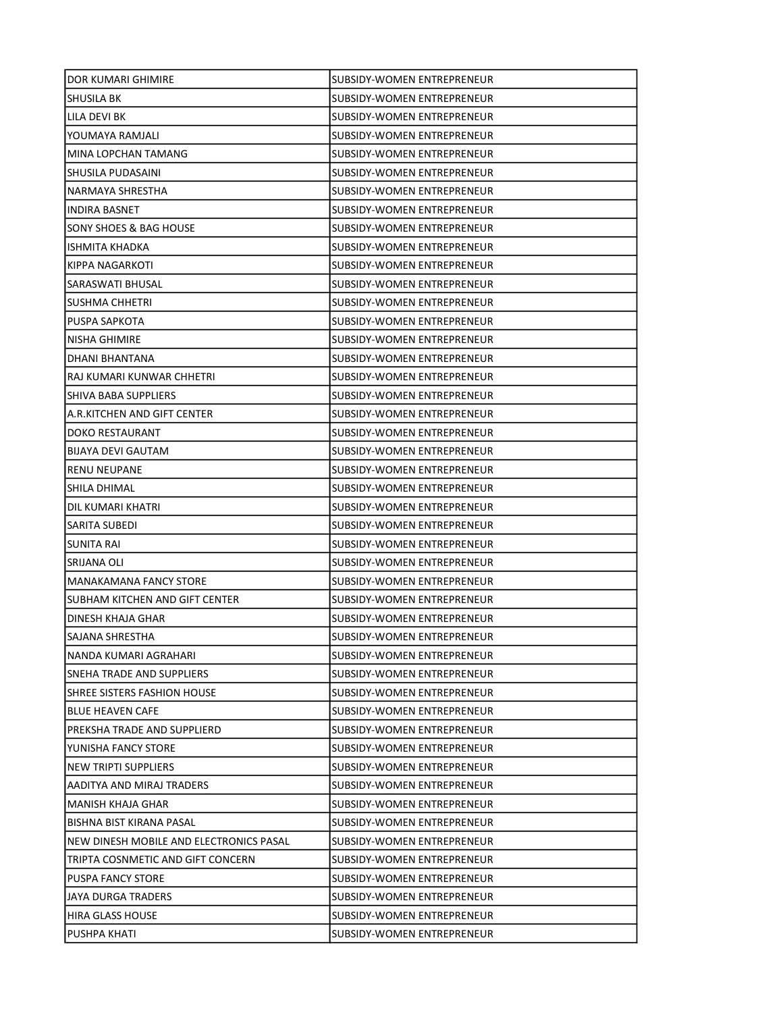| DOR KUMARI GHIMIRE                      | SUBSIDY-WOMEN ENTREPRENEUR        |
|-----------------------------------------|-----------------------------------|
| SHUSILA BK                              | SUBSIDY-WOMEN ENTREPRENEUR        |
| LILA DEVI BK                            | SUBSIDY-WOMEN ENTREPRENEUR        |
| YOUMAYA RAMJALI                         | SUBSIDY-WOMEN ENTREPRENEUR        |
| MINA LOPCHAN TAMANG                     | <b>SUBSIDY-WOMEN ENTREPRENEUR</b> |
| SHUSILA PUDASAINI                       | SUBSIDY-WOMEN ENTREPRENEUR        |
| NARMAYA SHRESTHA                        | SUBSIDY-WOMEN ENTREPRENEUR        |
| INDIRA BASNET                           | SUBSIDY-WOMEN ENTREPRENEUR        |
| SONY SHOES & BAG HOUSE                  | SUBSIDY-WOMEN ENTREPRENEUR        |
| ISHMITA KHADKA                          | SUBSIDY-WOMEN ENTREPRENEUR        |
| KIPPA NAGARKOTI                         | SUBSIDY-WOMEN ENTREPRENEUR        |
| SARASWATI BHUSAL                        | SUBSIDY-WOMEN ENTREPRENEUR        |
| <b>SUSHMA CHHETRI</b>                   | SUBSIDY-WOMEN ENTREPRENEUR        |
| PUSPA SAPKOTA                           | SUBSIDY-WOMEN ENTREPRENEUR        |
| <b>NISHA GHIMIRE</b>                    | SUBSIDY-WOMEN ENTREPRENEUR        |
| DHANI BHANTANA                          | SUBSIDY-WOMEN ENTREPRENEUR        |
| RAJ KUMARI KUNWAR CHHETRI               | SUBSIDY-WOMEN ENTREPRENEUR        |
| SHIVA BABA SUPPLIERS                    | SUBSIDY-WOMEN ENTREPRENEUR        |
| A.R.KITCHEN AND GIFT CENTER             | SUBSIDY-WOMEN ENTREPRENEUR        |
| DOKO RESTAURANT                         | <b>SUBSIDY-WOMEN ENTREPRENEUR</b> |
| <b>BIJAYA DEVI GAUTAM</b>               | SUBSIDY-WOMEN ENTREPRENEUR        |
| <b>RENU NEUPANE</b>                     | SUBSIDY-WOMEN ENTREPRENEUR        |
| SHILA DHIMAL                            | SUBSIDY-WOMEN ENTREPRENEUR        |
| DIL KUMARI KHATRI                       | SUBSIDY-WOMEN ENTREPRENEUR        |
| SARITA SUBEDI                           | SUBSIDY-WOMEN ENTREPRENEUR        |
| SUNITA RAI                              | SUBSIDY-WOMEN ENTREPRENEUR        |
| SRIJANA OLI                             | SUBSIDY-WOMEN ENTREPRENEUR        |
| <b>MANAKAMANA FANCY STORE</b>           | SUBSIDY-WOMEN ENTREPRENEUR        |
| SUBHAM KITCHEN AND GIFT CENTER          | SUBSIDY-WOMEN ENTREPRENEUR        |
| DINESH KHAJA GHAR                       | SUBSIDY-WOMEN ENTREPRENEUR        |
| SAJANA SHRESTHA                         | SUBSIDY-WOMEN ENTREPRENEUR        |
| NANDA KUMARI AGRAHARI                   | SUBSIDY-WOMEN ENTREPRENEUR        |
| SNEHA TRADE AND SUPPLIERS               | SUBSIDY-WOMEN ENTREPRENEUR        |
| SHREE SISTERS FASHION HOUSE             | SUBSIDY-WOMEN ENTREPRENEUR        |
| <b>BLUE HEAVEN CAFE</b>                 | SUBSIDY-WOMEN ENTREPRENEUR        |
| PREKSHA TRADE AND SUPPLIERD             | SUBSIDY-WOMEN ENTREPRENEUR        |
| YUNISHA FANCY STORE                     | SUBSIDY-WOMEN ENTREPRENEUR        |
| NEW TRIPTI SUPPLIERS                    | SUBSIDY-WOMEN ENTREPRENEUR        |
| AADITYA AND MIRAJ TRADERS               | SUBSIDY-WOMEN ENTREPRENEUR        |
| <b>MANISH KHAJA GHAR</b>                | SUBSIDY-WOMEN ENTREPRENEUR        |
| BISHNA BIST KIRANA PASAL                | SUBSIDY-WOMEN ENTREPRENEUR        |
| NEW DINESH MOBILE AND ELECTRONICS PASAL | SUBSIDY-WOMEN ENTREPRENEUR        |
| TRIPTA COSNMETIC AND GIFT CONCERN       | SUBSIDY-WOMEN ENTREPRENEUR        |
| <b>PUSPA FANCY STORE</b>                | SUBSIDY-WOMEN ENTREPRENEUR        |
| JAYA DURGA TRADERS                      | SUBSIDY-WOMEN ENTREPRENEUR        |
| <b>HIRA GLASS HOUSE</b>                 | SUBSIDY-WOMEN ENTREPRENEUR        |
| PUSHPA KHATI                            | <b>SUBSIDY-WOMEN ENTREPRENEUR</b> |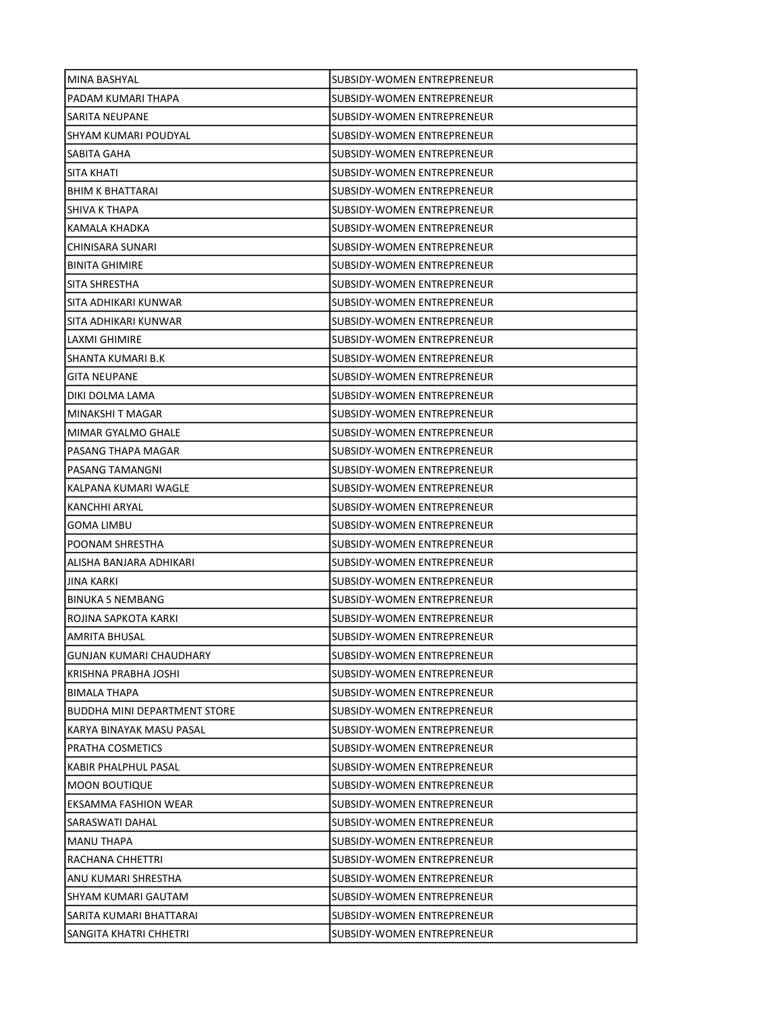| MINA BASHYAL                        | SUBSIDY-WOMEN ENTREPRENEUR        |
|-------------------------------------|-----------------------------------|
| PADAM KUMARI THAPA                  | SUBSIDY-WOMEN ENTREPRENEUR        |
| SARITA NEUPANE                      | SUBSIDY-WOMEN ENTREPRENEUR        |
| SHYAM KUMARI POUDYAL                | <b>SUBSIDY-WOMEN ENTREPRENEUR</b> |
| SABITA GAHA                         | SUBSIDY-WOMEN ENTREPRENEUR        |
| SITA KHATI                          | SUBSIDY-WOMEN ENTREPRENEUR        |
| <b>BHIM K BHATTARAI</b>             | SUBSIDY-WOMEN ENTREPRENEUR        |
| SHIVA K THAPA                       | SUBSIDY-WOMEN ENTREPRENEUR        |
| KAMALA KHADKA                       | SUBSIDY-WOMEN ENTREPRENEUR        |
| CHINISARA SUNARI                    | SUBSIDY-WOMEN ENTREPRENEUR        |
| <b>BINITA GHIMIRE</b>               | SUBSIDY-WOMEN ENTREPRENEUR        |
| SITA SHRESTHA                       | SUBSIDY-WOMEN ENTREPRENEUR        |
| SITA ADHIKARI KUNWAR                | SUBSIDY-WOMEN ENTREPRENEUR        |
| SITA ADHIKARI KUNWAR                | <b>SUBSIDY-WOMEN ENTREPRENEUR</b> |
| LAXMI GHIMIRE                       | SUBSIDY-WOMEN ENTREPRENEUR        |
| SHANTA KUMARI B.K                   | SUBSIDY-WOMEN ENTREPRENEUR        |
| <b>GITA NEUPANE</b>                 | SUBSIDY-WOMEN ENTREPRENEUR        |
| DIKI DOLMA LAMA                     | SUBSIDY-WOMEN ENTREPRENEUR        |
| MINAKSHI T MAGAR                    | SUBSIDY-WOMEN ENTREPRENEUR        |
| MIMAR GYALMO GHALE                  | SUBSIDY-WOMEN ENTREPRENEUR        |
| PASANG THAPA MAGAR                  | SUBSIDY-WOMEN ENTREPRENEUR        |
| PASANG TAMANGNI                     | SUBSIDY-WOMEN ENTREPRENEUR        |
| KALPANA KUMARI WAGLE                | SUBSIDY-WOMEN ENTREPRENEUR        |
| KANCHHI ARYAL                       | SUBSIDY-WOMEN ENTREPRENEUR        |
| GOMA LIMBU                          | SUBSIDY-WOMEN ENTREPRENEUR        |
| POONAM SHRESTHA                     | SUBSIDY-WOMEN ENTREPRENEUR        |
| ALISHA BANJARA ADHIKARI             | SUBSIDY-WOMEN ENTREPRENEUR        |
| <b>JINA KARKI</b>                   | SUBSIDY-WOMEN ENTREPRENEUR        |
| <b>BINUKA S NEMBANG</b>             | SUBSIDY-WOMEN ENTREPRENEUR        |
| ROJINA SAPKOTA KARKI                | SUBSIDY-WOMEN ENTREPRENEUR        |
| AMRITA BHUSAL                       | <b>SUBSIDY-WOMEN ENTREPRENEUR</b> |
| GUNJAN KUMARI CHAUDHARY             | <b>SUBSIDY-WOMEN ENTREPRENEUR</b> |
| KRISHNA PRABHA JOSHI                | SUBSIDY-WOMEN ENTREPRENEUR        |
| <b>BIMALA THAPA</b>                 | SUBSIDY-WOMEN ENTREPRENEUR        |
| <b>BUDDHA MINI DEPARTMENT STORE</b> | SUBSIDY-WOMEN ENTREPRENEUR        |
| KARYA BINAYAK MASU PASAL            | SUBSIDY-WOMEN ENTREPRENEUR        |
| PRATHA COSMETICS                    | SUBSIDY-WOMEN ENTREPRENEUR        |
| KABIR PHALPHUL PASAL                | SUBSIDY-WOMEN ENTREPRENEUR        |
| <b>MOON BOUTIQUE</b>                | SUBSIDY-WOMEN ENTREPRENEUR        |
| EKSAMMA FASHION WEAR                | SUBSIDY-WOMEN ENTREPRENEUR        |
| SARASWATI DAHAL                     | SUBSIDY-WOMEN ENTREPRENEUR        |
| <b>MANU THAPA</b>                   | SUBSIDY-WOMEN ENTREPRENEUR        |
| RACHANA CHHETTRI                    | SUBSIDY-WOMEN ENTREPRENEUR        |
| ANU KUMARI SHRESTHA                 | SUBSIDY-WOMEN ENTREPRENEUR        |
| SHYAM KUMARI GAUTAM                 | SUBSIDY-WOMEN ENTREPRENEUR        |
| SARITA KUMARI BHATTARAI             | SUBSIDY-WOMEN ENTREPRENEUR        |
| SANGITA KHATRI CHHETRI              | SUBSIDY-WOMEN ENTREPRENEUR        |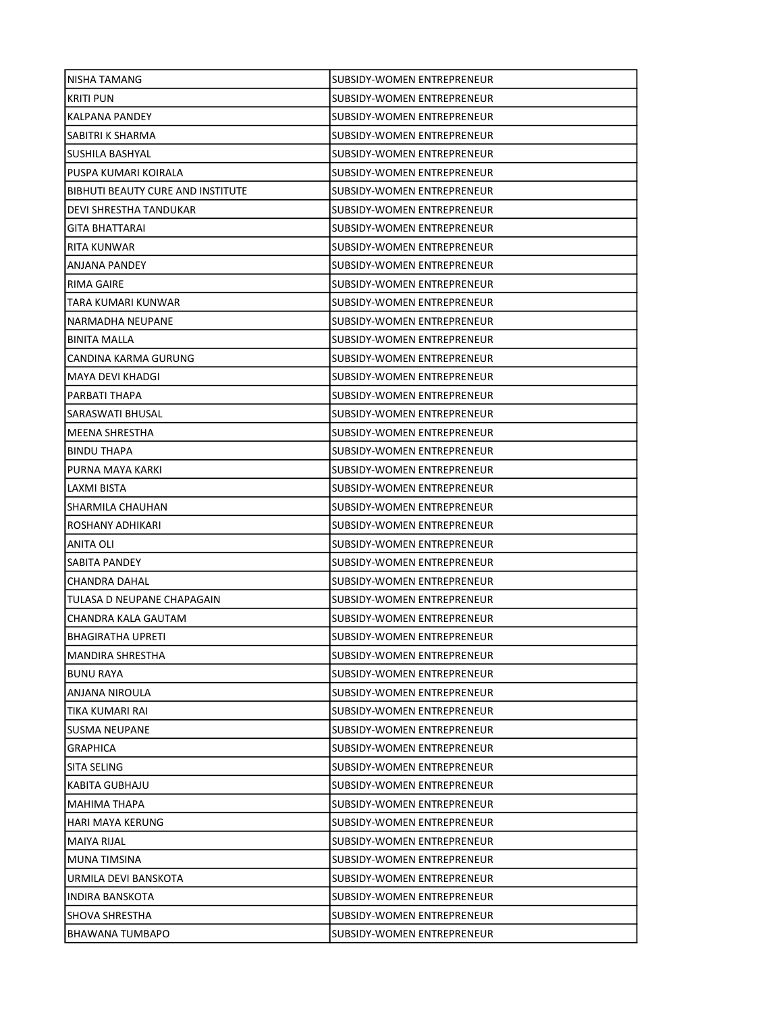| SUBSIDY-WOMEN ENTREPRENEUR<br>NISHA TAMANG<br><b>KRITI PUN</b><br>SUBSIDY-WOMEN ENTREPRENEUR<br><b>KALPANA PANDEY</b><br>SUBSIDY-WOMEN ENTREPRENEUR<br>SABITRI K SHARMA<br>SUBSIDY-WOMEN ENTREPRENEUR<br>SUSHILA BASHYAL<br><b>SUBSIDY-WOMEN ENTREPRENEUR</b><br>PUSPA KUMARI KOIRALA<br>SUBSIDY-WOMEN ENTREPRENEUR<br><b>BIBHUTI BEAUTY CURE AND INSTITUTE</b><br>SUBSIDY-WOMEN ENTREPRENEUR<br>DEVI SHRESTHA TANDUKAR<br>SUBSIDY-WOMEN ENTREPRENEUR<br>GITA BHATTARAI<br>SUBSIDY-WOMEN ENTREPRENEUR<br>RITA KUNWAR<br>SUBSIDY-WOMEN ENTREPRENEUR<br>ANJANA PANDEY<br>SUBSIDY-WOMEN ENTREPRENEUR<br>RIMA GAIRE<br>SUBSIDY-WOMEN ENTREPRENEUR<br>TARA KUMARI KUNWAR<br>SUBSIDY-WOMEN ENTREPRENEUR<br>SUBSIDY-WOMEN ENTREPRENEUR<br>NARMADHA NEUPANE<br><b>BINITA MALLA</b><br>SUBSIDY-WOMEN ENTREPRENEUR<br>CANDINA KARMA GURUNG<br>SUBSIDY-WOMEN ENTREPRENEUR<br>MAYA DEVI KHADGI<br>SUBSIDY-WOMEN ENTREPRENEUR<br>PARBATI THAPA<br>SUBSIDY-WOMEN ENTREPRENEUR<br>SUBSIDY-WOMEN ENTREPRENEUR<br>SARASWATI BHUSAL<br>MEENA SHRESTHA<br>SUBSIDY-WOMEN ENTREPRENEUR<br><b>BINDU THAPA</b><br>SUBSIDY-WOMEN ENTREPRENEUR<br>PURNA MAYA KARKI<br>SUBSIDY-WOMEN ENTREPRENEUR<br>LAXMI BISTA<br>SUBSIDY-WOMEN ENTREPRENEUR<br>SHARMILA CHAUHAN<br>SUBSIDY-WOMEN ENTREPRENEUR<br>ROSHANY ADHIKARI<br>SUBSIDY-WOMEN ENTREPRENEUR<br>ANITA OLI<br>SUBSIDY-WOMEN ENTREPRENEUR<br>SABITA PANDEY<br>SUBSIDY-WOMEN ENTREPRENEUR<br><b>CHANDRA DAHAL</b><br>SUBSIDY-WOMEN ENTREPRENEUR<br>TULASA D NEUPANE CHAPAGAIN<br>SUBSIDY-WOMEN ENTREPRENEUR<br>CHANDRA KALA GAUTAM<br>SUBSIDY-WOMEN ENTREPRENEUR<br><b>BHAGIRATHA UPRETI</b><br>SUBSIDY-WOMEN ENTREPRENEUR<br>SUBSIDY-WOMEN ENTREPRENEUR<br><b>MANDIRA SHRESTHA</b><br><b>BUNU RAYA</b><br>SUBSIDY-WOMEN ENTREPRENEUR<br>ANJANA NIROULA<br>SUBSIDY-WOMEN ENTREPRENEUR<br>TIKA KUMARI RAI<br>SUBSIDY-WOMEN ENTREPRENEUR<br>SUSMA NEUPANE<br>SUBSIDY-WOMEN ENTREPRENEUR<br><b>GRAPHICA</b><br>SUBSIDY-WOMEN ENTREPRENEUR<br>SITA SELING<br>SUBSIDY-WOMEN ENTREPRENEUR<br>KABITA GUBHAJU<br><b>SUBSIDY-WOMEN ENTREPRENEUR</b><br>MAHIMA THAPA<br>SUBSIDY-WOMEN ENTREPRENEUR<br>HARI MAYA KERUNG<br>SUBSIDY-WOMEN ENTREPRENEUR<br>MAIYA RIJAL<br>SUBSIDY-WOMEN ENTREPRENEUR<br>MUNA TIMSINA<br>SUBSIDY-WOMEN ENTREPRENEUR<br>URMILA DEVI BANSKOTA<br>SUBSIDY-WOMEN ENTREPRENEUR<br><b>INDIRA BANSKOTA</b><br>SUBSIDY-WOMEN ENTREPRENEUR<br>SHOVA SHRESTHA<br>SUBSIDY-WOMEN ENTREPRENEUR<br><b>BHAWANA TUMBAPO</b><br>SUBSIDY-WOMEN ENTREPRENEUR |  |
|--------------------------------------------------------------------------------------------------------------------------------------------------------------------------------------------------------------------------------------------------------------------------------------------------------------------------------------------------------------------------------------------------------------------------------------------------------------------------------------------------------------------------------------------------------------------------------------------------------------------------------------------------------------------------------------------------------------------------------------------------------------------------------------------------------------------------------------------------------------------------------------------------------------------------------------------------------------------------------------------------------------------------------------------------------------------------------------------------------------------------------------------------------------------------------------------------------------------------------------------------------------------------------------------------------------------------------------------------------------------------------------------------------------------------------------------------------------------------------------------------------------------------------------------------------------------------------------------------------------------------------------------------------------------------------------------------------------------------------------------------------------------------------------------------------------------------------------------------------------------------------------------------------------------------------------------------------------------------------------------------------------------------------------------------------------------------------------------------------------------------------------------------------------------------------------------------------------------------------------------------------------------------------------------------------------------------------------------------------------------------------------------------------------------------------------------------------------------------------------|--|
|                                                                                                                                                                                                                                                                                                                                                                                                                                                                                                                                                                                                                                                                                                                                                                                                                                                                                                                                                                                                                                                                                                                                                                                                                                                                                                                                                                                                                                                                                                                                                                                                                                                                                                                                                                                                                                                                                                                                                                                                                                                                                                                                                                                                                                                                                                                                                                                                                                                                                      |  |
|                                                                                                                                                                                                                                                                                                                                                                                                                                                                                                                                                                                                                                                                                                                                                                                                                                                                                                                                                                                                                                                                                                                                                                                                                                                                                                                                                                                                                                                                                                                                                                                                                                                                                                                                                                                                                                                                                                                                                                                                                                                                                                                                                                                                                                                                                                                                                                                                                                                                                      |  |
|                                                                                                                                                                                                                                                                                                                                                                                                                                                                                                                                                                                                                                                                                                                                                                                                                                                                                                                                                                                                                                                                                                                                                                                                                                                                                                                                                                                                                                                                                                                                                                                                                                                                                                                                                                                                                                                                                                                                                                                                                                                                                                                                                                                                                                                                                                                                                                                                                                                                                      |  |
|                                                                                                                                                                                                                                                                                                                                                                                                                                                                                                                                                                                                                                                                                                                                                                                                                                                                                                                                                                                                                                                                                                                                                                                                                                                                                                                                                                                                                                                                                                                                                                                                                                                                                                                                                                                                                                                                                                                                                                                                                                                                                                                                                                                                                                                                                                                                                                                                                                                                                      |  |
|                                                                                                                                                                                                                                                                                                                                                                                                                                                                                                                                                                                                                                                                                                                                                                                                                                                                                                                                                                                                                                                                                                                                                                                                                                                                                                                                                                                                                                                                                                                                                                                                                                                                                                                                                                                                                                                                                                                                                                                                                                                                                                                                                                                                                                                                                                                                                                                                                                                                                      |  |
|                                                                                                                                                                                                                                                                                                                                                                                                                                                                                                                                                                                                                                                                                                                                                                                                                                                                                                                                                                                                                                                                                                                                                                                                                                                                                                                                                                                                                                                                                                                                                                                                                                                                                                                                                                                                                                                                                                                                                                                                                                                                                                                                                                                                                                                                                                                                                                                                                                                                                      |  |
|                                                                                                                                                                                                                                                                                                                                                                                                                                                                                                                                                                                                                                                                                                                                                                                                                                                                                                                                                                                                                                                                                                                                                                                                                                                                                                                                                                                                                                                                                                                                                                                                                                                                                                                                                                                                                                                                                                                                                                                                                                                                                                                                                                                                                                                                                                                                                                                                                                                                                      |  |
|                                                                                                                                                                                                                                                                                                                                                                                                                                                                                                                                                                                                                                                                                                                                                                                                                                                                                                                                                                                                                                                                                                                                                                                                                                                                                                                                                                                                                                                                                                                                                                                                                                                                                                                                                                                                                                                                                                                                                                                                                                                                                                                                                                                                                                                                                                                                                                                                                                                                                      |  |
|                                                                                                                                                                                                                                                                                                                                                                                                                                                                                                                                                                                                                                                                                                                                                                                                                                                                                                                                                                                                                                                                                                                                                                                                                                                                                                                                                                                                                                                                                                                                                                                                                                                                                                                                                                                                                                                                                                                                                                                                                                                                                                                                                                                                                                                                                                                                                                                                                                                                                      |  |
|                                                                                                                                                                                                                                                                                                                                                                                                                                                                                                                                                                                                                                                                                                                                                                                                                                                                                                                                                                                                                                                                                                                                                                                                                                                                                                                                                                                                                                                                                                                                                                                                                                                                                                                                                                                                                                                                                                                                                                                                                                                                                                                                                                                                                                                                                                                                                                                                                                                                                      |  |
|                                                                                                                                                                                                                                                                                                                                                                                                                                                                                                                                                                                                                                                                                                                                                                                                                                                                                                                                                                                                                                                                                                                                                                                                                                                                                                                                                                                                                                                                                                                                                                                                                                                                                                                                                                                                                                                                                                                                                                                                                                                                                                                                                                                                                                                                                                                                                                                                                                                                                      |  |
|                                                                                                                                                                                                                                                                                                                                                                                                                                                                                                                                                                                                                                                                                                                                                                                                                                                                                                                                                                                                                                                                                                                                                                                                                                                                                                                                                                                                                                                                                                                                                                                                                                                                                                                                                                                                                                                                                                                                                                                                                                                                                                                                                                                                                                                                                                                                                                                                                                                                                      |  |
|                                                                                                                                                                                                                                                                                                                                                                                                                                                                                                                                                                                                                                                                                                                                                                                                                                                                                                                                                                                                                                                                                                                                                                                                                                                                                                                                                                                                                                                                                                                                                                                                                                                                                                                                                                                                                                                                                                                                                                                                                                                                                                                                                                                                                                                                                                                                                                                                                                                                                      |  |
|                                                                                                                                                                                                                                                                                                                                                                                                                                                                                                                                                                                                                                                                                                                                                                                                                                                                                                                                                                                                                                                                                                                                                                                                                                                                                                                                                                                                                                                                                                                                                                                                                                                                                                                                                                                                                                                                                                                                                                                                                                                                                                                                                                                                                                                                                                                                                                                                                                                                                      |  |
|                                                                                                                                                                                                                                                                                                                                                                                                                                                                                                                                                                                                                                                                                                                                                                                                                                                                                                                                                                                                                                                                                                                                                                                                                                                                                                                                                                                                                                                                                                                                                                                                                                                                                                                                                                                                                                                                                                                                                                                                                                                                                                                                                                                                                                                                                                                                                                                                                                                                                      |  |
|                                                                                                                                                                                                                                                                                                                                                                                                                                                                                                                                                                                                                                                                                                                                                                                                                                                                                                                                                                                                                                                                                                                                                                                                                                                                                                                                                                                                                                                                                                                                                                                                                                                                                                                                                                                                                                                                                                                                                                                                                                                                                                                                                                                                                                                                                                                                                                                                                                                                                      |  |
|                                                                                                                                                                                                                                                                                                                                                                                                                                                                                                                                                                                                                                                                                                                                                                                                                                                                                                                                                                                                                                                                                                                                                                                                                                                                                                                                                                                                                                                                                                                                                                                                                                                                                                                                                                                                                                                                                                                                                                                                                                                                                                                                                                                                                                                                                                                                                                                                                                                                                      |  |
|                                                                                                                                                                                                                                                                                                                                                                                                                                                                                                                                                                                                                                                                                                                                                                                                                                                                                                                                                                                                                                                                                                                                                                                                                                                                                                                                                                                                                                                                                                                                                                                                                                                                                                                                                                                                                                                                                                                                                                                                                                                                                                                                                                                                                                                                                                                                                                                                                                                                                      |  |
|                                                                                                                                                                                                                                                                                                                                                                                                                                                                                                                                                                                                                                                                                                                                                                                                                                                                                                                                                                                                                                                                                                                                                                                                                                                                                                                                                                                                                                                                                                                                                                                                                                                                                                                                                                                                                                                                                                                                                                                                                                                                                                                                                                                                                                                                                                                                                                                                                                                                                      |  |
|                                                                                                                                                                                                                                                                                                                                                                                                                                                                                                                                                                                                                                                                                                                                                                                                                                                                                                                                                                                                                                                                                                                                                                                                                                                                                                                                                                                                                                                                                                                                                                                                                                                                                                                                                                                                                                                                                                                                                                                                                                                                                                                                                                                                                                                                                                                                                                                                                                                                                      |  |
|                                                                                                                                                                                                                                                                                                                                                                                                                                                                                                                                                                                                                                                                                                                                                                                                                                                                                                                                                                                                                                                                                                                                                                                                                                                                                                                                                                                                                                                                                                                                                                                                                                                                                                                                                                                                                                                                                                                                                                                                                                                                                                                                                                                                                                                                                                                                                                                                                                                                                      |  |
|                                                                                                                                                                                                                                                                                                                                                                                                                                                                                                                                                                                                                                                                                                                                                                                                                                                                                                                                                                                                                                                                                                                                                                                                                                                                                                                                                                                                                                                                                                                                                                                                                                                                                                                                                                                                                                                                                                                                                                                                                                                                                                                                                                                                                                                                                                                                                                                                                                                                                      |  |
|                                                                                                                                                                                                                                                                                                                                                                                                                                                                                                                                                                                                                                                                                                                                                                                                                                                                                                                                                                                                                                                                                                                                                                                                                                                                                                                                                                                                                                                                                                                                                                                                                                                                                                                                                                                                                                                                                                                                                                                                                                                                                                                                                                                                                                                                                                                                                                                                                                                                                      |  |
|                                                                                                                                                                                                                                                                                                                                                                                                                                                                                                                                                                                                                                                                                                                                                                                                                                                                                                                                                                                                                                                                                                                                                                                                                                                                                                                                                                                                                                                                                                                                                                                                                                                                                                                                                                                                                                                                                                                                                                                                                                                                                                                                                                                                                                                                                                                                                                                                                                                                                      |  |
|                                                                                                                                                                                                                                                                                                                                                                                                                                                                                                                                                                                                                                                                                                                                                                                                                                                                                                                                                                                                                                                                                                                                                                                                                                                                                                                                                                                                                                                                                                                                                                                                                                                                                                                                                                                                                                                                                                                                                                                                                                                                                                                                                                                                                                                                                                                                                                                                                                                                                      |  |
|                                                                                                                                                                                                                                                                                                                                                                                                                                                                                                                                                                                                                                                                                                                                                                                                                                                                                                                                                                                                                                                                                                                                                                                                                                                                                                                                                                                                                                                                                                                                                                                                                                                                                                                                                                                                                                                                                                                                                                                                                                                                                                                                                                                                                                                                                                                                                                                                                                                                                      |  |
|                                                                                                                                                                                                                                                                                                                                                                                                                                                                                                                                                                                                                                                                                                                                                                                                                                                                                                                                                                                                                                                                                                                                                                                                                                                                                                                                                                                                                                                                                                                                                                                                                                                                                                                                                                                                                                                                                                                                                                                                                                                                                                                                                                                                                                                                                                                                                                                                                                                                                      |  |
|                                                                                                                                                                                                                                                                                                                                                                                                                                                                                                                                                                                                                                                                                                                                                                                                                                                                                                                                                                                                                                                                                                                                                                                                                                                                                                                                                                                                                                                                                                                                                                                                                                                                                                                                                                                                                                                                                                                                                                                                                                                                                                                                                                                                                                                                                                                                                                                                                                                                                      |  |
|                                                                                                                                                                                                                                                                                                                                                                                                                                                                                                                                                                                                                                                                                                                                                                                                                                                                                                                                                                                                                                                                                                                                                                                                                                                                                                                                                                                                                                                                                                                                                                                                                                                                                                                                                                                                                                                                                                                                                                                                                                                                                                                                                                                                                                                                                                                                                                                                                                                                                      |  |
|                                                                                                                                                                                                                                                                                                                                                                                                                                                                                                                                                                                                                                                                                                                                                                                                                                                                                                                                                                                                                                                                                                                                                                                                                                                                                                                                                                                                                                                                                                                                                                                                                                                                                                                                                                                                                                                                                                                                                                                                                                                                                                                                                                                                                                                                                                                                                                                                                                                                                      |  |
|                                                                                                                                                                                                                                                                                                                                                                                                                                                                                                                                                                                                                                                                                                                                                                                                                                                                                                                                                                                                                                                                                                                                                                                                                                                                                                                                                                                                                                                                                                                                                                                                                                                                                                                                                                                                                                                                                                                                                                                                                                                                                                                                                                                                                                                                                                                                                                                                                                                                                      |  |
|                                                                                                                                                                                                                                                                                                                                                                                                                                                                                                                                                                                                                                                                                                                                                                                                                                                                                                                                                                                                                                                                                                                                                                                                                                                                                                                                                                                                                                                                                                                                                                                                                                                                                                                                                                                                                                                                                                                                                                                                                                                                                                                                                                                                                                                                                                                                                                                                                                                                                      |  |
|                                                                                                                                                                                                                                                                                                                                                                                                                                                                                                                                                                                                                                                                                                                                                                                                                                                                                                                                                                                                                                                                                                                                                                                                                                                                                                                                                                                                                                                                                                                                                                                                                                                                                                                                                                                                                                                                                                                                                                                                                                                                                                                                                                                                                                                                                                                                                                                                                                                                                      |  |
|                                                                                                                                                                                                                                                                                                                                                                                                                                                                                                                                                                                                                                                                                                                                                                                                                                                                                                                                                                                                                                                                                                                                                                                                                                                                                                                                                                                                                                                                                                                                                                                                                                                                                                                                                                                                                                                                                                                                                                                                                                                                                                                                                                                                                                                                                                                                                                                                                                                                                      |  |
|                                                                                                                                                                                                                                                                                                                                                                                                                                                                                                                                                                                                                                                                                                                                                                                                                                                                                                                                                                                                                                                                                                                                                                                                                                                                                                                                                                                                                                                                                                                                                                                                                                                                                                                                                                                                                                                                                                                                                                                                                                                                                                                                                                                                                                                                                                                                                                                                                                                                                      |  |
|                                                                                                                                                                                                                                                                                                                                                                                                                                                                                                                                                                                                                                                                                                                                                                                                                                                                                                                                                                                                                                                                                                                                                                                                                                                                                                                                                                                                                                                                                                                                                                                                                                                                                                                                                                                                                                                                                                                                                                                                                                                                                                                                                                                                                                                                                                                                                                                                                                                                                      |  |
|                                                                                                                                                                                                                                                                                                                                                                                                                                                                                                                                                                                                                                                                                                                                                                                                                                                                                                                                                                                                                                                                                                                                                                                                                                                                                                                                                                                                                                                                                                                                                                                                                                                                                                                                                                                                                                                                                                                                                                                                                                                                                                                                                                                                                                                                                                                                                                                                                                                                                      |  |
|                                                                                                                                                                                                                                                                                                                                                                                                                                                                                                                                                                                                                                                                                                                                                                                                                                                                                                                                                                                                                                                                                                                                                                                                                                                                                                                                                                                                                                                                                                                                                                                                                                                                                                                                                                                                                                                                                                                                                                                                                                                                                                                                                                                                                                                                                                                                                                                                                                                                                      |  |
|                                                                                                                                                                                                                                                                                                                                                                                                                                                                                                                                                                                                                                                                                                                                                                                                                                                                                                                                                                                                                                                                                                                                                                                                                                                                                                                                                                                                                                                                                                                                                                                                                                                                                                                                                                                                                                                                                                                                                                                                                                                                                                                                                                                                                                                                                                                                                                                                                                                                                      |  |
|                                                                                                                                                                                                                                                                                                                                                                                                                                                                                                                                                                                                                                                                                                                                                                                                                                                                                                                                                                                                                                                                                                                                                                                                                                                                                                                                                                                                                                                                                                                                                                                                                                                                                                                                                                                                                                                                                                                                                                                                                                                                                                                                                                                                                                                                                                                                                                                                                                                                                      |  |
|                                                                                                                                                                                                                                                                                                                                                                                                                                                                                                                                                                                                                                                                                                                                                                                                                                                                                                                                                                                                                                                                                                                                                                                                                                                                                                                                                                                                                                                                                                                                                                                                                                                                                                                                                                                                                                                                                                                                                                                                                                                                                                                                                                                                                                                                                                                                                                                                                                                                                      |  |
|                                                                                                                                                                                                                                                                                                                                                                                                                                                                                                                                                                                                                                                                                                                                                                                                                                                                                                                                                                                                                                                                                                                                                                                                                                                                                                                                                                                                                                                                                                                                                                                                                                                                                                                                                                                                                                                                                                                                                                                                                                                                                                                                                                                                                                                                                                                                                                                                                                                                                      |  |
|                                                                                                                                                                                                                                                                                                                                                                                                                                                                                                                                                                                                                                                                                                                                                                                                                                                                                                                                                                                                                                                                                                                                                                                                                                                                                                                                                                                                                                                                                                                                                                                                                                                                                                                                                                                                                                                                                                                                                                                                                                                                                                                                                                                                                                                                                                                                                                                                                                                                                      |  |
|                                                                                                                                                                                                                                                                                                                                                                                                                                                                                                                                                                                                                                                                                                                                                                                                                                                                                                                                                                                                                                                                                                                                                                                                                                                                                                                                                                                                                                                                                                                                                                                                                                                                                                                                                                                                                                                                                                                                                                                                                                                                                                                                                                                                                                                                                                                                                                                                                                                                                      |  |
|                                                                                                                                                                                                                                                                                                                                                                                                                                                                                                                                                                                                                                                                                                                                                                                                                                                                                                                                                                                                                                                                                                                                                                                                                                                                                                                                                                                                                                                                                                                                                                                                                                                                                                                                                                                                                                                                                                                                                                                                                                                                                                                                                                                                                                                                                                                                                                                                                                                                                      |  |
|                                                                                                                                                                                                                                                                                                                                                                                                                                                                                                                                                                                                                                                                                                                                                                                                                                                                                                                                                                                                                                                                                                                                                                                                                                                                                                                                                                                                                                                                                                                                                                                                                                                                                                                                                                                                                                                                                                                                                                                                                                                                                                                                                                                                                                                                                                                                                                                                                                                                                      |  |
|                                                                                                                                                                                                                                                                                                                                                                                                                                                                                                                                                                                                                                                                                                                                                                                                                                                                                                                                                                                                                                                                                                                                                                                                                                                                                                                                                                                                                                                                                                                                                                                                                                                                                                                                                                                                                                                                                                                                                                                                                                                                                                                                                                                                                                                                                                                                                                                                                                                                                      |  |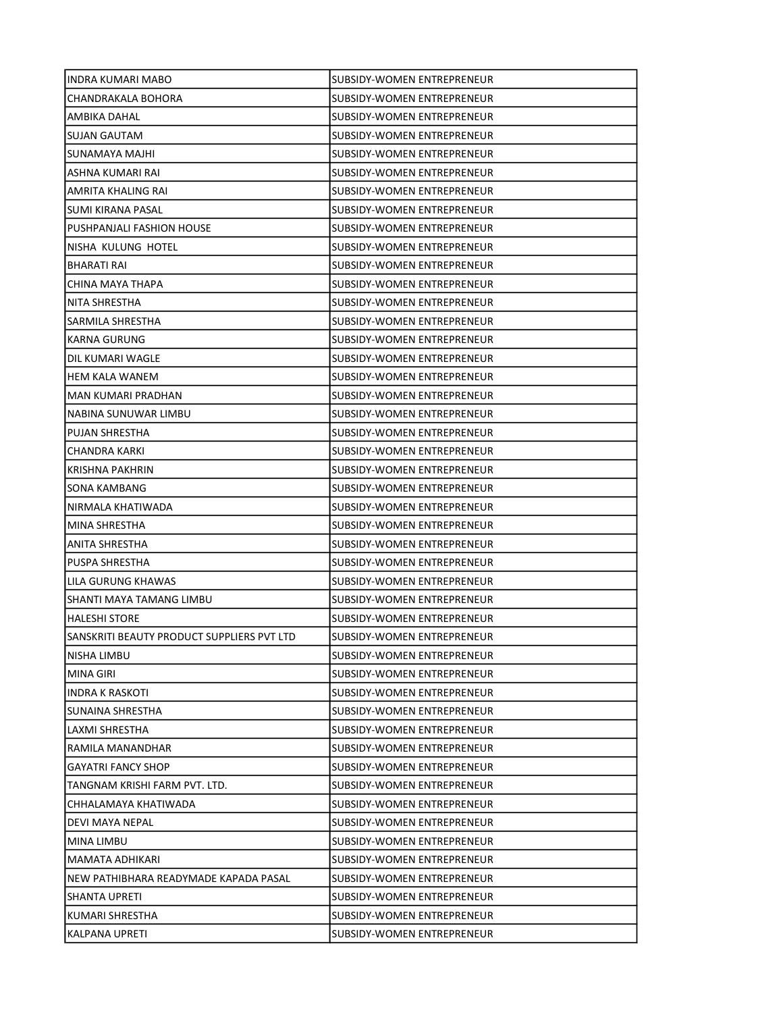| INDRA KUMARI MABO                          | SUBSIDY-WOMEN ENTREPRENEUR        |
|--------------------------------------------|-----------------------------------|
| CHANDRAKALA BOHORA                         | SUBSIDY-WOMEN ENTREPRENEUR        |
| AMBIKA DAHAL                               | SUBSIDY-WOMEN ENTREPRENEUR        |
| <b>SUJAN GAUTAM</b>                        | SUBSIDY-WOMEN ENTREPRENEUR        |
| SUNAMAYA MAJHI                             | SUBSIDY-WOMEN ENTREPRENEUR        |
| ASHNA KUMARI RAI                           | SUBSIDY-WOMEN ENTREPRENEUR        |
| AMRITA KHALING RAI                         | SUBSIDY-WOMEN ENTREPRENEUR        |
| SUMI KIRANA PASAL                          | SUBSIDY-WOMEN ENTREPRENEUR        |
| PUSHPANJALI FASHION HOUSE                  | SUBSIDY-WOMEN ENTREPRENEUR        |
| NISHA KULUNG HOTEL                         | SUBSIDY-WOMEN ENTREPRENEUR        |
| <b>BHARATI RAI</b>                         | SUBSIDY-WOMEN ENTREPRENEUR        |
| CHINA MAYA THAPA                           | SUBSIDY-WOMEN ENTREPRENEUR        |
| NITA SHRESTHA                              | SUBSIDY-WOMEN ENTREPRENEUR        |
| SARMILA SHRESTHA                           | SUBSIDY-WOMEN ENTREPRENEUR        |
| KARNA GURUNG                               | SUBSIDY-WOMEN ENTREPRENEUR        |
| DIL KUMARI WAGLE                           | SUBSIDY-WOMEN ENTREPRENEUR        |
| <b>HEM KALA WANEM</b>                      | SUBSIDY-WOMEN ENTREPRENEUR        |
| <b>MAN KUMARI PRADHAN</b>                  | SUBSIDY-WOMEN ENTREPRENEUR        |
| NABINA SUNUWAR LIMBU                       | <b>SUBSIDY-WOMEN ENTREPRENEUR</b> |
| PUJAN SHRESTHA                             | SUBSIDY-WOMEN ENTREPRENEUR        |
| CHANDRA KARKI                              | SUBSIDY-WOMEN ENTREPRENEUR        |
| KRISHNA PAKHRIN                            | SUBSIDY-WOMEN ENTREPRENEUR        |
| SONA KAMBANG                               | SUBSIDY-WOMEN ENTREPRENEUR        |
| NIRMALA KHATIWADA                          | SUBSIDY-WOMEN ENTREPRENEUR        |
| MINA SHRESTHA                              | SUBSIDY-WOMEN ENTREPRENEUR        |
| ANITA SHRESTHA                             | SUBSIDY-WOMEN ENTREPRENEUR        |
| PUSPA SHRESTHA                             | SUBSIDY-WOMEN ENTREPRENEUR        |
| LILA GURUNG KHAWAS                         | <b>SUBSIDY-WOMEN ENTREPRENEUR</b> |
| SHANTI MAYA TAMANG LIMBU                   | SUBSIDY-WOMEN ENTREPRENEUR        |
| <b>HALESHI STORE</b>                       | SUBSIDY-WOMEN ENTREPRENEUR        |
| SANSKRITI BEAUTY PRODUCT SUPPLIERS PVT LTD | SUBSIDY-WOMEN ENTREPRENEUR        |
| <b>NISHA LIMBU</b>                         | SUBSIDY-WOMEN ENTREPRENEUR        |
| <b>MINA GIRI</b>                           | SUBSIDY-WOMEN ENTREPRENEUR        |
| <b>INDRA K RASKOTI</b>                     | SUBSIDY-WOMEN ENTREPRENEUR        |
| SUNAINA SHRESTHA                           | <b>SUBSIDY-WOMEN ENTREPRENEUR</b> |
| LAXMI SHRESTHA                             | SUBSIDY-WOMEN ENTREPRENEUR        |
| RAMILA MANANDHAR                           | SUBSIDY-WOMEN ENTREPRENEUR        |
| <b>GAYATRI FANCY SHOP</b>                  | SUBSIDY-WOMEN ENTREPRENEUR        |
| TANGNAM KRISHI FARM PVT. LTD.              | SUBSIDY-WOMEN ENTREPRENEUR        |
| CHHALAMAYA KHATIWADA                       | SUBSIDY-WOMEN ENTREPRENEUR        |
| DEVI MAYA NEPAL                            | SUBSIDY-WOMEN ENTREPRENEUR        |
| MINA LIMBU                                 | SUBSIDY-WOMEN ENTREPRENEUR        |
| MAMATA ADHIKARI                            | SUBSIDY-WOMEN ENTREPRENEUR        |
| NEW PATHIBHARA READYMADE KAPADA PASAL      | SUBSIDY-WOMEN ENTREPRENEUR        |
| SHANTA UPRETI                              | SUBSIDY-WOMEN ENTREPRENEUR        |
| KUMARI SHRESTHA                            | SUBSIDY-WOMEN ENTREPRENEUR        |
| KALPANA UPRETI                             | SUBSIDY-WOMEN ENTREPRENEUR        |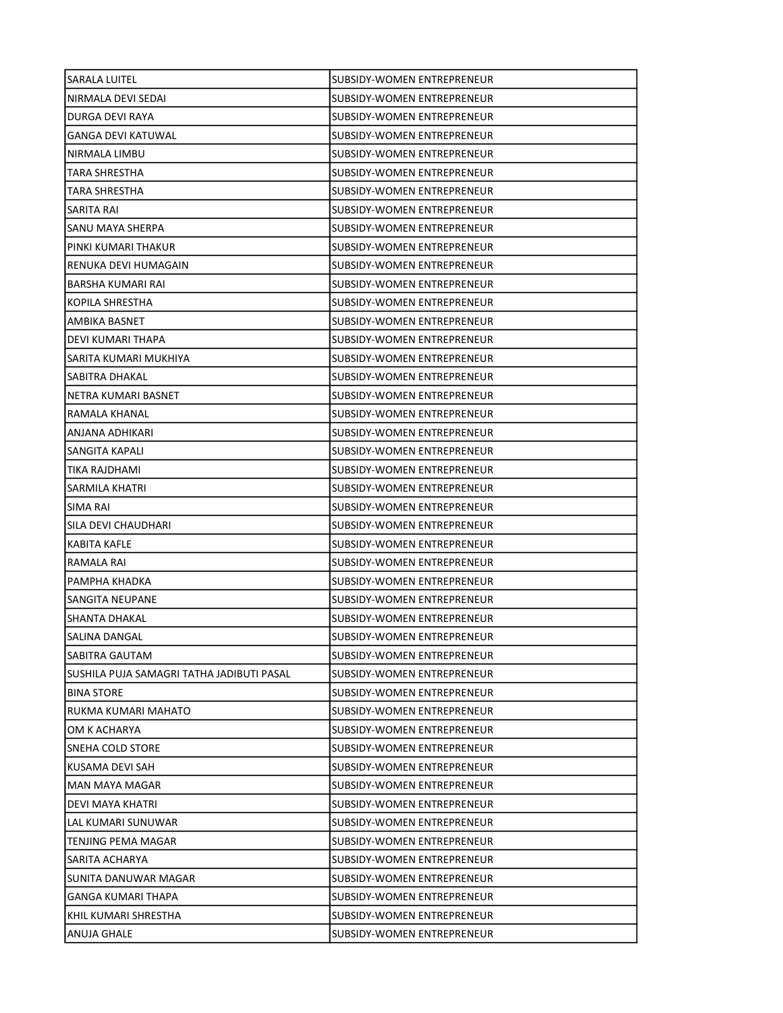| SARALA LUITEL                             | SUBSIDY-WOMEN ENTREPRENEUR        |
|-------------------------------------------|-----------------------------------|
| NIRMALA DEVI SEDAI                        | SUBSIDY-WOMEN ENTREPRENEUR        |
| DURGA DEVI RAYA                           | <b>SUBSIDY-WOMEN ENTREPRENEUR</b> |
| <b>GANGA DEVI KATUWAL</b>                 | SUBSIDY-WOMEN ENTREPRENEUR        |
| NIRMALA LIMBU                             | SUBSIDY-WOMEN ENTREPRENEUR        |
| TARA SHRESTHA                             | SUBSIDY-WOMEN ENTREPRENEUR        |
| TARA SHRESTHA                             | SUBSIDY-WOMEN ENTREPRENEUR        |
| SARITA RAI                                | SUBSIDY-WOMEN ENTREPRENEUR        |
| SANU MAYA SHERPA                          | SUBSIDY-WOMEN ENTREPRENEUR        |
| PINKI KUMARI THAKUR                       | SUBSIDY-WOMEN ENTREPRENEUR        |
| RENUKA DEVI HUMAGAIN                      | SUBSIDY-WOMEN ENTREPRENEUR        |
| BARSHA KUMARI RAI                         | SUBSIDY-WOMEN ENTREPRENEUR        |
| KOPILA SHRESTHA                           | SUBSIDY-WOMEN ENTREPRENEUR        |
| AMBIKA BASNET                             | SUBSIDY-WOMEN ENTREPRENEUR        |
| DEVI KUMARI THAPA                         | SUBSIDY-WOMEN ENTREPRENEUR        |
| SARITA KUMARI MUKHIYA                     | SUBSIDY-WOMEN ENTREPRENEUR        |
| SABITRA DHAKAL                            | <b>SUBSIDY-WOMEN ENTREPRENEUR</b> |
| NETRA KUMARI BASNET                       | ISUBSIDY-WOMEN ENTREPRENEUR       |
| RAMALA KHANAL                             | SUBSIDY-WOMEN ENTREPRENEUR        |
| ANJANA ADHIKARI                           | SUBSIDY-WOMEN ENTREPRENEUR        |
| SANGITA KAPALI                            | SUBSIDY-WOMEN ENTREPRENEUR        |
| TIKA RAJDHAMI                             | SUBSIDY-WOMEN ENTREPRENEUR        |
| SARMILA KHATRI                            | SUBSIDY-WOMEN ENTREPRENEUR        |
| SIMA RAI                                  | SUBSIDY-WOMEN ENTREPRENEUR        |
| SILA DEVI CHAUDHARI                       | SUBSIDY-WOMEN ENTREPRENEUR        |
| KABITA KAFLE                              | SUBSIDY-WOMEN ENTREPRENEUR        |
| RAMALA RAI                                | SUBSIDY-WOMEN ENTREPRENEUR        |
| PAMPHA KHADKA                             | SUBSIDY-WOMEN ENTREPRENEUR        |
| <b>SANGITA NEUPANE</b>                    | <b>SUBSIDY-WOMEN ENTREPRENEUR</b> |
| SHANTA DHAKAL                             | <b>SUBSIDY-WOMEN ENTREPRENEUR</b> |
| SALINA DANGAL                             | SUBSIDY-WOMEN ENTREPRENEUR        |
| SABITRA GAUTAM                            | SUBSIDY-WOMEN ENTREPRENEUR        |
| SUSHILA PUJA SAMAGRI TATHA JADIBUTI PASAL | SUBSIDY-WOMEN ENTREPRENEUR        |
| <b>BINA STORE</b>                         | SUBSIDY-WOMEN ENTREPRENEUR        |
| RUKMA KUMARI MAHATO                       | <b>SUBSIDY-WOMEN ENTREPRENEUR</b> |
| OM K ACHARYA                              | SUBSIDY-WOMEN ENTREPRENEUR        |
| SNEHA COLD STORE                          | SUBSIDY-WOMEN ENTREPRENEUR        |
| KUSAMA DEVI SAH                           | <b>SUBSIDY-WOMEN ENTREPRENEUR</b> |
| MAN MAYA MAGAR                            | SUBSIDY-WOMEN ENTREPRENEUR        |
| DEVI MAYA KHATRI                          | SUBSIDY-WOMEN ENTREPRENEUR        |
| LAL KUMARI SUNUWAR                        | SUBSIDY-WOMEN ENTREPRENEUR        |
| TENJING PEMA MAGAR                        | SUBSIDY-WOMEN ENTREPRENEUR        |
| SARITA ACHARYA                            | SUBSIDY-WOMEN ENTREPRENEUR        |
| SUNITA DANUWAR MAGAR                      | SUBSIDY-WOMEN ENTREPRENEUR        |
| GANGA KUMARI THAPA                        | SUBSIDY-WOMEN ENTREPRENEUR        |
| KHIL KUMARI SHRESTHA                      | SUBSIDY-WOMEN ENTREPRENEUR        |
| ANUJA GHALE                               | <b>SUBSIDY-WOMEN ENTREPRENEUR</b> |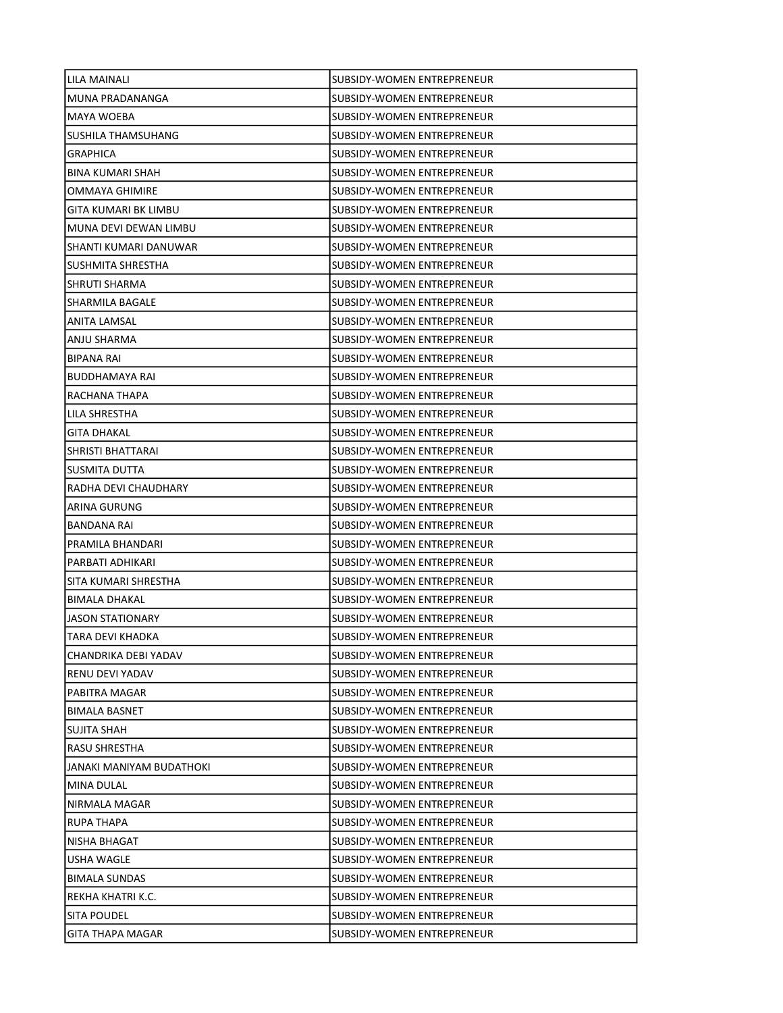| LILA MAINALI             | SUBSIDY-WOMEN ENTREPRENEUR        |
|--------------------------|-----------------------------------|
| MUNA PRADANANGA          | SUBSIDY-WOMEN ENTREPRENEUR        |
| MAYA WOEBA               | SUBSIDY-WOMEN ENTREPRENEUR        |
| SUSHILA THAMSUHANG       | <b>SUBSIDY-WOMEN ENTREPRENEUR</b> |
| <b>GRAPHICA</b>          | SUBSIDY-WOMEN ENTREPRENEUR        |
| <b>BINA KUMARI SHAH</b>  | SUBSIDY-WOMEN ENTREPRENEUR        |
| OMMAYA GHIMIRE           | SUBSIDY-WOMEN ENTREPRENEUR        |
| GITA KUMARI BK LIMBU     | SUBSIDY-WOMEN ENTREPRENEUR        |
| MUNA DEVI DEWAN LIMBU    | SUBSIDY-WOMEN ENTREPRENEUR        |
| SHANTI KUMARI DANUWAR    | SUBSIDY-WOMEN ENTREPRENEUR        |
| SUSHMITA SHRESTHA        | SUBSIDY-WOMEN ENTREPRENEUR        |
| SHRUTI SHARMA            | SUBSIDY-WOMEN ENTREPRENEUR        |
| SHARMILA BAGALE          | SUBSIDY-WOMEN ENTREPRENEUR        |
| <b>ANITA LAMSAL</b>      | SUBSIDY-WOMEN ENTREPRENEUR        |
| ANJU SHARMA              | SUBSIDY-WOMEN ENTREPRENEUR        |
| <b>BIPANA RAI</b>        | SUBSIDY-WOMEN ENTREPRENEUR        |
| <b>BUDDHAMAYA RAI</b>    | SUBSIDY-WOMEN ENTREPRENEUR        |
| RACHANA THAPA            | SUBSIDY-WOMEN ENTREPRENEUR        |
| LILA SHRESTHA            | SUBSIDY-WOMEN ENTREPRENEUR        |
| <b>GITA DHAKAL</b>       | SUBSIDY-WOMEN ENTREPRENEUR        |
| SHRISTI BHATTARAI        | SUBSIDY-WOMEN ENTREPRENEUR        |
| SUSMITA DUTTA            | SUBSIDY-WOMEN ENTREPRENEUR        |
| RADHA DEVI CHAUDHARY     | SUBSIDY-WOMEN ENTREPRENEUR        |
| ARINA GURUNG             | SUBSIDY-WOMEN ENTREPRENEUR        |
| BANDANA RAI              | SUBSIDY-WOMEN ENTREPRENEUR        |
| PRAMILA BHANDARI         | SUBSIDY-WOMEN ENTREPRENEUR        |
| PARBATI ADHIKARI         | SUBSIDY-WOMEN ENTREPRENEUR        |
| SITA KUMARI SHRESTHA     | SUBSIDY-WOMEN ENTREPRENEUR        |
| <b>BIMALA DHAKAL</b>     | SUBSIDY-WOMEN ENTREPRENEUR        |
| <b>JASON STATIONARY</b>  | <b>SUBSIDY-WOMEN ENTREPRENEUR</b> |
| ITARA DEVI KHADKA        | SUBSIDY-WOMEN ENTREPRENEUR        |
| CHANDRIKA DEBI YADAV     | SUBSIDY-WOMEN ENTREPRENEUR        |
| RENU DEVI YADAV          | SUBSIDY-WOMEN ENTREPRENEUR        |
| PABITRA MAGAR            | SUBSIDY-WOMEN ENTREPRENEUR        |
| <b>BIMALA BASNET</b>     | SUBSIDY-WOMEN ENTREPRENEUR        |
| SUJITA SHAH              | SUBSIDY-WOMEN ENTREPRENEUR        |
| <b>RASU SHRESTHA</b>     | SUBSIDY-WOMEN ENTREPRENEUR        |
| JANAKI MANIYAM BUDATHOKI | SUBSIDY-WOMEN ENTREPRENEUR        |
| MINA DULAL               | <b>SUBSIDY-WOMEN ENTREPRENEUR</b> |
| NIRMALA MAGAR            | SUBSIDY-WOMEN ENTREPRENEUR        |
| RUPA THAPA               | SUBSIDY-WOMEN ENTREPRENEUR        |
| NISHA BHAGAT             | SUBSIDY-WOMEN ENTREPRENEUR        |
| USHA WAGLE               | SUBSIDY-WOMEN ENTREPRENEUR        |
| <b>BIMALA SUNDAS</b>     | SUBSIDY-WOMEN ENTREPRENEUR        |
| REKHA KHATRI K.C.        | SUBSIDY-WOMEN ENTREPRENEUR        |
| SITA POUDEL              | SUBSIDY-WOMEN ENTREPRENEUR        |
| GITA THAPA MAGAR         | SUBSIDY-WOMEN ENTREPRENEUR        |
|                          |                                   |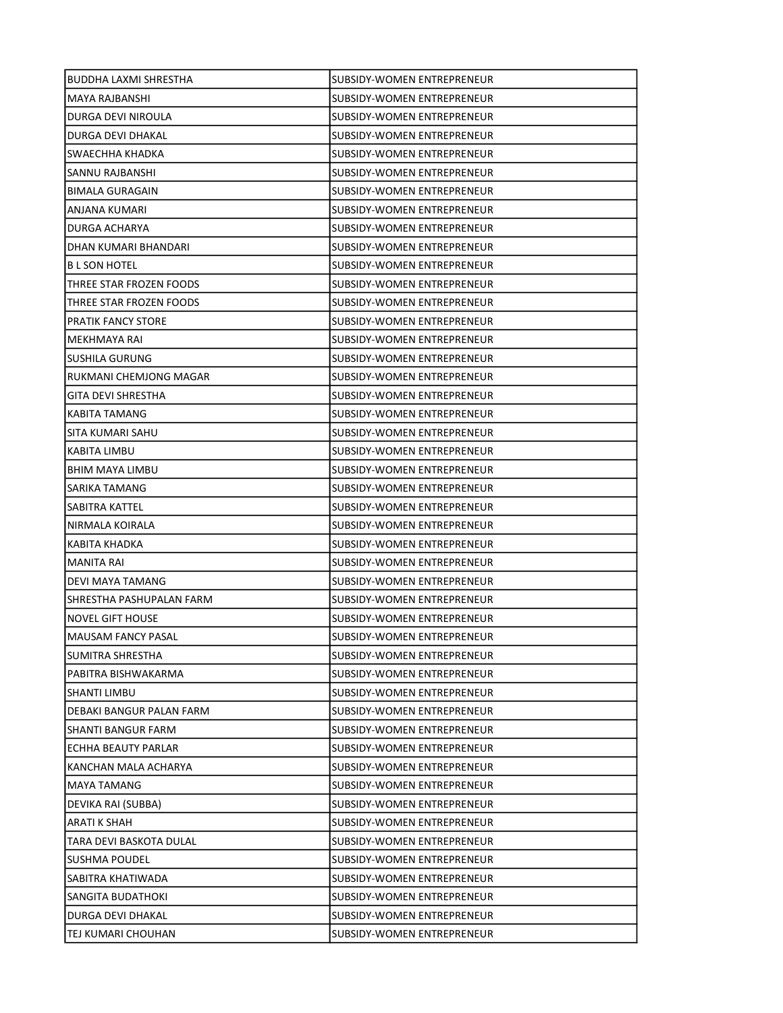| BUDDHA LAXMI SHRESTHA     | SUBSIDY-WOMEN ENTREPRENEUR        |
|---------------------------|-----------------------------------|
| MAYA RAJBANSHI            | SUBSIDY-WOMEN ENTREPRENEUR        |
| DURGA DEVI NIROULA        | SUBSIDY-WOMEN ENTREPRENEUR        |
| DURGA DEVI DHAKAL         | SUBSIDY-WOMEN ENTREPRENEUR        |
| SWAECHHA KHADKA           | <b>SUBSIDY-WOMEN ENTREPRENEUR</b> |
| SANNU RAJBANSHI           | SUBSIDY-WOMEN ENTREPRENEUR        |
| <b>BIMALA GURAGAIN</b>    | SUBSIDY-WOMEN ENTREPRENEUR        |
| ANJANA KUMARI             | SUBSIDY-WOMEN ENTREPRENEUR        |
| DURGA ACHARYA             | SUBSIDY-WOMEN ENTREPRENEUR        |
| DHAN KUMARI BHANDARI      | SUBSIDY-WOMEN ENTREPRENEUR        |
| <b>BL SON HOTEL</b>       | SUBSIDY-WOMEN ENTREPRENEUR        |
| THREE STAR FROZEN FOODS   | SUBSIDY-WOMEN ENTREPRENEUR        |
| THREE STAR FROZEN FOODS   | SUBSIDY-WOMEN ENTREPRENEUR        |
| <b>PRATIK FANCY STORE</b> | SUBSIDY-WOMEN ENTREPRENEUR        |
| MEKHMAYA RAI              | SUBSIDY-WOMEN ENTREPRENEUR        |
| SUSHILA GURUNG            | <b>SUBSIDY-WOMEN ENTREPRENEUR</b> |
| RUKMANI CHEMJONG MAGAR    | SUBSIDY-WOMEN ENTREPRENEUR        |
| GITA DEVI SHRESTHA        | ISUBSIDY-WOMEN ENTREPRENEUR       |
| KABITA TAMANG             | SUBSIDY-WOMEN ENTREPRENEUR        |
| SITA KUMARI SAHU          | SUBSIDY-WOMEN ENTREPRENEUR        |
| KABITA LIMBU              | SUBSIDY-WOMEN ENTREPRENEUR        |
| <b>BHIM MAYA LIMBU</b>    | SUBSIDY-WOMEN ENTREPRENEUR        |
| SARIKA TAMANG             | SUBSIDY-WOMEN ENTREPRENEUR        |
| SABITRA KATTEL            | SUBSIDY-WOMEN ENTREPRENEUR        |
| NIRMALA KOIRALA           | SUBSIDY-WOMEN ENTREPRENEUR        |
| KABITA KHADKA             | SUBSIDY-WOMEN ENTREPRENEUR        |
| MANITA RAI                | SUBSIDY-WOMEN ENTREPRENEUR        |
| DEVI MAYA TAMANG          | SUBSIDY-WOMEN ENTREPRENEUR        |
| SHRESTHA PASHUPALAN FARM  | SUBSIDY-WOMEN ENTREPRENEUR        |
| <b>NOVEL GIFT HOUSE</b>   | <b>SUBSIDY-WOMEN ENTREPRENEUR</b> |
| MAUSAM FANCY PASAL        | SUBSIDY-WOMEN ENTREPRENEUR        |
| SUMITRA SHRESTHA          | <b>SUBSIDY-WOMEN ENTREPRENEUR</b> |
| PABITRA BISHWAKARMA       | SUBSIDY-WOMEN ENTREPRENEUR        |
| <b>SHANTI LIMBU</b>       | SUBSIDY-WOMEN ENTREPRENEUR        |
| DEBAKI BANGUR PALAN FARM  | SUBSIDY-WOMEN ENTREPRENEUR        |
| <b>SHANTI BANGUR FARM</b> | SUBSIDY-WOMEN ENTREPRENEUR        |
| ECHHA BEAUTY PARLAR       | SUBSIDY-WOMEN ENTREPRENEUR        |
| KANCHAN MALA ACHARYA      | SUBSIDY-WOMEN ENTREPRENEUR        |
| MAYA TAMANG               | SUBSIDY-WOMEN ENTREPRENEUR        |
| DEVIKA RAI (SUBBA)        | <b>SUBSIDY-WOMEN ENTREPRENEUR</b> |
| ARATI K SHAH              | SUBSIDY-WOMEN ENTREPRENEUR        |
| TARA DEVI BASKOTA DULAL   | SUBSIDY-WOMEN ENTREPRENEUR        |
| SUSHMA POUDEL             | SUBSIDY-WOMEN ENTREPRENEUR        |
| SABITRA KHATIWADA         | SUBSIDY-WOMEN ENTREPRENEUR        |
| SANGITA BUDATHOKI         | SUBSIDY-WOMEN ENTREPRENEUR        |
| DURGA DEVI DHAKAL         | SUBSIDY-WOMEN ENTREPRENEUR        |
| TEJ KUMARI CHOUHAN        | SUBSIDY-WOMEN ENTREPRENEUR        |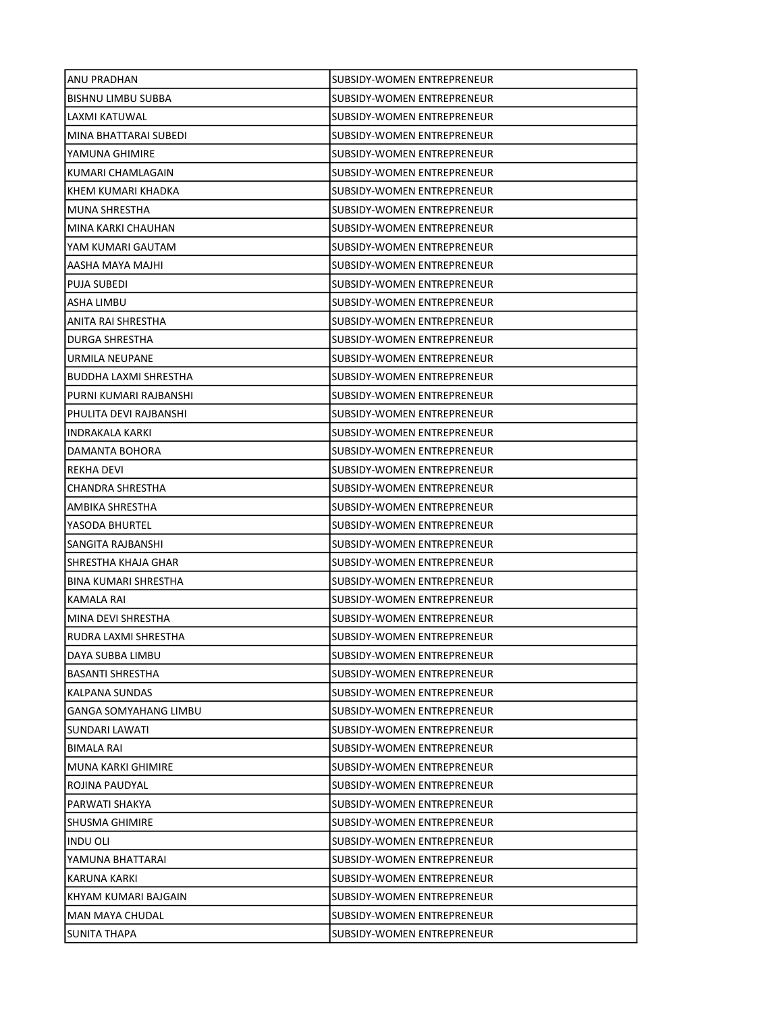| ANU PRADHAN                  | SUBSIDY-WOMEN ENTREPRENEUR        |
|------------------------------|-----------------------------------|
| <b>BISHNU LIMBU SUBBA</b>    | SUBSIDY-WOMEN ENTREPRENEUR        |
| LAXMI KATUWAL                | SUBSIDY-WOMEN ENTREPRENEUR        |
| MINA BHATTARAI SUBEDI        | SUBSIDY-WOMEN ENTREPRENEUR        |
| YAMUNA GHIMIRE               | <b>SUBSIDY-WOMEN ENTREPRENEUR</b> |
| KUMARI CHAMLAGAIN            | SUBSIDY-WOMEN ENTREPRENEUR        |
| KHEM KUMARI KHADKA           | SUBSIDY-WOMEN ENTREPRENEUR        |
| MUNA SHRESTHA                | SUBSIDY-WOMEN ENTREPRENEUR        |
| MINA KARKI CHAUHAN           | SUBSIDY-WOMEN ENTREPRENEUR        |
| YAM KUMARI GAUTAM            | <b>SUBSIDY-WOMEN ENTREPRENEUR</b> |
| AASHA MAYA MAJHI             | SUBSIDY-WOMEN ENTREPRENEUR        |
| PUJA SUBEDI                  | SUBSIDY-WOMEN ENTREPRENEUR        |
| ASHA LIMBU                   | SUBSIDY-WOMEN ENTREPRENEUR        |
| ANITA RAI SHRESTHA           | SUBSIDY-WOMEN ENTREPRENEUR        |
| DURGA SHRESTHA               | SUBSIDY-WOMEN ENTREPRENEUR        |
| URMILA NEUPANE               | SUBSIDY-WOMEN ENTREPRENEUR        |
| BUDDHA LAXMI SHRESTHA        | SUBSIDY-WOMEN ENTREPRENEUR        |
| PURNI KUMARI RAJBANSHI       | SUBSIDY-WOMEN ENTREPRENEUR        |
| PHULITA DEVI RAJBANSHI       | SUBSIDY-WOMEN ENTREPRENEUR        |
| INDRAKALA KARKI              | SUBSIDY-WOMEN ENTREPRENEUR        |
| DAMANTA BOHORA               | SUBSIDY-WOMEN ENTREPRENEUR        |
| REKHA DEVI                   | SUBSIDY-WOMEN ENTREPRENEUR        |
| CHANDRA SHRESTHA             | SUBSIDY-WOMEN ENTREPRENEUR        |
| AMBIKA SHRESTHA              | SUBSIDY-WOMEN ENTREPRENEUR        |
| YASODA BHURTEL               | SUBSIDY-WOMEN ENTREPRENEUR        |
| SANGITA RAJBANSHI            | SUBSIDY-WOMEN ENTREPRENEUR        |
| SHRESTHA KHAJA GHAR          | SUBSIDY-WOMEN ENTREPRENEUR        |
| BINA KUMARI SHRESTHA         | SUBSIDY-WOMEN ENTREPRENEUR        |
| KAMALA RAI                   | SUBSIDY-WOMEN ENTREPRENEUR        |
| MINA DEVI SHRESTHA           | SUBSIDY-WOMEN ENTREPRENEUR        |
| RUDRA LAXMI SHRESTHA         | SUBSIDY-WOMEN ENTREPRENEUR        |
| DAYA SUBBA LIMBU             | SUBSIDY-WOMEN ENTREPRENEUR        |
| <b>BASANTI SHRESTHA</b>      | SUBSIDY-WOMEN ENTREPRENEUR        |
| KALPANA SUNDAS               | SUBSIDY-WOMEN ENTREPRENEUR        |
| <b>GANGA SOMYAHANG LIMBU</b> | <b>SUBSIDY-WOMEN ENTREPRENEUR</b> |
| SUNDARI LAWATI               | SUBSIDY-WOMEN ENTREPRENEUR        |
| <b>BIMALA RAI</b>            | SUBSIDY-WOMEN ENTREPRENEUR        |
| <b>MUNA KARKI GHIMIRE</b>    | SUBSIDY-WOMEN ENTREPRENEUR        |
| ROJINA PAUDYAL               | SUBSIDY-WOMEN ENTREPRENEUR        |
| PARWATI SHAKYA               | SUBSIDY-WOMEN ENTREPRENEUR        |
| SHUSMA GHIMIRE               | SUBSIDY-WOMEN ENTREPRENEUR        |
| <b>INDU OLI</b>              | SUBSIDY-WOMEN ENTREPRENEUR        |
| YAMUNA BHATTARAI             | SUBSIDY-WOMEN ENTREPRENEUR        |
| KARUNA KARKI                 | SUBSIDY-WOMEN ENTREPRENEUR        |
| KHYAM KUMARI BAJGAIN         | SUBSIDY-WOMEN ENTREPRENEUR        |
| MAN MAYA CHUDAL              | SUBSIDY-WOMEN ENTREPRENEUR        |
| SUNITA THAPA                 | SUBSIDY-WOMEN ENTREPRENEUR        |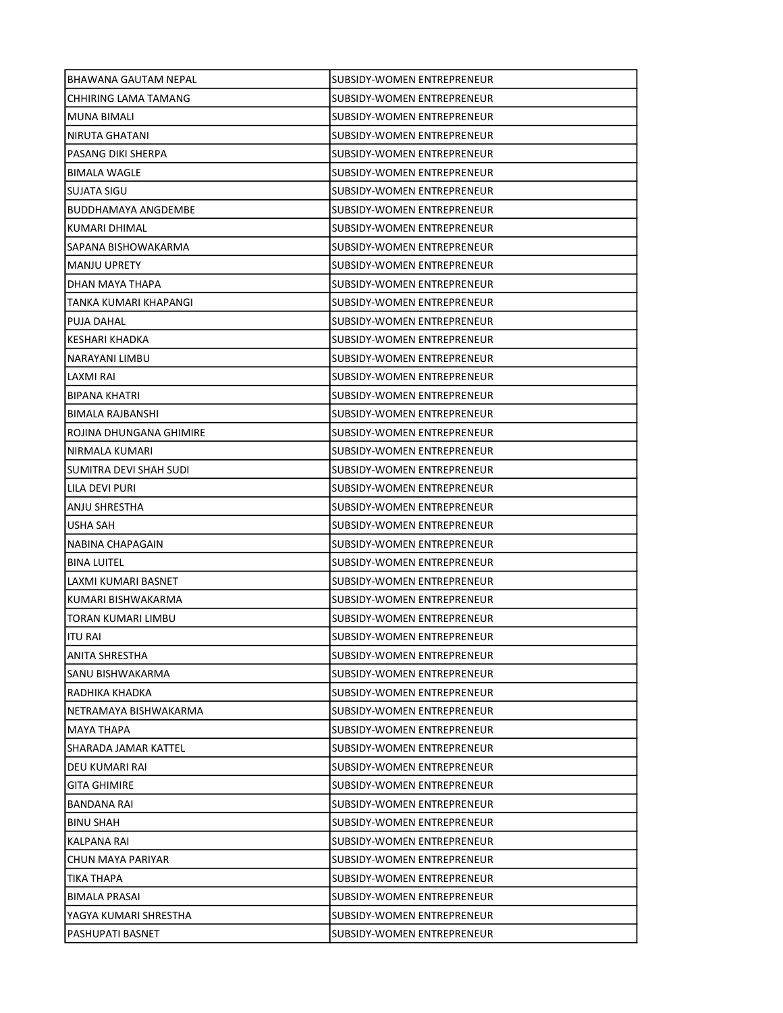| BHAWANA GAUTAM NEPAL       | SUBSIDY-WOMEN ENTREPRENEUR        |
|----------------------------|-----------------------------------|
| CHHIRING LAMA TAMANG       | SUBSIDY-WOMEN ENTREPRENEUR        |
| IMUNA BIMALI               | SUBSIDY-WOMEN ENTREPRENEUR        |
| NIRUTA GHATANI             | SUBSIDY-WOMEN ENTREPRENEUR        |
| PASANG DIKI SHERPA         | SUBSIDY-WOMEN ENTREPRENEUR        |
| <b>BIMALA WAGLE</b>        | SUBSIDY-WOMEN ENTREPRENEUR        |
| SUJATA SIGU                | SUBSIDY-WOMEN ENTREPRENEUR        |
| <b>BUDDHAMAYA ANGDEMBE</b> | SUBSIDY-WOMEN ENTREPRENEUR        |
| KUMARI DHIMAL              | SUBSIDY-WOMEN ENTREPRENEUR        |
| SAPANA BISHOWAKARMA        | SUBSIDY-WOMEN ENTREPRENEUR        |
| MANJU UPRETY               | SUBSIDY-WOMEN ENTREPRENEUR        |
| DHAN MAYA THAPA            | SUBSIDY-WOMEN ENTREPRENEUR        |
| TANKA KUMARI KHAPANGI      | SUBSIDY-WOMEN ENTREPRENEUR        |
| PUJA DAHAL                 | SUBSIDY-WOMEN ENTREPRENEUR        |
| KESHARI KHADKA             | SUBSIDY-WOMEN ENTREPRENEUR        |
| NARAYANI LIMBU             | SUBSIDY-WOMEN ENTREPRENEUR        |
| LAXMI RAI                  | SUBSIDY-WOMEN ENTREPRENEUR        |
| BIPANA KHATRI              | SUBSIDY-WOMEN ENTREPRENEUR        |
| BIMALA RAJBANSHI           | SUBSIDY-WOMEN ENTREPRENEUR        |
| ROJINA DHUNGANA GHIMIRE    | SUBSIDY-WOMEN ENTREPRENEUR        |
| NIRMALA KUMARI             | SUBSIDY-WOMEN ENTREPRENEUR        |
| SUMITRA DEVI SHAH SUDI     | SUBSIDY-WOMEN ENTREPRENEUR        |
| LILA DEVI PURI             | SUBSIDY-WOMEN ENTREPRENEUR        |
| ANJU SHRESTHA              | SUBSIDY-WOMEN ENTREPRENEUR        |
| USHA SAH                   | SUBSIDY-WOMEN ENTREPRENEUR        |
| NABINA CHAPAGAIN           | SUBSIDY-WOMEN ENTREPRENEUR        |
| <b>BINA LUITEL</b>         | SUBSIDY-WOMEN ENTREPRENEUR        |
| LAXMI KUMARI BASNET        | SUBSIDY-WOMEN ENTREPRENEUR        |
| IKUMARI BISHWAKARMA        | SUBSIDY-WOMEN ENTREPRENEUR        |
| TORAN KUMARI LIMBU         | SUBSIDY-WOMEN ENTREPRENEUR        |
| ITU RAI                    | SUBSIDY-WOMEN ENTREPRENEUR        |
| ANITA SHRESTHA             | SUBSIDY-WOMEN ENTREPRENEUR        |
| SANU BISHWAKARMA           | SUBSIDY-WOMEN ENTREPRENEUR        |
| RADHIKA KHADKA             | SUBSIDY-WOMEN ENTREPRENEUR        |
| NETRAMAYA BISHWAKARMA      | SUBSIDY-WOMEN ENTREPRENEUR        |
| <b>MAYA THAPA</b>          | <b>SUBSIDY-WOMEN ENTREPRENEUR</b> |
| SHARADA JAMAR KATTEL       | SUBSIDY-WOMEN ENTREPRENEUR        |
| DEU KUMARI RAI             | SUBSIDY-WOMEN ENTREPRENEUR        |
| <b>GITA GHIMIRE</b>        | SUBSIDY-WOMEN ENTREPRENEUR        |
| BANDANA RAI                | SUBSIDY-WOMEN ENTREPRENEUR        |
| <b>BINU SHAH</b>           | SUBSIDY-WOMEN ENTREPRENEUR        |
| KALPANA RAI                | SUBSIDY-WOMEN ENTREPRENEUR        |
| CHUN MAYA PARIYAR          | SUBSIDY-WOMEN ENTREPRENEUR        |
| TIKA THAPA                 | SUBSIDY-WOMEN ENTREPRENEUR        |
| <b>BIMALA PRASAI</b>       | SUBSIDY-WOMEN ENTREPRENEUR        |
| YAGYA KUMARI SHRESTHA      | SUBSIDY-WOMEN ENTREPRENEUR        |
| PASHUPATI BASNET           | SUBSIDY-WOMEN ENTREPRENEUR        |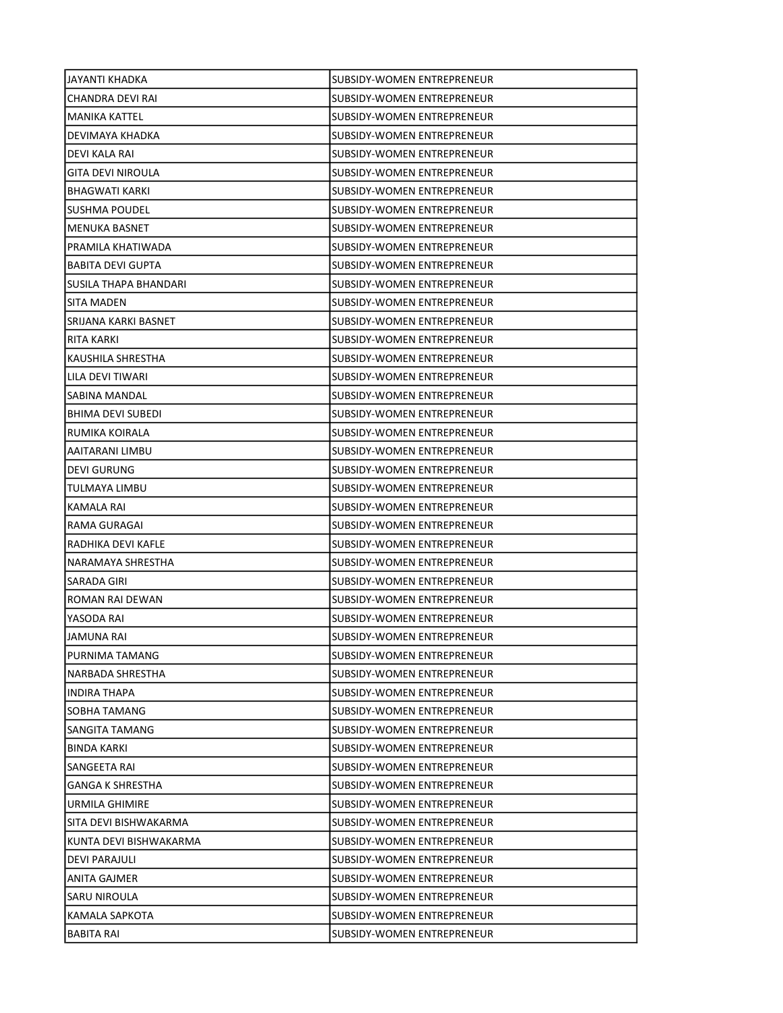| JAYANTI KHADKA           | SUBSIDY-WOMEN ENTREPRENEUR        |
|--------------------------|-----------------------------------|
| CHANDRA DEVI RAI         | SUBSIDY-WOMEN ENTREPRENEUR        |
| <b>MANIKA KATTEL</b>     | SUBSIDY-WOMEN ENTREPRENEUR        |
| DEVIMAYA KHADKA          | <b>SUBSIDY-WOMEN ENTREPRENEUR</b> |
| DEVI KALA RAI            | SUBSIDY-WOMEN ENTREPRENEUR        |
| GITA DEVI NIROULA        | SUBSIDY-WOMEN ENTREPRENEUR        |
| BHAGWATI KARKI           | SUBSIDY-WOMEN ENTREPRENEUR        |
| <b>SUSHMA POUDEL</b>     | SUBSIDY-WOMEN ENTREPRENEUR        |
| <b>MENUKA BASNET</b>     | SUBSIDY-WOMEN ENTREPRENEUR        |
| PRAMILA KHATIWADA        | SUBSIDY-WOMEN ENTREPRENEUR        |
| <b>BABITA DEVI GUPTA</b> | SUBSIDY-WOMEN ENTREPRENEUR        |
| SUSILA THAPA BHANDARI    | SUBSIDY-WOMEN ENTREPRENEUR        |
| SITA MADEN               | SUBSIDY-WOMEN ENTREPRENEUR        |
| SRIJANA KARKI BASNET     | SUBSIDY-WOMEN ENTREPRENEUR        |
| RITA KARKI               | SUBSIDY-WOMEN ENTREPRENEUR        |
| KAUSHILA SHRESTHA        | SUBSIDY-WOMEN ENTREPRENEUR        |
| LILA DEVI TIWARI         | SUBSIDY-WOMEN ENTREPRENEUR        |
| SABINA MANDAL            | SUBSIDY-WOMEN ENTREPRENEUR        |
| <b>BHIMA DEVI SUBEDI</b> | SUBSIDY-WOMEN ENTREPRENEUR        |
| RUMIKA KOIRALA           | SUBSIDY-WOMEN ENTREPRENEUR        |
| AAITARANI LIMBU          | SUBSIDY-WOMEN ENTREPRENEUR        |
| <b>DEVI GURUNG</b>       | SUBSIDY-WOMEN ENTREPRENEUR        |
| TULMAYA LIMBU            | SUBSIDY-WOMEN ENTREPRENEUR        |
| KAMALA RAI               | SUBSIDY-WOMEN ENTREPRENEUR        |
| RAMA GURAGAI             | SUBSIDY-WOMEN ENTREPRENEUR        |
| RADHIKA DEVI KAFLE       | SUBSIDY-WOMEN ENTREPRENEUR        |
| NARAMAYA SHRESTHA        | SUBSIDY-WOMEN ENTREPRENEUR        |
| SARADA GIRI              | SUBSIDY-WOMEN ENTREPRENEUR        |
| ROMAN RAI DEWAN          | SUBSIDY-WOMEN ENTREPRENEUR        |
| YASODA RAI               | SUBSIDY-WOMEN ENTREPRENEUR        |
| <b>JAMUNA RAI</b>        | SUBSIDY-WOMEN ENTREPRENEUR        |
| PURNIMA TAMANG           | SUBSIDY-WOMEN ENTREPRENEUR        |
| NARBADA SHRESTHA         | SUBSIDY-WOMEN ENTREPRENEUR        |
| <b>INDIRA THAPA</b>      | SUBSIDY-WOMEN ENTREPRENEUR        |
| SOBHA TAMANG             | SUBSIDY-WOMEN ENTREPRENEUR        |
| SANGITA TAMANG           | SUBSIDY-WOMEN ENTREPRENEUR        |
| <b>BINDA KARKI</b>       | SUBSIDY-WOMEN ENTREPRENEUR        |
| SANGEETA RAI             | SUBSIDY-WOMEN ENTREPRENEUR        |
| <b>GANGA K SHRESTHA</b>  | SUBSIDY-WOMEN ENTREPRENEUR        |
| URMILA GHIMIRE           | SUBSIDY-WOMEN ENTREPRENEUR        |
| SITA DEVI BISHWAKARMA    | SUBSIDY-WOMEN ENTREPRENEUR        |
| KUNTA DEVI BISHWAKARMA   | SUBSIDY-WOMEN ENTREPRENEUR        |
| DEVI PARAJULI            | SUBSIDY-WOMEN ENTREPRENEUR        |
| ANITA GAJMER             | SUBSIDY-WOMEN ENTREPRENEUR        |
| SARU NIROULA             | SUBSIDY-WOMEN ENTREPRENEUR        |
| KAMALA SAPKOTA           | SUBSIDY-WOMEN ENTREPRENEUR        |
| BABITA RAI               | SUBSIDY-WOMEN ENTREPRENEUR        |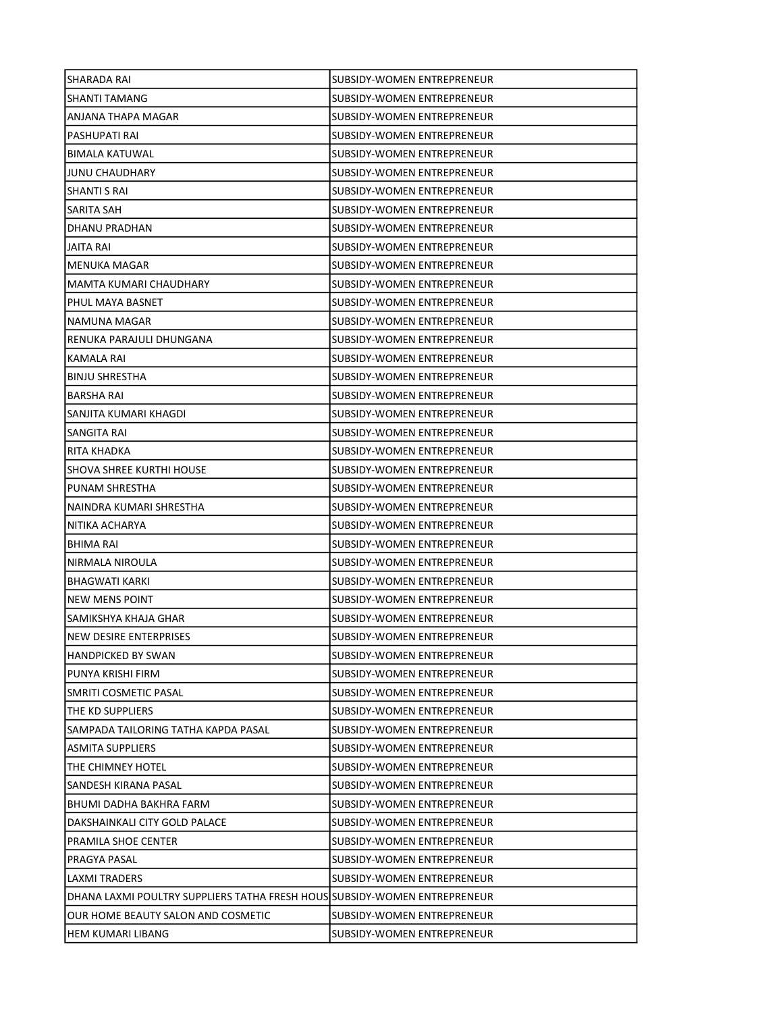| SHARADA RAI                                                               | SUBSIDY-WOMEN ENTREPRENEUR        |
|---------------------------------------------------------------------------|-----------------------------------|
| SHANTI TAMANG                                                             | SUBSIDY-WOMEN ENTREPRENEUR        |
| ANJANA THAPA MAGAR                                                        | SUBSIDY-WOMEN ENTREPRENEUR        |
| PASHUPATI RAI                                                             | <b>SUBSIDY-WOMEN ENTREPRENEUR</b> |
| <b>BIMALA KATUWAL</b>                                                     | SUBSIDY-WOMEN ENTREPRENEUR        |
| <b>JUNU CHAUDHARY</b>                                                     | SUBSIDY-WOMEN ENTREPRENEUR        |
| SHANTI S RAI                                                              | SUBSIDY-WOMEN ENTREPRENEUR        |
| SARITA SAH                                                                | SUBSIDY-WOMEN ENTREPRENEUR        |
| DHANU PRADHAN                                                             | SUBSIDY-WOMEN ENTREPRENEUR        |
| JAITA RAI                                                                 | SUBSIDY-WOMEN ENTREPRENEUR        |
| MENUKA MAGAR                                                              | <b>SUBSIDY-WOMEN ENTREPRENEUR</b> |
| MAMTA KUMARI CHAUDHARY                                                    | SUBSIDY-WOMEN ENTREPRENEUR        |
| PHUL MAYA BASNET                                                          | SUBSIDY-WOMEN ENTREPRENEUR        |
| NAMUNA MAGAR                                                              | SUBSIDY-WOMEN ENTREPRENEUR        |
| RENUKA PARAJULI DHUNGANA                                                  | SUBSIDY-WOMEN ENTREPRENEUR        |
| <b>KAMALA RAI</b>                                                         | SUBSIDY-WOMEN ENTREPRENEUR        |
| <b>BINJU SHRESTHA</b>                                                     | <b>SUBSIDY-WOMEN ENTREPRENEUR</b> |
| <b>BARSHA RAI</b>                                                         | SUBSIDY-WOMEN ENTREPRENEUR        |
| SANJITA KUMARI KHAGDI                                                     | SUBSIDY-WOMEN ENTREPRENEUR        |
| SANGITA RAI                                                               | SUBSIDY-WOMEN ENTREPRENEUR        |
| RITA KHADKA                                                               | SUBSIDY-WOMEN ENTREPRENEUR        |
| <b>SHOVA SHREE KURTHI HOUSE</b>                                           | SUBSIDY-WOMEN ENTREPRENEUR        |
| PUNAM SHRESTHA                                                            | SUBSIDY-WOMEN ENTREPRENEUR        |
| NAINDRA KUMARI SHRESTHA                                                   | SUBSIDY-WOMEN ENTREPRENEUR        |
| NITIKA ACHARYA                                                            | SUBSIDY-WOMEN ENTREPRENEUR        |
| BHIMA RAI                                                                 | SUBSIDY-WOMEN ENTREPRENEUR        |
| NIRMALA NIROULA                                                           | SUBSIDY-WOMEN ENTREPRENEUR        |
| <b>BHAGWATI KARKI</b>                                                     | SUBSIDY-WOMEN ENTREPRENEUR        |
| NEW MENS POINT                                                            | SUBSIDY-WOMEN ENTREPRENEUR        |
| SAMIKSHYA KHAJA GHAR                                                      | SUBSIDY-WOMEN ENTREPRENEUR        |
| NEW DESIRE ENTERPRISES                                                    | SUBSIDY-WOMEN ENTREPRENEUR        |
| <b>HANDPICKED BY SWAN</b>                                                 | SUBSIDY-WOMEN ENTREPRENEUR        |
| PUNYA KRISHI FIRM                                                         | SUBSIDY-WOMEN ENTREPRENEUR        |
| SMRITI COSMETIC PASAL                                                     | SUBSIDY-WOMEN ENTREPRENEUR        |
| THE KD SUPPLIERS                                                          | SUBSIDY-WOMEN ENTREPRENEUR        |
| SAMPADA TAILORING TATHA KAPDA PASAL                                       | SUBSIDY-WOMEN ENTREPRENEUR        |
| <b>ASMITA SUPPLIERS</b>                                                   | SUBSIDY-WOMEN ENTREPRENEUR        |
| THE CHIMNEY HOTEL                                                         | SUBSIDY-WOMEN ENTREPRENEUR        |
| SANDESH KIRANA PASAL                                                      | SUBSIDY-WOMEN ENTREPRENEUR        |
| BHUMI DADHA BAKHRA FARM                                                   | SUBSIDY-WOMEN ENTREPRENEUR        |
| DAKSHAINKALI CITY GOLD PALACE                                             | SUBSIDY-WOMEN ENTREPRENEUR        |
| PRAMILA SHOE CENTER                                                       | SUBSIDY-WOMEN ENTREPRENEUR        |
| PRAGYA PASAL                                                              | SUBSIDY-WOMEN ENTREPRENEUR        |
| LAXMI TRADERS                                                             | SUBSIDY-WOMEN ENTREPRENEUR        |
| DHANA LAXMI POULTRY SUPPLIERS TATHA FRESH HOUS SUBSIDY-WOMEN ENTREPRENEUR |                                   |
| OUR HOME BEAUTY SALON AND COSMETIC                                        | SUBSIDY-WOMEN ENTREPRENEUR        |
| HEM KUMARI LIBANG                                                         | SUBSIDY-WOMEN ENTREPRENEUR        |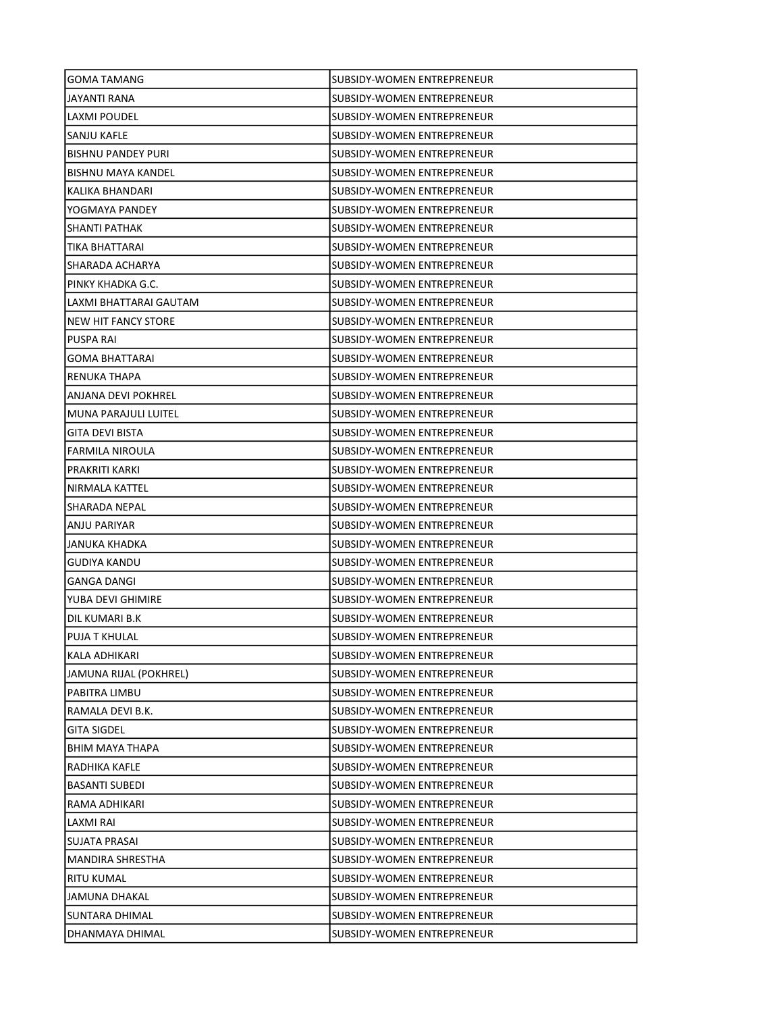| <b>GOMA TAMANG</b>        | SUBSIDY-WOMEN ENTREPRENEUR        |
|---------------------------|-----------------------------------|
| JAYANTI RANA              | SUBSIDY-WOMEN ENTREPRENEUR        |
| LAXMI POUDEL              | SUBSIDY-WOMEN ENTREPRENEUR        |
| <b>SANJU KAFLE</b>        | SUBSIDY-WOMEN ENTREPRENEUR        |
| <b>BISHNU PANDEY PURI</b> | SUBSIDY-WOMEN ENTREPRENEUR        |
| <b>BISHNU MAYA KANDEL</b> | SUBSIDY-WOMEN ENTREPRENEUR        |
| KALIKA BHANDARI           | SUBSIDY-WOMEN ENTREPRENEUR        |
| YOGMAYA PANDEY            | SUBSIDY-WOMEN ENTREPRENEUR        |
| SHANTI PATHAK             | SUBSIDY-WOMEN ENTREPRENEUR        |
| TIKA BHATTARAI            | SUBSIDY-WOMEN ENTREPRENEUR        |
| SHARADA ACHARYA           | SUBSIDY-WOMEN ENTREPRENEUR        |
| PINKY KHADKA G.C.         | SUBSIDY-WOMEN ENTREPRENEUR        |
| LAXMI BHATTARAI GAUTAM    | SUBSIDY-WOMEN ENTREPRENEUR        |
| NEW HIT FANCY STORE       | SUBSIDY-WOMEN ENTREPRENEUR        |
| <b>PUSPA RAI</b>          | SUBSIDY-WOMEN ENTREPRENEUR        |
| <b>GOMA BHATTARAI</b>     | SUBSIDY-WOMEN ENTREPRENEUR        |
| RENUKA THAPA              | SUBSIDY-WOMEN ENTREPRENEUR        |
| ANJANA DEVI POKHREL       | SUBSIDY-WOMEN ENTREPRENEUR        |
| MUNA PARAJULI LUITEL      | SUBSIDY-WOMEN ENTREPRENEUR        |
| <b>GITA DEVI BISTA</b>    | SUBSIDY-WOMEN ENTREPRENEUR        |
| <b>FARMILA NIROULA</b>    | SUBSIDY-WOMEN ENTREPRENEUR        |
| PRAKRITI KARKI            | SUBSIDY-WOMEN ENTREPRENEUR        |
| NIRMALA KATTEL            | SUBSIDY-WOMEN ENTREPRENEUR        |
| SHARADA NEPAL             | SUBSIDY-WOMEN ENTREPRENEUR        |
| ANJU PARIYAR              | SUBSIDY-WOMEN ENTREPRENEUR        |
| JANUKA KHADKA             | SUBSIDY-WOMEN ENTREPRENEUR        |
| <b>GUDIYA KANDU</b>       | SUBSIDY-WOMEN ENTREPRENEUR        |
| <b>GANGA DANGI</b>        | SUBSIDY-WOMEN ENTREPRENEUR        |
| YUBA DEVI GHIMIRE         | <b>SUBSIDY-WOMEN ENTREPRENEUR</b> |
| DIL KUMARI B.K            | SUBSIDY-WOMEN ENTREPRENEUR        |
| <b>PUJA T KHULAL</b>      | <b>SUBSIDY-WOMEN ENTREPRENEUR</b> |
| KALA ADHIKARI             | <b>SUBSIDY-WOMEN ENTREPRENEUR</b> |
| JAMUNA RIJAL (POKHREL)    | SUBSIDY-WOMEN ENTREPRENEUR        |
| PABITRA LIMBU             | SUBSIDY-WOMEN ENTREPRENEUR        |
| RAMALA DEVI B.K.          | <b>SUBSIDY-WOMEN ENTREPRENEUR</b> |
| <b>GITA SIGDEL</b>        | SUBSIDY-WOMEN ENTREPRENEUR        |
| BHIM MAYA THAPA           | SUBSIDY-WOMEN ENTREPRENEUR        |
| RADHIKA KAFLE             | SUBSIDY-WOMEN ENTREPRENEUR        |
| <b>BASANTI SUBEDI</b>     | SUBSIDY-WOMEN ENTREPRENEUR        |
| RAMA ADHIKARI             | SUBSIDY-WOMEN ENTREPRENEUR        |
| LAXMI RAI                 | SUBSIDY-WOMEN ENTREPRENEUR        |
| SUJATA PRASAI             | SUBSIDY-WOMEN ENTREPRENEUR        |
| MANDIRA SHRESTHA          | SUBSIDY-WOMEN ENTREPRENEUR        |
| RITU KUMAL                | SUBSIDY-WOMEN ENTREPRENEUR        |
| JAMUNA DHAKAL             | SUBSIDY-WOMEN ENTREPRENEUR        |
| SUNTARA DHIMAL            | SUBSIDY-WOMEN ENTREPRENEUR        |
| DHANMAYA DHIMAL           | SUBSIDY-WOMEN ENTREPRENEUR        |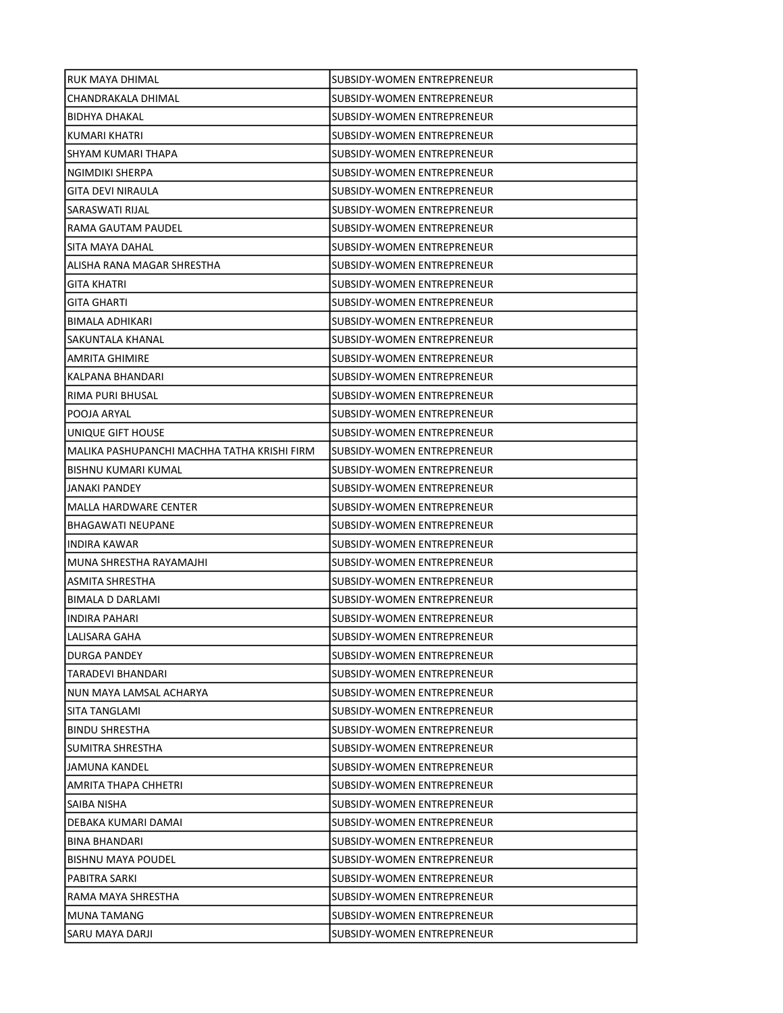| RUK MAYA DHIMAL                             | SUBSIDY-WOMEN ENTREPRENEUR        |
|---------------------------------------------|-----------------------------------|
| CHANDRAKALA DHIMAL                          | SUBSIDY-WOMEN ENTREPRENEUR        |
| BIDHYA DHAKAL                               | SUBSIDY-WOMEN ENTREPRENEUR        |
| KUMARI KHATRI                               | SUBSIDY-WOMEN ENTREPRENEUR        |
| SHYAM KUMARI THAPA                          | SUBSIDY-WOMEN ENTREPRENEUR        |
| NGIMDIKI SHERPA                             | SUBSIDY-WOMEN ENTREPRENEUR        |
| <b>GITA DEVI NIRAULA</b>                    | SUBSIDY-WOMEN ENTREPRENEUR        |
| SARASWATI RIJAL                             | SUBSIDY-WOMEN ENTREPRENEUR        |
| RAMA GAUTAM PAUDEL                          | SUBSIDY-WOMEN ENTREPRENEUR        |
| SITA MAYA DAHAL                             | SUBSIDY-WOMEN ENTREPRENEUR        |
| ALISHA RANA MAGAR SHRESTHA                  | SUBSIDY-WOMEN ENTREPRENEUR        |
| GITA KHATRI                                 | SUBSIDY-WOMEN ENTREPRENEUR        |
| GITA GHARTI                                 | SUBSIDY-WOMEN ENTREPRENEUR        |
| <b>BIMALA ADHIKARI</b>                      | SUBSIDY-WOMEN ENTREPRENEUR        |
| SAKUNTALA KHANAL                            | SUBSIDY-WOMEN ENTREPRENEUR        |
| <b>AMRITA GHIMIRE</b>                       | SUBSIDY-WOMEN ENTREPRENEUR        |
| KALPANA BHANDARI                            | SUBSIDY-WOMEN ENTREPRENEUR        |
| RIMA PURI BHUSAL                            | SUBSIDY-WOMEN ENTREPRENEUR        |
| POOJA ARYAL                                 | SUBSIDY-WOMEN ENTREPRENEUR        |
| UNIQUE GIFT HOUSE                           | SUBSIDY-WOMEN ENTREPRENEUR        |
| MALIKA PASHUPANCHI MACHHA TATHA KRISHI FIRM | SUBSIDY-WOMEN ENTREPRENEUR        |
| BISHNU KUMARI KUMAL                         | SUBSIDY-WOMEN ENTREPRENEUR        |
| JANAKI PANDEY                               | SUBSIDY-WOMEN ENTREPRENEUR        |
| MALLA HARDWARE CENTER                       | SUBSIDY-WOMEN ENTREPRENEUR        |
| BHAGAWATI NEUPANE                           | SUBSIDY-WOMEN ENTREPRENEUR        |
| <b>INDIRA KAWAR</b>                         | SUBSIDY-WOMEN ENTREPRENEUR        |
| MUNA SHRESTHA RAYAMAJHI                     | SUBSIDY-WOMEN ENTREPRENEUR        |
| ASMITA SHRESTHA                             | SUBSIDY-WOMEN ENTREPRENEUR        |
| <b>BIMALA D DARLAMI</b>                     | SUBSIDY-WOMEN ENTREPRENEUR        |
| <b>INDIRA PAHARI</b>                        | SUBSIDY-WOMEN ENTREPRENEUR        |
| LALISARA GAHA                               | SUBSIDY-WOMEN ENTREPRENEUR        |
| <b>DURGA PANDEY</b>                         | SUBSIDY-WOMEN ENTREPRENEUR        |
| TARADEVI BHANDARI                           | SUBSIDY-WOMEN ENTREPRENEUR        |
| NUN MAYA LAMSAL ACHARYA                     | SUBSIDY-WOMEN ENTREPRENEUR        |
| SITA TANGLAMI                               | <b>SUBSIDY-WOMEN ENTREPRENEUR</b> |
| <b>BINDU SHRESTHA</b>                       | SUBSIDY-WOMEN ENTREPRENEUR        |
| SUMITRA SHRESTHA                            | SUBSIDY-WOMEN ENTREPRENEUR        |
| JAMUNA KANDEL                               | SUBSIDY-WOMEN ENTREPRENEUR        |
| AMRITA THAPA CHHETRI                        | SUBSIDY-WOMEN ENTREPRENEUR        |
| SAIBA NISHA                                 | <b>SUBSIDY-WOMEN ENTREPRENEUR</b> |
| DEBAKA KUMARI DAMAI                         | SUBSIDY-WOMEN ENTREPRENEUR        |
| <b>BINA BHANDARI</b>                        | SUBSIDY-WOMEN ENTREPRENEUR        |
| <b>BISHNU MAYA POUDEL</b>                   | SUBSIDY-WOMEN ENTREPRENEUR        |
| PABITRA SARKI                               | SUBSIDY-WOMEN ENTREPRENEUR        |
| RAMA MAYA SHRESTHA                          | SUBSIDY-WOMEN ENTREPRENEUR        |
| MUNA TAMANG                                 | SUBSIDY-WOMEN ENTREPRENEUR        |
| SARU MAYA DARJI                             | SUBSIDY-WOMEN ENTREPRENEUR        |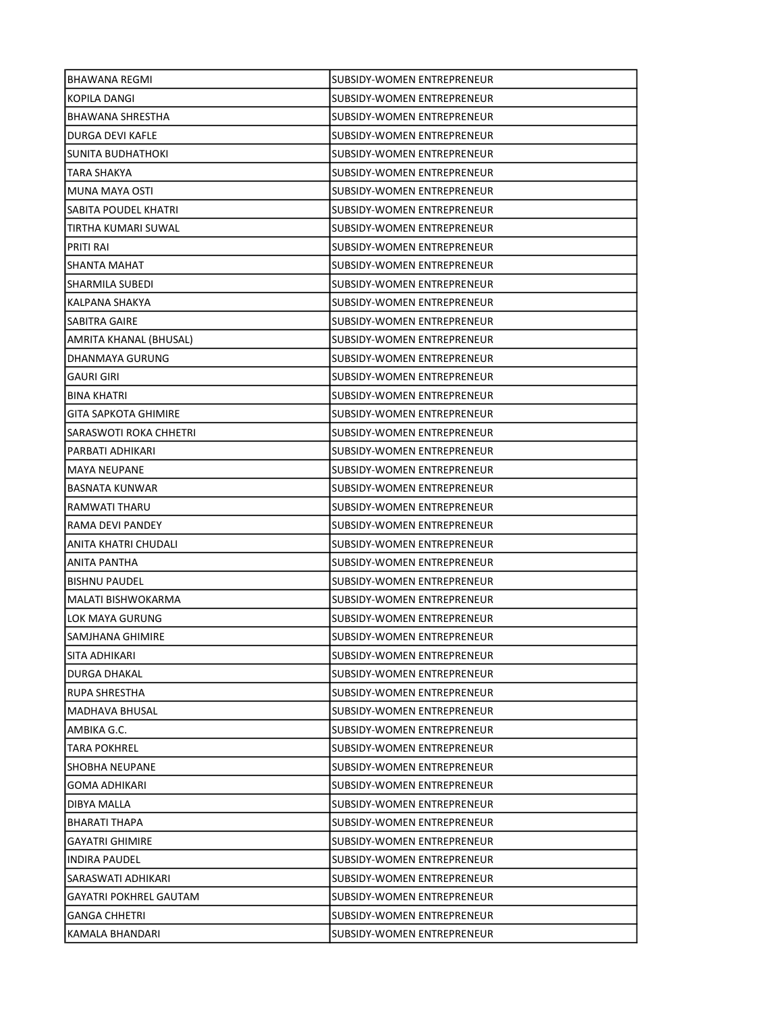| <b>BHAWANA REGMI</b>          | SUBSIDY-WOMEN ENTREPRENEUR        |
|-------------------------------|-----------------------------------|
| KOPILA DANGI                  | SUBSIDY-WOMEN ENTREPRENEUR        |
| <b>BHAWANA SHRESTHA</b>       | SUBSIDY-WOMEN ENTREPRENEUR        |
| <b>DURGA DEVI KAFLE</b>       | <b>SUBSIDY-WOMEN ENTREPRENEUR</b> |
| SUNITA BUDHATHOKI             | SUBSIDY-WOMEN ENTREPRENEUR        |
| TARA SHAKYA                   | SUBSIDY-WOMEN ENTREPRENEUR        |
| MUNA MAYA OSTI                | SUBSIDY-WOMEN ENTREPRENEUR        |
| SABITA POUDEL KHATRI          | SUBSIDY-WOMEN ENTREPRENEUR        |
| TIRTHA KUMARI SUWAL           | SUBSIDY-WOMEN ENTREPRENEUR        |
| <b>PRITI RAI</b>              | SUBSIDY-WOMEN ENTREPRENEUR        |
| SHANTA MAHAT                  | <b>SUBSIDY-WOMEN ENTREPRENEUR</b> |
| SHARMILA SUBEDI               | SUBSIDY-WOMEN ENTREPRENEUR        |
| KALPANA SHAKYA                | SUBSIDY-WOMEN ENTREPRENEUR        |
| SABITRA GAIRE                 | SUBSIDY-WOMEN ENTREPRENEUR        |
| AMRITA KHANAL (BHUSAL)        | SUBSIDY-WOMEN ENTREPRENEUR        |
| DHANMAYA GURUNG               | SUBSIDY-WOMEN ENTREPRENEUR        |
| <b>GAURI GIRI</b>             | SUBSIDY-WOMEN ENTREPRENEUR        |
| <b>BINA KHATRI</b>            | SUBSIDY-WOMEN ENTREPRENEUR        |
| <b>GITA SAPKOTA GHIMIRE</b>   | SUBSIDY-WOMEN ENTREPRENEUR        |
| SARASWOTI ROKA CHHETRI        | SUBSIDY-WOMEN ENTREPRENEUR        |
| PARBATI ADHIKARI              | SUBSIDY-WOMEN ENTREPRENEUR        |
| <b>MAYA NEUPANE</b>           | SUBSIDY-WOMEN ENTREPRENEUR        |
| <b>BASNATA KUNWAR</b>         | SUBSIDY-WOMEN ENTREPRENEUR        |
| RAMWATI THARU                 | SUBSIDY-WOMEN ENTREPRENEUR        |
| RAMA DEVI PANDEY              | SUBSIDY-WOMEN ENTREPRENEUR        |
| ANITA KHATRI CHUDALI          | SUBSIDY-WOMEN ENTREPRENEUR        |
| ANITA PANTHA                  | SUBSIDY-WOMEN ENTREPRENEUR        |
| <b>BISHNU PAUDEL</b>          | SUBSIDY-WOMEN ENTREPRENEUR        |
| MALATI BISHWOKARMA            | SUBSIDY-WOMEN ENTREPRENEUR        |
| LOK MAYA GURUNG               | SUBSIDY-WOMEN ENTREPRENEUR        |
| SAMJHANA GHIMIRE              | SUBSIDY-WOMEN ENTREPRENEUR        |
| SITA ADHIKARI                 | SUBSIDY-WOMEN ENTREPRENEUR        |
| DURGA DHAKAL                  | SUBSIDY-WOMEN ENTREPRENEUR        |
| RUPA SHRESTHA                 | SUBSIDY-WOMEN ENTREPRENEUR        |
| <b>MADHAVA BHUSAL</b>         | SUBSIDY-WOMEN ENTREPRENEUR        |
| AMBIKA G.C.                   | SUBSIDY-WOMEN ENTREPRENEUR        |
| <b>TARA POKHREL</b>           | SUBSIDY-WOMEN ENTREPRENEUR        |
| <b>SHOBHA NEUPANE</b>         | SUBSIDY-WOMEN ENTREPRENEUR        |
| <b>GOMA ADHIKARI</b>          | SUBSIDY-WOMEN ENTREPRENEUR        |
| DIBYA MALLA                   | SUBSIDY-WOMEN ENTREPRENEUR        |
| <b>BHARATI THAPA</b>          | SUBSIDY-WOMEN ENTREPRENEUR        |
| <b>GAYATRI GHIMIRE</b>        | SUBSIDY-WOMEN ENTREPRENEUR        |
| <b>INDIRA PAUDEL</b>          | SUBSIDY-WOMEN ENTREPRENEUR        |
| SARASWATI ADHIKARI            | SUBSIDY-WOMEN ENTREPRENEUR        |
| <b>GAYATRI POKHREL GAUTAM</b> | SUBSIDY-WOMEN ENTREPRENEUR        |
| <b>GANGA CHHETRI</b>          | SUBSIDY-WOMEN ENTREPRENEUR        |
| KAMALA BHANDARI               | SUBSIDY-WOMEN ENTREPRENEUR        |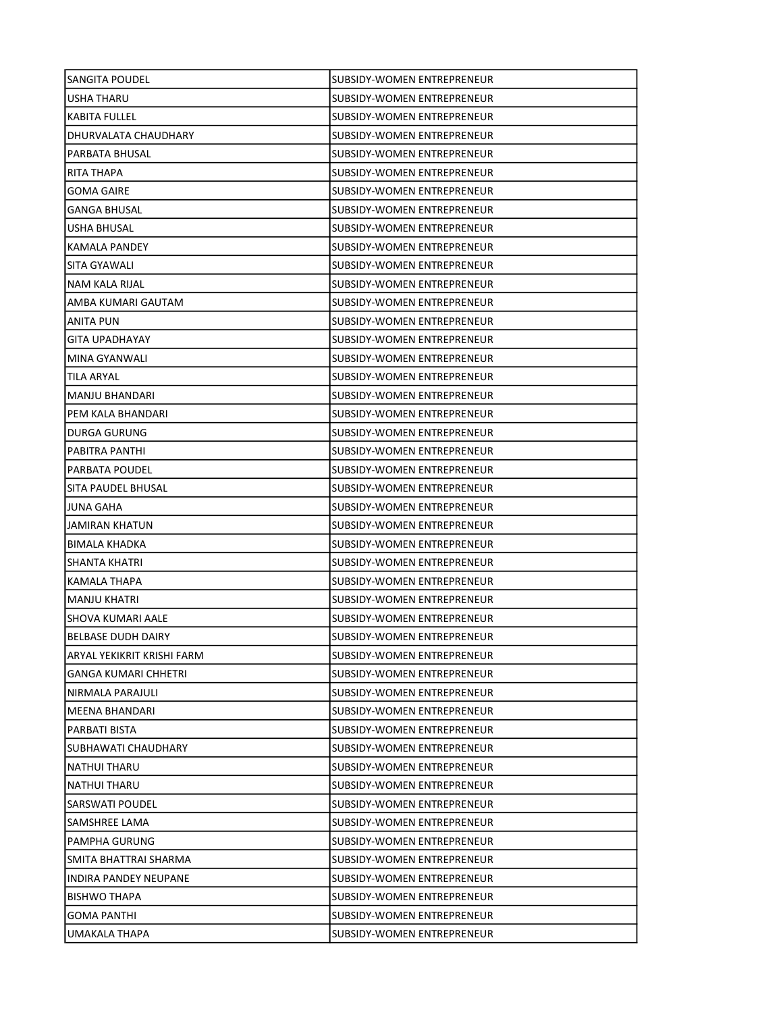| SANGITA POUDEL              | SUBSIDY-WOMEN ENTREPRENEUR        |
|-----------------------------|-----------------------------------|
| USHA THARU                  | SUBSIDY-WOMEN ENTREPRENEUR        |
| <b>KABITA FULLEL</b>        | SUBSIDY-WOMEN ENTREPRENEUR        |
| DHURVALATA CHAUDHARY        | SUBSIDY-WOMEN ENTREPRENEUR        |
| PARBATA BHUSAL              | SUBSIDY-WOMEN ENTREPRENEUR        |
| RITA THAPA                  | SUBSIDY-WOMEN ENTREPRENEUR        |
| GOMA GAIRE                  | SUBSIDY-WOMEN ENTREPRENEUR        |
| <b>GANGA BHUSAL</b>         | SUBSIDY-WOMEN ENTREPRENEUR        |
| USHA BHUSAL                 | SUBSIDY-WOMEN ENTREPRENEUR        |
| KAMALA PANDEY               | <b>SUBSIDY-WOMEN ENTREPRENEUR</b> |
| SITA GYAWALI                | SUBSIDY-WOMEN ENTREPRENEUR        |
| NAM KALA RIJAL              | SUBSIDY-WOMEN ENTREPRENEUR        |
| AMBA KUMARI GAUTAM          | SUBSIDY-WOMEN ENTREPRENEUR        |
| ANITA PUN                   | SUBSIDY-WOMEN ENTREPRENEUR        |
| <b>GITA UPADHAYAY</b>       | SUBSIDY-WOMEN ENTREPRENEUR        |
| <b>MINA GYANWALI</b>        | SUBSIDY-WOMEN ENTREPRENEUR        |
| TILA ARYAL                  | SUBSIDY-WOMEN ENTREPRENEUR        |
| MANJU BHANDARI              | SUBSIDY-WOMEN ENTREPRENEUR        |
| PEM KALA BHANDARI           | SUBSIDY-WOMEN ENTREPRENEUR        |
| <b>DURGA GURUNG</b>         | SUBSIDY-WOMEN ENTREPRENEUR        |
| PABITRA PANTHI              | SUBSIDY-WOMEN ENTREPRENEUR        |
| <b>PARBATA POUDEL</b>       | SUBSIDY-WOMEN ENTREPRENEUR        |
| SITA PAUDEL BHUSAL          | SUBSIDY-WOMEN ENTREPRENEUR        |
| JUNA GAHA                   | SUBSIDY-WOMEN ENTREPRENEUR        |
| JAMIRAN KHATUN              | SUBSIDY-WOMEN ENTREPRENEUR        |
| BIMALA KHADKA               | SUBSIDY-WOMEN ENTREPRENEUR        |
| SHANTA KHATRI               | SUBSIDY-WOMEN ENTREPRENEUR        |
| KAMALA THAPA                | SUBSIDY-WOMEN ENTREPRENEUR        |
| <b>MANJU KHATRI</b>         | SUBSIDY-WOMEN ENTREPRENEUR        |
| SHOVA KUMARI AALE           | SUBSIDY-WOMEN ENTREPRENEUR        |
| <b>BELBASE DUDH DAIRY</b>   | SUBSIDY-WOMEN ENTREPRENEUR        |
| ARYAL YEKIKRIT KRISHI FARM  | SUBSIDY-WOMEN ENTREPRENEUR        |
| <b>GANGA KUMARI CHHETRI</b> | SUBSIDY-WOMEN ENTREPRENEUR        |
| NIRMALA PARAJULI            | SUBSIDY-WOMEN ENTREPRENEUR        |
| MEENA BHANDARI              | SUBSIDY-WOMEN ENTREPRENEUR        |
| PARBATI BISTA               | SUBSIDY-WOMEN ENTREPRENEUR        |
| SUBHAWATI CHAUDHARY         | SUBSIDY-WOMEN ENTREPRENEUR        |
| NATHUI THARU                | SUBSIDY-WOMEN ENTREPRENEUR        |
| NATHUI THARU                | SUBSIDY-WOMEN ENTREPRENEUR        |
| SARSWATI POUDEL             | SUBSIDY-WOMEN ENTREPRENEUR        |
| SAMSHREE LAMA               | SUBSIDY-WOMEN ENTREPRENEUR        |
| PAMPHA GURUNG               | SUBSIDY-WOMEN ENTREPRENEUR        |
| SMITA BHATTRAI SHARMA       | SUBSIDY-WOMEN ENTREPRENEUR        |
| INDIRA PANDEY NEUPANE       | SUBSIDY-WOMEN ENTREPRENEUR        |
| <b>BISHWO THAPA</b>         | SUBSIDY-WOMEN ENTREPRENEUR        |
| <b>GOMA PANTHI</b>          | SUBSIDY-WOMEN ENTREPRENEUR        |
| UMAKALA THAPA               | SUBSIDY-WOMEN ENTREPRENEUR        |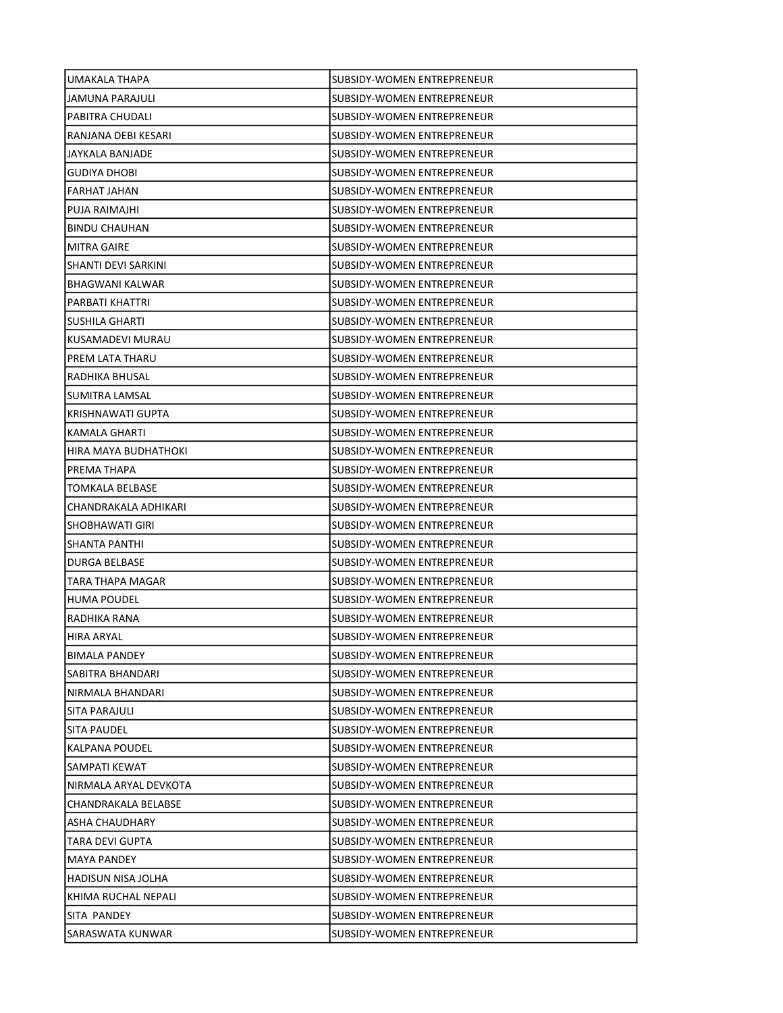| UMAKALA THAPA         | SUBSIDY-WOMEN ENTREPRENEUR        |
|-----------------------|-----------------------------------|
| JAMUNA PARAJULI       | SUBSIDY-WOMEN ENTREPRENEUR        |
| PABITRA CHUDALI       | SUBSIDY-WOMEN ENTREPRENEUR        |
| RANJANA DEBI KESARI   | SUBSIDY-WOMEN ENTREPRENEUR        |
| JAYKALA BANJADE       | SUBSIDY-WOMEN ENTREPRENEUR        |
| <b>GUDIYA DHOBI</b>   | SUBSIDY-WOMEN ENTREPRENEUR        |
| FARHAT JAHAN          | SUBSIDY-WOMEN ENTREPRENEUR        |
| PUJA RAIMAJHI         | SUBSIDY-WOMEN ENTREPRENEUR        |
| <b>BINDU CHAUHAN</b>  | SUBSIDY-WOMEN ENTREPRENEUR        |
| <b>MITRA GAIRE</b>    | SUBSIDY-WOMEN ENTREPRENEUR        |
| SHANTI DEVI SARKINI   | SUBSIDY-WOMEN ENTREPRENEUR        |
| BHAGWANI KALWAR       | SUBSIDY-WOMEN ENTREPRENEUR        |
| PARBATI KHATTRI       | SUBSIDY-WOMEN ENTREPRENEUR        |
| SUSHILA GHARTI        | SUBSIDY-WOMEN ENTREPRENEUR        |
| KUSAMADEVI MURAU      | SUBSIDY-WOMEN ENTREPRENEUR        |
| PREM LATA THARU       | SUBSIDY-WOMEN ENTREPRENEUR        |
| RADHIKA BHUSAL        | <b>SUBSIDY-WOMEN ENTREPRENEUR</b> |
| SUMITRA LAMSAL        | <b>SUBSIDY-WOMEN ENTREPRENEUR</b> |
| KRISHNAWATI GUPTA     | SUBSIDY-WOMEN ENTREPRENEUR        |
| KAMALA GHARTI         | SUBSIDY-WOMEN ENTREPRENEUR        |
| HIRA MAYA BUDHATHOKI  | SUBSIDY-WOMEN ENTREPRENEUR        |
| PREMA THAPA           | SUBSIDY-WOMEN ENTREPRENEUR        |
| TOMKALA BELBASE       | SUBSIDY-WOMEN ENTREPRENEUR        |
| CHANDRAKALA ADHIKARI  | SUBSIDY-WOMEN ENTREPRENEUR        |
| ISHOBHAWATI GIRI      | SUBSIDY-WOMEN ENTREPRENEUR        |
| SHANTA PANTHI         | SUBSIDY-WOMEN ENTREPRENEUR        |
| <b>DURGA BELBASE</b>  | SUBSIDY-WOMEN ENTREPRENEUR        |
| TARA THAPA MAGAR      | SUBSIDY-WOMEN ENTREPRENEUR        |
| <b>HUMA POUDEL</b>    | SUBSIDY-WOMEN ENTREPRENEUR        |
| RADHIKA RANA          | SUBSIDY-WOMEN ENTREPRENEUR        |
| HIRA ARYAL            | SUBSIDY-WOMEN ENTREPRENEUR        |
| <b>BIMALA PANDEY</b>  | <b>SUBSIDY-WOMEN ENTREPRENEUR</b> |
| SABITRA BHANDARI      | SUBSIDY-WOMEN ENTREPRENEUR        |
| NIRMALA BHANDARI      | SUBSIDY-WOMEN ENTREPRENEUR        |
| SITA PARAJULI         | SUBSIDY-WOMEN ENTREPRENEUR        |
| SITA PAUDEL           | SUBSIDY-WOMEN ENTREPRENEUR        |
| KALPANA POUDEL        | SUBSIDY-WOMEN ENTREPRENEUR        |
| SAMPATI KEWAT         | SUBSIDY-WOMEN ENTREPRENEUR        |
| NIRMALA ARYAL DEVKOTA | SUBSIDY-WOMEN ENTREPRENEUR        |
| CHANDRAKALA BELABSE   | SUBSIDY-WOMEN ENTREPRENEUR        |
| ASHA CHAUDHARY        | SUBSIDY-WOMEN ENTREPRENEUR        |
| TARA DEVI GUPTA       | SUBSIDY-WOMEN ENTREPRENEUR        |
| <b>MAYA PANDEY</b>    | SUBSIDY-WOMEN ENTREPRENEUR        |
| HADISUN NISA JOLHA    | SUBSIDY-WOMEN ENTREPRENEUR        |
| KHIMA RUCHAL NEPALI   | SUBSIDY-WOMEN ENTREPRENEUR        |
| SITA PANDEY           | SUBSIDY-WOMEN ENTREPRENEUR        |
| SARASWATA KUNWAR      | SUBSIDY-WOMEN ENTREPRENEUR        |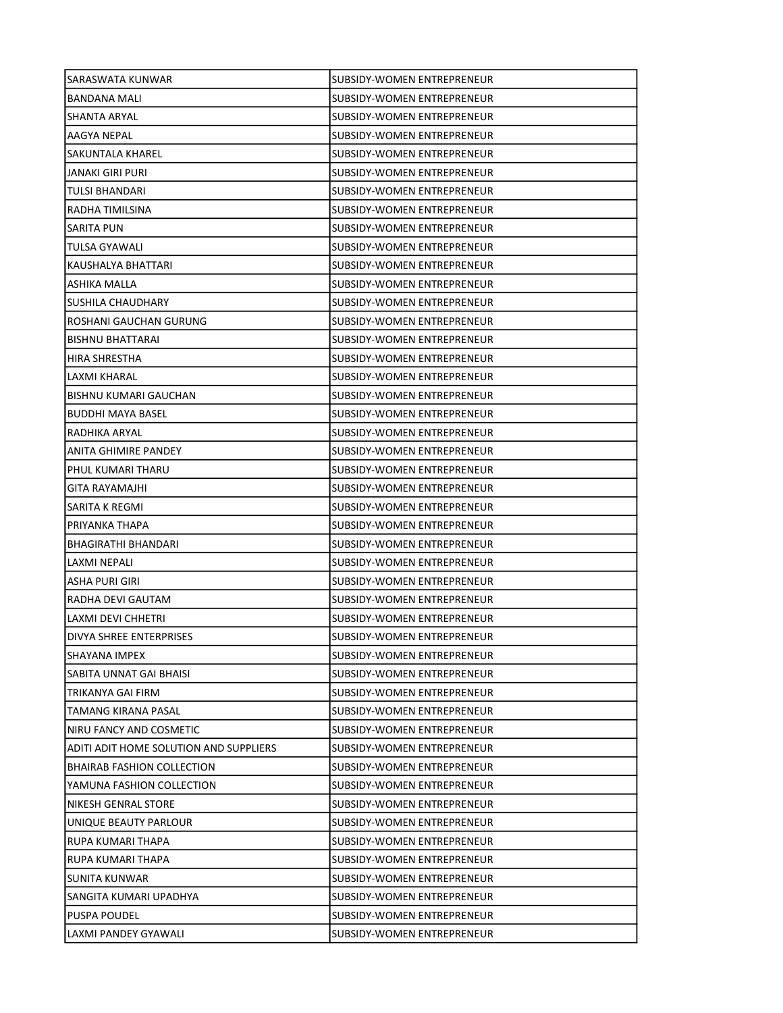| SARASWATA KUNWAR                       | SUBSIDY-WOMEN ENTREPRENEUR        |
|----------------------------------------|-----------------------------------|
| <b>BANDANA MALI</b>                    | SUBSIDY-WOMEN ENTREPRENEUR        |
| SHANTA ARYAL                           | <b>SUBSIDY-WOMEN ENTREPRENEUR</b> |
| AAGYA NEPAL                            | SUBSIDY-WOMEN ENTREPRENEUR        |
| SAKUNTALA KHAREL                       | SUBSIDY-WOMEN ENTREPRENEUR        |
| JANAKI GIRI PURI                       | SUBSIDY-WOMEN ENTREPRENEUR        |
| TULSI BHANDARI                         | SUBSIDY-WOMEN ENTREPRENEUR        |
| RADHA TIMILSINA                        | SUBSIDY-WOMEN ENTREPRENEUR        |
| <b>SARITA PUN</b>                      | SUBSIDY-WOMEN ENTREPRENEUR        |
| TULSA GYAWALI                          | <b>SUBSIDY-WOMEN ENTREPRENEUR</b> |
| KAUSHALYA BHATTARI                     | SUBSIDY-WOMEN ENTREPRENEUR        |
| ASHIKA MALLA                           | SUBSIDY-WOMEN ENTREPRENEUR        |
| SUSHILA CHAUDHARY                      | SUBSIDY-WOMEN ENTREPRENEUR        |
| ROSHANI GAUCHAN GURUNG                 | SUBSIDY-WOMEN ENTREPRENEUR        |
| <b>BISHNU BHATTARAI</b>                | SUBSIDY-WOMEN ENTREPRENEUR        |
| <b>HIRA SHRESTHA</b>                   | SUBSIDY-WOMEN ENTREPRENEUR        |
| LAXMI KHARAL                           | SUBSIDY-WOMEN ENTREPRENEUR        |
| BISHNU KUMARI GAUCHAN                  | SUBSIDY-WOMEN ENTREPRENEUR        |
| <b>BUDDHI MAYA BASEL</b>               | <b>SUBSIDY-WOMEN ENTREPRENEUR</b> |
| RADHIKA ARYAL                          | SUBSIDY-WOMEN ENTREPRENEUR        |
| ANITA GHIMIRE PANDEY                   | SUBSIDY-WOMEN ENTREPRENEUR        |
| PHUL KUMARI THARU                      | SUBSIDY-WOMEN ENTREPRENEUR        |
| GITA RAYAMAJHI                         | SUBSIDY-WOMEN ENTREPRENEUR        |
| SARITA K REGMI                         | SUBSIDY-WOMEN ENTREPRENEUR        |
| PRIYANKA THAPA                         | SUBSIDY-WOMEN ENTREPRENEUR        |
| BHAGIRATHI BHANDARI                    | SUBSIDY-WOMEN ENTREPRENEUR        |
| LAXMI NEPALI                           | SUBSIDY-WOMEN ENTREPRENEUR        |
| ASHA PURI GIRI                         | SUBSIDY-WOMEN ENTREPRENEUR        |
| RADHA DEVI GAUTAM                      | <b>SUBSIDY-WOMEN ENTREPRENEUR</b> |
| <b>LAXMI DEVI CHHETRI</b>              | SUBSIDY-WOMEN ENTREPRENEUR        |
| DIVYA SHREE ENTERPRISES                | SUBSIDY-WOMEN ENTREPRENEUR        |
| SHAYANA IMPEX                          | SUBSIDY-WOMEN ENTREPRENEUR        |
| SABITA UNNAT GAI BHAISI                | SUBSIDY-WOMEN ENTREPRENEUR        |
| TRIKANYA GAI FIRM                      | SUBSIDY-WOMEN ENTREPRENEUR        |
| TAMANG KIRANA PASAL                    | SUBSIDY-WOMEN ENTREPRENEUR        |
| NIRU FANCY AND COSMETIC                | SUBSIDY-WOMEN ENTREPRENEUR        |
| ADITI ADIT HOME SOLUTION AND SUPPLIERS | SUBSIDY-WOMEN ENTREPRENEUR        |
| <b>BHAIRAB FASHION COLLECTION</b>      | SUBSIDY-WOMEN ENTREPRENEUR        |
| YAMUNA FASHION COLLECTION              | <b>SUBSIDY-WOMEN ENTREPRENEUR</b> |
| NIKESH GENRAL STORE                    | <b>SUBSIDY-WOMEN ENTREPRENEUR</b> |
| UNIQUE BEAUTY PARLOUR                  | SUBSIDY-WOMEN ENTREPRENEUR        |
| RUPA KUMARI THAPA                      | SUBSIDY-WOMEN ENTREPRENEUR        |
| RUPA KUMARI THAPA                      | SUBSIDY-WOMEN ENTREPRENEUR        |
| SUNITA KUNWAR                          | SUBSIDY-WOMEN ENTREPRENEUR        |
| SANGITA KUMARI UPADHYA                 | SUBSIDY-WOMEN ENTREPRENEUR        |
| PUSPA POUDEL                           | SUBSIDY-WOMEN ENTREPRENEUR        |
| LAXMI PANDEY GYAWALI                   | SUBSIDY-WOMEN ENTREPRENEUR        |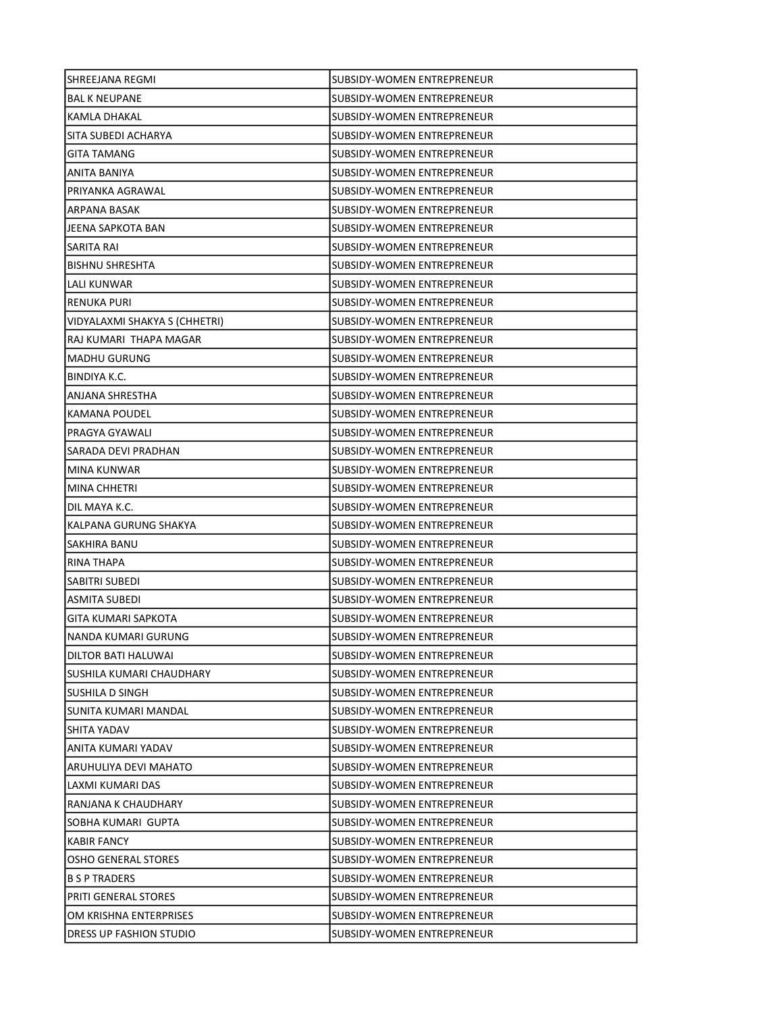| SHREEJANA REGMI               | SUBSIDY-WOMEN ENTREPRENEUR        |
|-------------------------------|-----------------------------------|
| <b>BAL K NEUPANE</b>          | SUBSIDY-WOMEN ENTREPRENEUR        |
| KAMLA DHAKAL                  | SUBSIDY-WOMEN ENTREPRENEUR        |
| SITA SUBEDI ACHARYA           | <b>SUBSIDY-WOMEN ENTREPRENEUR</b> |
| <b>GITA TAMANG</b>            | SUBSIDY-WOMEN ENTREPRENEUR        |
| ANITA BANIYA                  | SUBSIDY-WOMEN ENTREPRENEUR        |
| PRIYANKA AGRAWAL              | SUBSIDY-WOMEN ENTREPRENEUR        |
| ARPANA BASAK                  | SUBSIDY-WOMEN ENTREPRENEUR        |
| JEENA SAPKOTA BAN             | SUBSIDY-WOMEN ENTREPRENEUR        |
| SARITA RAI                    | SUBSIDY-WOMEN ENTREPRENEUR        |
| <b>BISHNU SHRESHTA</b>        | SUBSIDY-WOMEN ENTREPRENEUR        |
| LALI KUNWAR                   | SUBSIDY-WOMEN ENTREPRENEUR        |
| RENUKA PURI                   | SUBSIDY-WOMEN ENTREPRENEUR        |
| VIDYALAXMI SHAKYA S (CHHETRI) | SUBSIDY-WOMEN ENTREPRENEUR        |
| RAJ KUMARI THAPA MAGAR        | SUBSIDY-WOMEN ENTREPRENEUR        |
| <b>MADHU GURUNG</b>           | SUBSIDY-WOMEN ENTREPRENEUR        |
| BINDIYA K.C.                  | SUBSIDY-WOMEN ENTREPRENEUR        |
| ANJANA SHRESTHA               | <b>SUBSIDY-WOMEN ENTREPRENEUR</b> |
| KAMANA POUDEL                 | SUBSIDY-WOMEN ENTREPRENEUR        |
| PRAGYA GYAWALI                | SUBSIDY-WOMEN ENTREPRENEUR        |
| SARADA DEVI PRADHAN           | SUBSIDY-WOMEN ENTREPRENEUR        |
| MINA KUNWAR                   | SUBSIDY-WOMEN ENTREPRENEUR        |
| MINA CHHETRI                  | SUBSIDY-WOMEN ENTREPRENEUR        |
| DIL MAYA K.C.                 | SUBSIDY-WOMEN ENTREPRENEUR        |
| KALPANA GURUNG SHAKYA         | SUBSIDY-WOMEN ENTREPRENEUR        |
| SAKHIRA BANU                  | SUBSIDY-WOMEN ENTREPRENEUR        |
| RINA THAPA                    | SUBSIDY-WOMEN ENTREPRENEUR        |
| SABITRI SUBEDI                | <b>SUBSIDY-WOMEN ENTREPRENEUR</b> |
| ASMITA SUBEDI                 | SUBSIDY-WOMEN ENTREPRENEUR        |
| <b>GITA KUMARI SAPKOTA</b>    | SUBSIDY-WOMEN ENTREPRENEUR        |
| NANDA KUMARI GURUNG           | <b>SUBSIDY-WOMEN ENTREPRENEUR</b> |
| DILTOR BATI HALUWAI           | SUBSIDY-WOMEN ENTREPRENEUR        |
| SUSHILA KUMARI CHAUDHARY      | SUBSIDY-WOMEN ENTREPRENEUR        |
| SUSHILA D SINGH               | SUBSIDY-WOMEN ENTREPRENEUR        |
| SUNITA KUMARI MANDAL          | <b>SUBSIDY-WOMEN ENTREPRENEUR</b> |
| SHITA YADAV                   | SUBSIDY-WOMEN ENTREPRENEUR        |
| ANITA KUMARI YADAV            | SUBSIDY-WOMEN ENTREPRENEUR        |
| ARUHULIYA DEVI MAHATO         | SUBSIDY-WOMEN ENTREPRENEUR        |
| LAXMI KUMARI DAS              | SUBSIDY-WOMEN ENTREPRENEUR        |
| RANJANA K CHAUDHARY           | SUBSIDY-WOMEN ENTREPRENEUR        |
| SOBHA KUMARI GUPTA            | SUBSIDY-WOMEN ENTREPRENEUR        |
| <b>KABIR FANCY</b>            | SUBSIDY-WOMEN ENTREPRENEUR        |
| <b>OSHO GENERAL STORES</b>    | SUBSIDY-WOMEN ENTREPRENEUR        |
| <b>B S P TRADERS</b>          | SUBSIDY-WOMEN ENTREPRENEUR        |
| <b>PRITI GENERAL STORES</b>   | SUBSIDY-WOMEN ENTREPRENEUR        |
| OM KRISHNA ENTERPRISES        | SUBSIDY-WOMEN ENTREPRENEUR        |
| DRESS UP FASHION STUDIO       | SUBSIDY-WOMEN ENTREPRENEUR        |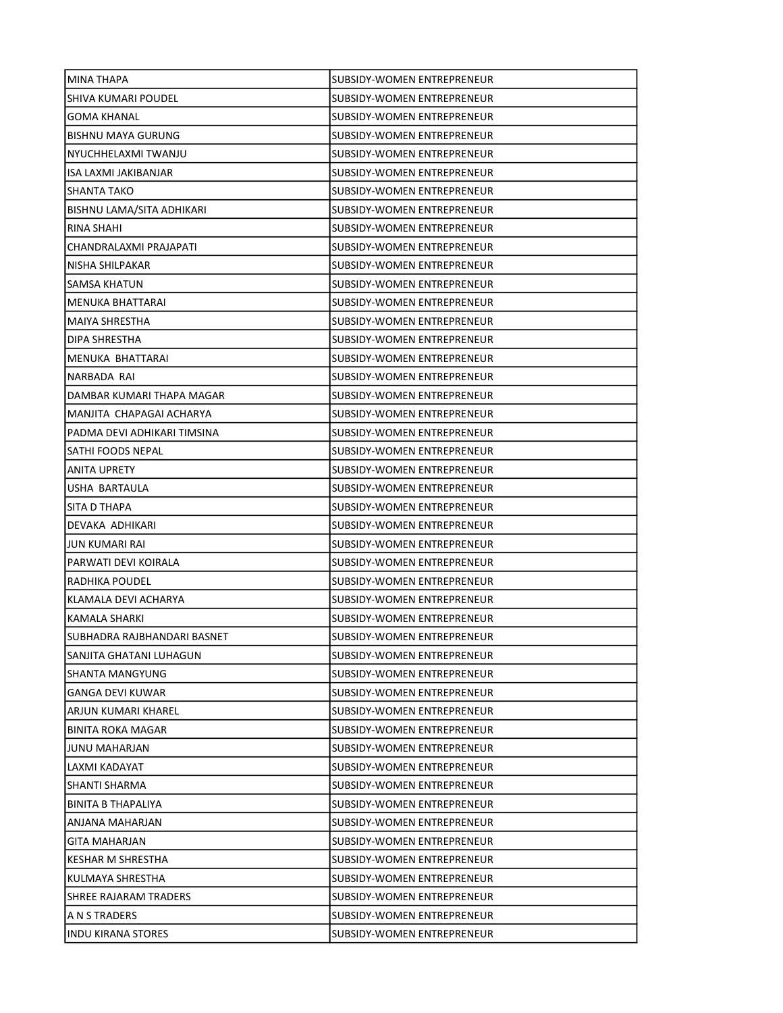| MINA THAPA                  | SUBSIDY-WOMEN ENTREPRENEUR        |
|-----------------------------|-----------------------------------|
| SHIVA KUMARI POUDEL         | SUBSIDY-WOMEN ENTREPRENEUR        |
| <b>GOMA KHANAL</b>          | SUBSIDY-WOMEN ENTREPRENEUR        |
| <b>BISHNU MAYA GURUNG</b>   | SUBSIDY-WOMEN ENTREPRENEUR        |
| NYUCHHELAXMI TWANJU         | SUBSIDY-WOMEN ENTREPRENEUR        |
| ISA LAXMI JAKIBANJAR        | SUBSIDY-WOMEN ENTREPRENEUR        |
| SHANTA TAKO                 | SUBSIDY-WOMEN ENTREPRENEUR        |
| BISHNU LAMA/SITA ADHIKARI   | SUBSIDY-WOMEN ENTREPRENEUR        |
| RINA SHAHI                  | SUBSIDY-WOMEN ENTREPRENEUR        |
| CHANDRALAXMI PRAJAPATI      | SUBSIDY-WOMEN ENTREPRENEUR        |
| NISHA SHILPAKAR             | <b>SUBSIDY-WOMEN ENTREPRENEUR</b> |
| SAMSA KHATUN                | SUBSIDY-WOMEN ENTREPRENEUR        |
| MENUKA BHATTARAI            | SUBSIDY-WOMEN ENTREPRENEUR        |
| <b>MAIYA SHRESTHA</b>       | <b>SUBSIDY-WOMEN ENTREPRENEUR</b> |
| DIPA SHRESTHA               | SUBSIDY-WOMEN ENTREPRENEUR        |
| MENUKA BHATTARAI            | SUBSIDY-WOMEN ENTREPRENEUR        |
| NARBADA RAI                 | SUBSIDY-WOMEN ENTREPRENEUR        |
| DAMBAR KUMARI THAPA MAGAR   | SUBSIDY-WOMEN ENTREPRENEUR        |
| MANJITA CHAPAGAI ACHARYA    | SUBSIDY-WOMEN ENTREPRENEUR        |
| PADMA DEVI ADHIKARI TIMSINA | SUBSIDY-WOMEN ENTREPRENEUR        |
| SATHI FOODS NEPAL           | SUBSIDY-WOMEN ENTREPRENEUR        |
| ANITA UPRETY                | SUBSIDY-WOMEN ENTREPRENEUR        |
| USHA BARTAULA               | SUBSIDY-WOMEN ENTREPRENEUR        |
| SITA D THAPA                | SUBSIDY-WOMEN ENTREPRENEUR        |
| DEVAKA ADHIKARI             | SUBSIDY-WOMEN ENTREPRENEUR        |
| <b>JUN KUMARI RAI</b>       | SUBSIDY-WOMEN ENTREPRENEUR        |
| PARWATI DEVI KOIRALA        | SUBSIDY-WOMEN ENTREPRENEUR        |
| RADHIKA POUDEL              | <b>SUBSIDY-WOMEN ENTREPRENEUR</b> |
| KLAMALA DEVI ACHARYA        | SUBSIDY-WOMEN ENTREPRENEUR        |
| KAMALA SHARKI               | SUBSIDY-WOMEN ENTREPRENEUR        |
| SUBHADRA RAJBHANDARI BASNET | SUBSIDY-WOMEN ENTREPRENEUR        |
| SANJITA GHATANI LUHAGUN     | SUBSIDY-WOMEN ENTREPRENEUR        |
| SHANTA MANGYUNG             | SUBSIDY-WOMEN ENTREPRENEUR        |
| GANGA DEVI KUWAR            | SUBSIDY-WOMEN ENTREPRENEUR        |
| ARJUN KUMARI KHAREL         | SUBSIDY-WOMEN ENTREPRENEUR        |
| <b>BINITA ROKA MAGAR</b>    | SUBSIDY-WOMEN ENTREPRENEUR        |
| <b>JUNU MAHARJAN</b>        | SUBSIDY-WOMEN ENTREPRENEUR        |
| LAXMI KADAYAT               | SUBSIDY-WOMEN ENTREPRENEUR        |
| SHANTI SHARMA               | <b>SUBSIDY-WOMEN ENTREPRENEUR</b> |
| <b>BINITA B THAPALIYA</b>   | SUBSIDY-WOMEN ENTREPRENEUR        |
| ANJANA MAHARJAN             | SUBSIDY-WOMEN ENTREPRENEUR        |
| <b>GITA MAHARJAN</b>        | SUBSIDY-WOMEN ENTREPRENEUR        |
| KESHAR M SHRESTHA           | SUBSIDY-WOMEN ENTREPRENEUR        |
| KULMAYA SHRESTHA            | SUBSIDY-WOMEN ENTREPRENEUR        |
| SHREE RAJARAM TRADERS       | SUBSIDY-WOMEN ENTREPRENEUR        |
| A N S TRADERS               | SUBSIDY-WOMEN ENTREPRENEUR        |
| <b>INDU KIRANA STORES</b>   | SUBSIDY-WOMEN ENTREPRENEUR        |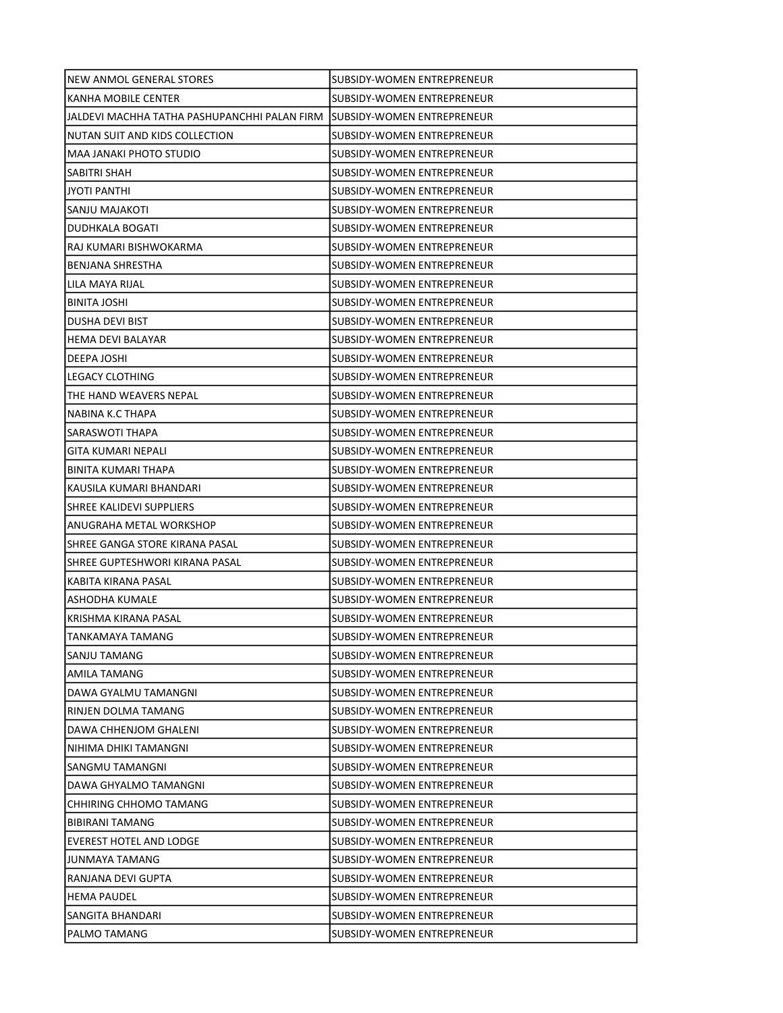| NEW ANMOL GENERAL STORES                     | SUBSIDY-WOMEN ENTREPRENEUR        |
|----------------------------------------------|-----------------------------------|
| KANHA MOBILE CENTER                          | SUBSIDY-WOMEN ENTREPRENEUR        |
| JALDEVI MACHHA TATHA PASHUPANCHHI PALAN FIRM | ISUBSIDY-WOMEN ENTREPRENEUR       |
| NUTAN SUIT AND KIDS COLLECTION               | <b>SUBSIDY-WOMEN ENTREPRENEUR</b> |
| MAA JANAKI PHOTO STUDIO                      | SUBSIDY-WOMEN ENTREPRENEUR        |
| SABITRI SHAH                                 | SUBSIDY-WOMEN ENTREPRENEUR        |
| JYOTI PANTHI                                 | SUBSIDY-WOMEN ENTREPRENEUR        |
| SANJU MAJAKOTI                               | SUBSIDY-WOMEN ENTREPRENEUR        |
| DUDHKALA BOGATI                              | SUBSIDY-WOMEN ENTREPRENEUR        |
| RAJ KUMARI BISHWOKARMA                       | <b>SUBSIDY-WOMEN ENTREPRENEUR</b> |
| <b>BENJANA SHRESTHA</b>                      | SUBSIDY-WOMEN ENTREPRENEUR        |
| LILA MAYA RIJAL                              | SUBSIDY-WOMEN ENTREPRENEUR        |
| BINITA JOSHI                                 | SUBSIDY-WOMEN ENTREPRENEUR        |
| DUSHA DEVI BIST                              | SUBSIDY-WOMEN ENTREPRENEUR        |
| <b>HEMA DEVI BALAYAR</b>                     | SUBSIDY-WOMEN ENTREPRENEUR        |
| DEEPA JOSHI                                  | SUBSIDY-WOMEN ENTREPRENEUR        |
| LEGACY CLOTHING                              | SUBSIDY-WOMEN ENTREPRENEUR        |
| THE HAND WEAVERS NEPAL                       | SUBSIDY-WOMEN ENTREPRENEUR        |
| NABINA K.C THAPA                             | SUBSIDY-WOMEN ENTREPRENEUR        |
| SARASWOTI THAPA                              | SUBSIDY-WOMEN ENTREPRENEUR        |
| GITA KUMARI NEPALI                           | SUBSIDY-WOMEN ENTREPRENEUR        |
| BINITA KUMARI THAPA                          | SUBSIDY-WOMEN ENTREPRENEUR        |
| KAUSILA KUMARI BHANDARI                      | SUBSIDY-WOMEN ENTREPRENEUR        |
| SHREE KALIDEVI SUPPLIERS                     | SUBSIDY-WOMEN ENTREPRENEUR        |
| ANUGRAHA METAL WORKSHOP                      | SUBSIDY-WOMEN ENTREPRENEUR        |
| SHREE GANGA STORE KIRANA PASAL               | SUBSIDY-WOMEN ENTREPRENEUR        |
| SHREE GUPTESHWORI KIRANA PASAL               | SUBSIDY-WOMEN ENTREPRENEUR        |
| KABITA KIRANA PASAL                          | SUBSIDY-WOMEN ENTREPRENEUR        |
| ASHODHA KUMALE                               | <b>SUBSIDY-WOMEN ENTREPRENEUR</b> |
| KRISHMA KIRANA PASAL                         | SUBSIDY-WOMEN ENTREPRENEUR        |
| TANKAMAYA TAMANG                             | SUBSIDY-WOMEN ENTREPRENEUR        |
| SANJU TAMANG                                 | SUBSIDY-WOMEN ENTREPRENEUR        |
| AMILA TAMANG                                 | SUBSIDY-WOMEN ENTREPRENEUR        |
| DAWA GYALMU TAMANGNI                         | SUBSIDY-WOMEN ENTREPRENEUR        |
| RINJEN DOLMA TAMANG                          | SUBSIDY-WOMEN ENTREPRENEUR        |
| DAWA CHHENJOM GHALENI                        | SUBSIDY-WOMEN ENTREPRENEUR        |
| NIHIMA DHIKI TAMANGNI                        | SUBSIDY-WOMEN ENTREPRENEUR        |
| SANGMU TAMANGNI                              | SUBSIDY-WOMEN ENTREPRENEUR        |
| DAWA GHYALMO TAMANGNI                        | SUBSIDY-WOMEN ENTREPRENEUR        |
| CHHIRING CHHOMO TAMANG                       | SUBSIDY-WOMEN ENTREPRENEUR        |
| <b>BIBIRANI TAMANG</b>                       | SUBSIDY-WOMEN ENTREPRENEUR        |
| EVEREST HOTEL AND LODGE                      | SUBSIDY-WOMEN ENTREPRENEUR        |
| JUNMAYA TAMANG                               | SUBSIDY-WOMEN ENTREPRENEUR        |
| RANJANA DEVI GUPTA                           | SUBSIDY-WOMEN ENTREPRENEUR        |
| <b>HEMA PAUDEL</b>                           | SUBSIDY-WOMEN ENTREPRENEUR        |
| SANGITA BHANDARI                             | SUBSIDY-WOMEN ENTREPRENEUR        |
| PALMO TAMANG                                 | SUBSIDY-WOMEN ENTREPRENEUR        |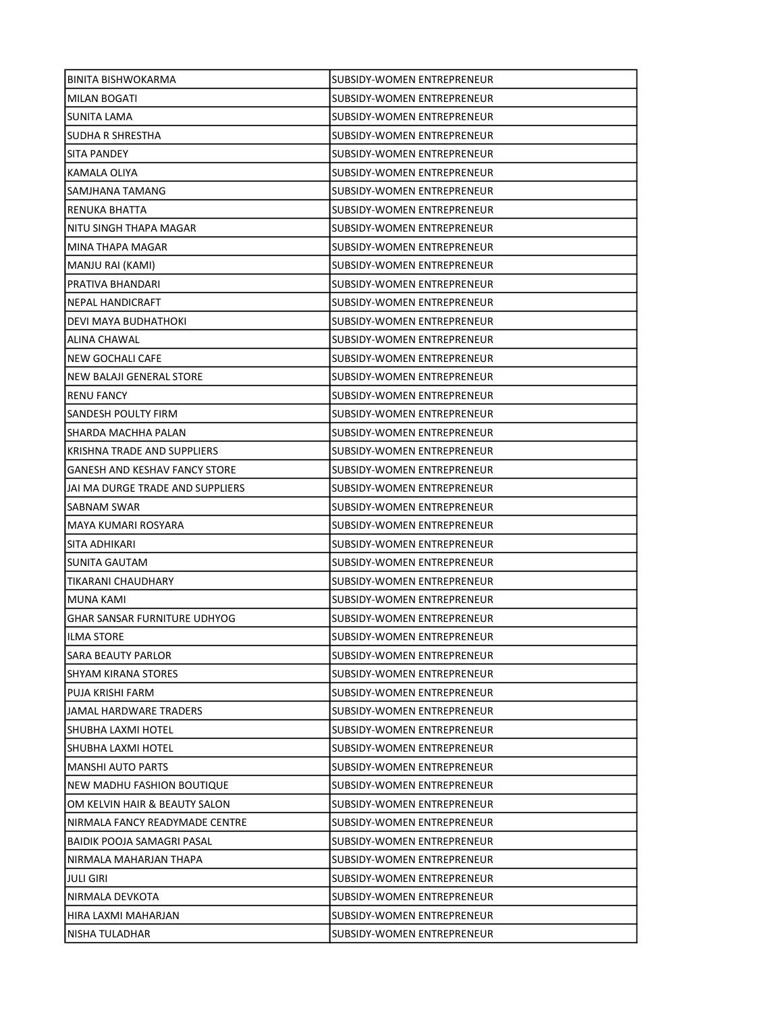| BINITA BISHWOKARMA                   | SUBSIDY-WOMEN ENTREPRENEUR        |
|--------------------------------------|-----------------------------------|
| MILAN BOGATI                         | SUBSIDY-WOMEN ENTREPRENEUR        |
| <b>SUNITA LAMA</b>                   | SUBSIDY-WOMEN ENTREPRENEUR        |
| SUDHA R SHRESTHA                     | <b>SUBSIDY-WOMEN ENTREPRENEUR</b> |
| SITA PANDEY                          | SUBSIDY-WOMEN ENTREPRENEUR        |
| KAMALA OLIYA                         | SUBSIDY-WOMEN ENTREPRENEUR        |
| SAMJHANA TAMANG                      | SUBSIDY-WOMEN ENTREPRENEUR        |
| RENUKA BHATTA                        | SUBSIDY-WOMEN ENTREPRENEUR        |
| NITU SINGH THAPA MAGAR               | SUBSIDY-WOMEN ENTREPRENEUR        |
| MINA THAPA MAGAR                     | SUBSIDY-WOMEN ENTREPRENEUR        |
| MANJU RAI (KAMI)                     | SUBSIDY-WOMEN ENTREPRENEUR        |
| PRATIVA BHANDARI                     | SUBSIDY-WOMEN ENTREPRENEUR        |
| <b>NEPAL HANDICRAFT</b>              | SUBSIDY-WOMEN ENTREPRENEUR        |
| DEVI MAYA BUDHATHOKI                 | SUBSIDY-WOMEN ENTREPRENEUR        |
| ALINA CHAWAL                         | SUBSIDY-WOMEN ENTREPRENEUR        |
| NEW GOCHALI CAFE                     | SUBSIDY-WOMEN ENTREPRENEUR        |
| NEW BALAJI GENERAL STORE             | SUBSIDY-WOMEN ENTREPRENEUR        |
| <b>RENU FANCY</b>                    | <b>SUBSIDY-WOMEN ENTREPRENEUR</b> |
| SANDESH POULTY FIRM                  | SUBSIDY-WOMEN ENTREPRENEUR        |
| SHARDA MACHHA PALAN                  | SUBSIDY-WOMEN ENTREPRENEUR        |
| KRISHNA TRADE AND SUPPLIERS          | SUBSIDY-WOMEN ENTREPRENEUR        |
| <b>GANESH AND KESHAV FANCY STORE</b> | SUBSIDY-WOMEN ENTREPRENEUR        |
| JAI MA DURGE TRADE AND SUPPLIERS     | SUBSIDY-WOMEN ENTREPRENEUR        |
| <b>SABNAM SWAR</b>                   | SUBSIDY-WOMEN ENTREPRENEUR        |
| MAYA KUMARI ROSYARA                  | SUBSIDY-WOMEN ENTREPRENEUR        |
| SITA ADHIKARI                        | SUBSIDY-WOMEN ENTREPRENEUR        |
| SUNITA GAUTAM                        | SUBSIDY-WOMEN ENTREPRENEUR        |
| TIKARANI CHAUDHARY                   | <b>SUBSIDY-WOMEN ENTREPRENEUR</b> |
| MUNA KAMI                            | SUBSIDY-WOMEN ENTREPRENEUR        |
| <b>GHAR SANSAR FURNITURE UDHYOG</b>  | SUBSIDY-WOMEN ENTREPRENEUR        |
| <b>ILMA STORE</b>                    | SUBSIDY-WOMEN ENTREPRENEUR        |
| SARA BEAUTY PARLOR                   | SUBSIDY-WOMEN ENTREPRENEUR        |
| SHYAM KIRANA STORES                  | SUBSIDY-WOMEN ENTREPRENEUR        |
| PUJA KRISHI FARM                     | SUBSIDY-WOMEN ENTREPRENEUR        |
| <b>JAMAL HARDWARE TRADERS</b>        | SUBSIDY-WOMEN ENTREPRENEUR        |
| SHUBHA LAXMI HOTEL                   | SUBSIDY-WOMEN ENTREPRENEUR        |
| SHUBHA LAXMI HOTEL                   | SUBSIDY-WOMEN ENTREPRENEUR        |
| <b>MANSHI AUTO PARTS</b>             | SUBSIDY-WOMEN ENTREPRENEUR        |
| NEW MADHU FASHION BOUTIQUE           | SUBSIDY-WOMEN ENTREPRENEUR        |
| OM KELVIN HAIR & BEAUTY SALON        | SUBSIDY-WOMEN ENTREPRENEUR        |
| NIRMALA FANCY READYMADE CENTRE       | SUBSIDY-WOMEN ENTREPRENEUR        |
| BAIDIK POOJA SAMAGRI PASAL           | SUBSIDY-WOMEN ENTREPRENEUR        |
| NIRMALA MAHARJAN THAPA               | SUBSIDY-WOMEN ENTREPRENEUR        |
| <b>JULI GIRI</b>                     | SUBSIDY-WOMEN ENTREPRENEUR        |
| NIRMALA DEVKOTA                      | SUBSIDY-WOMEN ENTREPRENEUR        |
| HIRA LAXMI MAHARJAN                  | SUBSIDY-WOMEN ENTREPRENEUR        |
| NISHA TULADHAR                       | SUBSIDY-WOMEN ENTREPRENEUR        |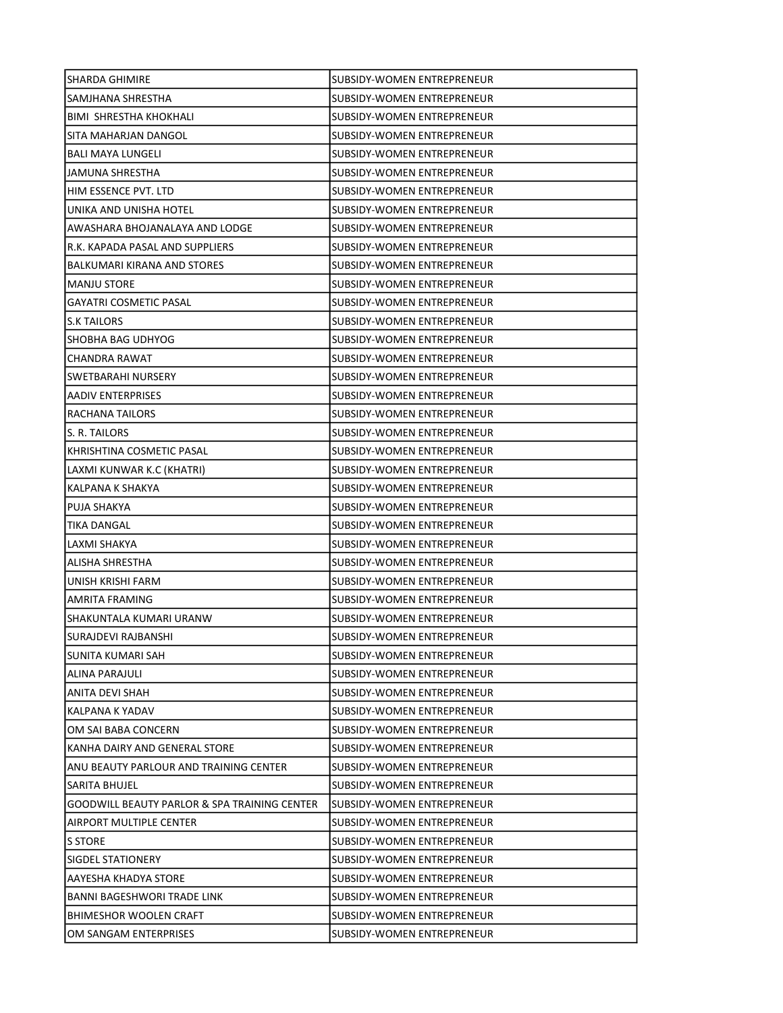| SHARDA GHIMIRE                                          | SUBSIDY-WOMEN ENTREPRENEUR        |
|---------------------------------------------------------|-----------------------------------|
| SAMJHANA SHRESTHA                                       | SUBSIDY-WOMEN ENTREPRENEUR        |
| BIMI SHRESTHA KHOKHALI                                  | SUBSIDY-WOMEN ENTREPRENEUR        |
| SITA MAHARJAN DANGOL                                    | <b>SUBSIDY-WOMEN ENTREPRENEUR</b> |
| <b>BALI MAYA LUNGELI</b>                                | SUBSIDY-WOMEN ENTREPRENEUR        |
| JAMUNA SHRESTHA                                         | SUBSIDY-WOMEN ENTREPRENEUR        |
| HIM ESSENCE PVT. LTD                                    | SUBSIDY-WOMEN ENTREPRENEUR        |
| UNIKA AND UNISHA HOTEL                                  | SUBSIDY-WOMEN ENTREPRENEUR        |
| AWASHARA BHOJANALAYA AND LODGE                          | SUBSIDY-WOMEN ENTREPRENEUR        |
| R.K. KAPADA PASAL AND SUPPLIERS                         | <b>SUBSIDY-WOMEN ENTREPRENEUR</b> |
| BALKUMARI KIRANA AND STORES                             | SUBSIDY-WOMEN ENTREPRENEUR        |
| <b>MANJU STORE</b>                                      | SUBSIDY-WOMEN ENTREPRENEUR        |
| <b>GAYATRI COSMETIC PASAL</b>                           | SUBSIDY-WOMEN ENTREPRENEUR        |
| <b>S.K TAILORS</b>                                      | SUBSIDY-WOMEN ENTREPRENEUR        |
| SHOBHA BAG UDHYOG                                       | SUBSIDY-WOMEN ENTREPRENEUR        |
| CHANDRA RAWAT                                           | SUBSIDY-WOMEN ENTREPRENEUR        |
| SWETBARAHI NURSERY                                      | SUBSIDY-WOMEN ENTREPRENEUR        |
| AADIV ENTERPRISES                                       | SUBSIDY-WOMEN ENTREPRENEUR        |
| RACHANA TAILORS                                         | SUBSIDY-WOMEN ENTREPRENEUR        |
| S. R. TAILORS                                           | SUBSIDY-WOMEN ENTREPRENEUR        |
| KHRISHTINA COSMETIC PASAL                               | SUBSIDY-WOMEN ENTREPRENEUR        |
| LAXMI KUNWAR K.C (KHATRI)                               | SUBSIDY-WOMEN ENTREPRENEUR        |
| KALPANA K SHAKYA                                        | SUBSIDY-WOMEN ENTREPRENEUR        |
| PUJA SHAKYA                                             | SUBSIDY-WOMEN ENTREPRENEUR        |
| <b>TIKA DANGAL</b>                                      | SUBSIDY-WOMEN ENTREPRENEUR        |
| LAXMI SHAKYA                                            | SUBSIDY-WOMEN ENTREPRENEUR        |
| ALISHA SHRESTHA                                         | SUBSIDY-WOMEN ENTREPRENEUR        |
| UNISH KRISHI FARM                                       | SUBSIDY-WOMEN ENTREPRENEUR        |
| AMRITA FRAMING                                          | SUBSIDY-WOMEN ENTREPRENEUR        |
| SHAKUNTALA KUMARI URANW                                 | SUBSIDY-WOMEN ENTREPRENEUR        |
| <b>SURAJDEVI RAJBANSHI</b>                              | SUBSIDY-WOMEN ENTREPRENEUR        |
| SUNITA KUMARI SAH                                       | SUBSIDY-WOMEN ENTREPRENEUR        |
| ALINA PARAJULI                                          | SUBSIDY-WOMEN ENTREPRENEUR        |
| ANITA DEVI SHAH                                         | SUBSIDY-WOMEN ENTREPRENEUR        |
| KALPANA K YADAV                                         | SUBSIDY-WOMEN ENTREPRENEUR        |
| OM SAI BABA CONCERN                                     | SUBSIDY-WOMEN ENTREPRENEUR        |
| KANHA DAIRY AND GENERAL STORE                           | SUBSIDY-WOMEN ENTREPRENEUR        |
| ANU BEAUTY PARLOUR AND TRAINING CENTER                  | SUBSIDY-WOMEN ENTREPRENEUR        |
| SARITA BHUJEL                                           | SUBSIDY-WOMEN ENTREPRENEUR        |
| <b>GOODWILL BEAUTY PARLOR &amp; SPA TRAINING CENTER</b> | <b>SUBSIDY-WOMEN ENTREPRENEUR</b> |
| AIRPORT MULTIPLE CENTER                                 | SUBSIDY-WOMEN ENTREPRENEUR        |
| S STORE                                                 | SUBSIDY-WOMEN ENTREPRENEUR        |
| SIGDEL STATIONERY                                       | SUBSIDY-WOMEN ENTREPRENEUR        |
| AAYESHA KHADYA STORE                                    | SUBSIDY-WOMEN ENTREPRENEUR        |
| BANNI BAGESHWORI TRADE LINK                             | SUBSIDY-WOMEN ENTREPRENEUR        |
| <b>BHIMESHOR WOOLEN CRAFT</b>                           | SUBSIDY-WOMEN ENTREPRENEUR        |
| OM SANGAM ENTERPRISES                                   | SUBSIDY-WOMEN ENTREPRENEUR        |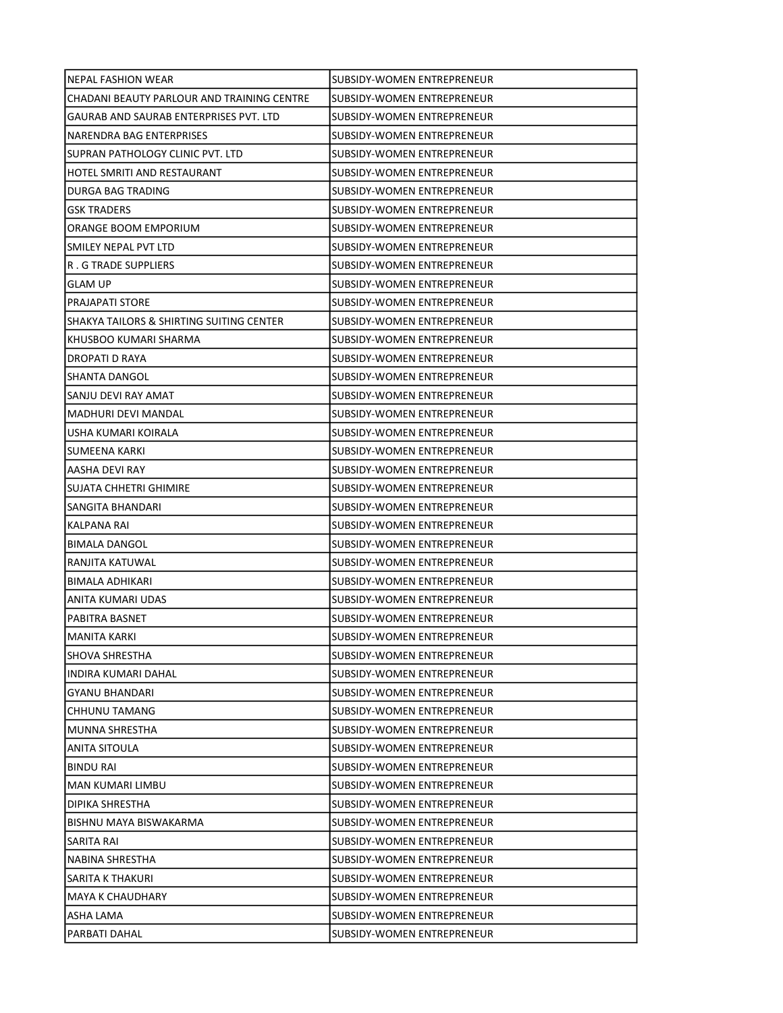| NEPAL FASHION WEAR                                  | SUBSIDY-WOMEN ENTREPRENEUR        |
|-----------------------------------------------------|-----------------------------------|
| CHADANI BEAUTY PARLOUR AND TRAINING CENTRE          | SUBSIDY-WOMEN ENTREPRENEUR        |
| GAURAB AND SAURAB ENTERPRISES PVT. LTD              | SUBSIDY-WOMEN ENTREPRENEUR        |
| NARENDRA BAG ENTERPRISES                            | SUBSIDY-WOMEN ENTREPRENEUR        |
| SUPRAN PATHOLOGY CLINIC PVT. LTD                    | SUBSIDY-WOMEN ENTREPRENEUR        |
| HOTEL SMRITI AND RESTAURANT                         | SUBSIDY-WOMEN ENTREPRENEUR        |
| DURGA BAG TRADING                                   | SUBSIDY-WOMEN ENTREPRENEUR        |
| <b>GSK TRADERS</b>                                  | SUBSIDY-WOMEN ENTREPRENEUR        |
| ORANGE BOOM EMPORIUM                                | SUBSIDY-WOMEN ENTREPRENEUR        |
| SMILEY NEPAL PVT LTD                                | <b>SUBSIDY-WOMEN ENTREPRENEUR</b> |
| R. G TRADE SUPPLIERS                                | SUBSIDY-WOMEN ENTREPRENEUR        |
| <b>GLAM UP</b>                                      | SUBSIDY-WOMEN ENTREPRENEUR        |
| <b>PRAJAPATI STORE</b>                              | SUBSIDY-WOMEN ENTREPRENEUR        |
| <b>SHAKYA TAILORS &amp; SHIRTING SUITING CENTER</b> | SUBSIDY-WOMEN ENTREPRENEUR        |
| KHUSBOO KUMARI SHARMA                               | SUBSIDY-WOMEN ENTREPRENEUR        |
| DROPATI D RAYA                                      | <b>SUBSIDY-WOMEN ENTREPRENEUR</b> |
| SHANTA DANGOL                                       | SUBSIDY-WOMEN ENTREPRENEUR        |
| SANJU DEVI RAY AMAT                                 | SUBSIDY-WOMEN ENTREPRENEUR        |
| MADHURI DEVI MANDAL                                 | SUBSIDY-WOMEN ENTREPRENEUR        |
| USHA KUMARI KOIRALA                                 | SUBSIDY-WOMEN ENTREPRENEUR        |
| SUMEENA KARKI                                       | SUBSIDY-WOMEN ENTREPRENEUR        |
| AASHA DEVI RAY                                      | SUBSIDY-WOMEN ENTREPRENEUR        |
| SUJATA CHHETRI GHIMIRE                              | SUBSIDY-WOMEN ENTREPRENEUR        |
| SANGITA BHANDARI                                    | SUBSIDY-WOMEN ENTREPRENEUR        |
| KALPANA RAI                                         | SUBSIDY-WOMEN ENTREPRENEUR        |
| <b>BIMALA DANGOL</b>                                | SUBSIDY-WOMEN ENTREPRENEUR        |
| RANJITA KATUWAL                                     | SUBSIDY-WOMEN ENTREPRENEUR        |
| BIMALA ADHIKARI                                     | SUBSIDY-WOMEN ENTREPRENEUR        |
| ANITA KUMARI UDAS                                   | SUBSIDY-WOMEN ENTREPRENEUR        |
| PABITRA BASNET                                      | SUBSIDY-WOMEN ENTREPRENEUR        |
| <b>MANITA KARKI</b>                                 | SUBSIDY-WOMEN ENTREPRENEUR        |
| <b>SHOVA SHRESTHA</b>                               | SUBSIDY-WOMEN ENTREPRENEUR        |
| INDIRA KUMARI DAHAL                                 | SUBSIDY-WOMEN ENTREPRENEUR        |
| <b>GYANU BHANDARI</b>                               | SUBSIDY-WOMEN ENTREPRENEUR        |
| CHHUNU TAMANG                                       | <b>SUBSIDY-WOMEN ENTREPRENEUR</b> |
| MUNNA SHRESTHA                                      | SUBSIDY-WOMEN ENTREPRENEUR        |
| ANITA SITOULA                                       | SUBSIDY-WOMEN ENTREPRENEUR        |
| BINDU RAI                                           | SUBSIDY-WOMEN ENTREPRENEUR        |
| MAN KUMARI LIMBU                                    | SUBSIDY-WOMEN ENTREPRENEUR        |
| DIPIKA SHRESTHA                                     | SUBSIDY-WOMEN ENTREPRENEUR        |
| BISHNU MAYA BISWAKARMA                              | SUBSIDY-WOMEN ENTREPRENEUR        |
| SARITA RAI                                          | SUBSIDY-WOMEN ENTREPRENEUR        |
| NABINA SHRESTHA                                     | SUBSIDY-WOMEN ENTREPRENEUR        |
| SARITA K THAKURI                                    | SUBSIDY-WOMEN ENTREPRENEUR        |
| <b>MAYA K CHAUDHARY</b>                             | SUBSIDY-WOMEN ENTREPRENEUR        |
| ASHA LAMA                                           | SUBSIDY-WOMEN ENTREPRENEUR        |
| PARBATI DAHAL                                       | SUBSIDY-WOMEN ENTREPRENEUR        |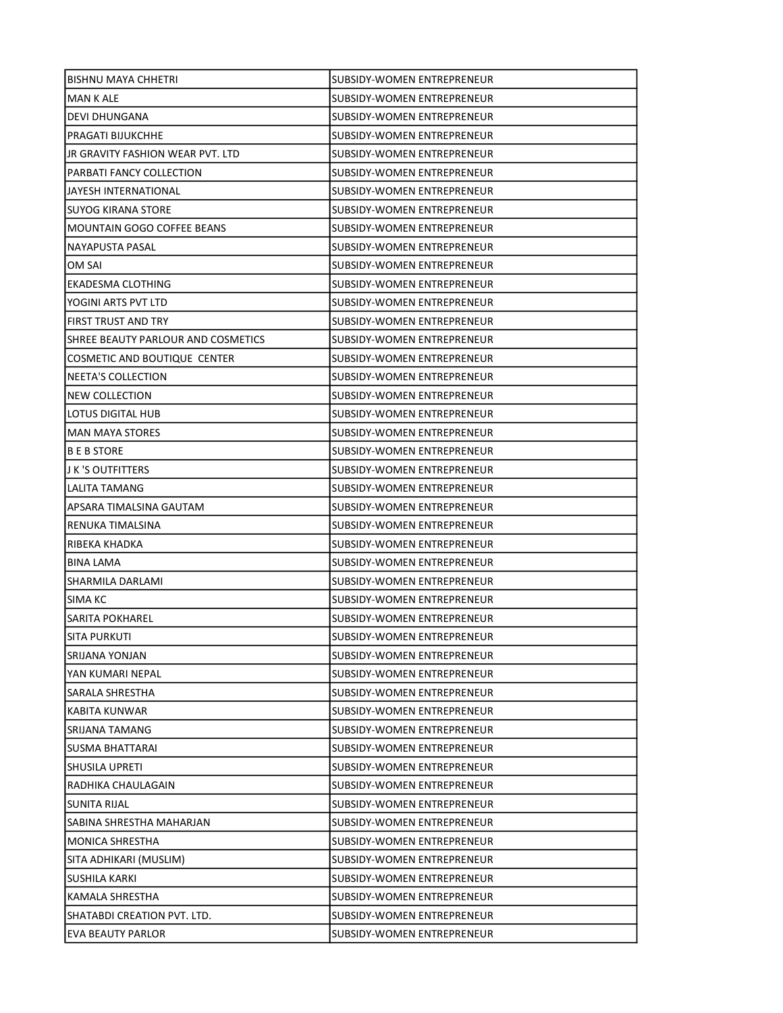| <b>BISHNU MAYA CHHETRI</b>         | SUBSIDY-WOMEN ENTREPRENEUR        |
|------------------------------------|-----------------------------------|
| MAN K ALE                          | SUBSIDY-WOMEN ENTREPRENEUR        |
| <b>DEVI DHUNGANA</b>               | SUBSIDY-WOMEN ENTREPRENEUR        |
| PRAGATI BIJUKCHHE                  | SUBSIDY-WOMEN ENTREPRENEUR        |
| JR GRAVITY FASHION WEAR PVT. LTD   | SUBSIDY-WOMEN ENTREPRENEUR        |
| PARBATI FANCY COLLECTION           | SUBSIDY-WOMEN ENTREPRENEUR        |
| JAYESH INTERNATIONAL               | SUBSIDY-WOMEN ENTREPRENEUR        |
| <b>SUYOG KIRANA STORE</b>          | SUBSIDY-WOMEN ENTREPRENEUR        |
| <b>MOUNTAIN GOGO COFFEE BEANS</b>  | <b>SUBSIDY-WOMEN ENTREPRENEUR</b> |
| NAYAPUSTA PASAL                    | SUBSIDY-WOMEN ENTREPRENEUR        |
| OM SAI                             | SUBSIDY-WOMEN ENTREPRENEUR        |
| EKADESMA CLOTHING                  | SUBSIDY-WOMEN ENTREPRENEUR        |
| YOGINI ARTS PVT LTD                | SUBSIDY-WOMEN ENTREPRENEUR        |
| FIRST TRUST AND TRY                | <b>SUBSIDY-WOMEN ENTREPRENEUR</b> |
| SHREE BEAUTY PARLOUR AND COSMETICS | SUBSIDY-WOMEN ENTREPRENEUR        |
| COSMETIC AND BOUTIQUE CENTER       | <b>SUBSIDY-WOMEN ENTREPRENEUR</b> |
| NEETA'S COLLECTION                 | SUBSIDY-WOMEN ENTREPRENEUR        |
| <b>NEW COLLECTION</b>              | SUBSIDY-WOMEN ENTREPRENEUR        |
| LOTUS DIGITAL HUB                  | SUBSIDY-WOMEN ENTREPRENEUR        |
| <b>MAN MAYA STORES</b>             | SUBSIDY-WOMEN ENTREPRENEUR        |
| <b>BEBSTORE</b>                    | SUBSIDY-WOMEN ENTREPRENEUR        |
| J K 'S OUTFITTERS                  | SUBSIDY-WOMEN ENTREPRENEUR        |
| LALITA TAMANG                      | SUBSIDY-WOMEN ENTREPRENEUR        |
| APSARA TIMALSINA GAUTAM            | SUBSIDY-WOMEN ENTREPRENEUR        |
| RENUKA TIMALSINA                   | SUBSIDY-WOMEN ENTREPRENEUR        |
| RIBEKA KHADKA                      | SUBSIDY-WOMEN ENTREPRENEUR        |
| <b>BINA LAMA</b>                   | SUBSIDY-WOMEN ENTREPRENEUR        |
| <b>SHARMILA DARLAMI</b>            | SUBSIDY-WOMEN ENTREPRENEUR        |
| SIMA KC                            | SUBSIDY-WOMEN ENTREPRENEUR        |
| <b>SARITA POKHAREL</b>             | SUBSIDY-WOMEN ENTREPRENEUR        |
| <b>SITA PURKUTI</b>                | SUBSIDY-WOMEN ENTREPRENEUR        |
| SRIJANA YONJAN                     | SUBSIDY-WOMEN ENTREPRENEUR        |
| YAN KUMARI NEPAL                   | SUBSIDY-WOMEN ENTREPRENEUR        |
| SARALA SHRESTHA                    | SUBSIDY-WOMEN ENTREPRENEUR        |
| <b>KABITA KUNWAR</b>               | SUBSIDY-WOMEN ENTREPRENEUR        |
| SRIJANA TAMANG                     | SUBSIDY-WOMEN ENTREPRENEUR        |
| <b>SUSMA BHATTARAI</b>             | SUBSIDY-WOMEN ENTREPRENEUR        |
| SHUSILA UPRETI                     | SUBSIDY-WOMEN ENTREPRENEUR        |
| RADHIKA CHAULAGAIN                 | SUBSIDY-WOMEN ENTREPRENEUR        |
| <b>SUNITA RIJAL</b>                | SUBSIDY-WOMEN ENTREPRENEUR        |
| SABINA SHRESTHA MAHARJAN           | SUBSIDY-WOMEN ENTREPRENEUR        |
| <b>MONICA SHRESTHA</b>             | SUBSIDY-WOMEN ENTREPRENEUR        |
| SITA ADHIKARI (MUSLIM)             | SUBSIDY-WOMEN ENTREPRENEUR        |
| SUSHILA KARKI                      | SUBSIDY-WOMEN ENTREPRENEUR        |
| KAMALA SHRESTHA                    | SUBSIDY-WOMEN ENTREPRENEUR        |
| SHATABDI CREATION PVT. LTD.        | SUBSIDY-WOMEN ENTREPRENEUR        |
| <b>EVA BEAUTY PARLOR</b>           | SUBSIDY-WOMEN ENTREPRENEUR        |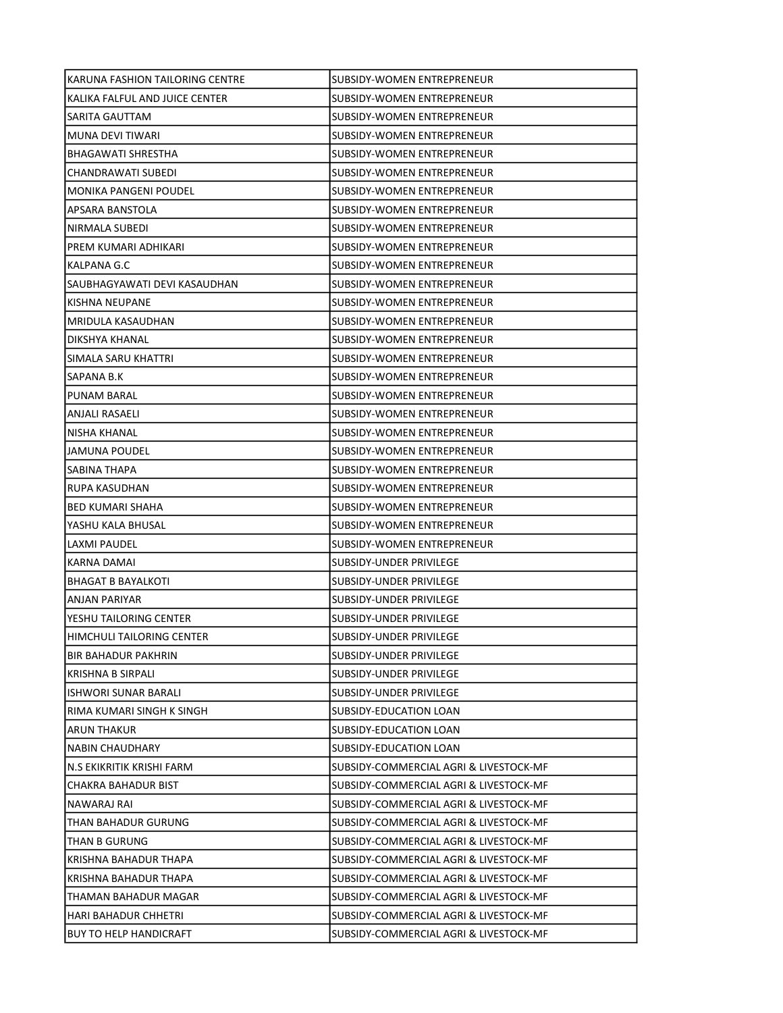| KARUNA FASHION TAILORING CENTRE | SUBSIDY-WOMEN ENTREPRENEUR             |
|---------------------------------|----------------------------------------|
| KALIKA FALFUL AND JUICE CENTER  | SUBSIDY-WOMEN ENTREPRENEUR             |
| SARITA GAUTTAM                  | SUBSIDY-WOMEN ENTREPRENEUR             |
| MUNA DEVI TIWARI                | <b>SUBSIDY-WOMEN ENTREPRENEUR</b>      |
| BHAGAWATI SHRESTHA              | SUBSIDY-WOMEN ENTREPRENEUR             |
| CHANDRAWATI SUBEDI              | SUBSIDY-WOMEN ENTREPRENEUR             |
| <b>MONIKA PANGENI POUDEL</b>    | SUBSIDY-WOMEN ENTREPRENEUR             |
| APSARA BANSTOLA                 | SUBSIDY-WOMEN ENTREPRENEUR             |
| NIRMALA SUBEDI                  | SUBSIDY-WOMEN ENTREPRENEUR             |
| PREM KUMARI ADHIKARI            | SUBSIDY-WOMEN ENTREPRENEUR             |
| KALPANA G.C                     | SUBSIDY-WOMEN ENTREPRENEUR             |
| SAUBHAGYAWATI DEVI KASAUDHAN    | SUBSIDY-WOMEN ENTREPRENEUR             |
| KISHNA NEUPANE                  | SUBSIDY-WOMEN ENTREPRENEUR             |
| MRIDULA KASAUDHAN               | SUBSIDY-WOMEN ENTREPRENEUR             |
| DIKSHYA KHANAL                  | SUBSIDY-WOMEN ENTREPRENEUR             |
| SIMALA SARU KHATTRI             | SUBSIDY-WOMEN ENTREPRENEUR             |
| SAPANA B.K                      | SUBSIDY-WOMEN ENTREPRENEUR             |
| <b>PUNAM BARAL</b>              | SUBSIDY-WOMEN ENTREPRENEUR             |
| <b>ANJALI RASAELI</b>           | SUBSIDY-WOMEN ENTREPRENEUR             |
| NISHA KHANAL                    | SUBSIDY-WOMEN ENTREPRENEUR             |
| JAMUNA POUDEL                   | SUBSIDY-WOMEN ENTREPRENEUR             |
| SABINA THAPA                    | SUBSIDY-WOMEN ENTREPRENEUR             |
| RUPA KASUDHAN                   | SUBSIDY-WOMEN ENTREPRENEUR             |
| BED KUMARI SHAHA                | SUBSIDY-WOMEN ENTREPRENEUR             |
| YASHU KALA BHUSAL               | SUBSIDY-WOMEN ENTREPRENEUR             |
| LAXMI PAUDEL                    | SUBSIDY-WOMEN ENTREPRENEUR             |
| KARNA DAMAI                     | SUBSIDY-UNDER PRIVILEGE                |
| <b>BHAGAT B BAYALKOTI</b>       | SUBSIDY-UNDER PRIVILEGE                |
| <b>ANJAN PARIYAR</b>            | SUBSIDY-UNDER PRIVILEGE                |
| YESHU TAILORING CENTER          | SUBSIDY-UNDER PRIVILEGE                |
| HIMCHULI TAILORING CENTER       | SUBSIDY-UNDER PRIVILEGE                |
| <b>BIR BAHADUR PAKHRIN</b>      | SUBSIDY-UNDER PRIVILEGE                |
| KRISHNA B SIRPALI               | SUBSIDY-UNDER PRIVILEGE                |
| ISHWORI SUNAR BARALI            | SUBSIDY-UNDER PRIVILEGE                |
| RIMA KUMARI SINGH K SINGH       | SUBSIDY-EDUCATION LOAN                 |
| ARUN THAKUR                     | SUBSIDY-EDUCATION LOAN                 |
| <b>NABIN CHAUDHARY</b>          | SUBSIDY-EDUCATION LOAN                 |
| N.S EKIKRITIK KRISHI FARM       | SUBSIDY-COMMERCIAL AGRI & LIVESTOCK-MF |
| CHAKRA BAHADUR BIST             | SUBSIDY-COMMERCIAL AGRI & LIVESTOCK-MF |
| NAWARAJ RAI                     | SUBSIDY-COMMERCIAL AGRI & LIVESTOCK-MF |
| THAN BAHADUR GURUNG             | SUBSIDY-COMMERCIAL AGRI & LIVESTOCK-MF |
| THAN B GURUNG                   | SUBSIDY-COMMERCIAL AGRI & LIVESTOCK-MF |
| KRISHNA BAHADUR THAPA           | SUBSIDY-COMMERCIAL AGRI & LIVESTOCK-MF |
| KRISHNA BAHADUR THAPA           | SUBSIDY-COMMERCIAL AGRI & LIVESTOCK-MF |
| THAMAN BAHADUR MAGAR            | SUBSIDY-COMMERCIAL AGRI & LIVESTOCK-MF |
| HARI BAHADUR CHHETRI            | SUBSIDY-COMMERCIAL AGRI & LIVESTOCK-MF |
| <b>BUY TO HELP HANDICRAFT</b>   | SUBSIDY-COMMERCIAL AGRI & LIVESTOCK-MF |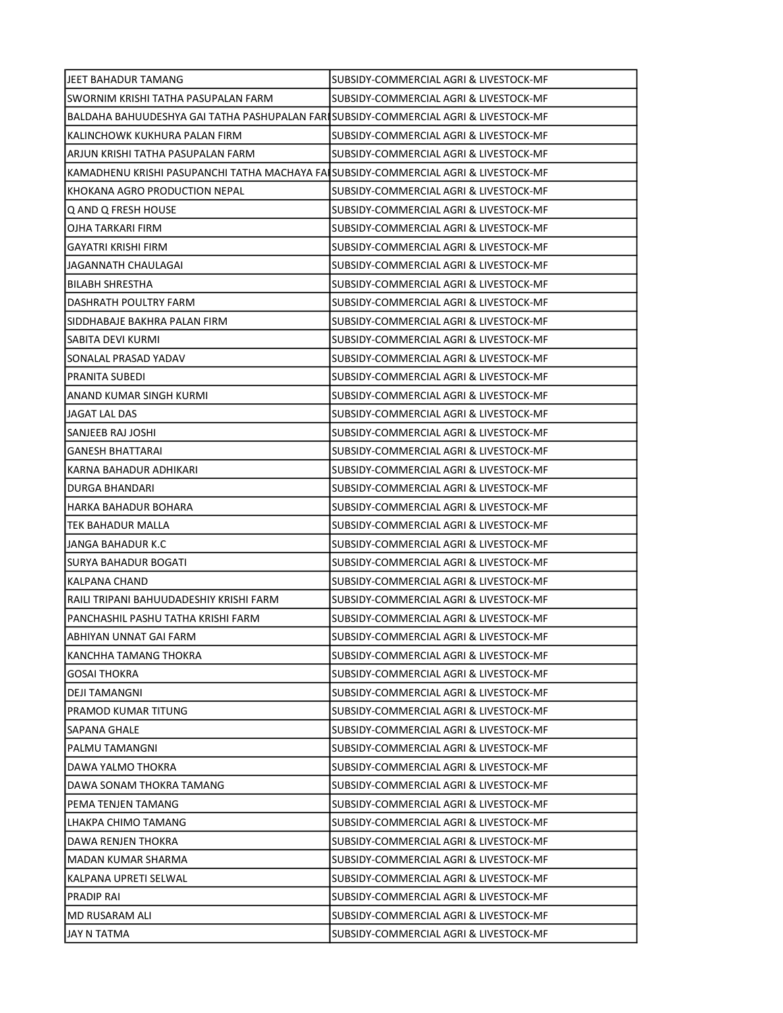| IJEET BAHADUR TAMANG                                                                | SUBSIDY-COMMERCIAL AGRI & LIVESTOCK-MF |
|-------------------------------------------------------------------------------------|----------------------------------------|
| SWORNIM KRISHI TATHA PASUPALAN FARM                                                 | SUBSIDY-COMMERCIAL AGRI & LIVESTOCK-MF |
| BALDAHA BAHUUDESHYA GAI TATHA PASHUPALAN FARISUBSIDY-COMMERCIAL AGRI & LIVESTOCK-MF |                                        |
| KALINCHOWK KUKHURA PALAN FIRM                                                       | SUBSIDY-COMMERCIAL AGRI & LIVESTOCK-MF |
| ARJUN KRISHI TATHA PASUPALAN FARM                                                   | SUBSIDY-COMMERCIAL AGRI & LIVESTOCK-MF |
| KAMADHENU KRISHI PASUPANCHI TATHA MACHAYA FAISUBSIDY-COMMERCIAL AGRI & LIVESTOCK-MF |                                        |
| IKHOKANA AGRO PRODUCTION NEPAL                                                      | SUBSIDY-COMMERCIAL AGRI & LIVESTOCK-MF |
| Q AND Q FRESH HOUSE                                                                 | SUBSIDY-COMMERCIAL AGRI & LIVESTOCK-MF |
| OJHA TARKARI FIRM                                                                   | SUBSIDY-COMMERCIAL AGRI & LIVESTOCK-MF |
| GAYATRI KRISHI FIRM                                                                 | SUBSIDY-COMMERCIAL AGRI & LIVESTOCK-MF |
| JAGANNATH CHAULAGAI                                                                 | SUBSIDY-COMMERCIAL AGRI & LIVESTOCK-MF |
| <b>BILABH SHRESTHA</b>                                                              | SUBSIDY-COMMERCIAL AGRI & LIVESTOCK-MF |
| DASHRATH POULTRY FARM                                                               | SUBSIDY-COMMERCIAL AGRI & LIVESTOCK-MF |
| SIDDHABAJE BAKHRA PALAN FIRM                                                        | SUBSIDY-COMMERCIAL AGRI & LIVESTOCK-MF |
| SABITA DEVI KURMI                                                                   | SUBSIDY-COMMERCIAL AGRI & LIVESTOCK-MF |
| SONALAL PRASAD YADAV                                                                | SUBSIDY-COMMERCIAL AGRI & LIVESTOCK-MF |
| PRANITA SUBEDI                                                                      | SUBSIDY-COMMERCIAL AGRI & LIVESTOCK-MF |
| ANAND KUMAR SINGH KURMI                                                             | SUBSIDY-COMMERCIAL AGRI & LIVESTOCK-MF |
| JAGAT LAL DAS                                                                       | SUBSIDY-COMMERCIAL AGRI & LIVESTOCK-MF |
| SANJEEB RAJ JOSHI                                                                   | SUBSIDY-COMMERCIAL AGRI & LIVESTOCK-MF |
| <b>GANESH BHATTARAI</b>                                                             | SUBSIDY-COMMERCIAL AGRI & LIVESTOCK-MF |
| KARNA BAHADUR ADHIKARI                                                              | SUBSIDY-COMMERCIAL AGRI & LIVESTOCK-MF |
| DURGA BHANDARI                                                                      | SUBSIDY-COMMERCIAL AGRI & LIVESTOCK-MF |
| HARKA BAHADUR BOHARA                                                                | SUBSIDY-COMMERCIAL AGRI & LIVESTOCK-MF |
| TEK BAHADUR MALLA                                                                   | SUBSIDY-COMMERCIAL AGRI & LIVESTOCK-MF |
| JANGA BAHADUR K.C                                                                   | SUBSIDY-COMMERCIAL AGRI & LIVESTOCK-MF |
| SURYA BAHADUR BOGATI                                                                | SUBSIDY-COMMERCIAL AGRI & LIVESTOCK-MF |
| KALPANA CHAND                                                                       | SUBSIDY-COMMERCIAL AGRI & LIVESTOCK-MF |
| RAILI TRIPANI BAHUUDADESHIY KRISHI FARM                                             | SUBSIDY-COMMERCIAL AGRI & LIVESTOCK-MF |
| PANCHASHIL PASHU TATHA KRISHI FARM                                                  | SUBSIDY-COMMERCIAL AGRI & LIVESTOCK-MF |
| IABHIYAN UNNAT GAI FARM                                                             | SUBSIDY-COMMERCIAL AGRI & LIVESTOCK-MF |
| KANCHHA TAMANG THOKRA                                                               | SUBSIDY-COMMERCIAL AGRI & LIVESTOCK-MF |
| GOSAI THOKRA                                                                        | SUBSIDY-COMMERCIAL AGRI & LIVESTOCK-MF |
| DEJI TAMANGNI                                                                       | SUBSIDY-COMMERCIAL AGRI & LIVESTOCK-MF |
| PRAMOD KUMAR TITUNG                                                                 | SUBSIDY-COMMERCIAL AGRI & LIVESTOCK-MF |
| SAPANA GHALE                                                                        | SUBSIDY-COMMERCIAL AGRI & LIVESTOCK-MF |
| PALMU TAMANGNI                                                                      | SUBSIDY-COMMERCIAL AGRI & LIVESTOCK-MF |
| DAWA YALMO THOKRA                                                                   | SUBSIDY-COMMERCIAL AGRI & LIVESTOCK-MF |
| DAWA SONAM THOKRA TAMANG                                                            | SUBSIDY-COMMERCIAL AGRI & LIVESTOCK-MF |
| PEMA TENJEN TAMANG                                                                  | SUBSIDY-COMMERCIAL AGRI & LIVESTOCK-MF |
| LHAKPA CHIMO TAMANG                                                                 | SUBSIDY-COMMERCIAL AGRI & LIVESTOCK-MF |
| DAWA RENJEN THOKRA                                                                  | SUBSIDY-COMMERCIAL AGRI & LIVESTOCK-MF |
| MADAN KUMAR SHARMA                                                                  | SUBSIDY-COMMERCIAL AGRI & LIVESTOCK-MF |
| KALPANA UPRETI SELWAL                                                               | SUBSIDY-COMMERCIAL AGRI & LIVESTOCK-MF |
| PRADIP RAI                                                                          | SUBSIDY-COMMERCIAL AGRI & LIVESTOCK-MF |
| MD RUSARAM ALI                                                                      | SUBSIDY-COMMERCIAL AGRI & LIVESTOCK-MF |
| JAY N TATMA                                                                         | SUBSIDY-COMMERCIAL AGRI & LIVESTOCK-MF |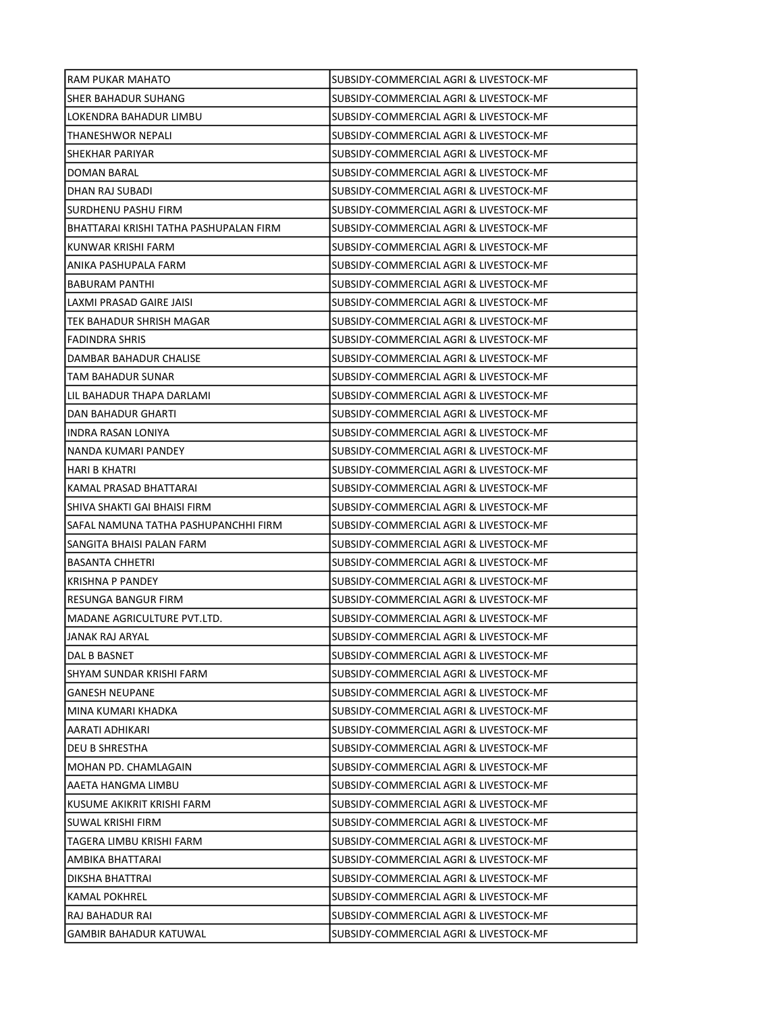| RAM PUKAR MAHATO                       | SUBSIDY-COMMERCIAL AGRI & LIVESTOCK-MF |
|----------------------------------------|----------------------------------------|
| SHER BAHADUR SUHANG                    | SUBSIDY-COMMERCIAL AGRI & LIVESTOCK-MF |
| LOKENDRA BAHADUR LIMBU                 | SUBSIDY-COMMERCIAL AGRI & LIVESTOCK-MF |
| THANESHWOR NEPALI                      | SUBSIDY-COMMERCIAL AGRI & LIVESTOCK-MF |
| SHEKHAR PARIYAR                        | SUBSIDY-COMMERCIAL AGRI & LIVESTOCK-MF |
| DOMAN BARAL                            | SUBSIDY-COMMERCIAL AGRI & LIVESTOCK-MF |
| DHAN RAJ SUBADI                        | SUBSIDY-COMMERCIAL AGRI & LIVESTOCK-MF |
| SURDHENU PASHU FIRM                    | SUBSIDY-COMMERCIAL AGRI & LIVESTOCK-MF |
| BHATTARAI KRISHI TATHA PASHUPALAN FIRM | SUBSIDY-COMMERCIAL AGRI & LIVESTOCK-MF |
| KUNWAR KRISHI FARM                     | SUBSIDY-COMMERCIAL AGRI & LIVESTOCK-MF |
| ANIKA PASHUPALA FARM                   | SUBSIDY-COMMERCIAL AGRI & LIVESTOCK-MF |
| BABURAM PANTHI                         | SUBSIDY-COMMERCIAL AGRI & LIVESTOCK-MF |
| LAXMI PRASAD GAIRE JAISI               | SUBSIDY-COMMERCIAL AGRI & LIVESTOCK-MF |
| TEK BAHADUR SHRISH MAGAR               | SUBSIDY-COMMERCIAL AGRI & LIVESTOCK-MF |
| <b>FADINDRA SHRIS</b>                  | SUBSIDY-COMMERCIAL AGRI & LIVESTOCK-MF |
| DAMBAR BAHADUR CHALISE                 | SUBSIDY-COMMERCIAL AGRI & LIVESTOCK-MF |
| TAM BAHADUR SUNAR                      | SUBSIDY-COMMERCIAL AGRI & LIVESTOCK-MF |
| LIL BAHADUR THAPA DARLAMI              | SUBSIDY-COMMERCIAL AGRI & LIVESTOCK-MF |
| DAN BAHADUR GHARTI                     | SUBSIDY-COMMERCIAL AGRI & LIVESTOCK-MF |
| INDRA RASAN LONIYA                     | SUBSIDY-COMMERCIAL AGRI & LIVESTOCK-MF |
| NANDA KUMARI PANDEY                    | SUBSIDY-COMMERCIAL AGRI & LIVESTOCK-MF |
| HARI B KHATRI                          | SUBSIDY-COMMERCIAL AGRI & LIVESTOCK-MF |
| KAMAL PRASAD BHATTARAI                 | SUBSIDY-COMMERCIAL AGRI & LIVESTOCK-MF |
| SHIVA SHAKTI GAI BHAISI FIRM           | SUBSIDY-COMMERCIAL AGRI & LIVESTOCK-MF |
| SAFAL NAMUNA TATHA PASHUPANCHHI FIRM   | SUBSIDY-COMMERCIAL AGRI & LIVESTOCK-MF |
| SANGITA BHAISI PALAN FARM              | SUBSIDY-COMMERCIAL AGRI & LIVESTOCK-MF |
| <b>BASANTA CHHETRI</b>                 | SUBSIDY-COMMERCIAL AGRI & LIVESTOCK-MF |
| <b>KRISHNA P PANDEY</b>                | SUBSIDY-COMMERCIAL AGRI & LIVESTOCK-MF |
| RESUNGA BANGUR FIRM                    | SUBSIDY-COMMERCIAL AGRI & LIVESTOCK-MF |
| MADANE AGRICULTURE PVT.LTD.            | SUBSIDY-COMMERCIAL AGRI & LIVESTOCK-MF |
| JANAK RAJ ARYAL                        | SUBSIDY-COMMERCIAL AGRI & LIVESTOCK-MF |
| DAL B BASNET                           | SUBSIDY-COMMERCIAL AGRI & LIVESTOCK-MF |
| SHYAM SUNDAR KRISHI FARM               | SUBSIDY-COMMERCIAL AGRI & LIVESTOCK-MF |
| <b>GANESH NEUPANE</b>                  | SUBSIDY-COMMERCIAL AGRI & LIVESTOCK-MF |
| MINA KUMARI KHADKA                     | SUBSIDY-COMMERCIAL AGRI & LIVESTOCK-MF |
| AARATI ADHIKARI                        | SUBSIDY-COMMERCIAL AGRI & LIVESTOCK-MF |
| DEU B SHRESTHA                         | SUBSIDY-COMMERCIAL AGRI & LIVESTOCK-MF |
| MOHAN PD. CHAMLAGAIN                   | SUBSIDY-COMMERCIAL AGRI & LIVESTOCK-MF |
| AAETA HANGMA LIMBU                     | SUBSIDY-COMMERCIAL AGRI & LIVESTOCK-MF |
| KUSUME AKIKRIT KRISHI FARM             | SUBSIDY-COMMERCIAL AGRI & LIVESTOCK-MF |
| SUWAL KRISHI FIRM                      | SUBSIDY-COMMERCIAL AGRI & LIVESTOCK-MF |
| TAGERA LIMBU KRISHI FARM               | SUBSIDY-COMMERCIAL AGRI & LIVESTOCK-MF |
| AMBIKA BHATTARAI                       | SUBSIDY-COMMERCIAL AGRI & LIVESTOCK-MF |
| DIKSHA BHATTRAI                        | SUBSIDY-COMMERCIAL AGRI & LIVESTOCK-MF |
| KAMAL POKHREL                          | SUBSIDY-COMMERCIAL AGRI & LIVESTOCK-MF |
| RAJ BAHADUR RAI                        | SUBSIDY-COMMERCIAL AGRI & LIVESTOCK-MF |
| <b>GAMBIR BAHADUR KATUWAL</b>          | SUBSIDY-COMMERCIAL AGRI & LIVESTOCK-MF |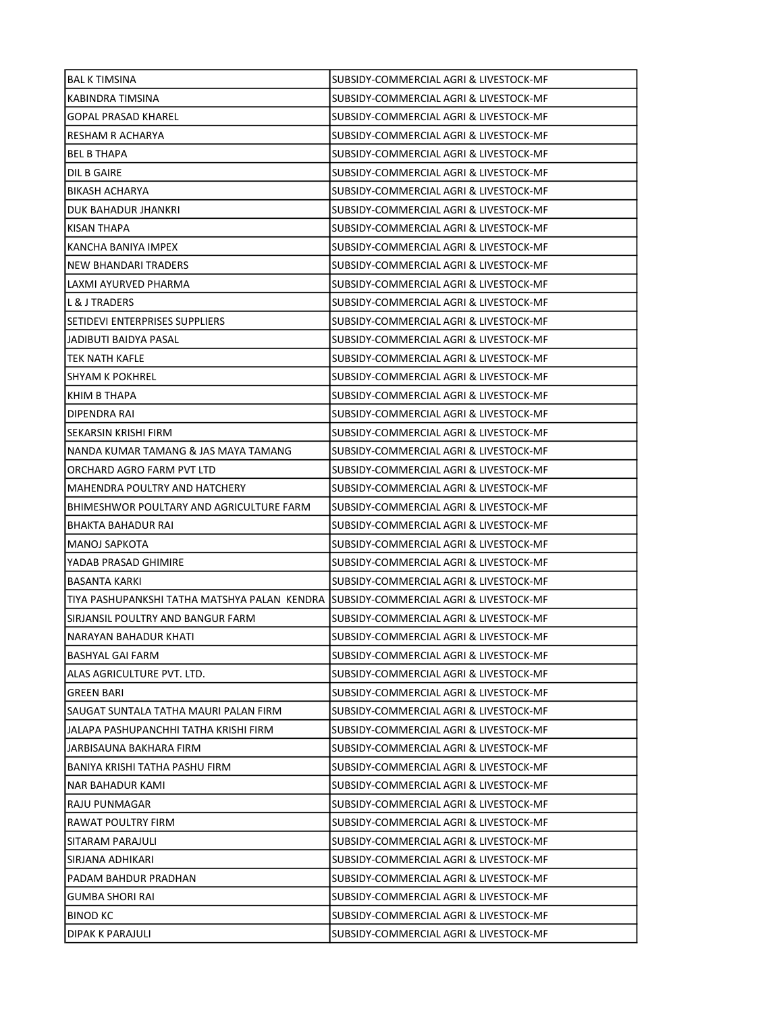| <b>BAL K TIMSINA</b>                                                                  | SUBSIDY-COMMERCIAL AGRI & LIVESTOCK-MF |
|---------------------------------------------------------------------------------------|----------------------------------------|
| KABINDRA TIMSINA                                                                      | SUBSIDY-COMMERCIAL AGRI & LIVESTOCK-MF |
| <b>GOPAL PRASAD KHAREL</b>                                                            | SUBSIDY-COMMERCIAL AGRI & LIVESTOCK-MF |
| RESHAM R ACHARYA                                                                      | SUBSIDY-COMMERCIAL AGRI & LIVESTOCK-MF |
| <b>BEL B THAPA</b>                                                                    | SUBSIDY-COMMERCIAL AGRI & LIVESTOCK-MF |
| DIL B GAIRE                                                                           | SUBSIDY-COMMERCIAL AGRI & LIVESTOCK-MF |
| <b>BIKASH ACHARYA</b>                                                                 | SUBSIDY-COMMERCIAL AGRI & LIVESTOCK-MF |
| DUK BAHADUR JHANKRI                                                                   | SUBSIDY-COMMERCIAL AGRI & LIVESTOCK-MF |
| KISAN THAPA                                                                           | SUBSIDY-COMMERCIAL AGRI & LIVESTOCK-MF |
| KANCHA BANIYA IMPEX                                                                   | SUBSIDY-COMMERCIAL AGRI & LIVESTOCK-MF |
| <b>NEW BHANDARI TRADERS</b>                                                           | SUBSIDY-COMMERCIAL AGRI & LIVESTOCK-MF |
| LAXMI AYURVED PHARMA                                                                  | SUBSIDY-COMMERCIAL AGRI & LIVESTOCK-MF |
| L & J TRADERS                                                                         | SUBSIDY-COMMERCIAL AGRI & LIVESTOCK-MF |
| SETIDEVI ENTERPRISES SUPPLIERS                                                        | SUBSIDY-COMMERCIAL AGRI & LIVESTOCK-MF |
| JADIBUTI BAIDYA PASAL                                                                 | SUBSIDY-COMMERCIAL AGRI & LIVESTOCK-MF |
| <b>TEK NATH KAFLE</b>                                                                 | SUBSIDY-COMMERCIAL AGRI & LIVESTOCK-MF |
| <b>SHYAM K POKHREL</b>                                                                | SUBSIDY-COMMERCIAL AGRI & LIVESTOCK-MF |
| KHIM B THAPA                                                                          | SUBSIDY-COMMERCIAL AGRI & LIVESTOCK-MF |
| DIPENDRA RAI                                                                          | SUBSIDY-COMMERCIAL AGRI & LIVESTOCK-MF |
| SEKARSIN KRISHI FIRM                                                                  | SUBSIDY-COMMERCIAL AGRI & LIVESTOCK-MF |
| NANDA KUMAR TAMANG & JAS MAYA TAMANG                                                  | SUBSIDY-COMMERCIAL AGRI & LIVESTOCK-MF |
| ORCHARD AGRO FARM PVT LTD                                                             | SUBSIDY-COMMERCIAL AGRI & LIVESTOCK-MF |
| MAHENDRA POULTRY AND HATCHERY                                                         | SUBSIDY-COMMERCIAL AGRI & LIVESTOCK-MF |
| BHIMESHWOR POULTARY AND AGRICULTURE FARM                                              | SUBSIDY-COMMERCIAL AGRI & LIVESTOCK-MF |
| BHAKTA BAHADUR RAI                                                                    | SUBSIDY-COMMERCIAL AGRI & LIVESTOCK-MF |
| MANOJ SAPKOTA                                                                         | SUBSIDY-COMMERCIAL AGRI & LIVESTOCK-MF |
| YADAB PRASAD GHIMIRE                                                                  | SUBSIDY-COMMERCIAL AGRI & LIVESTOCK-MF |
| <b>BASANTA KARKI</b>                                                                  | SUBSIDY-COMMERCIAL AGRI & LIVESTOCK-MF |
| TIYA PASHUPANKSHI TATHA MATSHYA PALAN  KENDRA [SUBSIDY-COMMERCIAL AGRI & LIVESTOCK-MF |                                        |
| SIRJANSIL POULTRY AND BANGUR FARM                                                     | SUBSIDY-COMMERCIAL AGRI & LIVESTOCK-MF |
| NARAYAN BAHADUR KHATI                                                                 | SUBSIDY-COMMERCIAL AGRI & LIVESTOCK-MF |
| <b>BASHYAL GAI FARM</b>                                                               | SUBSIDY-COMMERCIAL AGRI & LIVESTOCK-MF |
| ALAS AGRICULTURE PVT. LTD.                                                            | SUBSIDY-COMMERCIAL AGRI & LIVESTOCK-MF |
| <b>GREEN BARI</b>                                                                     | SUBSIDY-COMMERCIAL AGRI & LIVESTOCK-MF |
| SAUGAT SUNTALA TATHA MAURI PALAN FIRM                                                 | SUBSIDY-COMMERCIAL AGRI & LIVESTOCK-MF |
| JALAPA PASHUPANCHHI TATHA KRISHI FIRM                                                 | SUBSIDY-COMMERCIAL AGRI & LIVESTOCK-MF |
| JARBISAUNA BAKHARA FIRM                                                               | SUBSIDY-COMMERCIAL AGRI & LIVESTOCK-MF |
| BANIYA KRISHI TATHA PASHU FIRM                                                        | SUBSIDY-COMMERCIAL AGRI & LIVESTOCK-MF |
| NAR BAHADUR KAMI                                                                      | SUBSIDY-COMMERCIAL AGRI & LIVESTOCK-MF |
| RAJU PUNMAGAR                                                                         | SUBSIDY-COMMERCIAL AGRI & LIVESTOCK-MF |
| RAWAT POULTRY FIRM                                                                    | SUBSIDY-COMMERCIAL AGRI & LIVESTOCK-MF |
| SITARAM PARAJULI                                                                      | SUBSIDY-COMMERCIAL AGRI & LIVESTOCK-MF |
| SIRJANA ADHIKARI                                                                      | SUBSIDY-COMMERCIAL AGRI & LIVESTOCK-MF |
| PADAM BAHDUR PRADHAN                                                                  | SUBSIDY-COMMERCIAL AGRI & LIVESTOCK-MF |
| <b>GUMBA SHORI RAI</b>                                                                | SUBSIDY-COMMERCIAL AGRI & LIVESTOCK-MF |
| <b>BINOD KC</b>                                                                       | SUBSIDY-COMMERCIAL AGRI & LIVESTOCK-MF |
| DIPAK K PARAJULI                                                                      | SUBSIDY-COMMERCIAL AGRI & LIVESTOCK-MF |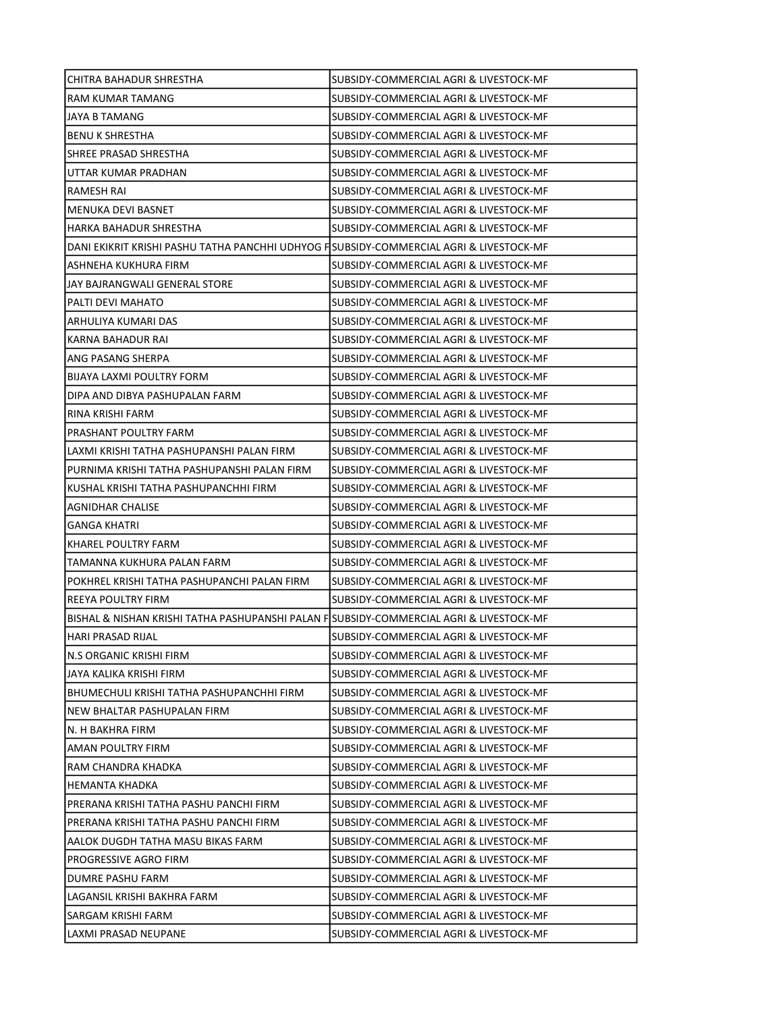| CHITRA BAHADUR SHRESTHA                                                                 | SUBSIDY-COMMERCIAL AGRI & LIVESTOCK-MF |
|-----------------------------------------------------------------------------------------|----------------------------------------|
| RAM KUMAR TAMANG                                                                        | SUBSIDY-COMMERCIAL AGRI & LIVESTOCK-MF |
| JAYA B TAMANG                                                                           | SUBSIDY-COMMERCIAL AGRI & LIVESTOCK-MF |
| <b>BENU K SHRESTHA</b>                                                                  | SUBSIDY-COMMERCIAL AGRI & LIVESTOCK-MF |
| SHREE PRASAD SHRESTHA                                                                   | SUBSIDY-COMMERCIAL AGRI & LIVESTOCK-MF |
| UTTAR KUMAR PRADHAN                                                                     | SUBSIDY-COMMERCIAL AGRI & LIVESTOCK-MF |
| <b>RAMESH RAI</b>                                                                       | SUBSIDY-COMMERCIAL AGRI & LIVESTOCK-MF |
| <b>MENUKA DEVI BASNET</b>                                                               | SUBSIDY-COMMERCIAL AGRI & LIVESTOCK-MF |
| HARKA BAHADUR SHRESTHA                                                                  | SUBSIDY-COMMERCIAL AGRI & LIVESTOCK-MF |
| DANI EKIKRIT KRISHI PASHU TATHA PANCHHI UDHYOG FISUBSIDY-COMMERCIAL AGRI & LIVESTOCK-MF |                                        |
| ASHNEHA KUKHURA FIRM                                                                    | SUBSIDY-COMMERCIAL AGRI & LIVESTOCK-MF |
| JAY BAJRANGWALI GENERAL STORE                                                           | SUBSIDY-COMMERCIAL AGRI & LIVESTOCK-MF |
| PALTI DEVI MAHATO                                                                       | SUBSIDY-COMMERCIAL AGRI & LIVESTOCK-MF |
| ARHULIYA KUMARI DAS                                                                     | SUBSIDY-COMMERCIAL AGRI & LIVESTOCK-MF |
| <b>KARNA BAHADUR RAI</b>                                                                | SUBSIDY-COMMERCIAL AGRI & LIVESTOCK-MF |
| ANG PASANG SHERPA                                                                       | SUBSIDY-COMMERCIAL AGRI & LIVESTOCK-MF |
| BIJAYA LAXMI POULTRY FORM                                                               | SUBSIDY-COMMERCIAL AGRI & LIVESTOCK-MF |
| DIPA AND DIBYA PASHUPALAN FARM                                                          | SUBSIDY-COMMERCIAL AGRI & LIVESTOCK-MF |
| RINA KRISHI FARM                                                                        | SUBSIDY-COMMERCIAL AGRI & LIVESTOCK-MF |
| PRASHANT POULTRY FARM                                                                   | SUBSIDY-COMMERCIAL AGRI & LIVESTOCK-MF |
| LAXMI KRISHI TATHA PASHUPANSHI PALAN FIRM                                               | SUBSIDY-COMMERCIAL AGRI & LIVESTOCK-MF |
| PURNIMA KRISHI TATHA PASHUPANSHI PALAN FIRM                                             | SUBSIDY-COMMERCIAL AGRI & LIVESTOCK-MF |
| KUSHAL KRISHI TATHA PASHUPANCHHI FIRM                                                   | SUBSIDY-COMMERCIAL AGRI & LIVESTOCK-MF |
| AGNIDHAR CHALISE                                                                        | SUBSIDY-COMMERCIAL AGRI & LIVESTOCK-MF |
| <b>GANGA KHATRI</b>                                                                     | SUBSIDY-COMMERCIAL AGRI & LIVESTOCK-MF |
| KHAREL POULTRY FARM                                                                     | SUBSIDY-COMMERCIAL AGRI & LIVESTOCK-MF |
| TAMANNA KUKHURA PALAN FARM                                                              | SUBSIDY-COMMERCIAL AGRI & LIVESTOCK-MF |
| POKHREL KRISHI TATHA PASHUPANCHI PALAN FIRM                                             | SUBSIDY-COMMERCIAL AGRI & LIVESTOCK-MF |
| REEYA POULTRY FIRM                                                                      | SUBSIDY-COMMERCIAL AGRI & LIVESTOCK-MF |
| BISHAL & NISHAN KRISHI TATHA PASHUPANSHI PALAN FISUBSIDY-COMMERCIAL AGRI & LIVESTOCK-MF |                                        |
| HARI PRASAD RIJAL                                                                       | SUBSIDY-COMMERCIAL AGRI & LIVESTOCK-MF |
| N.S ORGANIC KRISHI FIRM                                                                 | SUBSIDY-COMMERCIAL AGRI & LIVESTOCK-MF |
| JAYA KALIKA KRISHI FIRM                                                                 | SUBSIDY-COMMERCIAL AGRI & LIVESTOCK-MF |
| BHUMECHULI KRISHI TATHA PASHUPANCHHI FIRM                                               | SUBSIDY-COMMERCIAL AGRI & LIVESTOCK-MF |
| NEW BHALTAR PASHUPALAN FIRM                                                             | SUBSIDY-COMMERCIAL AGRI & LIVESTOCK-MF |
| N. H BAKHRA FIRM                                                                        | SUBSIDY-COMMERCIAL AGRI & LIVESTOCK-MF |
| AMAN POULTRY FIRM                                                                       | SUBSIDY-COMMERCIAL AGRI & LIVESTOCK-MF |
| RAM CHANDRA KHADKA                                                                      | SUBSIDY-COMMERCIAL AGRI & LIVESTOCK-MF |
| HEMANTA KHADKA                                                                          | SUBSIDY-COMMERCIAL AGRI & LIVESTOCK-MF |
| PRERANA KRISHI TATHA PASHU PANCHI FIRM                                                  | SUBSIDY-COMMERCIAL AGRI & LIVESTOCK-MF |
| PRERANA KRISHI TATHA PASHU PANCHI FIRM                                                  | SUBSIDY-COMMERCIAL AGRI & LIVESTOCK-MF |
| AALOK DUGDH TATHA MASU BIKAS FARM                                                       | SUBSIDY-COMMERCIAL AGRI & LIVESTOCK-MF |
| PROGRESSIVE AGRO FIRM                                                                   | SUBSIDY-COMMERCIAL AGRI & LIVESTOCK-MF |
| DUMRE PASHU FARM                                                                        | SUBSIDY-COMMERCIAL AGRI & LIVESTOCK-MF |
| LAGANSIL KRISHI BAKHRA FARM                                                             | SUBSIDY-COMMERCIAL AGRI & LIVESTOCK-MF |
| SARGAM KRISHI FARM                                                                      | SUBSIDY-COMMERCIAL AGRI & LIVESTOCK-MF |
| LAXMI PRASAD NEUPANE                                                                    | SUBSIDY-COMMERCIAL AGRI & LIVESTOCK-MF |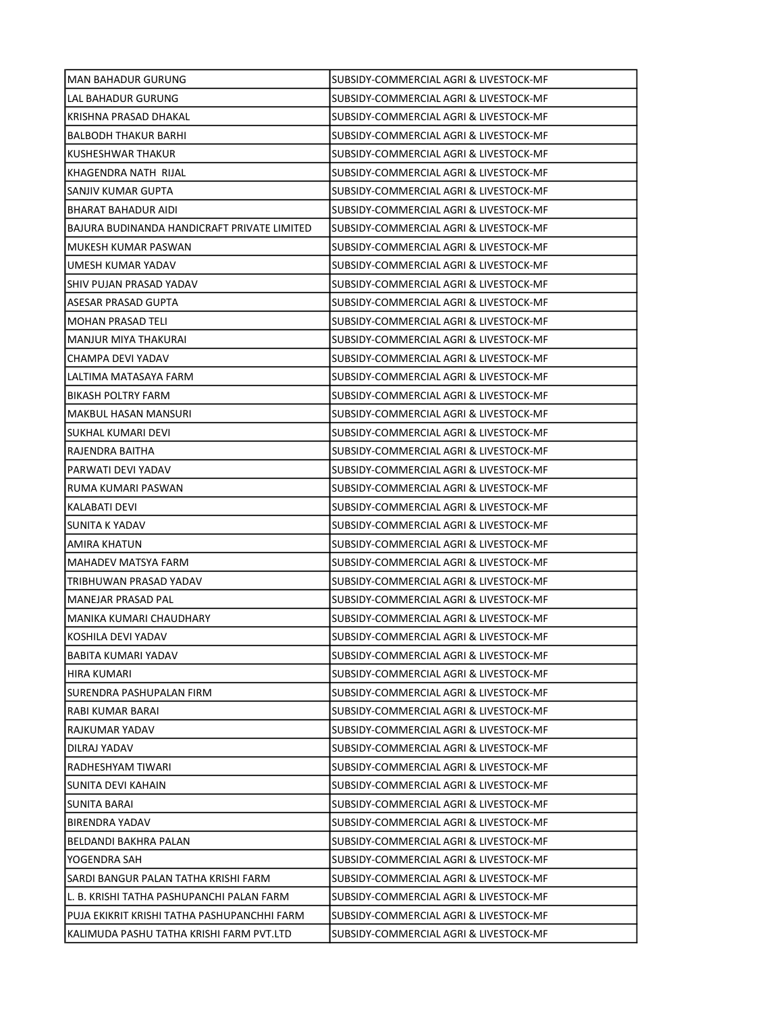| MAN BAHADUR GURUNG                          | SUBSIDY-COMMERCIAL AGRI & LIVESTOCK-MF |
|---------------------------------------------|----------------------------------------|
| LAL BAHADUR GURUNG                          | SUBSIDY-COMMERCIAL AGRI & LIVESTOCK-MF |
| KRISHNA PRASAD DHAKAL                       | SUBSIDY-COMMERCIAL AGRI & LIVESTOCK-MF |
| <b>BALBODH THAKUR BARHI</b>                 | SUBSIDY-COMMERCIAL AGRI & LIVESTOCK-MF |
| KUSHESHWAR THAKUR                           | SUBSIDY-COMMERCIAL AGRI & LIVESTOCK-MF |
| KHAGENDRA NATH RIJAL                        | SUBSIDY-COMMERCIAL AGRI & LIVESTOCK-MF |
| SANJIV KUMAR GUPTA                          | SUBSIDY-COMMERCIAL AGRI & LIVESTOCK-MF |
| BHARAT BAHADUR AIDI                         | SUBSIDY-COMMERCIAL AGRI & LIVESTOCK-MF |
| BAJURA BUDINANDA HANDICRAFT PRIVATE LIMITED | SUBSIDY-COMMERCIAL AGRI & LIVESTOCK-MF |
| MUKESH KUMAR PASWAN                         | SUBSIDY-COMMERCIAL AGRI & LIVESTOCK-MF |
| UMESH KUMAR YADAV                           | SUBSIDY-COMMERCIAL AGRI & LIVESTOCK-MF |
| ISHIV PUJAN PRASAD YADAV                    | SUBSIDY-COMMERCIAL AGRI & LIVESTOCK-MF |
| ASESAR PRASAD GUPTA                         | SUBSIDY-COMMERCIAL AGRI & LIVESTOCK-MF |
| MOHAN PRASAD TELI                           | SUBSIDY-COMMERCIAL AGRI & LIVESTOCK-MF |
| MANJUR MIYA THAKURAI                        | SUBSIDY-COMMERCIAL AGRI & LIVESTOCK-MF |
| CHAMPA DEVI YADAV                           | SUBSIDY-COMMERCIAL AGRI & LIVESTOCK-MF |
| LALTIMA MATASAYA FARM                       | SUBSIDY-COMMERCIAL AGRI & LIVESTOCK-MF |
| BIKASH POLTRY FARM                          | SUBSIDY-COMMERCIAL AGRI & LIVESTOCK-MF |
| MAKBUL HASAN MANSURI                        | SUBSIDY-COMMERCIAL AGRI & LIVESTOCK-MF |
| SUKHAL KUMARI DEVI                          | SUBSIDY-COMMERCIAL AGRI & LIVESTOCK-MF |
| RAJENDRA BAITHA                             | SUBSIDY-COMMERCIAL AGRI & LIVESTOCK-MF |
| PARWATI DEVI YADAV                          | SUBSIDY-COMMERCIAL AGRI & LIVESTOCK-MF |
| RUMA KUMARI PASWAN                          | SUBSIDY-COMMERCIAL AGRI & LIVESTOCK-MF |
| KALABATI DEVI                               | SUBSIDY-COMMERCIAL AGRI & LIVESTOCK-MF |
| SUNITA K YADAV                              | SUBSIDY-COMMERCIAL AGRI & LIVESTOCK-MF |
| AMIRA KHATUN                                | SUBSIDY-COMMERCIAL AGRI & LIVESTOCK-MF |
| MAHADEV MATSYA FARM                         | SUBSIDY-COMMERCIAL AGRI & LIVESTOCK-MF |
| TRIBHUWAN PRASAD YADAV                      | SUBSIDY-COMMERCIAL AGRI & LIVESTOCK-MF |
| MANEJAR PRASAD PAL                          | SUBSIDY-COMMERCIAL AGRI & LIVESTOCK-MF |
| MANIKA KUMARI CHAUDHARY                     | SUBSIDY-COMMERCIAL AGRI & LIVESTOCK-MF |
| KOSHILA DEVI YADAV                          | SUBSIDY-COMMERCIAL AGRI & LIVESTOCK-MF |
| BABITA KUMARI YADAV                         | SUBSIDY-COMMERCIAL AGRI & LIVESTOCK-MF |
| <b>HIRA KUMARI</b>                          | SUBSIDY-COMMERCIAL AGRI & LIVESTOCK-MF |
| SURENDRA PASHUPALAN FIRM                    | SUBSIDY-COMMERCIAL AGRI & LIVESTOCK-MF |
| RABI KUMAR BARAI                            | SUBSIDY-COMMERCIAL AGRI & LIVESTOCK-MF |
| RAJKUMAR YADAV                              | SUBSIDY-COMMERCIAL AGRI & LIVESTOCK-MF |
| DILRAJ YADAV                                | SUBSIDY-COMMERCIAL AGRI & LIVESTOCK-MF |
| RADHESHYAM TIWARI                           | SUBSIDY-COMMERCIAL AGRI & LIVESTOCK-MF |
| SUNITA DEVI KAHAIN                          | SUBSIDY-COMMERCIAL AGRI & LIVESTOCK-MF |
| SUNITA BARAI                                | SUBSIDY-COMMERCIAL AGRI & LIVESTOCK-MF |
| <b>BIRENDRA YADAV</b>                       | SUBSIDY-COMMERCIAL AGRI & LIVESTOCK-MF |
| BELDANDI BAKHRA PALAN                       | SUBSIDY-COMMERCIAL AGRI & LIVESTOCK-MF |
| YOGENDRA SAH                                | SUBSIDY-COMMERCIAL AGRI & LIVESTOCK-MF |
| SARDI BANGUR PALAN TATHA KRISHI FARM        | SUBSIDY-COMMERCIAL AGRI & LIVESTOCK-MF |
| L. B. KRISHI TATHA PASHUPANCHI PALAN FARM   | SUBSIDY-COMMERCIAL AGRI & LIVESTOCK-MF |
| PUJA EKIKRIT KRISHI TATHA PASHUPANCHHI FARM | SUBSIDY-COMMERCIAL AGRI & LIVESTOCK-MF |
| KALIMUDA PASHU TATHA KRISHI FARM PVT.LTD    | SUBSIDY-COMMERCIAL AGRI & LIVESTOCK-MF |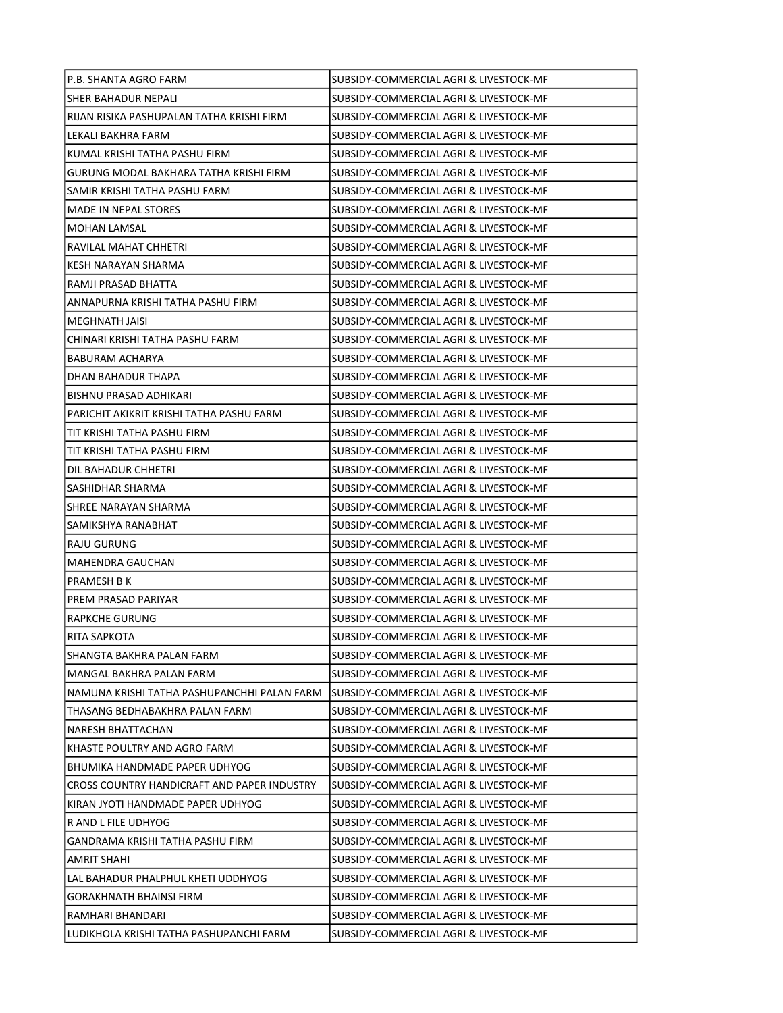| P.B. SHANTA AGRO FARM                       | SUBSIDY-COMMERCIAL AGRI & LIVESTOCK-MF  |
|---------------------------------------------|-----------------------------------------|
| SHER BAHADUR NEPALI                         | SUBSIDY-COMMERCIAL AGRI & LIVESTOCK-MF  |
| RIJAN RISIKA PASHUPALAN TATHA KRISHI FIRM   | SUBSIDY-COMMERCIAL AGRI & LIVESTOCK-MF  |
| LEKALI BAKHRA FARM                          | SUBSIDY-COMMERCIAL AGRI & LIVESTOCK-MF  |
| KUMAL KRISHI TATHA PASHU FIRM               | SUBSIDY-COMMERCIAL AGRI & LIVESTOCK-MF  |
| GURUNG MODAL BAKHARA TATHA KRISHI FIRM      | SUBSIDY-COMMERCIAL AGRI & LIVESTOCK-MF  |
| SAMIR KRISHI TATHA PASHU FARM               | SUBSIDY-COMMERCIAL AGRI & LIVESTOCK-MF  |
| <b>MADE IN NEPAL STORES</b>                 | SUBSIDY-COMMERCIAL AGRI & LIVESTOCK-MF  |
| <b>MOHAN LAMSAL</b>                         | SUBSIDY-COMMERCIAL AGRI & LIVESTOCK-MF  |
| RAVILAL MAHAT CHHETRI                       | SUBSIDY-COMMERCIAL AGRI & LIVESTOCK-MF  |
| KESH NARAYAN SHARMA                         | SUBSIDY-COMMERCIAL AGRI & LIVESTOCK-MF  |
| RAMJI PRASAD BHATTA                         | SUBSIDY-COMMERCIAL AGRI & LIVESTOCK-MF  |
| ANNAPURNA KRISHI TATHA PASHU FIRM           | SUBSIDY-COMMERCIAL AGRI & LIVESTOCK-MF  |
| MEGHNATH JAISI                              | SUBSIDY-COMMERCIAL AGRI & LIVESTOCK-MF  |
| CHINARI KRISHI TATHA PASHU FARM             | SUBSIDY-COMMERCIAL AGRI & LIVESTOCK-MF  |
| <b>BABURAM ACHARYA</b>                      | SUBSIDY-COMMERCIAL AGRI & LIVESTOCK-MF  |
| DHAN BAHADUR THAPA                          | SUBSIDY-COMMERCIAL AGRI & LIVESTOCK-MF  |
| BISHNU PRASAD ADHIKARI                      | SUBSIDY-COMMERCIAL AGRI & LIVESTOCK-MF  |
| PARICHIT AKIKRIT KRISHI TATHA PASHU FARM    | SUBSIDY-COMMERCIAL AGRI & LIVESTOCK-MF  |
| TIT KRISHI TATHA PASHU FIRM                 | SUBSIDY-COMMERCIAL AGRI & LIVESTOCK-MF  |
| TIT KRISHI TATHA PASHU FIRM                 | SUBSIDY-COMMERCIAL AGRI & LIVESTOCK-MF  |
| DIL BAHADUR CHHETRI                         | SUBSIDY-COMMERCIAL AGRI & LIVESTOCK-MF  |
| SASHIDHAR SHARMA                            | SUBSIDY-COMMERCIAL AGRI & LIVESTOCK-MF  |
| SHREE NARAYAN SHARMA                        | SUBSIDY-COMMERCIAL AGRI & LIVESTOCK-MF  |
| SAMIKSHYA RANABHAT                          | SUBSIDY-COMMERCIAL AGRI & LIVESTOCK-MF  |
| RAJU GURUNG                                 | SUBSIDY-COMMERCIAL AGRI & LIVESTOCK-MF  |
| MAHENDRA GAUCHAN                            | SUBSIDY-COMMERCIAL AGRI & LIVESTOCK-MF  |
| PRAMESH B K                                 | SUBSIDY-COMMERCIAL AGRI & LIVESTOCK-MF  |
| PREM PRASAD PARIYAR                         | SUBSIDY-COMMERCIAL AGRI & LIVESTOCK-MF  |
| <b>RAPKCHE GURUNG</b>                       | SUBSIDY-COMMERCIAL AGRI & LIVESTOCK-MF  |
| RITA SAPKOTA                                | SUBSIDY-COMMERCIAL AGRI & LIVESTOCK-MF  |
| SHANGTA BAKHRA PALAN FARM                   | SUBSIDY-COMMERCIAL AGRI & LIVESTOCK-MF  |
| MANGAL BAKHRA PALAN FARM                    | SUBSIDY-COMMERCIAL AGRI & LIVESTOCK-MF  |
| NAMUNA KRISHI TATHA PASHUPANCHHI PALAN FARM | ISUBSIDY-COMMERCIAL AGRI & LIVESTOCK-MF |
| THASANG BEDHABAKHRA PALAN FARM              | SUBSIDY-COMMERCIAL AGRI & LIVESTOCK-MF  |
| NARESH BHATTACHAN                           | SUBSIDY-COMMERCIAL AGRI & LIVESTOCK-MF  |
| KHASTE POULTRY AND AGRO FARM                | SUBSIDY-COMMERCIAL AGRI & LIVESTOCK-MF  |
| BHUMIKA HANDMADE PAPER UDHYOG               | SUBSIDY-COMMERCIAL AGRI & LIVESTOCK-MF  |
| CROSS COUNTRY HANDICRAFT AND PAPER INDUSTRY | SUBSIDY-COMMERCIAL AGRI & LIVESTOCK-MF  |
| KIRAN JYOTI HANDMADE PAPER UDHYOG           | SUBSIDY-COMMERCIAL AGRI & LIVESTOCK-MF  |
| R AND L FILE UDHYOG                         | SUBSIDY-COMMERCIAL AGRI & LIVESTOCK-MF  |
| GANDRAMA KRISHI TATHA PASHU FIRM            | SUBSIDY-COMMERCIAL AGRI & LIVESTOCK-MF  |
| AMRIT SHAHI                                 | SUBSIDY-COMMERCIAL AGRI & LIVESTOCK-MF  |
| LAL BAHADUR PHALPHUL KHETI UDDHYOG          | SUBSIDY-COMMERCIAL AGRI & LIVESTOCK-MF  |
| <b>GORAKHNATH BHAINSI FIRM</b>              | SUBSIDY-COMMERCIAL AGRI & LIVESTOCK-MF  |
| RAMHARI BHANDARI                            | SUBSIDY-COMMERCIAL AGRI & LIVESTOCK-MF  |
| LUDIKHOLA KRISHI TATHA PASHUPANCHI FARM     | SUBSIDY-COMMERCIAL AGRI & LIVESTOCK-MF  |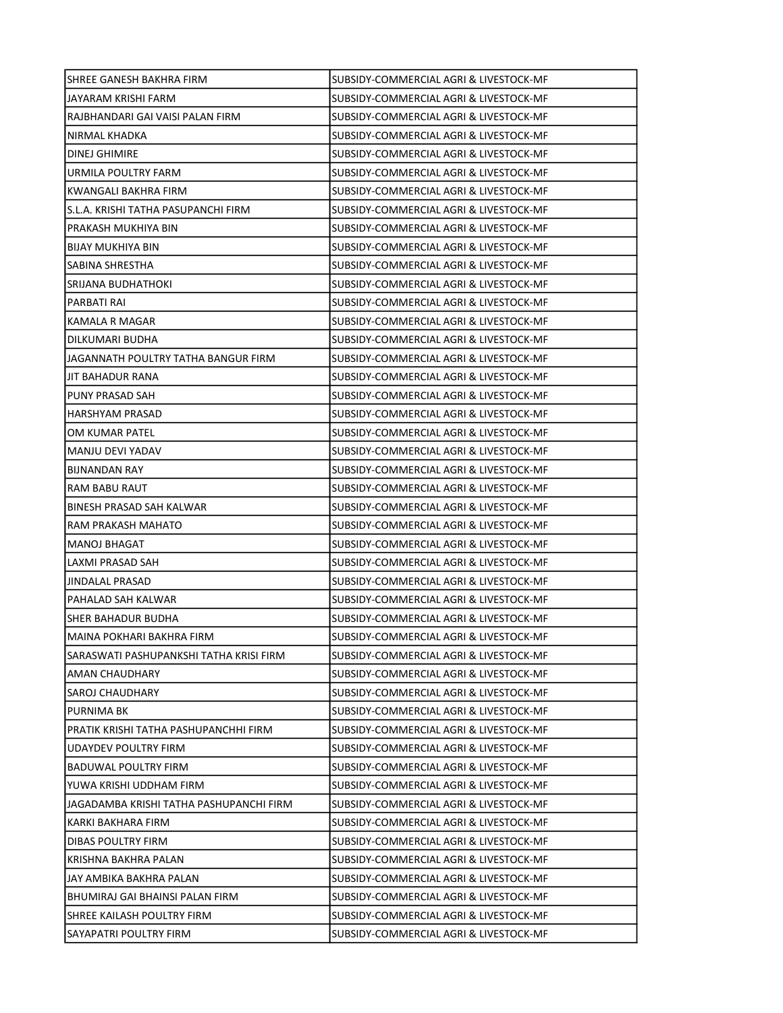| SHREE GANESH BAKHRA FIRM                | SUBSIDY-COMMERCIAL AGRI & LIVESTOCK-MF |
|-----------------------------------------|----------------------------------------|
| JAYARAM KRISHI FARM                     | SUBSIDY-COMMERCIAL AGRI & LIVESTOCK-MF |
| RAJBHANDARI GAI VAISI PALAN FIRM        | SUBSIDY-COMMERCIAL AGRI & LIVESTOCK-MF |
| NIRMAL KHADKA                           | SUBSIDY-COMMERCIAL AGRI & LIVESTOCK-MF |
| DINEJ GHIMIRE                           | SUBSIDY-COMMERCIAL AGRI & LIVESTOCK-MF |
| URMILA POULTRY FARM                     | SUBSIDY-COMMERCIAL AGRI & LIVESTOCK-MF |
| KWANGALI BAKHRA FIRM                    | SUBSIDY-COMMERCIAL AGRI & LIVESTOCK-MF |
| S.L.A. KRISHI TATHA PASUPANCHI FIRM     | SUBSIDY-COMMERCIAL AGRI & LIVESTOCK-MF |
| PRAKASH MUKHIYA BIN                     | SUBSIDY-COMMERCIAL AGRI & LIVESTOCK-MF |
| <b>BIJAY MUKHIYA BIN</b>                | SUBSIDY-COMMERCIAL AGRI & LIVESTOCK-MF |
| SABINA SHRESTHA                         | SUBSIDY-COMMERCIAL AGRI & LIVESTOCK-MF |
| SRIJANA BUDHATHOKI                      | SUBSIDY-COMMERCIAL AGRI & LIVESTOCK-MF |
| PARBATI RAI                             | SUBSIDY-COMMERCIAL AGRI & LIVESTOCK-MF |
| KAMALA R MAGAR                          | SUBSIDY-COMMERCIAL AGRI & LIVESTOCK-MF |
| DILKUMARI BUDHA                         | SUBSIDY-COMMERCIAL AGRI & LIVESTOCK-MF |
| JAGANNATH POULTRY TATHA BANGUR FIRM     | SUBSIDY-COMMERCIAL AGRI & LIVESTOCK-MF |
| JIT BAHADUR RANA                        | SUBSIDY-COMMERCIAL AGRI & LIVESTOCK-MF |
| PUNY PRASAD SAH                         | SUBSIDY-COMMERCIAL AGRI & LIVESTOCK-MF |
| HARSHYAM PRASAD                         | SUBSIDY-COMMERCIAL AGRI & LIVESTOCK-MF |
| OM KUMAR PATEL                          | SUBSIDY-COMMERCIAL AGRI & LIVESTOCK-MF |
| MANJU DEVI YADAV                        | SUBSIDY-COMMERCIAL AGRI & LIVESTOCK-MF |
| <b>BIJNANDAN RAY</b>                    | SUBSIDY-COMMERCIAL AGRI & LIVESTOCK-MF |
| RAM BABU RAUT                           | SUBSIDY-COMMERCIAL AGRI & LIVESTOCK-MF |
| BINESH PRASAD SAH KALWAR                | SUBSIDY-COMMERCIAL AGRI & LIVESTOCK-MF |
| RAM PRAKASH MAHATO                      | SUBSIDY-COMMERCIAL AGRI & LIVESTOCK-MF |
| <b>MANOJ BHAGAT</b>                     | SUBSIDY-COMMERCIAL AGRI & LIVESTOCK-MF |
| LAXMI PRASAD SAH                        | SUBSIDY-COMMERCIAL AGRI & LIVESTOCK-MF |
| <b>JINDALAL PRASAD</b>                  | SUBSIDY-COMMERCIAL AGRI & LIVESTOCK-MF |
| PAHALAD SAH KALWAR                      | SUBSIDY-COMMERCIAL AGRI & LIVESTOCK-MF |
| <b>SHER BAHADUR BUDHA</b>               | SUBSIDY-COMMERCIAL AGRI & LIVESTOCK-MF |
| MAINA POKHARI BAKHRA FIRM               | SUBSIDY-COMMERCIAL AGRI & LIVESTOCK-MF |
| SARASWATI PASHUPANKSHI TATHA KRISI FIRM | SUBSIDY-COMMERCIAL AGRI & LIVESTOCK-MF |
| AMAN CHAUDHARY                          | SUBSIDY-COMMERCIAL AGRI & LIVESTOCK-MF |
| SAROJ CHAUDHARY                         | SUBSIDY-COMMERCIAL AGRI & LIVESTOCK-MF |
| <b>PURNIMA BK</b>                       | SUBSIDY-COMMERCIAL AGRI & LIVESTOCK-MF |
| PRATIK KRISHI TATHA PASHUPANCHHI FIRM   | SUBSIDY-COMMERCIAL AGRI & LIVESTOCK-MF |
| UDAYDEV POULTRY FIRM                    | SUBSIDY-COMMERCIAL AGRI & LIVESTOCK-MF |
| <b>BADUWAL POULTRY FIRM</b>             | SUBSIDY-COMMERCIAL AGRI & LIVESTOCK-MF |
| YUWA KRISHI UDDHAM FIRM                 | SUBSIDY-COMMERCIAL AGRI & LIVESTOCK-MF |
| JAGADAMBA KRISHI TATHA PASHUPANCHI FIRM | SUBSIDY-COMMERCIAL AGRI & LIVESTOCK-MF |
| KARKI BAKHARA FIRM                      | SUBSIDY-COMMERCIAL AGRI & LIVESTOCK-MF |
| DIBAS POULTRY FIRM                      | SUBSIDY-COMMERCIAL AGRI & LIVESTOCK-MF |
| KRISHNA BAKHRA PALAN                    | SUBSIDY-COMMERCIAL AGRI & LIVESTOCK-MF |
| JAY AMBIKA BAKHRA PALAN                 | SUBSIDY-COMMERCIAL AGRI & LIVESTOCK-MF |
| BHUMIRAJ GAI BHAINSI PALAN FIRM         | SUBSIDY-COMMERCIAL AGRI & LIVESTOCK-MF |
| SHREE KAILASH POULTRY FIRM              | SUBSIDY-COMMERCIAL AGRI & LIVESTOCK-MF |
| SAYAPATRI POULTRY FIRM                  | SUBSIDY-COMMERCIAL AGRI & LIVESTOCK-MF |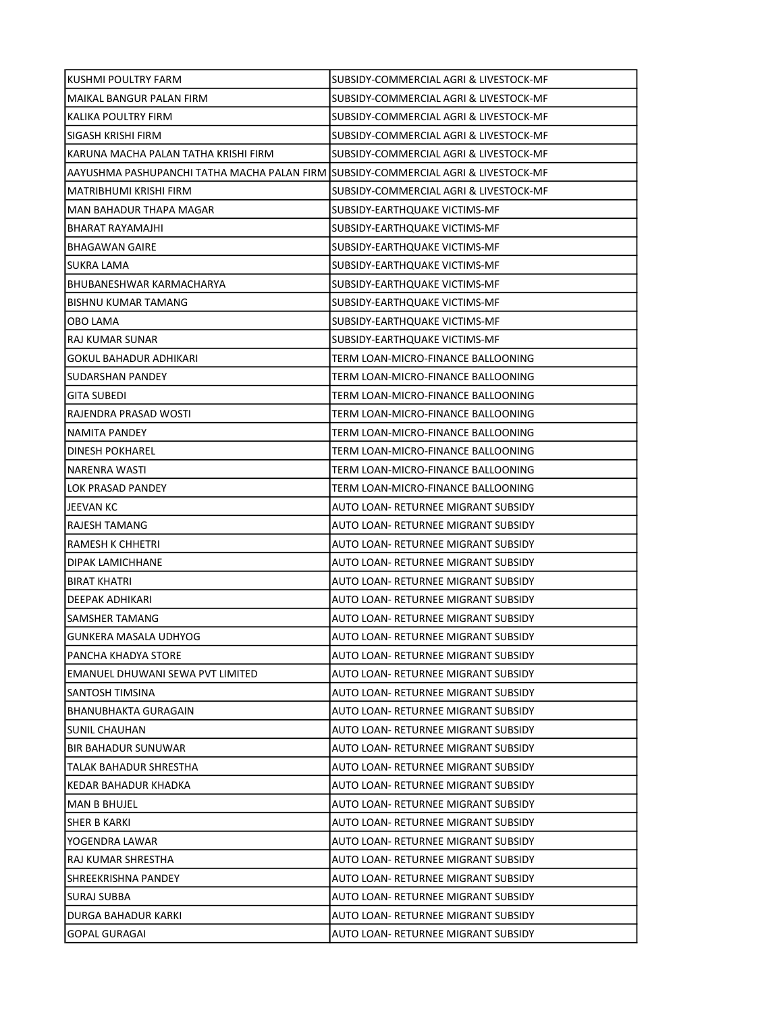| KUSHMI POULTRY FARM                                                                 | SUBSIDY-COMMERCIAL AGRI & LIVESTOCK-MF |
|-------------------------------------------------------------------------------------|----------------------------------------|
| MAIKAL BANGUR PALAN FIRM                                                            | SUBSIDY-COMMERCIAL AGRI & LIVESTOCK-MF |
| KALIKA POULTRY FIRM                                                                 | SUBSIDY-COMMERCIAL AGRI & LIVESTOCK-MF |
| SIGASH KRISHI FIRM                                                                  | SUBSIDY-COMMERCIAL AGRI & LIVESTOCK-MF |
| KARUNA MACHA PALAN TATHA KRISHI FIRM                                                | SUBSIDY-COMMERCIAL AGRI & LIVESTOCK-MF |
| AAYUSHMA PASHUPANCHI TATHA MACHA PALAN FIRM  SUBSIDY-COMMERCIAL AGRI & LIVESTOCK-MF |                                        |
| MATRIBHUMI KRISHI FIRM                                                              | SUBSIDY-COMMERCIAL AGRI & LIVESTOCK-MF |
| MAN BAHADUR THAPA MAGAR                                                             | SUBSIDY-EARTHQUAKE VICTIMS-MF          |
| BHARAT RAYAMAJHI                                                                    | SUBSIDY-EARTHQUAKE VICTIMS-MF          |
| <b>BHAGAWAN GAIRE</b>                                                               | SUBSIDY-EARTHQUAKE VICTIMS-MF          |
| SUKRA LAMA                                                                          | SUBSIDY-EARTHQUAKE VICTIMS-MF          |
| BHUBANESHWAR KARMACHARYA                                                            | SUBSIDY-EARTHQUAKE VICTIMS-MF          |
| BISHNU KUMAR TAMANG                                                                 | SUBSIDY-EARTHQUAKE VICTIMS-MF          |
| OBO LAMA                                                                            | SUBSIDY-EARTHQUAKE VICTIMS-MF          |
| RAJ KUMAR SUNAR                                                                     | SUBSIDY-EARTHQUAKE VICTIMS-MF          |
| GOKUL BAHADUR ADHIKARI                                                              | TERM LOAN-MICRO-FINANCE BALLOONING     |
| SUDARSHAN PANDEY                                                                    | TERM LOAN-MICRO-FINANCE BALLOONING     |
| <b>GITA SUBEDI</b>                                                                  | TERM LOAN-MICRO-FINANCE BALLOONING     |
| RAJENDRA PRASAD WOSTI                                                               | TERM LOAN-MICRO-FINANCE BALLOONING     |
| NAMITA PANDEY                                                                       | TERM LOAN-MICRO-FINANCE BALLOONING     |
| DINESH POKHAREL                                                                     | TERM LOAN-MICRO-FINANCE BALLOONING     |
| NARENRA WASTI                                                                       | TERM LOAN-MICRO-FINANCE BALLOONING     |
| LOK PRASAD PANDEY                                                                   | TERM LOAN-MICRO-FINANCE BALLOONING     |
| JEEVAN KC                                                                           | AUTO LOAN- RETURNEE MIGRANT SUBSIDY    |
| RAJESH TAMANG                                                                       | AUTO LOAN- RETURNEE MIGRANT SUBSIDY    |
| RAMESH K CHHETRI                                                                    | AUTO LOAN- RETURNEE MIGRANT SUBSIDY    |
| DIPAK LAMICHHANE                                                                    | AUTO LOAN- RETURNEE MIGRANT SUBSIDY    |
| <b>BIRAT KHATRI</b>                                                                 | AUTO LOAN- RETURNEE MIGRANT SUBSIDY    |
| <b>DEEPAK ADHIKARI</b>                                                              | AUTO LOAN- RETURNEE MIGRANT SUBSIDY    |
| SAMSHER TAMANG                                                                      | AUTO LOAN- RETURNEE MIGRANT SUBSIDY    |
| GUNKERA MASALA UDHYOG                                                               | AUTO LOAN- RETURNEE MIGRANT SUBSIDY    |
| PANCHA KHADYA STORE                                                                 | AUTO LOAN- RETURNEE MIGRANT SUBSIDY    |
| EMANUEL DHUWANI SEWA PVT LIMITED                                                    | AUTO LOAN- RETURNEE MIGRANT SUBSIDY    |
| SANTOSH TIMSINA                                                                     | AUTO LOAN- RETURNEE MIGRANT SUBSIDY    |
| <b>BHANUBHAKTA GURAGAIN</b>                                                         | AUTO LOAN- RETURNEE MIGRANT SUBSIDY    |
| <b>SUNIL CHAUHAN</b>                                                                | AUTO LOAN- RETURNEE MIGRANT SUBSIDY    |
| <b>BIR BAHADUR SUNUWAR</b>                                                          | AUTO LOAN- RETURNEE MIGRANT SUBSIDY    |
| TALAK BAHADUR SHRESTHA                                                              | AUTO LOAN- RETURNEE MIGRANT SUBSIDY    |
| KEDAR BAHADUR KHADKA                                                                | AUTO LOAN- RETURNEE MIGRANT SUBSIDY    |
| <b>MAN B BHUJEL</b>                                                                 | AUTO LOAN- RETURNEE MIGRANT SUBSIDY    |
| SHER B KARKI                                                                        | AUTO LOAN- RETURNEE MIGRANT SUBSIDY    |
| YOGENDRA LAWAR                                                                      | AUTO LOAN- RETURNEE MIGRANT SUBSIDY    |
| RAJ KUMAR SHRESTHA                                                                  | AUTO LOAN- RETURNEE MIGRANT SUBSIDY    |
| SHREEKRISHNA PANDEY                                                                 | AUTO LOAN- RETURNEE MIGRANT SUBSIDY    |
| SURAJ SUBBA                                                                         | AUTO LOAN- RETURNEE MIGRANT SUBSIDY    |
| DURGA BAHADUR KARKI                                                                 | AUTO LOAN- RETURNEE MIGRANT SUBSIDY    |
| <b>GOPAL GURAGAI</b>                                                                | AUTO LOAN- RETURNEE MIGRANT SUBSIDY    |